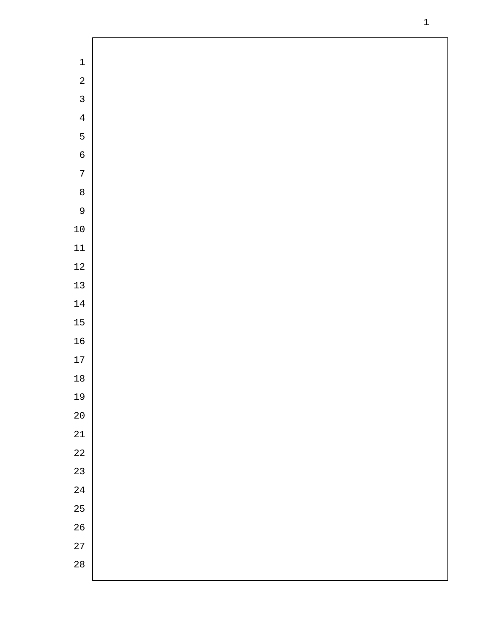| $\mathbf 1$    |  |
|----------------|--|
| $\overline{a}$ |  |
| $\overline{3}$ |  |
| $\overline{4}$ |  |
| $\overline{5}$ |  |
| $\epsilon$     |  |
| $\sqrt{ }$     |  |
| $\overline{8}$ |  |
| $\overline{9}$ |  |
| 10             |  |
| $11\,$         |  |
| $1\,2$         |  |
| $13$           |  |
| $1\,4$         |  |
| $15$           |  |
| $16$           |  |
| $17$           |  |
| $18\,$         |  |
| 19             |  |
| $2\,0$         |  |
| $2\sqrt{1}$    |  |
| $2\sqrt{2}$    |  |
| 23             |  |
| $2\sqrt{4}$    |  |
| 25             |  |
| $26\,$         |  |
| $27\,$         |  |
| $2\,8$         |  |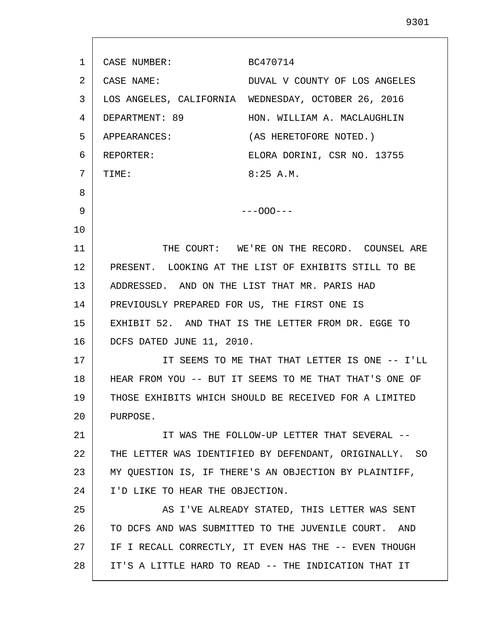1 2 3 4 5 6 7 8 9 10 11 12 13 14 15 16 17 18 19 20 21 22 23 24 25 26 27 28 CASE NUMBER: BC470714 CASE NAME: DUVAL V COUNTY OF LOS ANGELES LOS ANGELES, CALIFORNIA WEDNESDAY, OCTOBER 26, 2016 DEPARTMENT: 89 HON. WILLIAM A. MACLAUGHLIN APPEARANCES: (AS HERETOFORE NOTED.) REPORTER: ELORA DORINI, CSR NO. 13755 TIME: 8:25 A.M. ---OOO--- THE COURT: WE'RE ON THE RECORD. COUNSEL ARE PRESENT. LOOKING AT THE LIST OF EXHIBITS STILL TO BE ADDRESSED. AND ON THE LIST THAT MR. PARIS HAD PREVIOUSLY PREPARED FOR US, THE FIRST ONE IS EXHIBIT 52. AND THAT IS THE LETTER FROM DR. EGGE TO DCFS DATED JUNE 11, 2010. IT SEEMS TO ME THAT THAT LETTER IS ONE -- I'LL HEAR FROM YOU -- BUT IT SEEMS TO ME THAT THAT'S ONE OF THOSE EXHIBITS WHICH SHOULD BE RECEIVED FOR A LIMITED PURPOSE. IT WAS THE FOLLOW-UP LETTER THAT SEVERAL -- THE LETTER WAS IDENTIFIED BY DEFENDANT, ORIGINALLY. SO MY QUESTION IS, IF THERE'S AN OBJECTION BY PLAINTIFF, I'D LIKE TO HEAR THE OBJECTION. AS I'VE ALREADY STATED, THIS LETTER WAS SENT TO DCFS AND WAS SUBMITTED TO THE JUVENILE COURT. AND IF I RECALL CORRECTLY, IT EVEN HAS THE -- EVEN THOUGH IT'S A LITTLE HARD TO READ -- THE INDICATION THAT IT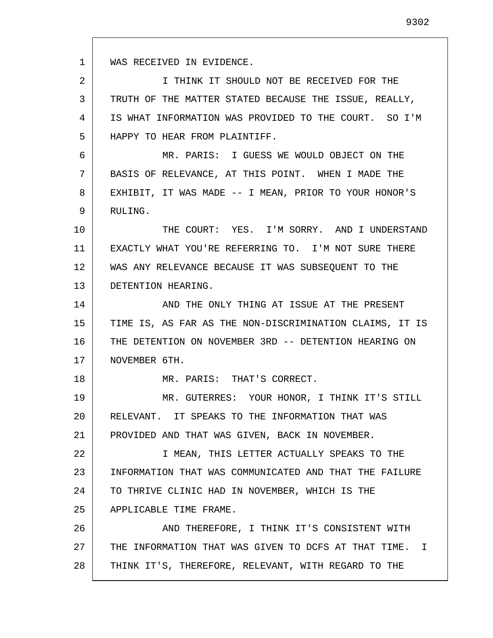1 WAS RECEIVED IN EVIDENCE.

18

2 3 4 5 I THINK IT SHOULD NOT BE RECEIVED FOR THE TRUTH OF THE MATTER STATED BECAUSE THE ISSUE, REALLY, IS WHAT INFORMATION WAS PROVIDED TO THE COURT. SO I'M HAPPY TO HEAR FROM PLAINTIFF.

6 7 8 9 MR. PARIS: I GUESS WE WOULD OBJECT ON THE BASIS OF RELEVANCE, AT THIS POINT. WHEN I MADE THE EXHIBIT, IT WAS MADE -- I MEAN, PRIOR TO YOUR HONOR'S RULING.

10 11 12 13 THE COURT: YES. I'M SORRY. AND I UNDERSTAND EXACTLY WHAT YOU'RE REFERRING TO. I'M NOT SURE THERE WAS ANY RELEVANCE BECAUSE IT WAS SUBSEQUENT TO THE DETENTION HEARING.

14 15 16 17 AND THE ONLY THING AT ISSUE AT THE PRESENT TIME IS, AS FAR AS THE NON-DISCRIMINATION CLAIMS, IT IS THE DETENTION ON NOVEMBER 3RD -- DETENTION HEARING ON NOVEMBER 6TH.

MR. PARIS: THAT'S CORRECT.

19 20 21 MR. GUTERRES: YOUR HONOR, I THINK IT'S STILL RELEVANT. IT SPEAKS TO THE INFORMATION THAT WAS PROVIDED AND THAT WAS GIVEN, BACK IN NOVEMBER.

22 23 24 25 I MEAN, THIS LETTER ACTUALLY SPEAKS TO THE INFORMATION THAT WAS COMMUNICATED AND THAT THE FAILURE TO THRIVE CLINIC HAD IN NOVEMBER, WHICH IS THE APPLICABLE TIME FRAME.

26 27 28 AND THEREFORE, I THINK IT'S CONSISTENT WITH THE INFORMATION THAT WAS GIVEN TO DCFS AT THAT TIME. I THINK IT'S, THEREFORE, RELEVANT, WITH REGARD TO THE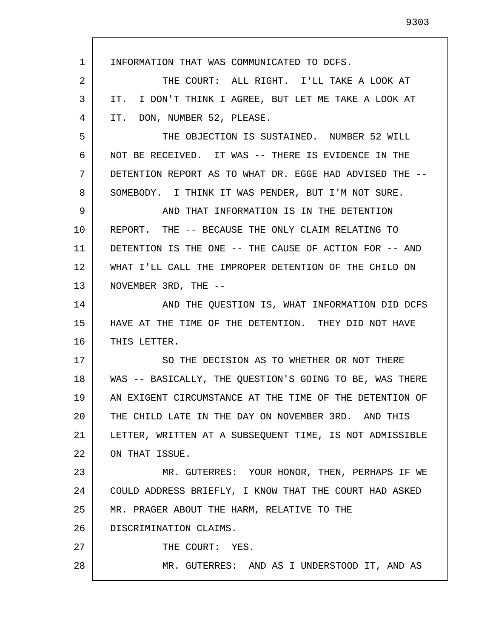1 2 3 4 5 6 7 8 9 10 11 12 13 14 15 16 17 18 19 20 21 22 23 24 25 26 27 28 INFORMATION THAT WAS COMMUNICATED TO DCFS. THE COURT: ALL RIGHT. I'LL TAKE A LOOK AT IT. I DON'T THINK I AGREE, BUT LET ME TAKE A LOOK AT IT. DON, NUMBER 52, PLEASE. THE OBJECTION IS SUSTAINED. NUMBER 52 WILL NOT BE RECEIVED. IT WAS -- THERE IS EVIDENCE IN THE DETENTION REPORT AS TO WHAT DR. EGGE HAD ADVISED THE -- SOMEBODY. I THINK IT WAS PENDER, BUT I'M NOT SURE. AND THAT INFORMATION IS IN THE DETENTION REPORT. THE -- BECAUSE THE ONLY CLAIM RELATING TO DETENTION IS THE ONE -- THE CAUSE OF ACTION FOR -- AND WHAT I'LL CALL THE IMPROPER DETENTION OF THE CHILD ON NOVEMBER 3RD, THE -- AND THE QUESTION IS, WHAT INFORMATION DID DCFS HAVE AT THE TIME OF THE DETENTION. THEY DID NOT HAVE THIS LETTER. SO THE DECISION AS TO WHETHER OR NOT THERE WAS -- BASICALLY, THE QUESTION'S GOING TO BE, WAS THERE AN EXIGENT CIRCUMSTANCE AT THE TIME OF THE DETENTION OF THE CHILD LATE IN THE DAY ON NOVEMBER 3RD. AND THIS LETTER, WRITTEN AT A SUBSEQUENT TIME, IS NOT ADMISSIBLE ON THAT ISSUE. MR. GUTERRES: YOUR HONOR, THEN, PERHAPS IF WE COULD ADDRESS BRIEFLY, I KNOW THAT THE COURT HAD ASKED MR. PRAGER ABOUT THE HARM, RELATIVE TO THE DISCRIMINATION CLAIMS. THE COURT: YES. MR. GUTERRES: AND AS I UNDERSTOOD IT, AND AS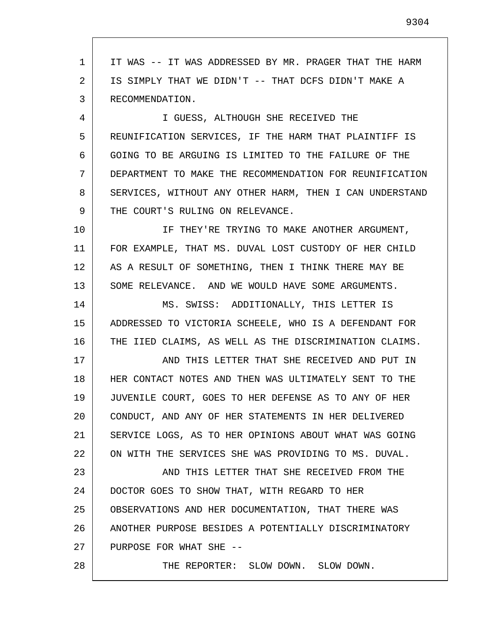1 2 3 4 5 6 7 8 9 10 11 12 13 14 15 16 17 18 19 20 21 22 23 24 25 26 27 28 IT WAS -- IT WAS ADDRESSED BY MR. PRAGER THAT THE HARM IS SIMPLY THAT WE DIDN'T -- THAT DCFS DIDN'T MAKE A RECOMMENDATION. I GUESS, ALTHOUGH SHE RECEIVED THE REUNIFICATION SERVICES, IF THE HARM THAT PLAINTIFF IS GOING TO BE ARGUING IS LIMITED TO THE FAILURE OF THE DEPARTMENT TO MAKE THE RECOMMENDATION FOR REUNIFICATION SERVICES, WITHOUT ANY OTHER HARM, THEN I CAN UNDERSTAND THE COURT'S RULING ON RELEVANCE. IF THEY'RE TRYING TO MAKE ANOTHER ARGUMENT, FOR EXAMPLE, THAT MS. DUVAL LOST CUSTODY OF HER CHILD AS A RESULT OF SOMETHING, THEN I THINK THERE MAY BE SOME RELEVANCE. AND WE WOULD HAVE SOME ARGUMENTS. MS. SWISS: ADDITIONALLY, THIS LETTER IS ADDRESSED TO VICTORIA SCHEELE, WHO IS A DEFENDANT FOR THE IIED CLAIMS, AS WELL AS THE DISCRIMINATION CLAIMS. AND THIS LETTER THAT SHE RECEIVED AND PUT IN HER CONTACT NOTES AND THEN WAS ULTIMATELY SENT TO THE JUVENILE COURT, GOES TO HER DEFENSE AS TO ANY OF HER CONDUCT, AND ANY OF HER STATEMENTS IN HER DELIVERED SERVICE LOGS, AS TO HER OPINIONS ABOUT WHAT WAS GOING ON WITH THE SERVICES SHE WAS PROVIDING TO MS. DUVAL. AND THIS LETTER THAT SHE RECEIVED FROM THE DOCTOR GOES TO SHOW THAT, WITH REGARD TO HER OBSERVATIONS AND HER DOCUMENTATION, THAT THERE WAS ANOTHER PURPOSE BESIDES A POTENTIALLY DISCRIMINATORY PURPOSE FOR WHAT SHE -- THE REPORTER: SLOW DOWN. SLOW DOWN.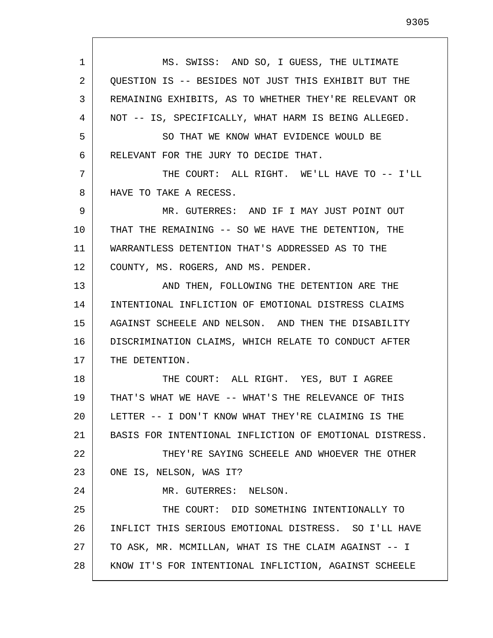1 2 3 4 5 6 7 8 9 10 11 12 13 14 15 16 17 18 19 20 21 22 23 24 25 26 27 28 MS. SWISS: AND SO, I GUESS, THE ULTIMATE QUESTION IS -- BESIDES NOT JUST THIS EXHIBIT BUT THE REMAINING EXHIBITS, AS TO WHETHER THEY'RE RELEVANT OR NOT -- IS, SPECIFICALLY, WHAT HARM IS BEING ALLEGED. SO THAT WE KNOW WHAT EVIDENCE WOULD BE RELEVANT FOR THE JURY TO DECIDE THAT. THE COURT: ALL RIGHT. WE'LL HAVE TO -- I'LL HAVE TO TAKE A RECESS. MR. GUTERRES: AND IF I MAY JUST POINT OUT THAT THE REMAINING -- SO WE HAVE THE DETENTION, THE WARRANTLESS DETENTION THAT'S ADDRESSED AS TO THE COUNTY, MS. ROGERS, AND MS. PENDER. AND THEN, FOLLOWING THE DETENTION ARE THE INTENTIONAL INFLICTION OF EMOTIONAL DISTRESS CLAIMS AGAINST SCHEELE AND NELSON. AND THEN THE DISABILITY DISCRIMINATION CLAIMS, WHICH RELATE TO CONDUCT AFTER THE DETENTION. THE COURT: ALL RIGHT. YES, BUT I AGREE THAT'S WHAT WE HAVE -- WHAT'S THE RELEVANCE OF THIS LETTER -- I DON'T KNOW WHAT THEY'RE CLAIMING IS THE BASIS FOR INTENTIONAL INFLICTION OF EMOTIONAL DISTRESS. THEY'RE SAYING SCHEELE AND WHOEVER THE OTHER ONE IS, NELSON, WAS IT? MR. GUTERRES: NELSON. THE COURT: DID SOMETHING INTENTIONALLY TO INFLICT THIS SERIOUS EMOTIONAL DISTRESS. SO I'LL HAVE TO ASK, MR. MCMILLAN, WHAT IS THE CLAIM AGAINST -- I KNOW IT'S FOR INTENTIONAL INFLICTION, AGAINST SCHEELE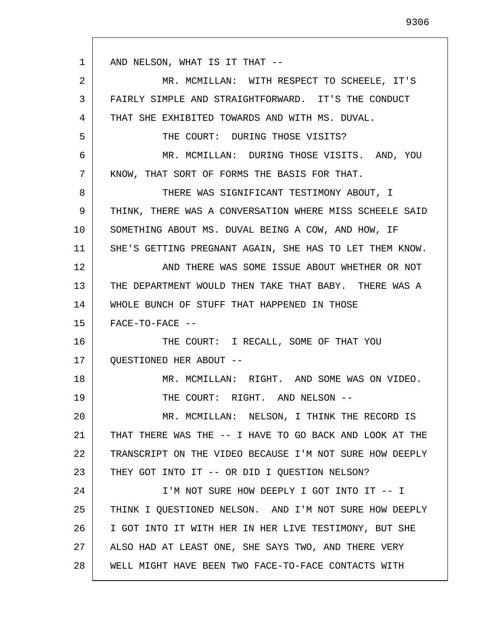1 2 3 4 5 6 7 8 9 10 11 12 13 14 15 16 17 18 19 20 21 22 23 24 25 26 27 28 AND NELSON, WHAT IS IT THAT -- MR. MCMILLAN: WITH RESPECT TO SCHEELE, IT'S FAIRLY SIMPLE AND STRAIGHTFORWARD. IT'S THE CONDUCT THAT SHE EXHIBITED TOWARDS AND WITH MS. DUVAL. THE COURT: DURING THOSE VISITS? MR. MCMILLAN: DURING THOSE VISITS. AND, YOU KNOW, THAT SORT OF FORMS THE BASIS FOR THAT. THERE WAS SIGNIFICANT TESTIMONY ABOUT, I THINK, THERE WAS A CONVERSATION WHERE MISS SCHEELE SAID SOMETHING ABOUT MS. DUVAL BEING A COW, AND HOW, IF SHE'S GETTING PREGNANT AGAIN, SHE HAS TO LET THEM KNOW. AND THERE WAS SOME ISSUE ABOUT WHETHER OR NOT THE DEPARTMENT WOULD THEN TAKE THAT BABY. THERE WAS A WHOLE BUNCH OF STUFF THAT HAPPENED IN THOSE  $FACE-TO-FACE$  --THE COURT: I RECALL, SOME OF THAT YOU QUESTIONED HER ABOUT -- MR. MCMILLAN: RIGHT. AND SOME WAS ON VIDEO. THE COURT: RIGHT. AND NELSON -- MR. MCMILLAN: NELSON, I THINK THE RECORD IS THAT THERE WAS THE -- I HAVE TO GO BACK AND LOOK AT THE TRANSCRIPT ON THE VIDEO BECAUSE I'M NOT SURE HOW DEEPLY THEY GOT INTO IT -- OR DID I QUESTION NELSON? I'M NOT SURE HOW DEEPLY I GOT INTO IT -- I THINK I QUESTIONED NELSON. AND I'M NOT SURE HOW DEEPLY I GOT INTO IT WITH HER IN HER LIVE TESTIMONY, BUT SHE ALSO HAD AT LEAST ONE, SHE SAYS TWO, AND THERE VERY WELL MIGHT HAVE BEEN TWO FACE-TO-FACE CONTACTS WITH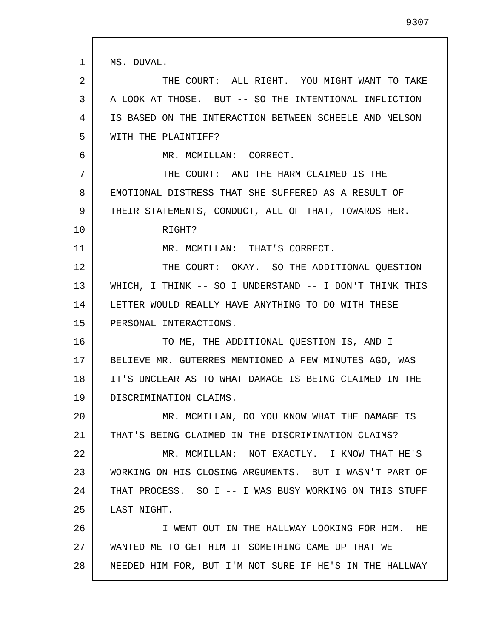1 2 3 4 5 6 7 8 9 10 11 12 13 14 15 16 17 18 19 20 21 22 23 24 25 26 27 28 MS. DUVAL. THE COURT: ALL RIGHT. YOU MIGHT WANT TO TAKE A LOOK AT THOSE. BUT -- SO THE INTENTIONAL INFLICTION IS BASED ON THE INTERACTION BETWEEN SCHEELE AND NELSON WITH THE PLAINTIFF? MR. MCMILLAN: CORRECT. THE COURT: AND THE HARM CLAIMED IS THE EMOTIONAL DISTRESS THAT SHE SUFFERED AS A RESULT OF THEIR STATEMENTS, CONDUCT, ALL OF THAT, TOWARDS HER. RIGHT? MR. MCMILLAN: THAT'S CORRECT. THE COURT: OKAY. SO THE ADDITIONAL QUESTION WHICH, I THINK -- SO I UNDERSTAND -- I DON'T THINK THIS LETTER WOULD REALLY HAVE ANYTHING TO DO WITH THESE PERSONAL INTERACTIONS. TO ME, THE ADDITIONAL QUESTION IS, AND I BELIEVE MR. GUTERRES MENTIONED A FEW MINUTES AGO, WAS IT'S UNCLEAR AS TO WHAT DAMAGE IS BEING CLAIMED IN THE DISCRIMINATION CLAIMS. MR. MCMILLAN, DO YOU KNOW WHAT THE DAMAGE IS THAT'S BEING CLAIMED IN THE DISCRIMINATION CLAIMS? MR. MCMILLAN: NOT EXACTLY. I KNOW THAT HE'S WORKING ON HIS CLOSING ARGUMENTS. BUT I WASN'T PART OF THAT PROCESS. SO I -- I WAS BUSY WORKING ON THIS STUFF LAST NIGHT. I WENT OUT IN THE HALLWAY LOOKING FOR HIM. HE WANTED ME TO GET HIM IF SOMETHING CAME UP THAT WE NEEDED HIM FOR, BUT I'M NOT SURE IF HE'S IN THE HALLWAY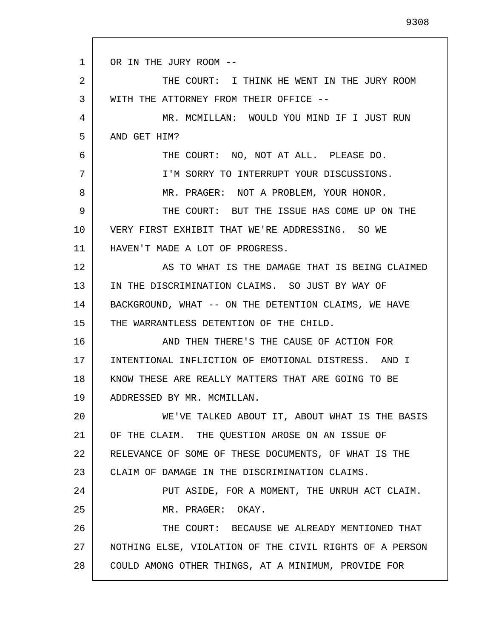1 2 3 4 5 6 7 8 9 10 11 12 13 14 15 16 17 18 19 20 21 22 23 24 25 26 27 28 OR IN THE JURY ROOM -- THE COURT: I THINK HE WENT IN THE JURY ROOM WITH THE ATTORNEY FROM THEIR OFFICE -- MR. MCMILLAN: WOULD YOU MIND IF I JUST RUN AND GET HIM? THE COURT: NO, NOT AT ALL. PLEASE DO. I'M SORRY TO INTERRUPT YOUR DISCUSSIONS. MR. PRAGER: NOT A PROBLEM, YOUR HONOR. THE COURT: BUT THE ISSUE HAS COME UP ON THE VERY FIRST EXHIBIT THAT WE'RE ADDRESSING. SO WE HAVEN'T MADE A LOT OF PROGRESS. AS TO WHAT IS THE DAMAGE THAT IS BEING CLAIMED IN THE DISCRIMINATION CLAIMS. SO JUST BY WAY OF BACKGROUND, WHAT -- ON THE DETENTION CLAIMS, WE HAVE THE WARRANTLESS DETENTION OF THE CHILD. AND THEN THERE'S THE CAUSE OF ACTION FOR INTENTIONAL INFLICTION OF EMOTIONAL DISTRESS. AND I KNOW THESE ARE REALLY MATTERS THAT ARE GOING TO BE ADDRESSED BY MR. MCMILLAN. WE'VE TALKED ABOUT IT, ABOUT WHAT IS THE BASIS OF THE CLAIM. THE QUESTION AROSE ON AN ISSUE OF RELEVANCE OF SOME OF THESE DOCUMENTS, OF WHAT IS THE CLAIM OF DAMAGE IN THE DISCRIMINATION CLAIMS. PUT ASIDE, FOR A MOMENT, THE UNRUH ACT CLAIM. MR. PRAGER: OKAY. THE COURT: BECAUSE WE ALREADY MENTIONED THAT NOTHING ELSE, VIOLATION OF THE CIVIL RIGHTS OF A PERSON COULD AMONG OTHER THINGS, AT A MINIMUM, PROVIDE FOR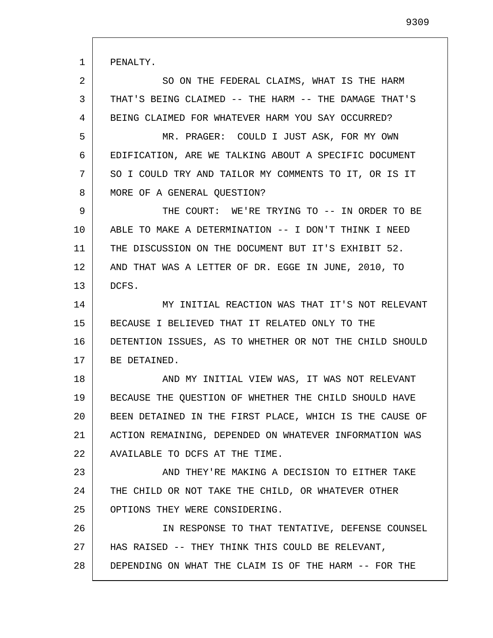1 2 3 4 5 6 7 8 9 10 11 12 13 14 15 16 17 18 19 20 21 22 23 24 25 26 27 28 PENALTY. SO ON THE FEDERAL CLAIMS, WHAT IS THE HARM THAT'S BEING CLAIMED -- THE HARM -- THE DAMAGE THAT'S BEING CLAIMED FOR WHATEVER HARM YOU SAY OCCURRED? MR. PRAGER: COULD I JUST ASK, FOR MY OWN EDIFICATION, ARE WE TALKING ABOUT A SPECIFIC DOCUMENT SO I COULD TRY AND TAILOR MY COMMENTS TO IT, OR IS IT MORE OF A GENERAL QUESTION? THE COURT: WE'RE TRYING TO -- IN ORDER TO BE ABLE TO MAKE A DETERMINATION -- I DON'T THINK I NEED THE DISCUSSION ON THE DOCUMENT BUT IT'S EXHIBIT 52. AND THAT WAS A LETTER OF DR. EGGE IN JUNE, 2010, TO DCFS. MY INITIAL REACTION WAS THAT IT'S NOT RELEVANT BECAUSE I BELIEVED THAT IT RELATED ONLY TO THE DETENTION ISSUES, AS TO WHETHER OR NOT THE CHILD SHOULD BE DETAINED. AND MY INITIAL VIEW WAS, IT WAS NOT RELEVANT BECAUSE THE QUESTION OF WHETHER THE CHILD SHOULD HAVE BEEN DETAINED IN THE FIRST PLACE, WHICH IS THE CAUSE OF ACTION REMAINING, DEPENDED ON WHATEVER INFORMATION WAS AVAILABLE TO DCFS AT THE TIME. AND THEY'RE MAKING A DECISION TO EITHER TAKE THE CHILD OR NOT TAKE THE CHILD, OR WHATEVER OTHER OPTIONS THEY WERE CONSIDERING. IN RESPONSE TO THAT TENTATIVE, DEFENSE COUNSEL HAS RAISED -- THEY THINK THIS COULD BE RELEVANT, DEPENDING ON WHAT THE CLAIM IS OF THE HARM -- FOR THE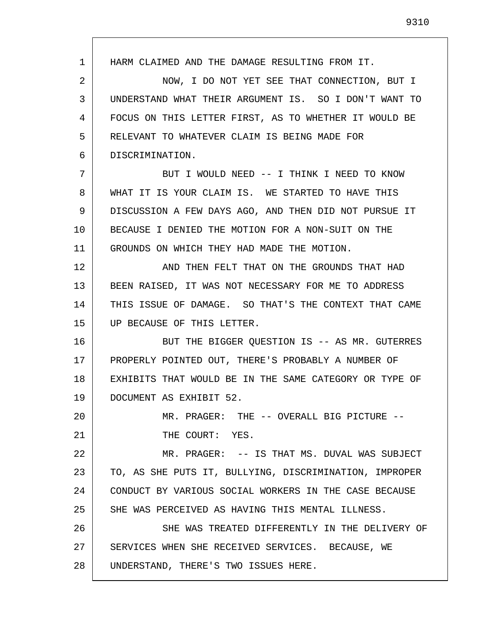1 2 3 4 5 6 7 8 9 10 11 12 13 14 15 16 17 18 19 20 21 22 23 24 25 26 27 28 HARM CLAIMED AND THE DAMAGE RESULTING FROM IT. NOW, I DO NOT YET SEE THAT CONNECTION, BUT I UNDERSTAND WHAT THEIR ARGUMENT IS. SO I DON'T WANT TO FOCUS ON THIS LETTER FIRST, AS TO WHETHER IT WOULD BE RELEVANT TO WHATEVER CLAIM IS BEING MADE FOR DISCRIMINATION. BUT I WOULD NEED -- I THINK I NEED TO KNOW WHAT IT IS YOUR CLAIM IS. WE STARTED TO HAVE THIS DISCUSSION A FEW DAYS AGO, AND THEN DID NOT PURSUE IT BECAUSE I DENIED THE MOTION FOR A NON-SUIT ON THE GROUNDS ON WHICH THEY HAD MADE THE MOTION. AND THEN FELT THAT ON THE GROUNDS THAT HAD BEEN RAISED, IT WAS NOT NECESSARY FOR ME TO ADDRESS THIS ISSUE OF DAMAGE. SO THAT'S THE CONTEXT THAT CAME UP BECAUSE OF THIS LETTER. BUT THE BIGGER QUESTION IS -- AS MR. GUTERRES PROPERLY POINTED OUT, THERE'S PROBABLY A NUMBER OF EXHIBITS THAT WOULD BE IN THE SAME CATEGORY OR TYPE OF DOCUMENT AS EXHIBIT 52. MR. PRAGER: THE -- OVERALL BIG PICTURE --THE COURT: YES. MR. PRAGER: -- IS THAT MS. DUVAL WAS SUBJECT TO, AS SHE PUTS IT, BULLYING, DISCRIMINATION, IMPROPER CONDUCT BY VARIOUS SOCIAL WORKERS IN THE CASE BECAUSE SHE WAS PERCEIVED AS HAVING THIS MENTAL ILLNESS. SHE WAS TREATED DIFFERENTLY IN THE DELIVERY OF SERVICES WHEN SHE RECEIVED SERVICES. BECAUSE, WE UNDERSTAND, THERE'S TWO ISSUES HERE.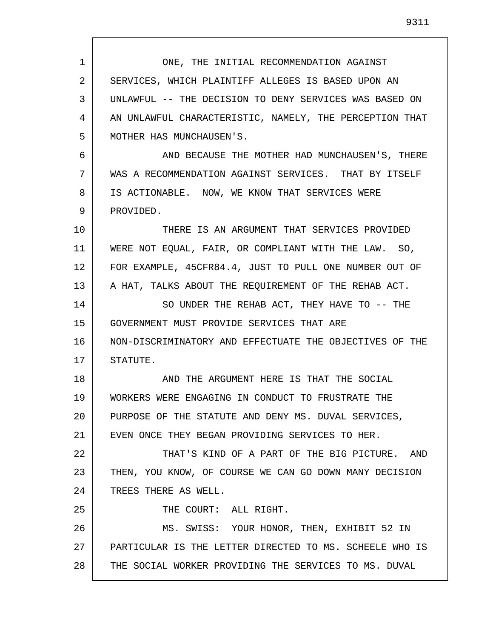1 2 3 4 5 6 7 8 9 10 11 12 13 14 15 16 17 18 19 20 21 22 23 24 25 26 27 28 ONE, THE INITIAL RECOMMENDATION AGAINST SERVICES, WHICH PLAINTIFF ALLEGES IS BASED UPON AN UNLAWFUL -- THE DECISION TO DENY SERVICES WAS BASED ON AN UNLAWFUL CHARACTERISTIC, NAMELY, THE PERCEPTION THAT MOTHER HAS MUNCHAUSEN'S. AND BECAUSE THE MOTHER HAD MUNCHAUSEN'S, THERE WAS A RECOMMENDATION AGAINST SERVICES. THAT BY ITSELF IS ACTIONABLE. NOW, WE KNOW THAT SERVICES WERE PROVIDED. THERE IS AN ARGUMENT THAT SERVICES PROVIDED WERE NOT EQUAL, FAIR, OR COMPLIANT WITH THE LAW. SO, FOR EXAMPLE, 45CFR84.4, JUST TO PULL ONE NUMBER OUT OF A HAT, TALKS ABOUT THE REQUIREMENT OF THE REHAB ACT. SO UNDER THE REHAB ACT, THEY HAVE TO -- THE GOVERNMENT MUST PROVIDE SERVICES THAT ARE NON-DISCRIMINATORY AND EFFECTUATE THE OBJECTIVES OF THE STATUTE. AND THE ARGUMENT HERE IS THAT THE SOCIAL WORKERS WERE ENGAGING IN CONDUCT TO FRUSTRATE THE PURPOSE OF THE STATUTE AND DENY MS. DUVAL SERVICES, EVEN ONCE THEY BEGAN PROVIDING SERVICES TO HER. THAT'S KIND OF A PART OF THE BIG PICTURE. AND THEN, YOU KNOW, OF COURSE WE CAN GO DOWN MANY DECISION TREES THERE AS WELL. THE COURT: ALL RIGHT. MS. SWISS: YOUR HONOR, THEN, EXHIBIT 52 IN PARTICULAR IS THE LETTER DIRECTED TO MS. SCHEELE WHO IS THE SOCIAL WORKER PROVIDING THE SERVICES TO MS. DUVAL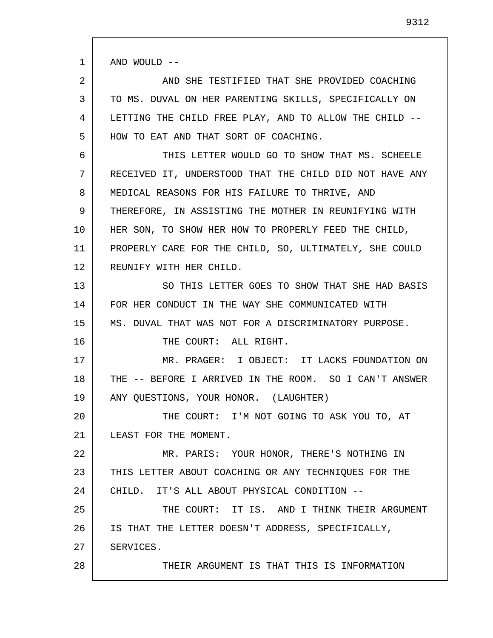1

16

28

2 3 4 5 AND SHE TESTIFIED THAT SHE PROVIDED COACHING TO MS. DUVAL ON HER PARENTING SKILLS, SPECIFICALLY ON LETTING THE CHILD FREE PLAY, AND TO ALLOW THE CHILD -- HOW TO EAT AND THAT SORT OF COACHING.

6 7 8 9 10 11 12 THIS LETTER WOULD GO TO SHOW THAT MS. SCHEELE RECEIVED IT, UNDERSTOOD THAT THE CHILD DID NOT HAVE ANY MEDICAL REASONS FOR HIS FAILURE TO THRIVE, AND THEREFORE, IN ASSISTING THE MOTHER IN REUNIFYING WITH HER SON, TO SHOW HER HOW TO PROPERLY FEED THE CHILD, PROPERLY CARE FOR THE CHILD, SO, ULTIMATELY, SHE COULD REUNIFY WITH HER CHILD.

13 14 15 SO THIS LETTER GOES TO SHOW THAT SHE HAD BASIS FOR HER CONDUCT IN THE WAY SHE COMMUNICATED WITH MS. DUVAL THAT WAS NOT FOR A DISCRIMINATORY PURPOSE.

THE COURT: ALL RIGHT.

17 18 19 MR. PRAGER: I OBJECT: IT LACKS FOUNDATION ON THE -- BEFORE I ARRIVED IN THE ROOM. SO I CAN'T ANSWER ANY QUESTIONS, YOUR HONOR. (LAUGHTER)

20 21 THE COURT: I'M NOT GOING TO ASK YOU TO, AT LEAST FOR THE MOMENT.

22 23 24 MR. PARIS: YOUR HONOR, THERE'S NOTHING IN THIS LETTER ABOUT COACHING OR ANY TECHNIQUES FOR THE CHILD. IT'S ALL ABOUT PHYSICAL CONDITION --

25 26 27 THE COURT: IT IS. AND I THINK THEIR ARGUMENT IS THAT THE LETTER DOESN'T ADDRESS, SPECIFICALLY, SERVICES.

THEIR ARGUMENT IS THAT THIS IS INFORMATION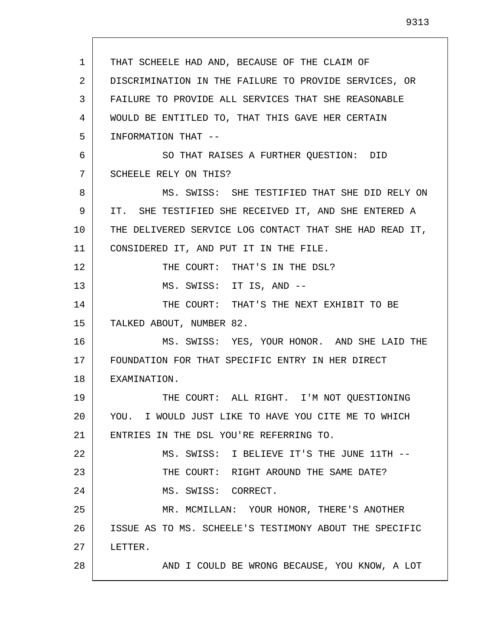1 2 3 4 5 6 7 8 9 10 11 12 13 14 15 16 17 18 19 20 21 22 23 24 25 26 27 28 THAT SCHEELE HAD AND, BECAUSE OF THE CLAIM OF DISCRIMINATION IN THE FAILURE TO PROVIDE SERVICES, OR FAILURE TO PROVIDE ALL SERVICES THAT SHE REASONABLE WOULD BE ENTITLED TO, THAT THIS GAVE HER CERTAIN INFORMATION THAT -- SO THAT RAISES A FURTHER QUESTION: DID SCHEELE RELY ON THIS? MS. SWISS: SHE TESTIFIED THAT SHE DID RELY ON IT. SHE TESTIFIED SHE RECEIVED IT, AND SHE ENTERED A THE DELIVERED SERVICE LOG CONTACT THAT SHE HAD READ IT, CONSIDERED IT, AND PUT IT IN THE FILE. THE COURT: THAT'S IN THE DSL? MS. SWISS: IT IS, AND -- THE COURT: THAT'S THE NEXT EXHIBIT TO BE TALKED ABOUT, NUMBER 82. MS. SWISS: YES, YOUR HONOR. AND SHE LAID THE FOUNDATION FOR THAT SPECIFIC ENTRY IN HER DIRECT EXAMINATION. THE COURT: ALL RIGHT. I'M NOT QUESTIONING YOU. I WOULD JUST LIKE TO HAVE YOU CITE ME TO WHICH ENTRIES IN THE DSL YOU'RE REFERRING TO. MS. SWISS: I BELIEVE IT'S THE JUNE 11TH -- THE COURT: RIGHT AROUND THE SAME DATE? MS. SWISS: CORRECT. MR. MCMILLAN: YOUR HONOR, THERE'S ANOTHER ISSUE AS TO MS. SCHEELE'S TESTIMONY ABOUT THE SPECIFIC LETTER. AND I COULD BE WRONG BECAUSE, YOU KNOW, A LOT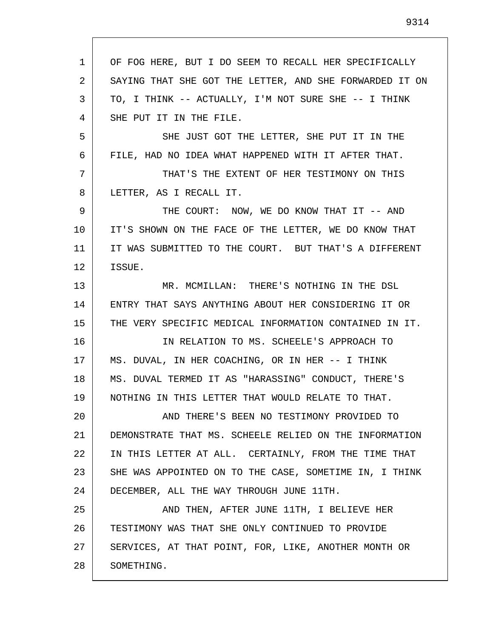| 1  | OF FOG HERE, BUT I DO SEEM TO RECALL HER SPECIFICALLY   |
|----|---------------------------------------------------------|
| 2  | SAYING THAT SHE GOT THE LETTER, AND SHE FORWARDED IT ON |
| 3  | TO, I THINK -- ACTUALLY, I'M NOT SURE SHE -- I THINK    |
| 4  | SHE PUT IT IN THE FILE.                                 |
| 5  | SHE JUST GOT THE LETTER, SHE PUT IT IN THE              |
| 6  | FILE, HAD NO IDEA WHAT HAPPENED WITH IT AFTER THAT.     |
| 7  | THAT'S THE EXTENT OF HER TESTIMONY ON THIS              |
| 8  | LETTER, AS I RECALL IT.                                 |
| 9  | THE COURT: NOW, WE DO KNOW THAT IT -- AND               |
| 10 | IT'S SHOWN ON THE FACE OF THE LETTER, WE DO KNOW THAT   |
| 11 | IT WAS SUBMITTED TO THE COURT. BUT THAT'S A DIFFERENT   |
| 12 | ISSUE.                                                  |
| 13 | MR. MCMILLAN: THERE'S NOTHING IN THE DSL                |
| 14 | ENTRY THAT SAYS ANYTHING ABOUT HER CONSIDERING IT OR    |
| 15 | THE VERY SPECIFIC MEDICAL INFORMATION CONTAINED IN IT.  |
| 16 | IN RELATION TO MS. SCHEELE'S APPROACH TO                |
| 17 | MS. DUVAL, IN HER COACHING, OR IN HER -- I THINK        |
| 18 | MS. DUVAL TERMED IT AS "HARASSING" CONDUCT, THERE'S     |
| 19 | NOTHING IN THIS LETTER THAT WOULD RELATE TO THAT.       |
| 20 | AND THERE'S BEEN NO TESTIMONY PROVIDED TO               |
| 21 | DEMONSTRATE THAT MS. SCHEELE RELIED ON THE INFORMATION  |
| 22 | IN THIS LETTER AT ALL. CERTAINLY, FROM THE TIME THAT    |
| 23 | SHE WAS APPOINTED ON TO THE CASE, SOMETIME IN, I THINK  |
| 24 | DECEMBER, ALL THE WAY THROUGH JUNE 11TH.                |
| 25 | AND THEN, AFTER JUNE 11TH, I BELIEVE HER                |
| 26 | TESTIMONY WAS THAT SHE ONLY CONTINUED TO PROVIDE        |
| 27 | SERVICES, AT THAT POINT, FOR, LIKE, ANOTHER MONTH OR    |
| 28 | SOMETHING.                                              |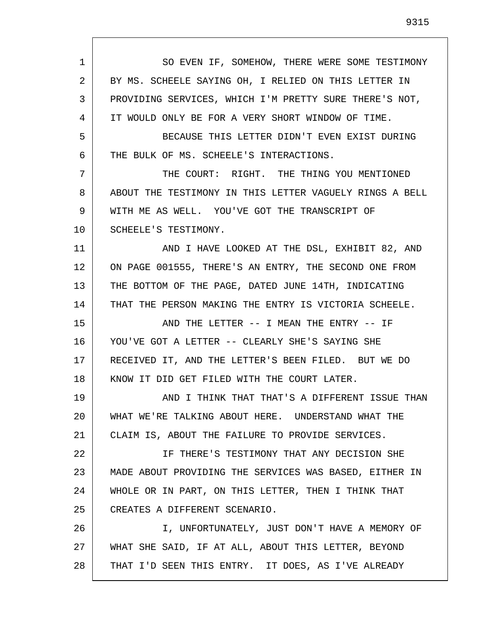1 2 3 4 5 6 7 8 9 10 11 12 13 14 15 16 17 18 19 20 21 22 23 24 25 26 27 28 SO EVEN IF, SOMEHOW, THERE WERE SOME TESTIMONY BY MS. SCHEELE SAYING OH, I RELIED ON THIS LETTER IN PROVIDING SERVICES, WHICH I'M PRETTY SURE THERE'S NOT, IT WOULD ONLY BE FOR A VERY SHORT WINDOW OF TIME. BECAUSE THIS LETTER DIDN'T EVEN EXIST DURING THE BULK OF MS. SCHEELE'S INTERACTIONS. THE COURT: RIGHT. THE THING YOU MENTIONED ABOUT THE TESTIMONY IN THIS LETTER VAGUELY RINGS A BELL WITH ME AS WELL. YOU'VE GOT THE TRANSCRIPT OF SCHEELE'S TESTIMONY. AND I HAVE LOOKED AT THE DSL, EXHIBIT 82, AND ON PAGE 001555, THERE'S AN ENTRY, THE SECOND ONE FROM THE BOTTOM OF THE PAGE, DATED JUNE 14TH, INDICATING THAT THE PERSON MAKING THE ENTRY IS VICTORIA SCHEELE. AND THE LETTER -- I MEAN THE ENTRY -- IF YOU'VE GOT A LETTER -- CLEARLY SHE'S SAYING SHE RECEIVED IT, AND THE LETTER'S BEEN FILED. BUT WE DO KNOW IT DID GET FILED WITH THE COURT LATER. AND I THINK THAT THAT'S A DIFFERENT ISSUE THAN WHAT WE'RE TALKING ABOUT HERE. UNDERSTAND WHAT THE CLAIM IS, ABOUT THE FAILURE TO PROVIDE SERVICES. IF THERE'S TESTIMONY THAT ANY DECISION SHE MADE ABOUT PROVIDING THE SERVICES WAS BASED, EITHER IN WHOLE OR IN PART, ON THIS LETTER, THEN I THINK THAT CREATES A DIFFERENT SCENARIO. I, UNFORTUNATELY, JUST DON'T HAVE A MEMORY OF WHAT SHE SAID, IF AT ALL, ABOUT THIS LETTER, BEYOND THAT I'D SEEN THIS ENTRY. IT DOES, AS I'VE ALREADY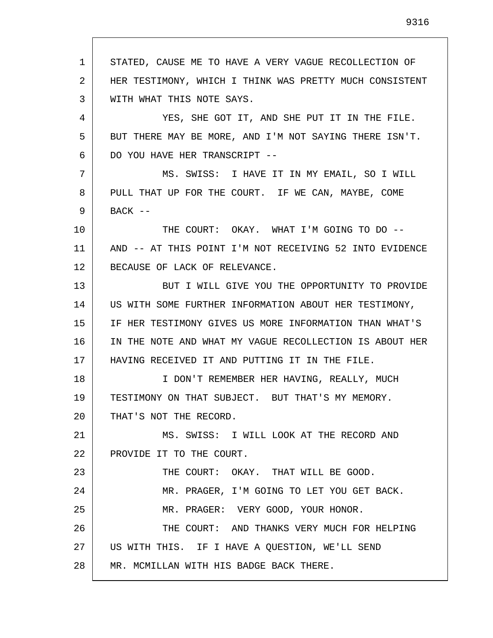1 2 3 4 5 6 7 8 9 10 11 12 13 14 15 16 17 18 19 20 21 22 23 24 25 26 27 28 STATED, CAUSE ME TO HAVE A VERY VAGUE RECOLLECTION OF HER TESTIMONY, WHICH I THINK WAS PRETTY MUCH CONSISTENT WITH WHAT THIS NOTE SAYS. YES, SHE GOT IT, AND SHE PUT IT IN THE FILE. BUT THERE MAY BE MORE, AND I'M NOT SAYING THERE ISN'T. DO YOU HAVE HER TRANSCRIPT -- MS. SWISS: I HAVE IT IN MY EMAIL, SO I WILL PULL THAT UP FOR THE COURT. IF WE CAN, MAYBE, COME  $BACK$  --THE COURT: OKAY. WHAT I'M GOING TO DO -- AND -- AT THIS POINT I'M NOT RECEIVING 52 INTO EVIDENCE BECAUSE OF LACK OF RELEVANCE. BUT I WILL GIVE YOU THE OPPORTUNITY TO PROVIDE US WITH SOME FURTHER INFORMATION ABOUT HER TESTIMONY, IF HER TESTIMONY GIVES US MORE INFORMATION THAN WHAT'S IN THE NOTE AND WHAT MY VAGUE RECOLLECTION IS ABOUT HER HAVING RECEIVED IT AND PUTTING IT IN THE FILE. I DON'T REMEMBER HER HAVING, REALLY, MUCH TESTIMONY ON THAT SUBJECT. BUT THAT'S MY MEMORY. THAT'S NOT THE RECORD. MS. SWISS: I WILL LOOK AT THE RECORD AND PROVIDE IT TO THE COURT. THE COURT: OKAY. THAT WILL BE GOOD. MR. PRAGER, I'M GOING TO LET YOU GET BACK. MR. PRAGER: VERY GOOD, YOUR HONOR. THE COURT: AND THANKS VERY MUCH FOR HELPING US WITH THIS. IF I HAVE A QUESTION, WE'LL SEND MR. MCMILLAN WITH HIS BADGE BACK THERE.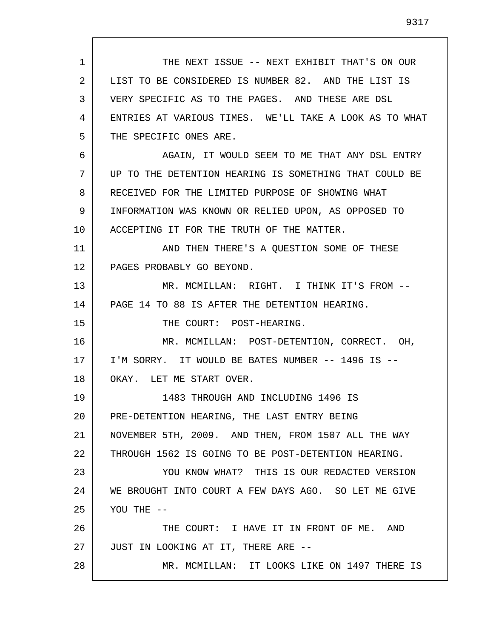| 1  | THE NEXT ISSUE -- NEXT EXHIBIT THAT'S ON OUR           |
|----|--------------------------------------------------------|
| 2  | LIST TO BE CONSIDERED IS NUMBER 82. AND THE LIST IS    |
| 3  | VERY SPECIFIC AS TO THE PAGES. AND THESE ARE DSL       |
| 4  | ENTRIES AT VARIOUS TIMES. WE'LL TAKE A LOOK AS TO WHAT |
| 5  | THE SPECIFIC ONES ARE.                                 |
| 6  | AGAIN, IT WOULD SEEM TO ME THAT ANY DSL ENTRY          |
| 7  | UP TO THE DETENTION HEARING IS SOMETHING THAT COULD BE |
| 8  | RECEIVED FOR THE LIMITED PURPOSE OF SHOWING WHAT       |
| 9  | INFORMATION WAS KNOWN OR RELIED UPON, AS OPPOSED TO    |
| 10 | ACCEPTING IT FOR THE TRUTH OF THE MATTER.              |
| 11 | AND THEN THERE'S A QUESTION SOME OF THESE              |
| 12 | PAGES PROBABLY GO BEYOND.                              |
| 13 | MR. MCMILLAN: RIGHT. I THINK IT'S FROM --              |
| 14 | PAGE 14 TO 88 IS AFTER THE DETENTION HEARING.          |
| 15 | THE COURT: POST-HEARING.                               |
| 16 | MR. MCMILLAN: POST-DETENTION, CORRECT. OH,             |
| 17 | I'M SORRY. IT WOULD BE BATES NUMBER -- 1496 IS --      |
| 18 | OKAY. LET ME START OVER.                               |
| 19 | 1483 THROUGH AND INCLUDING 1496 IS                     |
| 20 | PRE-DETENTION HEARING, THE LAST ENTRY BEING            |
| 21 | NOVEMBER 5TH, 2009. AND THEN, FROM 1507 ALL THE WAY    |
| 22 | THROUGH 1562 IS GOING TO BE POST-DETENTION HEARING.    |
| 23 | YOU KNOW WHAT? THIS IS OUR REDACTED VERSION            |
| 24 | WE BROUGHT INTO COURT A FEW DAYS AGO. SO LET ME GIVE   |
| 25 | YOU THE --                                             |
| 26 | THE COURT: I HAVE IT IN FRONT OF ME. AND               |
| 27 | JUST IN LOOKING AT IT, THERE ARE --                    |
| 28 | MR. MCMILLAN: IT LOOKS LIKE ON 1497 THERE IS           |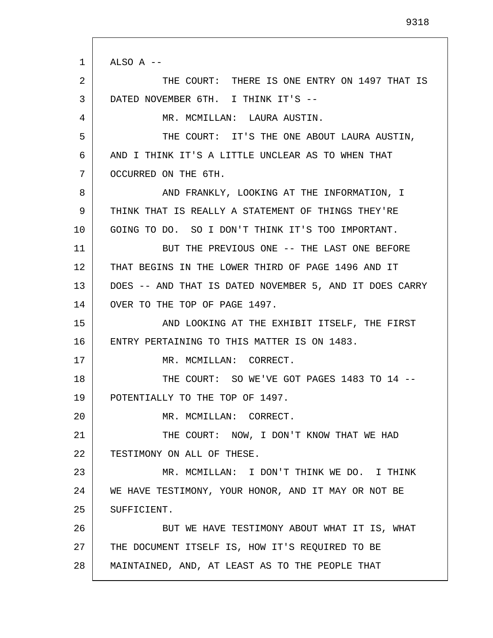1 2 3 4 5 6 7 8 9 10 11 12 13 14 15 16 17 18 19 20 21 22 23 24 25 26 27 28 ALSO A -- THE COURT: THERE IS ONE ENTRY ON 1497 THAT IS DATED NOVEMBER 6TH. I THINK IT'S -- MR. MCMILLAN: LAURA AUSTIN. THE COURT: IT'S THE ONE ABOUT LAURA AUSTIN, AND I THINK IT'S A LITTLE UNCLEAR AS TO WHEN THAT OCCURRED ON THE 6TH. AND FRANKLY, LOOKING AT THE INFORMATION, I THINK THAT IS REALLY A STATEMENT OF THINGS THEY'RE GOING TO DO. SO I DON'T THINK IT'S TOO IMPORTANT. BUT THE PREVIOUS ONE -- THE LAST ONE BEFORE THAT BEGINS IN THE LOWER THIRD OF PAGE 1496 AND IT DOES -- AND THAT IS DATED NOVEMBER 5, AND IT DOES CARRY OVER TO THE TOP OF PAGE 1497. AND LOOKING AT THE EXHIBIT ITSELF, THE FIRST ENTRY PERTAINING TO THIS MATTER IS ON 1483. MR. MCMILLAN: CORRECT. THE COURT: SO WE'VE GOT PAGES 1483 TO 14 --POTENTIALLY TO THE TOP OF 1497. MR. MCMILLAN: CORRECT. THE COURT: NOW, I DON'T KNOW THAT WE HAD TESTIMONY ON ALL OF THESE. MR. MCMILLAN: I DON'T THINK WE DO. I THINK WE HAVE TESTIMONY, YOUR HONOR, AND IT MAY OR NOT BE SUFFICIENT. BUT WE HAVE TESTIMONY ABOUT WHAT IT IS, WHAT THE DOCUMENT ITSELF IS, HOW IT'S REQUIRED TO BE MAINTAINED, AND, AT LEAST AS TO THE PEOPLE THAT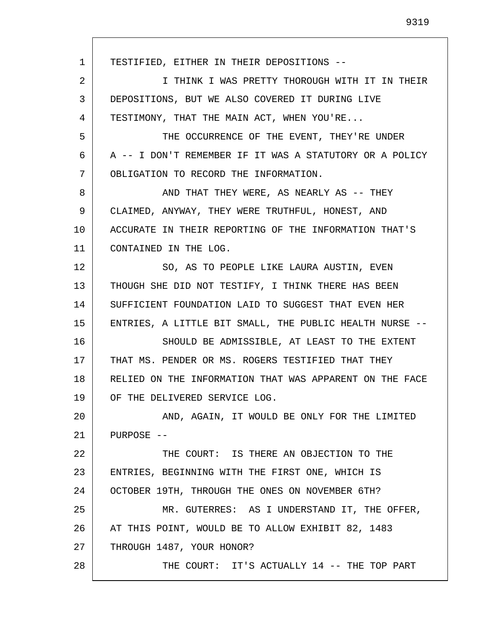1 2 3 4 5 6 7 8 9 10 11 12 13 14 15 16 17 18 19 20 21 22 23 24 25 26 27 28 TESTIFIED, EITHER IN THEIR DEPOSITIONS -- I THINK I WAS PRETTY THOROUGH WITH IT IN THEIR DEPOSITIONS, BUT WE ALSO COVERED IT DURING LIVE TESTIMONY, THAT THE MAIN ACT, WHEN YOU'RE... THE OCCURRENCE OF THE EVENT, THEY'RE UNDER A -- I DON'T REMEMBER IF IT WAS A STATUTORY OR A POLICY OBLIGATION TO RECORD THE INFORMATION. AND THAT THEY WERE, AS NEARLY AS -- THEY CLAIMED, ANYWAY, THEY WERE TRUTHFUL, HONEST, AND ACCURATE IN THEIR REPORTING OF THE INFORMATION THAT'S CONTAINED IN THE LOG. SO, AS TO PEOPLE LIKE LAURA AUSTIN, EVEN THOUGH SHE DID NOT TESTIFY, I THINK THERE HAS BEEN SUFFICIENT FOUNDATION LAID TO SUGGEST THAT EVEN HER ENTRIES, A LITTLE BIT SMALL, THE PUBLIC HEALTH NURSE -- SHOULD BE ADMISSIBLE, AT LEAST TO THE EXTENT THAT MS. PENDER OR MS. ROGERS TESTIFIED THAT THEY RELIED ON THE INFORMATION THAT WAS APPARENT ON THE FACE OF THE DELIVERED SERVICE LOG. AND, AGAIN, IT WOULD BE ONLY FOR THE LIMITED PURPOSE -- THE COURT: IS THERE AN OBJECTION TO THE ENTRIES, BEGINNING WITH THE FIRST ONE, WHICH IS OCTOBER 19TH, THROUGH THE ONES ON NOVEMBER 6TH? MR. GUTERRES: AS I UNDERSTAND IT, THE OFFER, AT THIS POINT, WOULD BE TO ALLOW EXHIBIT 82, 1483 THROUGH 1487, YOUR HONOR? THE COURT: IT'S ACTUALLY 14 -- THE TOP PART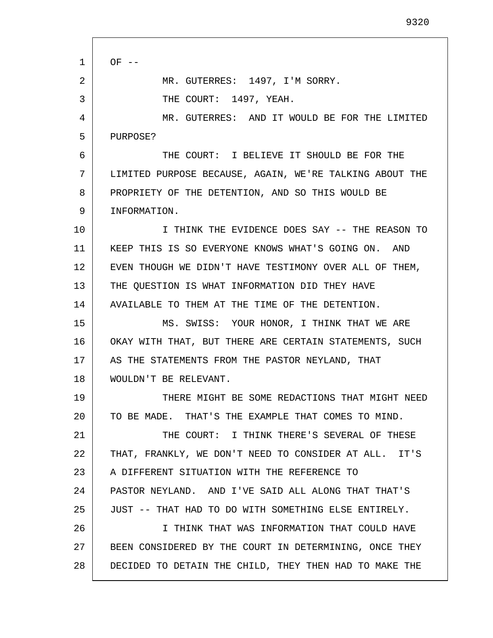1 2 3 4 5 6 7 8 9 10 11 12 13 14 15 16 17 18 19 20 21 22 23 24 25 26 27 28  $OF$  --MR. GUTERRES: 1497, I'M SORRY. THE COURT: 1497, YEAH. MR. GUTERRES: AND IT WOULD BE FOR THE LIMITED PURPOSE? THE COURT: I BELIEVE IT SHOULD BE FOR THE LIMITED PURPOSE BECAUSE, AGAIN, WE'RE TALKING ABOUT THE PROPRIETY OF THE DETENTION, AND SO THIS WOULD BE INFORMATION. I THINK THE EVIDENCE DOES SAY -- THE REASON TO KEEP THIS IS SO EVERYONE KNOWS WHAT'S GOING ON. AND EVEN THOUGH WE DIDN'T HAVE TESTIMONY OVER ALL OF THEM, THE QUESTION IS WHAT INFORMATION DID THEY HAVE AVAILABLE TO THEM AT THE TIME OF THE DETENTION. MS. SWISS: YOUR HONOR, I THINK THAT WE ARE OKAY WITH THAT, BUT THERE ARE CERTAIN STATEMENTS, SUCH AS THE STATEMENTS FROM THE PASTOR NEYLAND, THAT WOULDN'T BE RELEVANT. THERE MIGHT BE SOME REDACTIONS THAT MIGHT NEED TO BE MADE. THAT'S THE EXAMPLE THAT COMES TO MIND. THE COURT: I THINK THERE'S SEVERAL OF THESE THAT, FRANKLY, WE DON'T NEED TO CONSIDER AT ALL. IT'S A DIFFERENT SITUATION WITH THE REFERENCE TO PASTOR NEYLAND. AND I'VE SAID ALL ALONG THAT THAT'S JUST -- THAT HAD TO DO WITH SOMETHING ELSE ENTIRELY. I THINK THAT WAS INFORMATION THAT COULD HAVE BEEN CONSIDERED BY THE COURT IN DETERMINING, ONCE THEY DECIDED TO DETAIN THE CHILD, THEY THEN HAD TO MAKE THE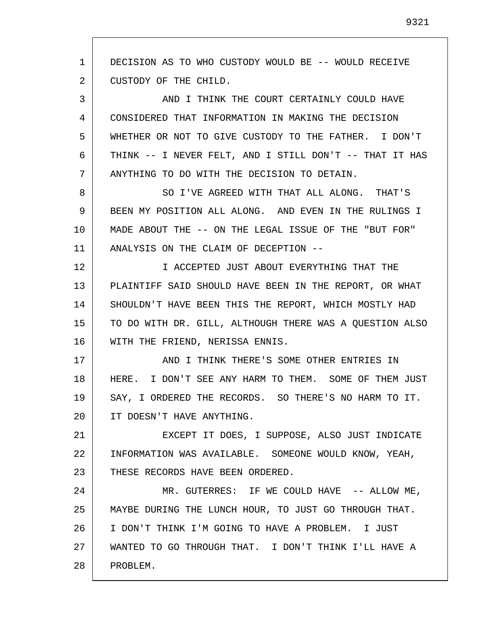1 2 3 4 5 6 7 8 9 10 11 12 13 14 15 16 17 18 19 20 21 22 23 24 25 26 27 28 DECISION AS TO WHO CUSTODY WOULD BE -- WOULD RECEIVE CUSTODY OF THE CHILD. AND I THINK THE COURT CERTAINLY COULD HAVE CONSIDERED THAT INFORMATION IN MAKING THE DECISION WHETHER OR NOT TO GIVE CUSTODY TO THE FATHER. I DON'T THINK -- I NEVER FELT, AND I STILL DON'T -- THAT IT HAS ANYTHING TO DO WITH THE DECISION TO DETAIN. SO I'VE AGREED WITH THAT ALL ALONG. THAT'S BEEN MY POSITION ALL ALONG. AND EVEN IN THE RULINGS I MADE ABOUT THE -- ON THE LEGAL ISSUE OF THE "BUT FOR" ANALYSIS ON THE CLAIM OF DECEPTION -- I ACCEPTED JUST ABOUT EVERYTHING THAT THE PLAINTIFF SAID SHOULD HAVE BEEN IN THE REPORT, OR WHAT SHOULDN'T HAVE BEEN THIS THE REPORT, WHICH MOSTLY HAD TO DO WITH DR. GILL, ALTHOUGH THERE WAS A QUESTION ALSO WITH THE FRIEND, NERISSA ENNIS. AND I THINK THERE'S SOME OTHER ENTRIES IN HERE. I DON'T SEE ANY HARM TO THEM. SOME OF THEM JUST SAY, I ORDERED THE RECORDS. SO THERE'S NO HARM TO IT. IT DOESN'T HAVE ANYTHING. EXCEPT IT DOES, I SUPPOSE, ALSO JUST INDICATE INFORMATION WAS AVAILABLE. SOMEONE WOULD KNOW, YEAH, THESE RECORDS HAVE BEEN ORDERED. MR. GUTERRES: IF WE COULD HAVE -- ALLOW ME, MAYBE DURING THE LUNCH HOUR, TO JUST GO THROUGH THAT. I DON'T THINK I'M GOING TO HAVE A PROBLEM. I JUST WANTED TO GO THROUGH THAT. I DON'T THINK I'LL HAVE A PROBLEM.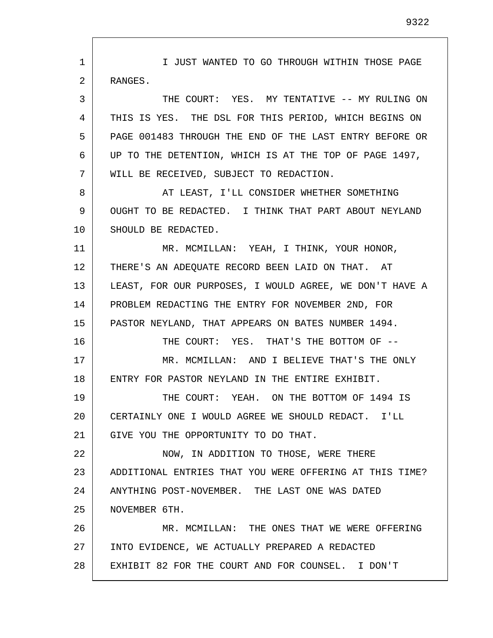1 2 3 4 5 6 7 8 9 10 11 12 13 14 15 16 17 18 19 20 21 22 23 24 25 26 27 28 I JUST WANTED TO GO THROUGH WITHIN THOSE PAGE RANGES. THE COURT: YES. MY TENTATIVE -- MY RULING ON THIS IS YES. THE DSL FOR THIS PERIOD, WHICH BEGINS ON PAGE 001483 THROUGH THE END OF THE LAST ENTRY BEFORE OR UP TO THE DETENTION, WHICH IS AT THE TOP OF PAGE 1497, WILL BE RECEIVED, SUBJECT TO REDACTION. AT LEAST, I'LL CONSIDER WHETHER SOMETHING OUGHT TO BE REDACTED. I THINK THAT PART ABOUT NEYLAND SHOULD BE REDACTED. MR. MCMILLAN: YEAH, I THINK, YOUR HONOR, THERE'S AN ADEQUATE RECORD BEEN LAID ON THAT. AT LEAST, FOR OUR PURPOSES, I WOULD AGREE, WE DON'T HAVE A PROBLEM REDACTING THE ENTRY FOR NOVEMBER 2ND, FOR PASTOR NEYLAND, THAT APPEARS ON BATES NUMBER 1494. THE COURT: YES. THAT'S THE BOTTOM OF --MR. MCMILLAN: AND I BELIEVE THAT'S THE ONLY ENTRY FOR PASTOR NEYLAND IN THE ENTIRE EXHIBIT. THE COURT: YEAH. ON THE BOTTOM OF 1494 IS CERTAINLY ONE I WOULD AGREE WE SHOULD REDACT. I'LL GIVE YOU THE OPPORTUNITY TO DO THAT. NOW, IN ADDITION TO THOSE, WERE THERE ADDITIONAL ENTRIES THAT YOU WERE OFFERING AT THIS TIME? ANYTHING POST-NOVEMBER. THE LAST ONE WAS DATED NOVEMBER 6TH. MR. MCMILLAN: THE ONES THAT WE WERE OFFERING INTO EVIDENCE, WE ACTUALLY PREPARED A REDACTED EXHIBIT 82 FOR THE COURT AND FOR COUNSEL. I DON'T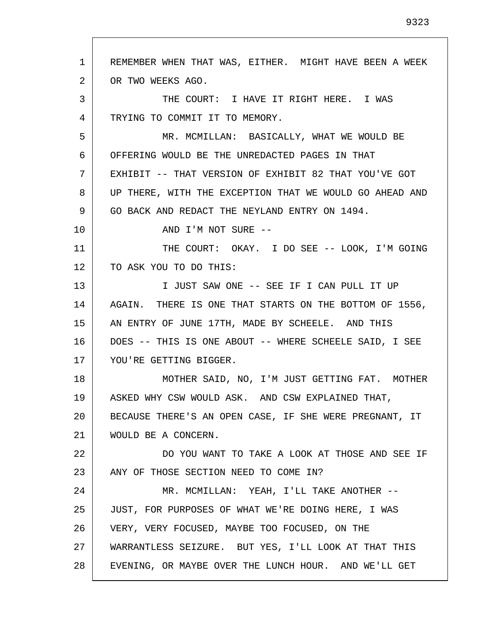1 2 3 4 5 6 7 8 9 10 11 12 13 14 15 16 17 18 19 20 21 22 23 24 25 26 27 28 REMEMBER WHEN THAT WAS, EITHER. MIGHT HAVE BEEN A WEEK OR TWO WEEKS AGO. THE COURT: I HAVE IT RIGHT HERE. I WAS TRYING TO COMMIT IT TO MEMORY. MR. MCMILLAN: BASICALLY, WHAT WE WOULD BE OFFERING WOULD BE THE UNREDACTED PAGES IN THAT EXHIBIT -- THAT VERSION OF EXHIBIT 82 THAT YOU'VE GOT UP THERE, WITH THE EXCEPTION THAT WE WOULD GO AHEAD AND GO BACK AND REDACT THE NEYLAND ENTRY ON 1494. AND I'M NOT SURE -- THE COURT: OKAY. I DO SEE -- LOOK, I'M GOING TO ASK YOU TO DO THIS: I JUST SAW ONE -- SEE IF I CAN PULL IT UP AGAIN. THERE IS ONE THAT STARTS ON THE BOTTOM OF 1556, AN ENTRY OF JUNE 17TH, MADE BY SCHEELE. AND THIS DOES -- THIS IS ONE ABOUT -- WHERE SCHEELE SAID, I SEE YOU'RE GETTING BIGGER. MOTHER SAID, NO, I'M JUST GETTING FAT. MOTHER ASKED WHY CSW WOULD ASK. AND CSW EXPLAINED THAT, BECAUSE THERE'S AN OPEN CASE, IF SHE WERE PREGNANT, IT WOULD BE A CONCERN. DO YOU WANT TO TAKE A LOOK AT THOSE AND SEE IF ANY OF THOSE SECTION NEED TO COME IN? MR. MCMILLAN: YEAH, I'LL TAKE ANOTHER -- JUST, FOR PURPOSES OF WHAT WE'RE DOING HERE, I WAS VERY, VERY FOCUSED, MAYBE TOO FOCUSED, ON THE WARRANTLESS SEIZURE. BUT YES, I'LL LOOK AT THAT THIS EVENING, OR MAYBE OVER THE LUNCH HOUR. AND WE'LL GET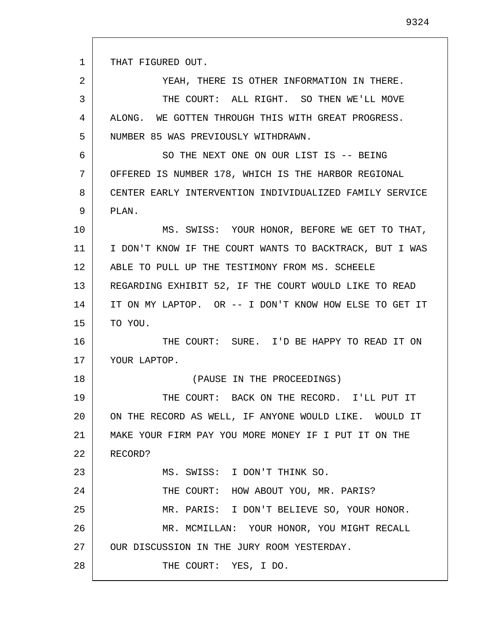THAT FIGURED OUT.

18

1 2 3 4 5 6 7 8 9 10 11 12 13 14 15 16 17 YEAH, THERE IS OTHER INFORMATION IN THERE. THE COURT: ALL RIGHT. SO THEN WE'LL MOVE ALONG. WE GOTTEN THROUGH THIS WITH GREAT PROGRESS. NUMBER 85 WAS PREVIOUSLY WITHDRAWN. SO THE NEXT ONE ON OUR LIST IS -- BEING OFFERED IS NUMBER 178, WHICH IS THE HARBOR REGIONAL CENTER EARLY INTERVENTION INDIVIDUALIZED FAMILY SERVICE PLAN. MS. SWISS: YOUR HONOR, BEFORE WE GET TO THAT, I DON'T KNOW IF THE COURT WANTS TO BACKTRACK, BUT I WAS ABLE TO PULL UP THE TESTIMONY FROM MS. SCHEELE REGARDING EXHIBIT 52, IF THE COURT WOULD LIKE TO READ IT ON MY LAPTOP. OR -- I DON'T KNOW HOW ELSE TO GET IT TO YOU. THE COURT: SURE. I'D BE HAPPY TO READ IT ON YOUR LAPTOP.

(PAUSE IN THE PROCEEDINGS)

19 20 21 22 23 24 25 26 27 28 THE COURT: BACK ON THE RECORD. I'LL PUT IT ON THE RECORD AS WELL, IF ANYONE WOULD LIKE. WOULD IT MAKE YOUR FIRM PAY YOU MORE MONEY IF I PUT IT ON THE RECORD? MS. SWISS: I DON'T THINK SO. THE COURT: HOW ABOUT YOU, MR. PARIS? MR. PARIS: I DON'T BELIEVE SO, YOUR HONOR. MR. MCMILLAN: YOUR HONOR, YOU MIGHT RECALL OUR DISCUSSION IN THE JURY ROOM YESTERDAY. THE COURT: YES, I DO.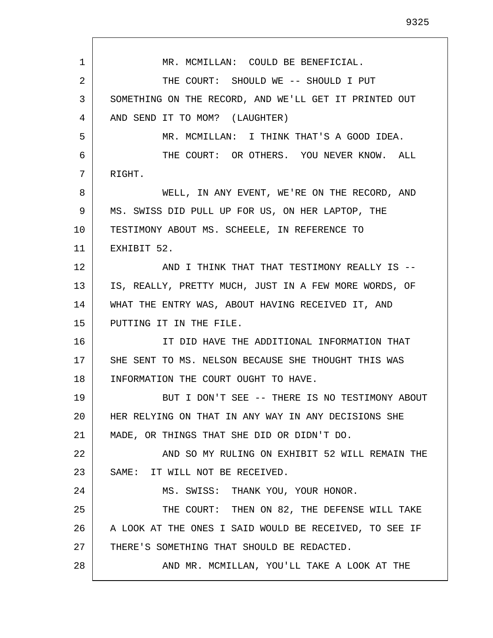| $\mathbf{1}$ | MR. MCMILLAN: COULD BE BENEFICIAL.                     |
|--------------|--------------------------------------------------------|
| 2            | THE COURT: SHOULD WE -- SHOULD I PUT                   |
| 3            | SOMETHING ON THE RECORD, AND WE'LL GET IT PRINTED OUT  |
| 4            | AND SEND IT TO MOM? (LAUGHTER)                         |
| 5            | MR. MCMILLAN: I THINK THAT'S A GOOD IDEA.              |
| 6            | THE COURT: OR OTHERS. YOU NEVER KNOW. ALL              |
| 7            | RIGHT.                                                 |
| 8            | WELL, IN ANY EVENT, WE'RE ON THE RECORD, AND           |
| 9            | MS. SWISS DID PULL UP FOR US, ON HER LAPTOP, THE       |
| 10           | TESTIMONY ABOUT MS. SCHEELE, IN REFERENCE TO           |
| 11           | EXHIBIT 52.                                            |
| 12           | AND I THINK THAT THAT TESTIMONY REALLY IS --           |
| 13           | IS, REALLY, PRETTY MUCH, JUST IN A FEW MORE WORDS, OF  |
| 14           | WHAT THE ENTRY WAS, ABOUT HAVING RECEIVED IT, AND      |
| 15           | PUTTING IT IN THE FILE.                                |
| 16           | IT DID HAVE THE ADDITIONAL INFORMATION THAT            |
| 17           | SHE SENT TO MS. NELSON BECAUSE SHE THOUGHT THIS WAS    |
| 18           | INFORMATION THE COURT OUGHT TO HAVE.                   |
| 19           | BUT I DON'T SEE -- THERE IS NO TESTIMONY ABOUT         |
| 20           | HER RELYING ON THAT IN ANY WAY IN ANY DECISIONS SHE    |
| 21           | MADE, OR THINGS THAT SHE DID OR DIDN'T DO.             |
| 22           | AND SO MY RULING ON EXHIBIT 52 WILL REMAIN THE         |
| 23           | SAME: IT WILL NOT BE RECEIVED.                         |
| 24           | MS. SWISS: THANK YOU, YOUR HONOR.                      |
| 25           | THE COURT: THEN ON 82, THE DEFENSE WILL TAKE           |
| 26           | A LOOK AT THE ONES I SAID WOULD BE RECEIVED, TO SEE IF |
| 27           | THERE'S SOMETHING THAT SHOULD BE REDACTED.             |
| 28           | AND MR. MCMILLAN, YOU'LL TAKE A LOOK AT THE            |

 $\Gamma$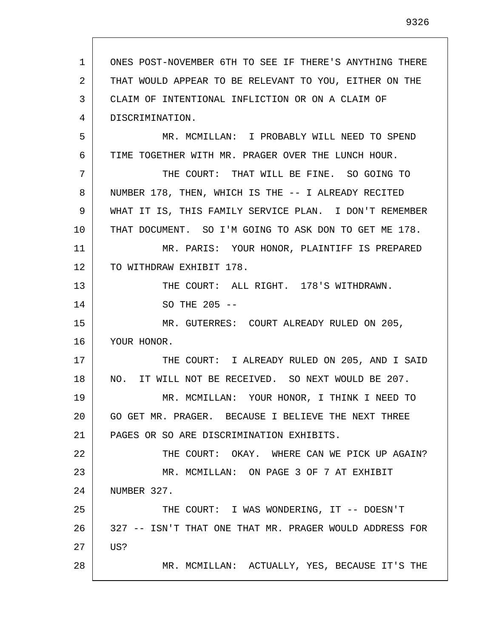1 2 3 4 5 6 7 8 9 10 11 12 13 14 15 16 17 18 19 20 21 22 23 24 25 26 27 28 ONES POST-NOVEMBER 6TH TO SEE IF THERE'S ANYTHING THERE THAT WOULD APPEAR TO BE RELEVANT TO YOU, EITHER ON THE CLAIM OF INTENTIONAL INFLICTION OR ON A CLAIM OF DISCRIMINATION. MR. MCMILLAN: I PROBABLY WILL NEED TO SPEND TIME TOGETHER WITH MR. PRAGER OVER THE LUNCH HOUR. THE COURT: THAT WILL BE FINE. SO GOING TO NUMBER 178, THEN, WHICH IS THE -- I ALREADY RECITED WHAT IT IS, THIS FAMILY SERVICE PLAN. I DON'T REMEMBER THAT DOCUMENT. SO I'M GOING TO ASK DON TO GET ME 178. MR. PARIS: YOUR HONOR, PLAINTIFF IS PREPARED TO WITHDRAW EXHIBIT 178. THE COURT: ALL RIGHT. 178'S WITHDRAWN. SO THE  $205$  --MR. GUTERRES: COURT ALREADY RULED ON 205, YOUR HONOR. THE COURT: I ALREADY RULED ON 205, AND I SAID NO. IT WILL NOT BE RECEIVED. SO NEXT WOULD BE 207. MR. MCMILLAN: YOUR HONOR, I THINK I NEED TO GO GET MR. PRAGER. BECAUSE I BELIEVE THE NEXT THREE PAGES OR SO ARE DISCRIMINATION EXHIBITS. THE COURT: OKAY. WHERE CAN WE PICK UP AGAIN? MR. MCMILLAN: ON PAGE 3 OF 7 AT EXHIBIT NUMBER 327. THE COURT: I WAS WONDERING, IT -- DOESN'T 327 -- ISN'T THAT ONE THAT MR. PRAGER WOULD ADDRESS FOR US? MR. MCMILLAN: ACTUALLY, YES, BECAUSE IT'S THE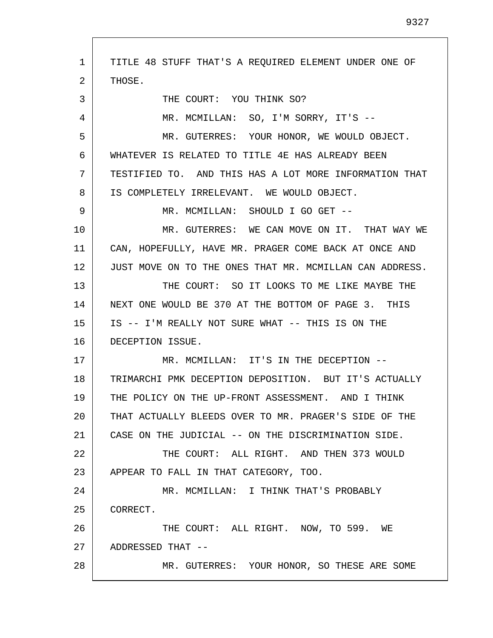1 2 3 4 5 6 7 8 9 10 11 12 13 14 15 16 17 18 19 20 21 22 23 24 25 26 27 28 TITLE 48 STUFF THAT'S A REQUIRED ELEMENT UNDER ONE OF THOSE. THE COURT: YOU THINK SO? MR. MCMILLAN: SO, I'M SORRY, IT'S -- MR. GUTERRES: YOUR HONOR, WE WOULD OBJECT. WHATEVER IS RELATED TO TITLE 4E HAS ALREADY BEEN TESTIFIED TO. AND THIS HAS A LOT MORE INFORMATION THAT IS COMPLETELY IRRELEVANT. WE WOULD OBJECT. MR. MCMILLAN: SHOULD I GO GET -- MR. GUTERRES: WE CAN MOVE ON IT. THAT WAY WE CAN, HOPEFULLY, HAVE MR. PRAGER COME BACK AT ONCE AND JUST MOVE ON TO THE ONES THAT MR. MCMILLAN CAN ADDRESS. THE COURT: SO IT LOOKS TO ME LIKE MAYBE THE NEXT ONE WOULD BE 370 AT THE BOTTOM OF PAGE 3. THIS IS -- I'M REALLY NOT SURE WHAT -- THIS IS ON THE DECEPTION ISSUE. MR. MCMILLAN: IT'S IN THE DECEPTION -- TRIMARCHI PMK DECEPTION DEPOSITION. BUT IT'S ACTUALLY THE POLICY ON THE UP-FRONT ASSESSMENT. AND I THINK THAT ACTUALLY BLEEDS OVER TO MR. PRAGER'S SIDE OF THE CASE ON THE JUDICIAL -- ON THE DISCRIMINATION SIDE. THE COURT: ALL RIGHT. AND THEN 373 WOULD APPEAR TO FALL IN THAT CATEGORY, TOO. MR. MCMILLAN: I THINK THAT'S PROBABLY CORRECT. THE COURT: ALL RIGHT. NOW, TO 599. WE ADDRESSED THAT -- MR. GUTERRES: YOUR HONOR, SO THESE ARE SOME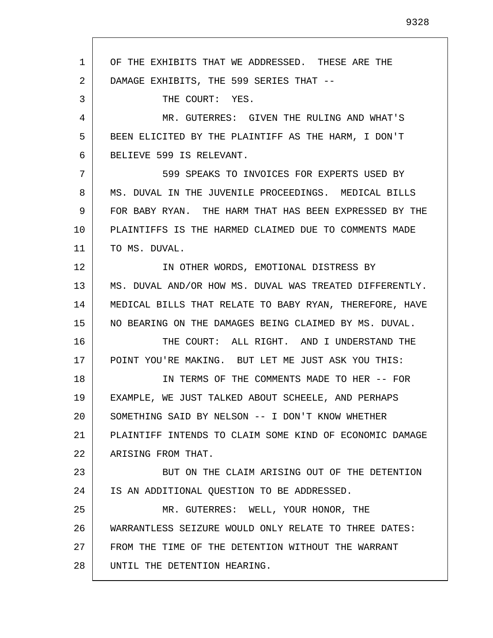1 2 3 4 5 6 7 8 9 10 11 12 13 14 15 16 17 18 19 20 21 22 23 24 25 26 27 28 OF THE EXHIBITS THAT WE ADDRESSED. THESE ARE THE DAMAGE EXHIBITS, THE 599 SERIES THAT -- THE COURT: YES. MR. GUTERRES: GIVEN THE RULING AND WHAT'S BEEN ELICITED BY THE PLAINTIFF AS THE HARM, I DON'T BELIEVE 599 IS RELEVANT. 599 SPEAKS TO INVOICES FOR EXPERTS USED BY MS. DUVAL IN THE JUVENILE PROCEEDINGS. MEDICAL BILLS FOR BABY RYAN. THE HARM THAT HAS BEEN EXPRESSED BY THE PLAINTIFFS IS THE HARMED CLAIMED DUE TO COMMENTS MADE TO MS. DUVAL. IN OTHER WORDS, EMOTIONAL DISTRESS BY MS. DUVAL AND/OR HOW MS. DUVAL WAS TREATED DIFFERENTLY. MEDICAL BILLS THAT RELATE TO BABY RYAN, THEREFORE, HAVE NO BEARING ON THE DAMAGES BEING CLAIMED BY MS. DUVAL. THE COURT: ALL RIGHT. AND I UNDERSTAND THE POINT YOU'RE MAKING. BUT LET ME JUST ASK YOU THIS: IN TERMS OF THE COMMENTS MADE TO HER -- FOR EXAMPLE, WE JUST TALKED ABOUT SCHEELE, AND PERHAPS SOMETHING SAID BY NELSON -- I DON'T KNOW WHETHER PLAINTIFF INTENDS TO CLAIM SOME KIND OF ECONOMIC DAMAGE ARISING FROM THAT. BUT ON THE CLAIM ARISING OUT OF THE DETENTION IS AN ADDITIONAL QUESTION TO BE ADDRESSED. MR. GUTERRES: WELL, YOUR HONOR, THE WARRANTLESS SEIZURE WOULD ONLY RELATE TO THREE DATES: FROM THE TIME OF THE DETENTION WITHOUT THE WARRANT UNTIL THE DETENTION HEARING.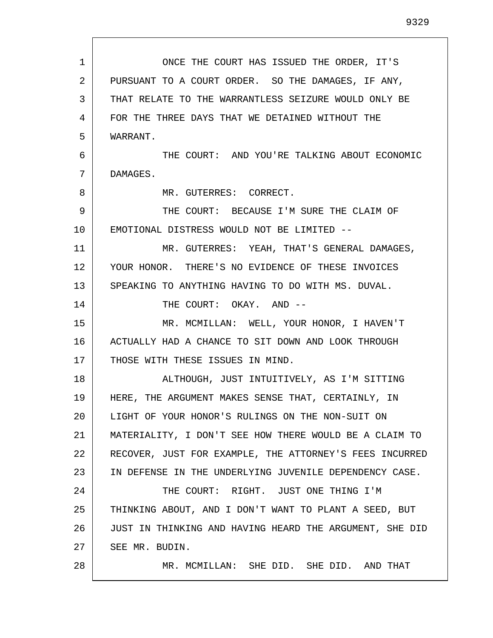| $\mathbf{1}$ | ONCE THE COURT HAS ISSUED THE ORDER, IT'S               |
|--------------|---------------------------------------------------------|
| 2            | PURSUANT TO A COURT ORDER. SO THE DAMAGES, IF ANY,      |
| 3            | THAT RELATE TO THE WARRANTLESS SEIZURE WOULD ONLY BE    |
| 4            | FOR THE THREE DAYS THAT WE DETAINED WITHOUT THE         |
| 5            | WARRANT.                                                |
| 6            | THE COURT: AND YOU'RE TALKING ABOUT ECONOMIC            |
| 7            | DAMAGES.                                                |
| 8            | MR. GUTERRES: CORRECT.                                  |
| 9            | THE COURT: BECAUSE I'M SURE THE CLAIM OF                |
| 10           | EMOTIONAL DISTRESS WOULD NOT BE LIMITED --              |
| 11           | MR. GUTERRES: YEAH, THAT'S GENERAL DAMAGES,             |
| 12           | YOUR HONOR. THERE'S NO EVIDENCE OF THESE INVOICES       |
| 13           | SPEAKING TO ANYTHING HAVING TO DO WITH MS. DUVAL.       |
| 14           | THE COURT: OKAY. AND --                                 |
| 15           | MR. MCMILLAN: WELL, YOUR HONOR, I HAVEN'T               |
| 16           | ACTUALLY HAD A CHANCE TO SIT DOWN AND LOOK THROUGH      |
| 17           | THOSE WITH THESE ISSUES IN MIND.                        |
| 18           | ALTHOUGH, JUST INTUITIVELY, AS I'M SITTING              |
| 19           | HERE, THE ARGUMENT MAKES SENSE THAT, CERTAINLY, IN      |
| 20           | LIGHT OF YOUR HONOR'S RULINGS ON THE NON-SUIT ON        |
| 21           | MATERIALITY, I DON'T SEE HOW THERE WOULD BE A CLAIM TO  |
| 22           | RECOVER, JUST FOR EXAMPLE, THE ATTORNEY'S FEES INCURRED |
| 23           | IN DEFENSE IN THE UNDERLYING JUVENILE DEPENDENCY CASE.  |
| 24           | THE COURT: RIGHT. JUST ONE THING I'M                    |
| 25           | THINKING ABOUT, AND I DON'T WANT TO PLANT A SEED, BUT   |
| 26           | JUST IN THINKING AND HAVING HEARD THE ARGUMENT, SHE DID |
| 27           | SEE MR. BUDIN.                                          |
| 28           | MR. MCMILLAN: SHE DID. SHE DID. AND THAT                |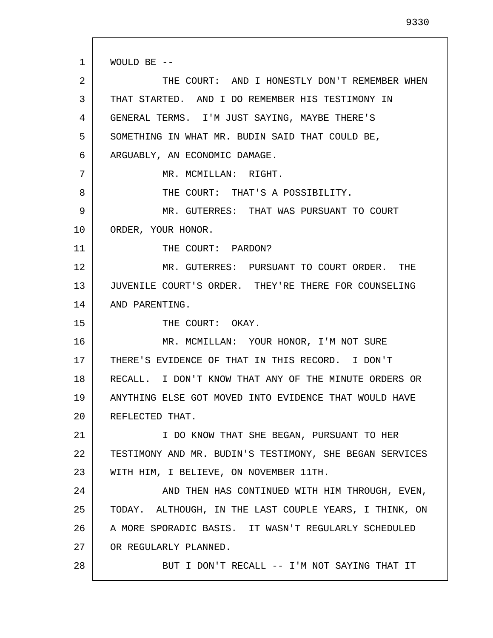1 2 3 4 5 6 7 8 9 10 11 12 13 14 15 16 17 18 19 20 21 22 23 24 25 26 27 28 WOULD BE -- THE COURT: AND I HONESTLY DON'T REMEMBER WHEN THAT STARTED. AND I DO REMEMBER HIS TESTIMONY IN GENERAL TERMS. I'M JUST SAYING, MAYBE THERE'S SOMETHING IN WHAT MR. BUDIN SAID THAT COULD BE, ARGUABLY, AN ECONOMIC DAMAGE. MR. MCMILLAN: RIGHT. THE COURT: THAT'S A POSSIBILITY. MR. GUTERRES: THAT WAS PURSUANT TO COURT ORDER, YOUR HONOR. THE COURT: PARDON? MR. GUTERRES: PURSUANT TO COURT ORDER. THE JUVENILE COURT'S ORDER. THEY'RE THERE FOR COUNSELING AND PARENTING. THE COURT: OKAY. MR. MCMILLAN: YOUR HONOR, I'M NOT SURE THERE'S EVIDENCE OF THAT IN THIS RECORD. I DON'T RECALL. I DON'T KNOW THAT ANY OF THE MINUTE ORDERS OR ANYTHING ELSE GOT MOVED INTO EVIDENCE THAT WOULD HAVE REFLECTED THAT. I DO KNOW THAT SHE BEGAN, PURSUANT TO HER TESTIMONY AND MR. BUDIN'S TESTIMONY, SHE BEGAN SERVICES WITH HIM, I BELIEVE, ON NOVEMBER 11TH. AND THEN HAS CONTINUED WITH HIM THROUGH, EVEN, TODAY. ALTHOUGH, IN THE LAST COUPLE YEARS, I THINK, ON A MORE SPORADIC BASIS. IT WASN'T REGULARLY SCHEDULED OR REGULARLY PLANNED. BUT I DON'T RECALL -- I'M NOT SAYING THAT IT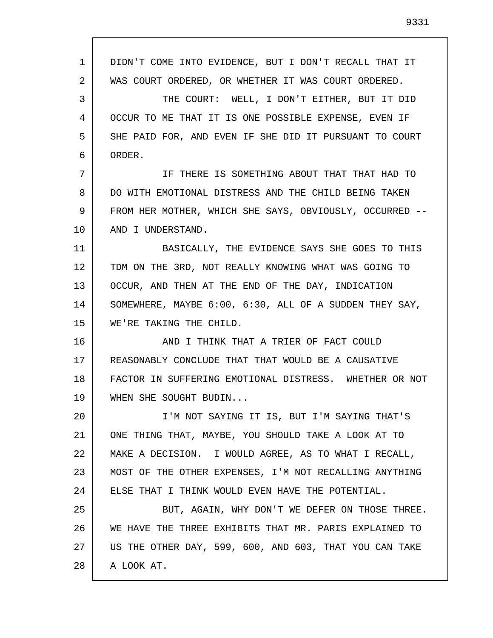1 2 3 4 5 6 7 8 9 10 11 12 13 14 15 16 17 18 19 20 21 22 23 24 25 26 27 28 DIDN'T COME INTO EVIDENCE, BUT I DON'T RECALL THAT IT WAS COURT ORDERED, OR WHETHER IT WAS COURT ORDERED. THE COURT: WELL, I DON'T EITHER, BUT IT DID OCCUR TO ME THAT IT IS ONE POSSIBLE EXPENSE, EVEN IF SHE PAID FOR, AND EVEN IF SHE DID IT PURSUANT TO COURT ORDER. IF THERE IS SOMETHING ABOUT THAT THAT HAD TO DO WITH EMOTIONAL DISTRESS AND THE CHILD BEING TAKEN FROM HER MOTHER, WHICH SHE SAYS, OBVIOUSLY, OCCURRED -- AND I UNDERSTAND. BASICALLY, THE EVIDENCE SAYS SHE GOES TO THIS TDM ON THE 3RD, NOT REALLY KNOWING WHAT WAS GOING TO OCCUR, AND THEN AT THE END OF THE DAY, INDICATION SOMEWHERE, MAYBE 6:00, 6:30, ALL OF A SUDDEN THEY SAY, WE'RE TAKING THE CHILD. AND I THINK THAT A TRIER OF FACT COULD REASONABLY CONCLUDE THAT THAT WOULD BE A CAUSATIVE FACTOR IN SUFFERING EMOTIONAL DISTRESS. WHETHER OR NOT WHEN SHE SOUGHT BUDIN... I'M NOT SAYING IT IS, BUT I'M SAYING THAT'S ONE THING THAT, MAYBE, YOU SHOULD TAKE A LOOK AT TO MAKE A DECISION. I WOULD AGREE, AS TO WHAT I RECALL, MOST OF THE OTHER EXPENSES, I'M NOT RECALLING ANYTHING ELSE THAT I THINK WOULD EVEN HAVE THE POTENTIAL. BUT, AGAIN, WHY DON'T WE DEFER ON THOSE THREE. WE HAVE THE THREE EXHIBITS THAT MR. PARIS EXPLAINED TO US THE OTHER DAY, 599, 600, AND 603, THAT YOU CAN TAKE A LOOK AT.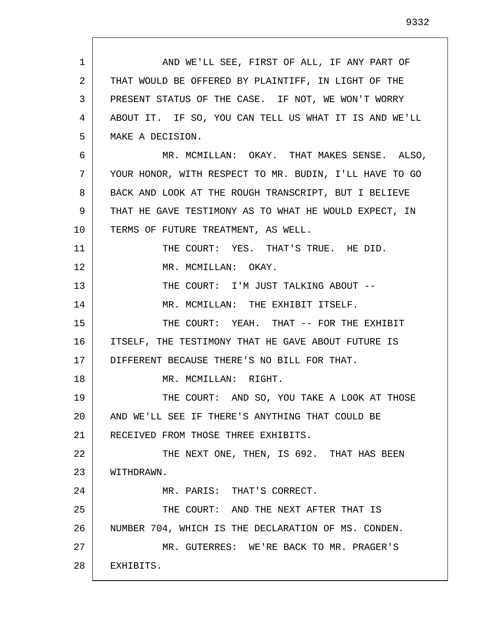1 2 3 4 5 6 7 8 9 10 11 12 13 14 15 16 17 18 19 20 21 22 23 24 25 26 27 28 AND WE'LL SEE, FIRST OF ALL, IF ANY PART OF THAT WOULD BE OFFERED BY PLAINTIFF, IN LIGHT OF THE PRESENT STATUS OF THE CASE. IF NOT, WE WON'T WORRY ABOUT IT. IF SO, YOU CAN TELL US WHAT IT IS AND WE'LL MAKE A DECISION. MR. MCMILLAN: OKAY. THAT MAKES SENSE. ALSO, YOUR HONOR, WITH RESPECT TO MR. BUDIN, I'LL HAVE TO GO BACK AND LOOK AT THE ROUGH TRANSCRIPT, BUT I BELIEVE THAT HE GAVE TESTIMONY AS TO WHAT HE WOULD EXPECT, IN TERMS OF FUTURE TREATMENT, AS WELL. THE COURT: YES. THAT'S TRUE. HE DID. MR. MCMILLAN: OKAY. THE COURT: I'M JUST TALKING ABOUT --MR. MCMILLAN: THE EXHIBIT ITSELF. THE COURT: YEAH. THAT -- FOR THE EXHIBIT ITSELF, THE TESTIMONY THAT HE GAVE ABOUT FUTURE IS DIFFERENT BECAUSE THERE'S NO BILL FOR THAT. MR. MCMILLAN: RIGHT. THE COURT: AND SO, YOU TAKE A LOOK AT THOSE AND WE'LL SEE IF THERE'S ANYTHING THAT COULD BE RECEIVED FROM THOSE THREE EXHIBITS. THE NEXT ONE, THEN, IS 692. THAT HAS BEEN WITHDRAWN. MR. PARIS: THAT'S CORRECT. THE COURT: AND THE NEXT AFTER THAT IS NUMBER 704, WHICH IS THE DECLARATION OF MS. CONDEN. MR. GUTERRES: WE'RE BACK TO MR. PRAGER'S EXHIBITS.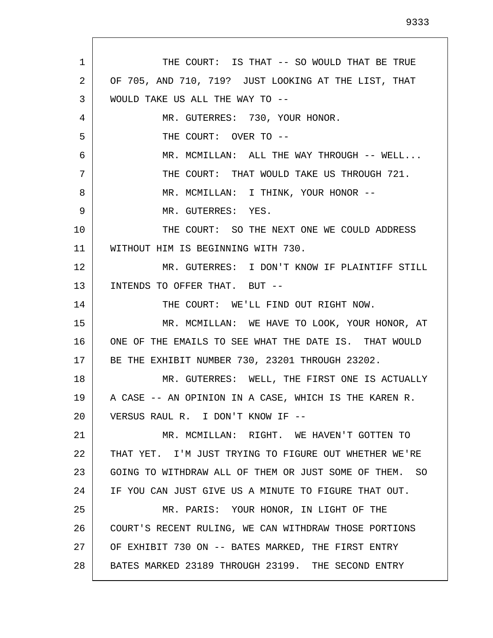| 1  | THE COURT: IS THAT -- SO WOULD THAT BE TRUE            |
|----|--------------------------------------------------------|
| 2  | OF 705, AND 710, 719? JUST LOOKING AT THE LIST, THAT   |
| 3  | WOULD TAKE US ALL THE WAY TO --                        |
| 4  | MR. GUTERRES: 730, YOUR HONOR.                         |
| 5  | THE COURT: OVER TO --                                  |
| 6  | MR. MCMILLAN: ALL THE WAY THROUGH -- WELL              |
| 7  | THE COURT: THAT WOULD TAKE US THROUGH 721.             |
| 8  | MR. MCMILLAN: I THINK, YOUR HONOR --                   |
| 9  | MR. GUTERRES: YES.                                     |
| 10 | THE COURT: SO THE NEXT ONE WE COULD ADDRESS            |
| 11 | WITHOUT HIM IS BEGINNING WITH 730.                     |
| 12 | MR. GUTERRES: I DON'T KNOW IF PLAINTIFF STILL          |
| 13 | INTENDS TO OFFER THAT. BUT --                          |
| 14 | THE COURT: WE'LL FIND OUT RIGHT NOW.                   |
| 15 | MR. MCMILLAN: WE HAVE TO LOOK, YOUR HONOR, AT          |
| 16 | ONE OF THE EMAILS TO SEE WHAT THE DATE IS. THAT WOULD  |
| 17 | BE THE EXHIBIT NUMBER 730, 23201 THROUGH 23202.        |
| 18 | MR. GUTERRES: WELL, THE FIRST ONE IS ACTUALLY          |
| 19 | A CASE -- AN OPINION IN A CASE, WHICH IS THE KAREN R.  |
| 20 | VERSUS RAUL R. I DON'T KNOW IF --                      |
| 21 | MR. MCMILLAN: RIGHT. WE HAVEN'T GOTTEN TO              |
| 22 | THAT YET. I'M JUST TRYING TO FIGURE OUT WHETHER WE'RE  |
| 23 | GOING TO WITHDRAW ALL OF THEM OR JUST SOME OF THEM. SO |
| 24 | IF YOU CAN JUST GIVE US A MINUTE TO FIGURE THAT OUT.   |
| 25 | MR. PARIS: YOUR HONOR, IN LIGHT OF THE                 |
| 26 | COURT'S RECENT RULING, WE CAN WITHDRAW THOSE PORTIONS  |
| 27 | OF EXHIBIT 730 ON -- BATES MARKED, THE FIRST ENTRY     |
| 28 | BATES MARKED 23189 THROUGH 23199. THE SECOND ENTRY     |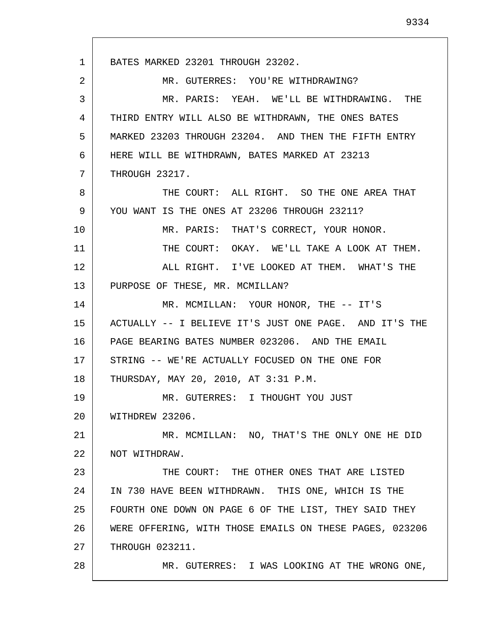1 2 3 4 5 6 7 8 9 10 11 12 13 14 15 16 17 18 19 20 21 22 23 24 25 26 27 28 BATES MARKED 23201 THROUGH 23202. MR. GUTERRES: YOU'RE WITHDRAWING? MR. PARIS: YEAH. WE'LL BE WITHDRAWING. THE THIRD ENTRY WILL ALSO BE WITHDRAWN, THE ONES BATES MARKED 23203 THROUGH 23204. AND THEN THE FIFTH ENTRY HERE WILL BE WITHDRAWN, BATES MARKED AT 23213 THROUGH 23217. THE COURT: ALL RIGHT. SO THE ONE AREA THAT YOU WANT IS THE ONES AT 23206 THROUGH 23211? MR. PARIS: THAT'S CORRECT, YOUR HONOR. THE COURT: OKAY. WE'LL TAKE A LOOK AT THEM. ALL RIGHT. I'VE LOOKED AT THEM. WHAT'S THE PURPOSE OF THESE, MR. MCMILLAN? MR. MCMILLAN: YOUR HONOR, THE -- IT'S ACTUALLY -- I BELIEVE IT'S JUST ONE PAGE. AND IT'S THE PAGE BEARING BATES NUMBER 023206. AND THE EMAIL STRING -- WE'RE ACTUALLY FOCUSED ON THE ONE FOR THURSDAY, MAY 20, 2010, AT 3:31 P.M. MR. GUTERRES: I THOUGHT YOU JUST WITHDREW 23206. MR. MCMILLAN: NO, THAT'S THE ONLY ONE HE DID NOT WITHDRAW. THE COURT: THE OTHER ONES THAT ARE LISTED IN 730 HAVE BEEN WITHDRAWN. THIS ONE, WHICH IS THE FOURTH ONE DOWN ON PAGE 6 OF THE LIST, THEY SAID THEY WERE OFFERING, WITH THOSE EMAILS ON THESE PAGES, 023206 THROUGH 023211. MR. GUTERRES: I WAS LOOKING AT THE WRONG ONE,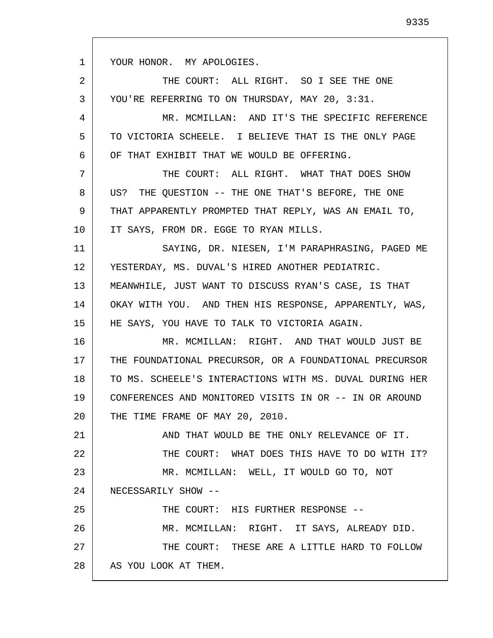1 2 3 4 5 6 7 8 9 10 11 12 13 14 15 16 17 18 19 20 21 22 23 24 25 26 27 28 YOUR HONOR. MY APOLOGIES. THE COURT: ALL RIGHT. SO I SEE THE ONE YOU'RE REFERRING TO ON THURSDAY, MAY 20, 3:31. MR. MCMILLAN: AND IT'S THE SPECIFIC REFERENCE TO VICTORIA SCHEELE. I BELIEVE THAT IS THE ONLY PAGE OF THAT EXHIBIT THAT WE WOULD BE OFFERING. THE COURT: ALL RIGHT. WHAT THAT DOES SHOW US? THE QUESTION -- THE ONE THAT'S BEFORE, THE ONE THAT APPARENTLY PROMPTED THAT REPLY, WAS AN EMAIL TO, IT SAYS, FROM DR. EGGE TO RYAN MILLS. SAYING, DR. NIESEN, I'M PARAPHRASING, PAGED ME YESTERDAY, MS. DUVAL'S HIRED ANOTHER PEDIATRIC. MEANWHILE, JUST WANT TO DISCUSS RYAN'S CASE, IS THAT OKAY WITH YOU. AND THEN HIS RESPONSE, APPARENTLY, WAS, HE SAYS, YOU HAVE TO TALK TO VICTORIA AGAIN. MR. MCMILLAN: RIGHT. AND THAT WOULD JUST BE THE FOUNDATIONAL PRECURSOR, OR A FOUNDATIONAL PRECURSOR TO MS. SCHEELE'S INTERACTIONS WITH MS. DUVAL DURING HER CONFERENCES AND MONITORED VISITS IN OR -- IN OR AROUND THE TIME FRAME OF MAY 20, 2010. AND THAT WOULD BE THE ONLY RELEVANCE OF IT. THE COURT: WHAT DOES THIS HAVE TO DO WITH IT? MR. MCMILLAN: WELL, IT WOULD GO TO, NOT NECESSARILY SHOW -- THE COURT: HIS FURTHER RESPONSE -- MR. MCMILLAN: RIGHT. IT SAYS, ALREADY DID. THE COURT: THESE ARE A LITTLE HARD TO FOLLOW AS YOU LOOK AT THEM.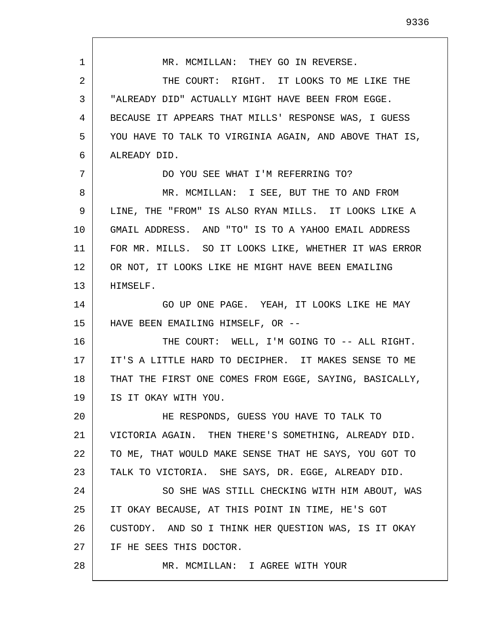1 2 3 4 5 6 7 8 9 10 11 12 13 14 15 16 17 18 19 20 21 22 23 24 25 26 27 28 MR. MCMILLAN: THEY GO IN REVERSE. THE COURT: RIGHT. IT LOOKS TO ME LIKE THE "ALREADY DID" ACTUALLY MIGHT HAVE BEEN FROM EGGE. BECAUSE IT APPEARS THAT MILLS' RESPONSE WAS, I GUESS YOU HAVE TO TALK TO VIRGINIA AGAIN, AND ABOVE THAT IS, ALREADY DID. DO YOU SEE WHAT I'M REFERRING TO? MR. MCMILLAN: I SEE, BUT THE TO AND FROM LINE, THE "FROM" IS ALSO RYAN MILLS. IT LOOKS LIKE A GMAIL ADDRESS. AND "TO" IS TO A YAHOO EMAIL ADDRESS FOR MR. MILLS. SO IT LOOKS LIKE, WHETHER IT WAS ERROR OR NOT, IT LOOKS LIKE HE MIGHT HAVE BEEN EMAILING HIMSELF. GO UP ONE PAGE. YEAH, IT LOOKS LIKE HE MAY HAVE BEEN EMAILING HIMSELF, OR -- THE COURT: WELL, I'M GOING TO -- ALL RIGHT. IT'S A LITTLE HARD TO DECIPHER. IT MAKES SENSE TO ME THAT THE FIRST ONE COMES FROM EGGE, SAYING, BASICALLY, IS IT OKAY WITH YOU. HE RESPONDS, GUESS YOU HAVE TO TALK TO VICTORIA AGAIN. THEN THERE'S SOMETHING, ALREADY DID. TO ME, THAT WOULD MAKE SENSE THAT HE SAYS, YOU GOT TO TALK TO VICTORIA. SHE SAYS, DR. EGGE, ALREADY DID. SO SHE WAS STILL CHECKING WITH HIM ABOUT, WAS IT OKAY BECAUSE, AT THIS POINT IN TIME, HE'S GOT CUSTODY. AND SO I THINK HER QUESTION WAS, IS IT OKAY IF HE SEES THIS DOCTOR. MR. MCMILLAN: I AGREE WITH YOUR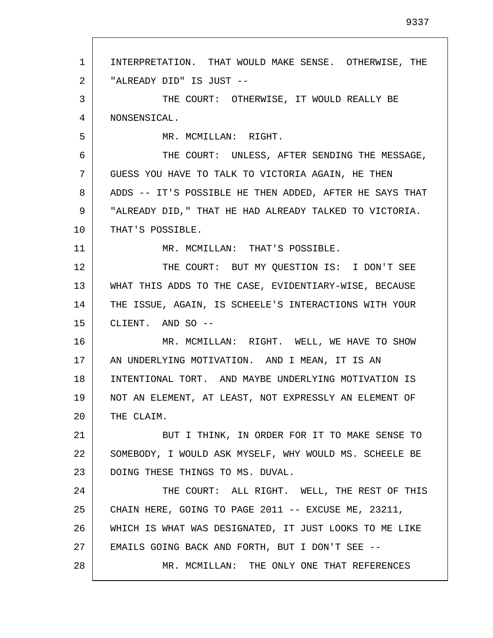1 2 3 4 5 6 7 8 9 10 11 12 13 14 15 16 17 18 19 20 21 22 23 24 25 26 27 28 INTERPRETATION. THAT WOULD MAKE SENSE. OTHERWISE, THE "ALREADY DID" IS JUST -- THE COURT: OTHERWISE, IT WOULD REALLY BE NONSENSICAL. MR. MCMILLAN: RIGHT. THE COURT: UNLESS, AFTER SENDING THE MESSAGE, GUESS YOU HAVE TO TALK TO VICTORIA AGAIN, HE THEN ADDS -- IT'S POSSIBLE HE THEN ADDED, AFTER HE SAYS THAT "ALREADY DID," THAT HE HAD ALREADY TALKED TO VICTORIA. THAT'S POSSIBLE. MR. MCMILLAN: THAT'S POSSIBLE. THE COURT: BUT MY QUESTION IS: I DON'T SEE WHAT THIS ADDS TO THE CASE, EVIDENTIARY-WISE, BECAUSE THE ISSUE, AGAIN, IS SCHEELE'S INTERACTIONS WITH YOUR CLIENT. AND SO -- MR. MCMILLAN: RIGHT. WELL, WE HAVE TO SHOW AN UNDERLYING MOTIVATION. AND I MEAN, IT IS AN INTENTIONAL TORT. AND MAYBE UNDERLYING MOTIVATION IS NOT AN ELEMENT, AT LEAST, NOT EXPRESSLY AN ELEMENT OF THE CLAIM. BUT I THINK, IN ORDER FOR IT TO MAKE SENSE TO SOMEBODY, I WOULD ASK MYSELF, WHY WOULD MS. SCHEELE BE DOING THESE THINGS TO MS. DUVAL. THE COURT: ALL RIGHT. WELL, THE REST OF THIS CHAIN HERE, GOING TO PAGE 2011 -- EXCUSE ME, 23211, WHICH IS WHAT WAS DESIGNATED, IT JUST LOOKS TO ME LIKE EMAILS GOING BACK AND FORTH, BUT I DON'T SEE -- MR. MCMILLAN: THE ONLY ONE THAT REFERENCES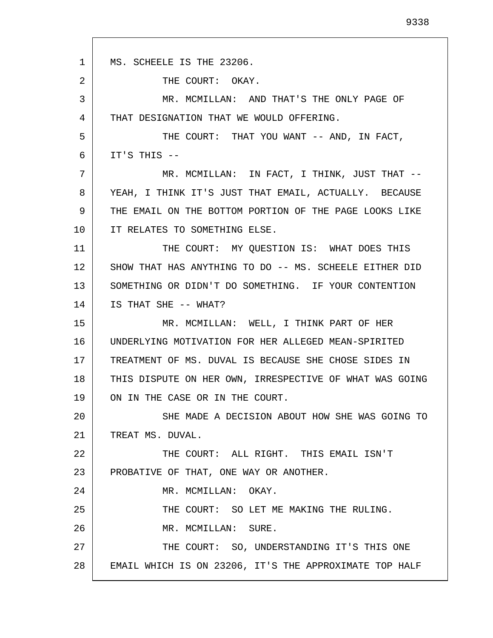1 2 3 4 5 6 7 8 9 10 11 12 13 14 15 16 17 18 19 20 21 22 23 24 25 26 27 28 MS. SCHEELE IS THE 23206. THE COURT: OKAY. MR. MCMILLAN: AND THAT'S THE ONLY PAGE OF THAT DESIGNATION THAT WE WOULD OFFERING. THE COURT: THAT YOU WANT -- AND, IN FACT, IT'S THIS -- MR. MCMILLAN: IN FACT, I THINK, JUST THAT --YEAH, I THINK IT'S JUST THAT EMAIL, ACTUALLY. BECAUSE THE EMAIL ON THE BOTTOM PORTION OF THE PAGE LOOKS LIKE IT RELATES TO SOMETHING ELSE. THE COURT: MY QUESTION IS: WHAT DOES THIS SHOW THAT HAS ANYTHING TO DO -- MS. SCHEELE EITHER DID SOMETHING OR DIDN'T DO SOMETHING. IF YOUR CONTENTION IS THAT SHE -- WHAT? MR. MCMILLAN: WELL, I THINK PART OF HER UNDERLYING MOTIVATION FOR HER ALLEGED MEAN-SPIRITED TREATMENT OF MS. DUVAL IS BECAUSE SHE CHOSE SIDES IN THIS DISPUTE ON HER OWN, IRRESPECTIVE OF WHAT WAS GOING ON IN THE CASE OR IN THE COURT. SHE MADE A DECISION ABOUT HOW SHE WAS GOING TO TREAT MS. DUVAL. THE COURT: ALL RIGHT. THIS EMAIL ISN'T PROBATIVE OF THAT, ONE WAY OR ANOTHER. MR. MCMILLAN: OKAY. THE COURT: SO LET ME MAKING THE RULING. MR. MCMILLAN: SURE. THE COURT: SO, UNDERSTANDING IT'S THIS ONE EMAIL WHICH IS ON 23206, IT'S THE APPROXIMATE TOP HALF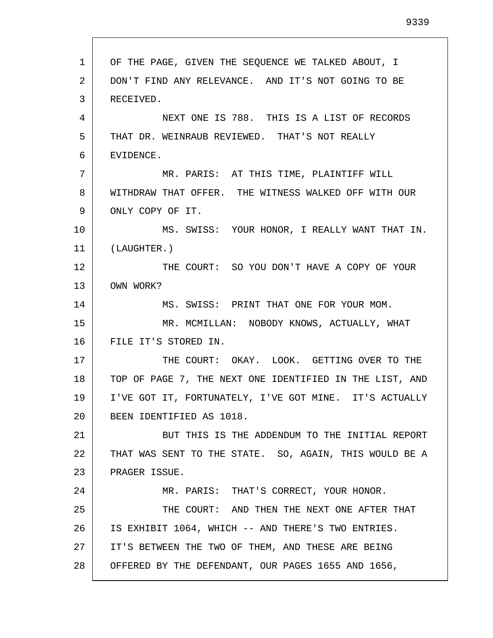| 1  | OF THE PAGE, GIVEN THE SEQUENCE WE TALKED ABOUT, I      |
|----|---------------------------------------------------------|
| 2  | DON'T FIND ANY RELEVANCE. AND IT'S NOT GOING TO BE      |
| 3  | RECEIVED.                                               |
| 4  | NEXT ONE IS 788. THIS IS A LIST OF RECORDS              |
| 5  | THAT DR. WEINRAUB REVIEWED. THAT'S NOT REALLY           |
| 6  | EVIDENCE.                                               |
| 7  | MR. PARIS: AT THIS TIME, PLAINTIFF WILL                 |
| 8  | WITHDRAW THAT OFFER. THE WITNESS WALKED OFF WITH OUR    |
| 9  | ONLY COPY OF IT.                                        |
| 10 | MS. SWISS: YOUR HONOR, I REALLY WANT THAT IN.           |
| 11 | (LAUGHTER.)                                             |
| 12 | THE COURT: SO YOU DON'T HAVE A COPY OF YOUR             |
| 13 | OWN WORK?                                               |
| 14 | MS. SWISS: PRINT THAT ONE FOR YOUR MOM.                 |
| 15 | MR. MCMILLAN: NOBODY KNOWS, ACTUALLY, WHAT              |
| 16 | FILE IT'S STORED IN.                                    |
| 17 | THE COURT: OKAY. LOOK. GETTING OVER TO THE              |
| 18 | TOP OF PAGE 7, THE NEXT ONE IDENTIFIED IN THE LIST, AND |
| 19 | I'VE GOT IT, FORTUNATELY, I'VE GOT MINE. IT'S ACTUALLY  |
| 20 | BEEN IDENTIFIED AS 1018.                                |
| 21 | BUT THIS IS THE ADDENDUM TO THE INITIAL REPORT          |
| 22 | THAT WAS SENT TO THE STATE. SO, AGAIN, THIS WOULD BE A  |
| 23 | PRAGER ISSUE.                                           |
| 24 | MR. PARIS: THAT'S CORRECT, YOUR HONOR.                  |
| 25 | THE COURT: AND THEN THE NEXT ONE AFTER THAT             |
| 26 | IS EXHIBIT 1064, WHICH -- AND THERE'S TWO ENTRIES.      |
| 27 | IT'S BETWEEN THE TWO OF THEM, AND THESE ARE BEING       |
| 28 | OFFERED BY THE DEFENDANT, OUR PAGES 1655 AND 1656,      |

I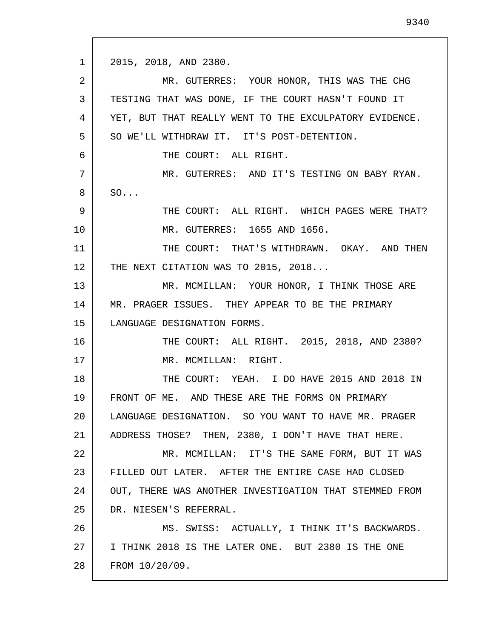1 2 3 4 5 6 7 8 9 10 11 12 13 14 15 16 17 18 19 20 21 22 23 24 25 26 27 28 2015, 2018, AND 2380. MR. GUTERRES: YOUR HONOR, THIS WAS THE CHG TESTING THAT WAS DONE, IF THE COURT HASN'T FOUND IT YET, BUT THAT REALLY WENT TO THE EXCULPATORY EVIDENCE. SO WE'LL WITHDRAW IT. IT'S POST-DETENTION. THE COURT: ALL RIGHT. MR. GUTERRES: AND IT'S TESTING ON BABY RYAN. SO... THE COURT: ALL RIGHT. WHICH PAGES WERE THAT? MR. GUTERRES: 1655 AND 1656. THE COURT: THAT'S WITHDRAWN. OKAY. AND THEN THE NEXT CITATION WAS TO 2015, 2018... MR. MCMILLAN: YOUR HONOR, I THINK THOSE ARE MR. PRAGER ISSUES. THEY APPEAR TO BE THE PRIMARY LANGUAGE DESIGNATION FORMS. THE COURT: ALL RIGHT. 2015, 2018, AND 2380? MR. MCMILLAN: RIGHT. THE COURT: YEAH. I DO HAVE 2015 AND 2018 IN FRONT OF ME. AND THESE ARE THE FORMS ON PRIMARY LANGUAGE DESIGNATION. SO YOU WANT TO HAVE MR. PRAGER ADDRESS THOSE? THEN, 2380, I DON'T HAVE THAT HERE. MR. MCMILLAN: IT'S THE SAME FORM, BUT IT WAS FILLED OUT LATER. AFTER THE ENTIRE CASE HAD CLOSED OUT, THERE WAS ANOTHER INVESTIGATION THAT STEMMED FROM DR. NIESEN'S REFERRAL. MS. SWISS: ACTUALLY, I THINK IT'S BACKWARDS. I THINK 2018 IS THE LATER ONE. BUT 2380 IS THE ONE FROM 10/20/09.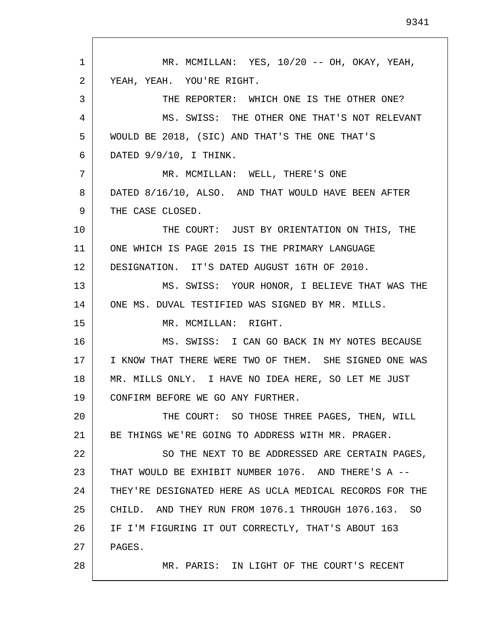1 2 3 4 5 6 7 8 9 10 11 12 13 14 15 16 17 18 19 20 21 22 23 24 25 26 27 28 MR. MCMILLAN: YES, 10/20 -- OH, OKAY, YEAH, YEAH, YEAH. YOU'RE RIGHT. THE REPORTER: WHICH ONE IS THE OTHER ONE? MS. SWISS: THE OTHER ONE THAT'S NOT RELEVANT WOULD BE 2018, (SIC) AND THAT'S THE ONE THAT'S DATED 9/9/10, I THINK. MR. MCMILLAN: WELL, THERE'S ONE DATED 8/16/10, ALSO. AND THAT WOULD HAVE BEEN AFTER THE CASE CLOSED. THE COURT: JUST BY ORIENTATION ON THIS, THE ONE WHICH IS PAGE 2015 IS THE PRIMARY LANGUAGE DESIGNATION. IT'S DATED AUGUST 16TH OF 2010. MS. SWISS: YOUR HONOR, I BELIEVE THAT WAS THE ONE MS. DUVAL TESTIFIED WAS SIGNED BY MR. MILLS. MR. MCMILLAN: RIGHT. MS. SWISS: I CAN GO BACK IN MY NOTES BECAUSE I KNOW THAT THERE WERE TWO OF THEM. SHE SIGNED ONE WAS MR. MILLS ONLY. I HAVE NO IDEA HERE, SO LET ME JUST CONFIRM BEFORE WE GO ANY FURTHER. THE COURT: SO THOSE THREE PAGES, THEN, WILL BE THINGS WE'RE GOING TO ADDRESS WITH MR. PRAGER. SO THE NEXT TO BE ADDRESSED ARE CERTAIN PAGES, THAT WOULD BE EXHIBIT NUMBER 1076. AND THERE'S A -- THEY'RE DESIGNATED HERE AS UCLA MEDICAL RECORDS FOR THE CHILD. AND THEY RUN FROM 1076.1 THROUGH 1076.163. SO IF I'M FIGURING IT OUT CORRECTLY, THAT'S ABOUT 163 PAGES. MR. PARIS: IN LIGHT OF THE COURT'S RECENT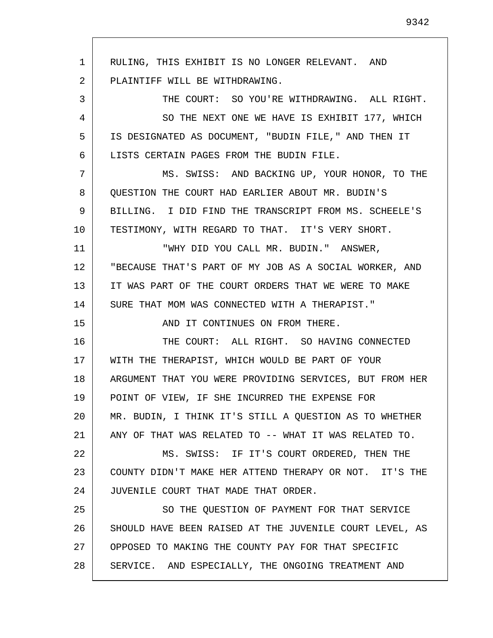1 2 3 4 5 6 7 8 9 10 11 12 13 14 15 16 17 18 19 20 21 22 23 24 25 26 27 28 RULING, THIS EXHIBIT IS NO LONGER RELEVANT. AND PLAINTIFF WILL BE WITHDRAWING. THE COURT: SO YOU'RE WITHDRAWING. ALL RIGHT. SO THE NEXT ONE WE HAVE IS EXHIBIT 177, WHICH IS DESIGNATED AS DOCUMENT, "BUDIN FILE," AND THEN IT LISTS CERTAIN PAGES FROM THE BUDIN FILE. MS. SWISS: AND BACKING UP, YOUR HONOR, TO THE QUESTION THE COURT HAD EARLIER ABOUT MR. BUDIN'S BILLING. I DID FIND THE TRANSCRIPT FROM MS. SCHEELE'S TESTIMONY, WITH REGARD TO THAT. IT'S VERY SHORT. "WHY DID YOU CALL MR. BUDIN." ANSWER, "BECAUSE THAT'S PART OF MY JOB AS A SOCIAL WORKER, AND IT WAS PART OF THE COURT ORDERS THAT WE WERE TO MAKE SURE THAT MOM WAS CONNECTED WITH A THERAPIST." AND IT CONTINUES ON FROM THERE. THE COURT: ALL RIGHT. SO HAVING CONNECTED WITH THE THERAPIST, WHICH WOULD BE PART OF YOUR ARGUMENT THAT YOU WERE PROVIDING SERVICES, BUT FROM HER POINT OF VIEW, IF SHE INCURRED THE EXPENSE FOR MR. BUDIN, I THINK IT'S STILL A QUESTION AS TO WHETHER ANY OF THAT WAS RELATED TO -- WHAT IT WAS RELATED TO. MS. SWISS: IF IT'S COURT ORDERED, THEN THE COUNTY DIDN'T MAKE HER ATTEND THERAPY OR NOT. IT'S THE JUVENILE COURT THAT MADE THAT ORDER. SO THE QUESTION OF PAYMENT FOR THAT SERVICE SHOULD HAVE BEEN RAISED AT THE JUVENILE COURT LEVEL, AS OPPOSED TO MAKING THE COUNTY PAY FOR THAT SPECIFIC SERVICE. AND ESPECIALLY, THE ONGOING TREATMENT AND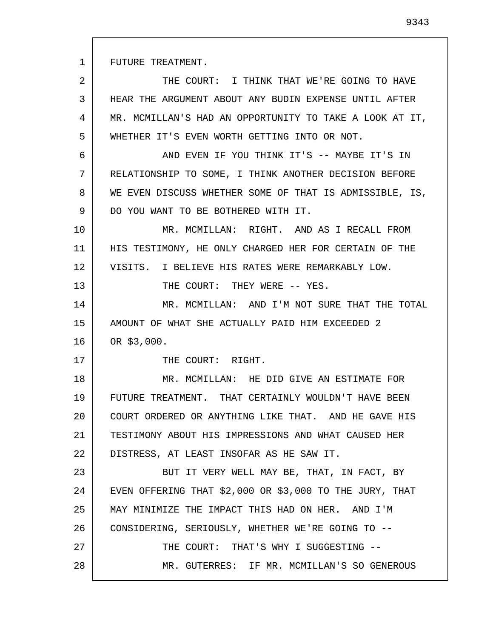FUTURE TREATMENT.

1

13

17

2 3 4 5 6 THE COURT: I THINK THAT WE'RE GOING TO HAVE HEAR THE ARGUMENT ABOUT ANY BUDIN EXPENSE UNTIL AFTER MR. MCMILLAN'S HAD AN OPPORTUNITY TO TAKE A LOOK AT IT, WHETHER IT'S EVEN WORTH GETTING INTO OR NOT. AND EVEN IF YOU THINK IT'S -- MAYBE IT'S IN

7 8 9 RELATIONSHIP TO SOME, I THINK ANOTHER DECISION BEFORE WE EVEN DISCUSS WHETHER SOME OF THAT IS ADMISSIBLE, IS, DO YOU WANT TO BE BOTHERED WITH IT.

10 11 12 MR. MCMILLAN: RIGHT. AND AS I RECALL FROM HIS TESTIMONY, HE ONLY CHARGED HER FOR CERTAIN OF THE VISITS. I BELIEVE HIS RATES WERE REMARKABLY LOW.

THE COURT: THEY WERE -- YES.

14 15 16 MR. MCMILLAN: AND I'M NOT SURE THAT THE TOTAL AMOUNT OF WHAT SHE ACTUALLY PAID HIM EXCEEDED 2 OR \$3,000.

THE COURT: RIGHT.

18 19 20 21 22 MR. MCMILLAN: HE DID GIVE AN ESTIMATE FOR FUTURE TREATMENT. THAT CERTAINLY WOULDN'T HAVE BEEN COURT ORDERED OR ANYTHING LIKE THAT. AND HE GAVE HIS TESTIMONY ABOUT HIS IMPRESSIONS AND WHAT CAUSED HER DISTRESS, AT LEAST INSOFAR AS HE SAW IT.

23 24 25 26 27 28 BUT IT VERY WELL MAY BE, THAT, IN FACT, BY EVEN OFFERING THAT \$2,000 OR \$3,000 TO THE JURY, THAT MAY MINIMIZE THE IMPACT THIS HAD ON HER. AND I'M CONSIDERING, SERIOUSLY, WHETHER WE'RE GOING TO -- THE COURT: THAT'S WHY I SUGGESTING -- MR. GUTERRES: IF MR. MCMILLAN'S SO GENEROUS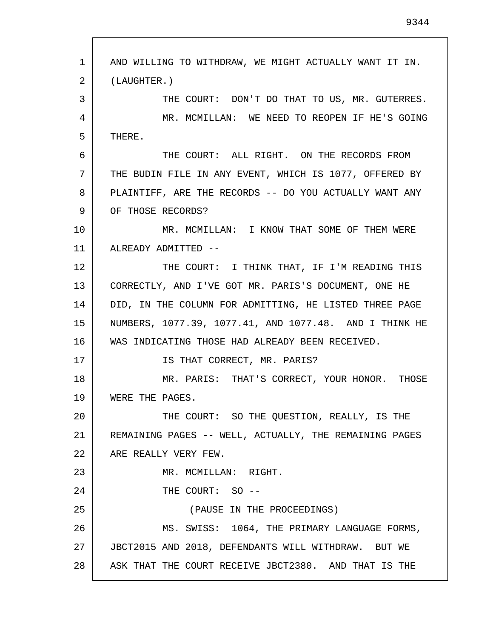1 2 3 4 5 6 7 8 9 10 11 12 13 14 15 16 17 18 19 20 21 22 23 24 25 26 27 28 AND WILLING TO WITHDRAW, WE MIGHT ACTUALLY WANT IT IN. (LAUGHTER.) THE COURT: DON'T DO THAT TO US, MR. GUTERRES. MR. MCMILLAN: WE NEED TO REOPEN IF HE'S GOING THERE. THE COURT: ALL RIGHT. ON THE RECORDS FROM THE BUDIN FILE IN ANY EVENT, WHICH IS 1077, OFFERED BY PLAINTIFF, ARE THE RECORDS -- DO YOU ACTUALLY WANT ANY OF THOSE RECORDS? MR. MCMILLAN: I KNOW THAT SOME OF THEM WERE ALREADY ADMITTED -- THE COURT: I THINK THAT, IF I'M READING THIS CORRECTLY, AND I'VE GOT MR. PARIS'S DOCUMENT, ONE HE DID, IN THE COLUMN FOR ADMITTING, HE LISTED THREE PAGE NUMBERS, 1077.39, 1077.41, AND 1077.48. AND I THINK HE WAS INDICATING THOSE HAD ALREADY BEEN RECEIVED. IS THAT CORRECT, MR. PARIS? MR. PARIS: THAT'S CORRECT, YOUR HONOR. THOSE WERE THE PAGES. THE COURT: SO THE QUESTION, REALLY, IS THE REMAINING PAGES -- WELL, ACTUALLY, THE REMAINING PAGES ARE REALLY VERY FEW. MR. MCMILLAN: RIGHT. THE COURT: SO --(PAUSE IN THE PROCEEDINGS) MS. SWISS: 1064, THE PRIMARY LANGUAGE FORMS, JBCT2015 AND 2018, DEFENDANTS WILL WITHDRAW. BUT WE ASK THAT THE COURT RECEIVE JBCT2380. AND THAT IS THE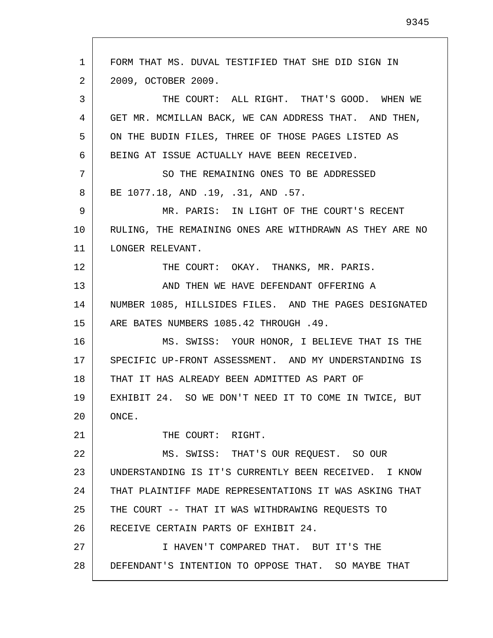1 2 3 4 5 6 7 8 9 10 11 12 13 14 15 16 17 18 19 20 21 22 23 24 25 26 27 28 FORM THAT MS. DUVAL TESTIFIED THAT SHE DID SIGN IN 2009, OCTOBER 2009. THE COURT: ALL RIGHT. THAT'S GOOD. WHEN WE GET MR. MCMILLAN BACK, WE CAN ADDRESS THAT. AND THEN, ON THE BUDIN FILES, THREE OF THOSE PAGES LISTED AS BEING AT ISSUE ACTUALLY HAVE BEEN RECEIVED. SO THE REMAINING ONES TO BE ADDRESSED BE 1077.18, AND .19, .31, AND .57. MR. PARIS: IN LIGHT OF THE COURT'S RECENT RULING, THE REMAINING ONES ARE WITHDRAWN AS THEY ARE NO LONGER RELEVANT. THE COURT: OKAY. THANKS, MR. PARIS. AND THEN WE HAVE DEFENDANT OFFERING A NUMBER 1085, HILLSIDES FILES. AND THE PAGES DESIGNATED ARE BATES NUMBERS 1085.42 THROUGH .49. MS. SWISS: YOUR HONOR, I BELIEVE THAT IS THE SPECIFIC UP-FRONT ASSESSMENT. AND MY UNDERSTANDING IS THAT IT HAS ALREADY BEEN ADMITTED AS PART OF EXHIBIT 24. SO WE DON'T NEED IT TO COME IN TWICE, BUT ONCE. THE COURT: RIGHT. MS. SWISS: THAT'S OUR REQUEST. SO OUR UNDERSTANDING IS IT'S CURRENTLY BEEN RECEIVED. I KNOW THAT PLAINTIFF MADE REPRESENTATIONS IT WAS ASKING THAT THE COURT -- THAT IT WAS WITHDRAWING REQUESTS TO RECEIVE CERTAIN PARTS OF EXHIBIT 24. I HAVEN'T COMPARED THAT. BUT IT'S THE DEFENDANT'S INTENTION TO OPPOSE THAT. SO MAYBE THAT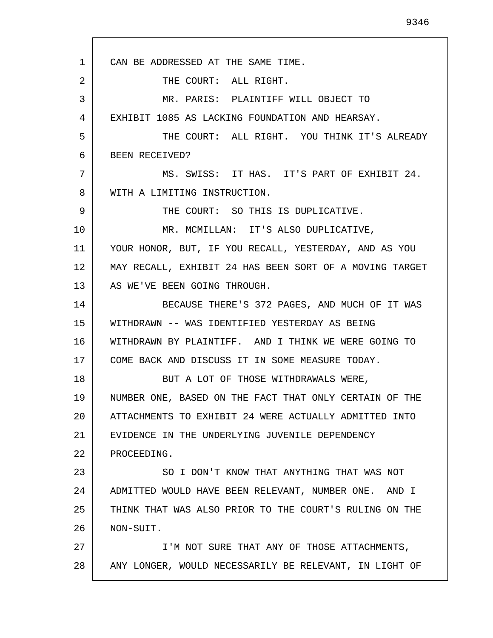1 2 3 4 5 6 7 8 9 10 11 12 13 14 15 16 17 18 19 20 21 22 23 24 25 26 27 28 CAN BE ADDRESSED AT THE SAME TIME. THE COURT: ALL RIGHT. MR. PARIS: PLAINTIFF WILL OBJECT TO EXHIBIT 1085 AS LACKING FOUNDATION AND HEARSAY. THE COURT: ALL RIGHT. YOU THINK IT'S ALREADY BEEN RECEIVED? MS. SWISS: IT HAS. IT'S PART OF EXHIBIT 24. WITH A LIMITING INSTRUCTION. THE COURT: SO THIS IS DUPLICATIVE. MR. MCMILLAN: IT'S ALSO DUPLICATIVE, YOUR HONOR, BUT, IF YOU RECALL, YESTERDAY, AND AS YOU MAY RECALL, EXHIBIT 24 HAS BEEN SORT OF A MOVING TARGET AS WE'VE BEEN GOING THROUGH. BECAUSE THERE'S 372 PAGES, AND MUCH OF IT WAS WITHDRAWN -- WAS IDENTIFIED YESTERDAY AS BEING WITHDRAWN BY PLAINTIFF. AND I THINK WE WERE GOING TO COME BACK AND DISCUSS IT IN SOME MEASURE TODAY. BUT A LOT OF THOSE WITHDRAWALS WERE, NUMBER ONE, BASED ON THE FACT THAT ONLY CERTAIN OF THE ATTACHMENTS TO EXHIBIT 24 WERE ACTUALLY ADMITTED INTO EVIDENCE IN THE UNDERLYING JUVENILE DEPENDENCY PROCEEDING. SO I DON'T KNOW THAT ANYTHING THAT WAS NOT ADMITTED WOULD HAVE BEEN RELEVANT, NUMBER ONE. AND I THINK THAT WAS ALSO PRIOR TO THE COURT'S RULING ON THE NON-SUIT. I'M NOT SURE THAT ANY OF THOSE ATTACHMENTS, ANY LONGER, WOULD NECESSARILY BE RELEVANT, IN LIGHT OF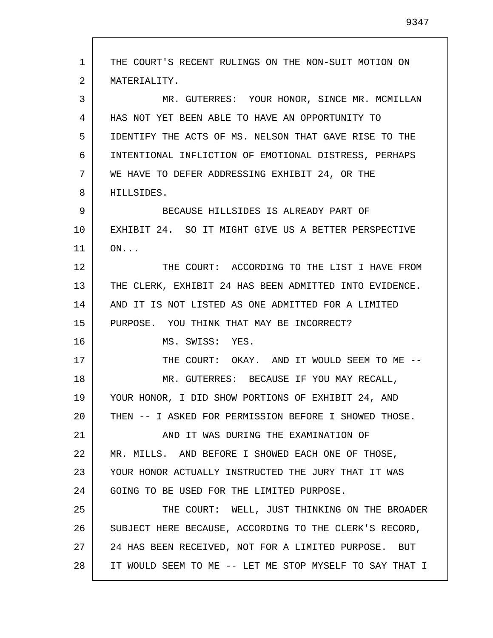1 2 3 4 5 6 7 8 9 10 11 12 13 14 15 16 17 18 19 20 21 22 23 24 25 26 27 28 THE COURT'S RECENT RULINGS ON THE NON-SUIT MOTION ON MATERIALITY. MR. GUTERRES: YOUR HONOR, SINCE MR. MCMILLAN HAS NOT YET BEEN ABLE TO HAVE AN OPPORTUNITY TO IDENTIFY THE ACTS OF MS. NELSON THAT GAVE RISE TO THE INTENTIONAL INFLICTION OF EMOTIONAL DISTRESS, PERHAPS WE HAVE TO DEFER ADDRESSING EXHIBIT 24, OR THE HILLSIDES. BECAUSE HILLSIDES IS ALREADY PART OF EXHIBIT 24. SO IT MIGHT GIVE US A BETTER PERSPECTIVE  $ON \ldots$ THE COURT: ACCORDING TO THE LIST I HAVE FROM THE CLERK, EXHIBIT 24 HAS BEEN ADMITTED INTO EVIDENCE. AND IT IS NOT LISTED AS ONE ADMITTED FOR A LIMITED PURPOSE. YOU THINK THAT MAY BE INCORRECT? MS. SWISS: YES. THE COURT: OKAY. AND IT WOULD SEEM TO ME --MR. GUTERRES: BECAUSE IF YOU MAY RECALL, YOUR HONOR, I DID SHOW PORTIONS OF EXHIBIT 24, AND THEN -- I ASKED FOR PERMISSION BEFORE I SHOWED THOSE. AND IT WAS DURING THE EXAMINATION OF MR. MILLS. AND BEFORE I SHOWED EACH ONE OF THOSE, YOUR HONOR ACTUALLY INSTRUCTED THE JURY THAT IT WAS GOING TO BE USED FOR THE LIMITED PURPOSE. THE COURT: WELL, JUST THINKING ON THE BROADER SUBJECT HERE BECAUSE, ACCORDING TO THE CLERK'S RECORD, 24 HAS BEEN RECEIVED, NOT FOR A LIMITED PURPOSE. BUT IT WOULD SEEM TO ME -- LET ME STOP MYSELF TO SAY THAT I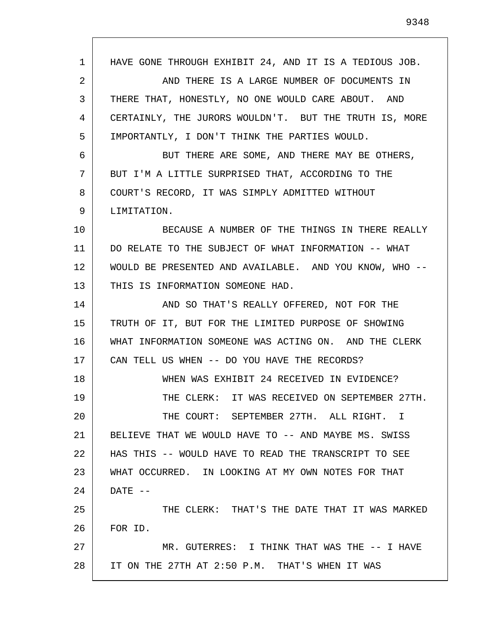1 2 3 4 5 6 7 8 9 10 11 12 13 14 15 16 17 18 19 20 21 22 23 24 25 26 27 28 HAVE GONE THROUGH EXHIBIT 24, AND IT IS A TEDIOUS JOB. AND THERE IS A LARGE NUMBER OF DOCUMENTS IN THERE THAT, HONESTLY, NO ONE WOULD CARE ABOUT. AND CERTAINLY, THE JURORS WOULDN'T. BUT THE TRUTH IS, MORE IMPORTANTLY, I DON'T THINK THE PARTIES WOULD. BUT THERE ARE SOME, AND THERE MAY BE OTHERS, BUT I'M A LITTLE SURPRISED THAT, ACCORDING TO THE COURT'S RECORD, IT WAS SIMPLY ADMITTED WITHOUT LIMITATION. BECAUSE A NUMBER OF THE THINGS IN THERE REALLY DO RELATE TO THE SUBJECT OF WHAT INFORMATION -- WHAT WOULD BE PRESENTED AND AVAILABLE. AND YOU KNOW, WHO -- THIS IS INFORMATION SOMEONE HAD. AND SO THAT'S REALLY OFFERED, NOT FOR THE TRUTH OF IT, BUT FOR THE LIMITED PURPOSE OF SHOWING WHAT INFORMATION SOMEONE WAS ACTING ON. AND THE CLERK CAN TELL US WHEN -- DO YOU HAVE THE RECORDS? WHEN WAS EXHIBIT 24 RECEIVED IN EVIDENCE? THE CLERK: IT WAS RECEIVED ON SEPTEMBER 27TH. THE COURT: SEPTEMBER 27TH. ALL RIGHT. I BELIEVE THAT WE WOULD HAVE TO -- AND MAYBE MS. SWISS HAS THIS -- WOULD HAVE TO READ THE TRANSCRIPT TO SEE WHAT OCCURRED. IN LOOKING AT MY OWN NOTES FOR THAT  $DATA -$ THE CLERK: THAT'S THE DATE THAT IT WAS MARKED FOR ID. MR. GUTERRES: I THINK THAT WAS THE -- I HAVE IT ON THE 27TH AT 2:50 P.M. THAT'S WHEN IT WAS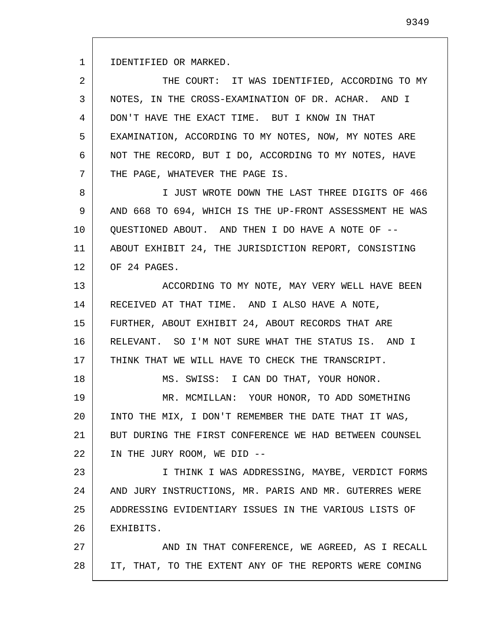1 IDENTIFIED OR MARKED.

18

2 3 4 5 6 7 THE COURT: IT WAS IDENTIFIED, ACCORDING TO MY NOTES, IN THE CROSS-EXAMINATION OF DR. ACHAR. AND I DON'T HAVE THE EXACT TIME. BUT I KNOW IN THAT EXAMINATION, ACCORDING TO MY NOTES, NOW, MY NOTES ARE NOT THE RECORD, BUT I DO, ACCORDING TO MY NOTES, HAVE THE PAGE, WHATEVER THE PAGE IS.

8 9 10 11 12 I JUST WROTE DOWN THE LAST THREE DIGITS OF 466 AND 668 TO 694, WHICH IS THE UP-FRONT ASSESSMENT HE WAS QUESTIONED ABOUT. AND THEN I DO HAVE A NOTE OF -- ABOUT EXHIBIT 24, THE JURISDICTION REPORT, CONSISTING OF 24 PAGES.

13 14 15 16 17 ACCORDING TO MY NOTE, MAY VERY WELL HAVE BEEN RECEIVED AT THAT TIME. AND I ALSO HAVE A NOTE, FURTHER, ABOUT EXHIBIT 24, ABOUT RECORDS THAT ARE RELEVANT. SO I'M NOT SURE WHAT THE STATUS IS. AND I THINK THAT WE WILL HAVE TO CHECK THE TRANSCRIPT.

MS. SWISS: I CAN DO THAT, YOUR HONOR.

19 20 21 22 MR. MCMILLAN: YOUR HONOR, TO ADD SOMETHING INTO THE MIX, I DON'T REMEMBER THE DATE THAT IT WAS, BUT DURING THE FIRST CONFERENCE WE HAD BETWEEN COUNSEL IN THE JURY ROOM, WE DID --

23 24 25 26 I THINK I WAS ADDRESSING, MAYBE, VERDICT FORMS AND JURY INSTRUCTIONS, MR. PARIS AND MR. GUTERRES WERE ADDRESSING EVIDENTIARY ISSUES IN THE VARIOUS LISTS OF EXHIBITS.

27 28 AND IN THAT CONFERENCE, WE AGREED, AS I RECALL IT, THAT, TO THE EXTENT ANY OF THE REPORTS WERE COMING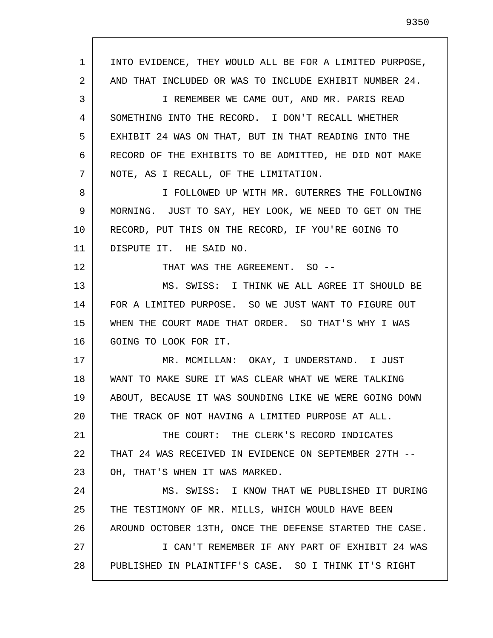1 2 3 4 5 6 7 8 9 10 11 12 13 14 15 16 17 18 19 20 21 22 23 24 25 26 27 28 INTO EVIDENCE, THEY WOULD ALL BE FOR A LIMITED PURPOSE, AND THAT INCLUDED OR WAS TO INCLUDE EXHIBIT NUMBER 24. I REMEMBER WE CAME OUT, AND MR. PARIS READ SOMETHING INTO THE RECORD. I DON'T RECALL WHETHER EXHIBIT 24 WAS ON THAT, BUT IN THAT READING INTO THE RECORD OF THE EXHIBITS TO BE ADMITTED, HE DID NOT MAKE NOTE, AS I RECALL, OF THE LIMITATION. I FOLLOWED UP WITH MR. GUTERRES THE FOLLOWING MORNING. JUST TO SAY, HEY LOOK, WE NEED TO GET ON THE RECORD, PUT THIS ON THE RECORD, IF YOU'RE GOING TO DISPUTE IT. HE SAID NO. THAT WAS THE AGREEMENT. SO --MS. SWISS: I THINK WE ALL AGREE IT SHOULD BE FOR A LIMITED PURPOSE. SO WE JUST WANT TO FIGURE OUT WHEN THE COURT MADE THAT ORDER. SO THAT'S WHY I WAS GOING TO LOOK FOR IT. MR. MCMILLAN: OKAY, I UNDERSTAND. I JUST WANT TO MAKE SURE IT WAS CLEAR WHAT WE WERE TALKING ABOUT, BECAUSE IT WAS SOUNDING LIKE WE WERE GOING DOWN THE TRACK OF NOT HAVING A LIMITED PURPOSE AT ALL. THE COURT: THE CLERK'S RECORD INDICATES THAT 24 WAS RECEIVED IN EVIDENCE ON SEPTEMBER 27TH -- OH, THAT'S WHEN IT WAS MARKED. MS. SWISS: I KNOW THAT WE PUBLISHED IT DURING THE TESTIMONY OF MR. MILLS, WHICH WOULD HAVE BEEN AROUND OCTOBER 13TH, ONCE THE DEFENSE STARTED THE CASE. I CAN'T REMEMBER IF ANY PART OF EXHIBIT 24 WAS PUBLISHED IN PLAINTIFF'S CASE. SO I THINK IT'S RIGHT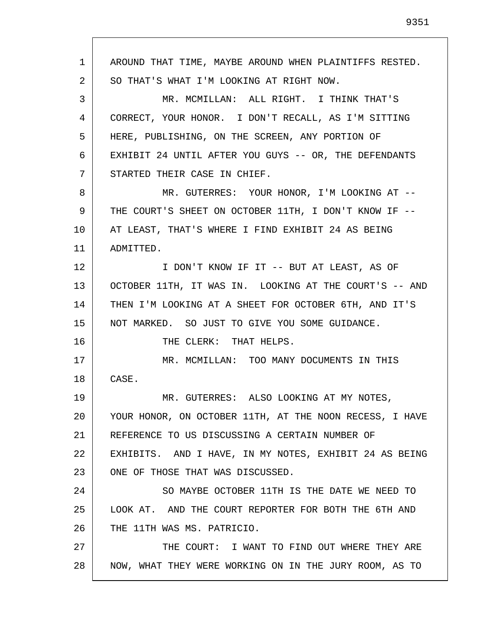1 2 3 4 5 6 7 8 9 10 11 12 13 14 15 16 17 18 19 20 21 22 23 24 25 26 27 28 AROUND THAT TIME, MAYBE AROUND WHEN PLAINTIFFS RESTED. SO THAT'S WHAT I'M LOOKING AT RIGHT NOW. MR. MCMILLAN: ALL RIGHT. I THINK THAT'S CORRECT, YOUR HONOR. I DON'T RECALL, AS I'M SITTING HERE, PUBLISHING, ON THE SCREEN, ANY PORTION OF EXHIBIT 24 UNTIL AFTER YOU GUYS -- OR, THE DEFENDANTS STARTED THEIR CASE IN CHIEF. MR. GUTERRES: YOUR HONOR, I'M LOOKING AT -- THE COURT'S SHEET ON OCTOBER 11TH, I DON'T KNOW IF -- AT LEAST, THAT'S WHERE I FIND EXHIBIT 24 AS BEING ADMITTED. I DON'T KNOW IF IT -- BUT AT LEAST, AS OF OCTOBER 11TH, IT WAS IN. LOOKING AT THE COURT'S -- AND THEN I'M LOOKING AT A SHEET FOR OCTOBER 6TH, AND IT'S NOT MARKED. SO JUST TO GIVE YOU SOME GUIDANCE. THE CLERK: THAT HELPS. MR. MCMILLAN: TOO MANY DOCUMENTS IN THIS CASE. MR. GUTERRES: ALSO LOOKING AT MY NOTES, YOUR HONOR, ON OCTOBER 11TH, AT THE NOON RECESS, I HAVE REFERENCE TO US DISCUSSING A CERTAIN NUMBER OF EXHIBITS. AND I HAVE, IN MY NOTES, EXHIBIT 24 AS BEING ONE OF THOSE THAT WAS DISCUSSED. SO MAYBE OCTOBER 11TH IS THE DATE WE NEED TO LOOK AT. AND THE COURT REPORTER FOR BOTH THE 6TH AND THE 11TH WAS MS. PATRICIO. THE COURT: I WANT TO FIND OUT WHERE THEY ARE NOW, WHAT THEY WERE WORKING ON IN THE JURY ROOM, AS TO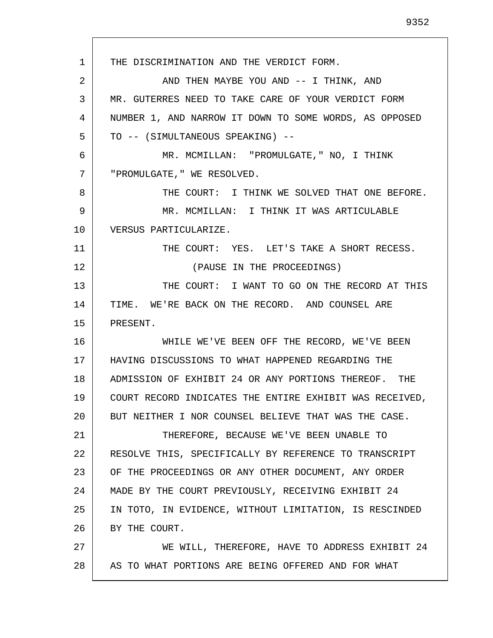1 2 3 4 5 6 7 8 9 10 11 12 13 14 15 16 17 18 19 20 21 22 23 24 25 26 27 28 THE DISCRIMINATION AND THE VERDICT FORM. AND THEN MAYBE YOU AND -- I THINK, AND MR. GUTERRES NEED TO TAKE CARE OF YOUR VERDICT FORM NUMBER 1, AND NARROW IT DOWN TO SOME WORDS, AS OPPOSED TO -- (SIMULTANEOUS SPEAKING) -- MR. MCMILLAN: "PROMULGATE," NO, I THINK "PROMULGATE," WE RESOLVED. THE COURT: I THINK WE SOLVED THAT ONE BEFORE. MR. MCMILLAN: I THINK IT WAS ARTICULABLE VERSUS PARTICULARIZE. THE COURT: YES. LET'S TAKE A SHORT RECESS. (PAUSE IN THE PROCEEDINGS) THE COURT: I WANT TO GO ON THE RECORD AT THIS TIME. WE'RE BACK ON THE RECORD. AND COUNSEL ARE PRESENT. WHILE WE'VE BEEN OFF THE RECORD, WE'VE BEEN HAVING DISCUSSIONS TO WHAT HAPPENED REGARDING THE ADMISSION OF EXHIBIT 24 OR ANY PORTIONS THEREOF. THE COURT RECORD INDICATES THE ENTIRE EXHIBIT WAS RECEIVED, BUT NEITHER I NOR COUNSEL BELIEVE THAT WAS THE CASE. THEREFORE, BECAUSE WE'VE BEEN UNABLE TO RESOLVE THIS, SPECIFICALLY BY REFERENCE TO TRANSCRIPT OF THE PROCEEDINGS OR ANY OTHER DOCUMENT, ANY ORDER MADE BY THE COURT PREVIOUSLY, RECEIVING EXHIBIT 24 IN TOTO, IN EVIDENCE, WITHOUT LIMITATION, IS RESCINDED BY THE COURT. WE WILL, THEREFORE, HAVE TO ADDRESS EXHIBIT 24 AS TO WHAT PORTIONS ARE BEING OFFERED AND FOR WHAT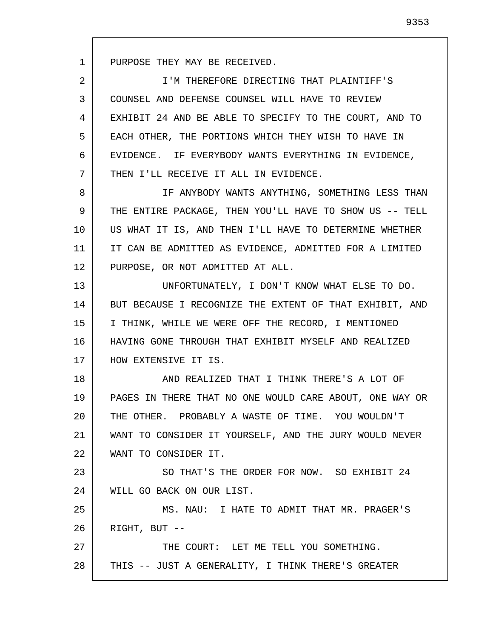1 PURPOSE THEY MAY BE RECEIVED.

2 3 4 5 6 7 I'M THEREFORE DIRECTING THAT PLAINTIFF'S COUNSEL AND DEFENSE COUNSEL WILL HAVE TO REVIEW EXHIBIT 24 AND BE ABLE TO SPECIFY TO THE COURT, AND TO EACH OTHER, THE PORTIONS WHICH THEY WISH TO HAVE IN EVIDENCE. IF EVERYBODY WANTS EVERYTHING IN EVIDENCE, THEN I'LL RECEIVE IT ALL IN EVIDENCE.

8 9 10 11 12 IF ANYBODY WANTS ANYTHING, SOMETHING LESS THAN THE ENTIRE PACKAGE, THEN YOU'LL HAVE TO SHOW US -- TELL US WHAT IT IS, AND THEN I'LL HAVE TO DETERMINE WHETHER IT CAN BE ADMITTED AS EVIDENCE, ADMITTED FOR A LIMITED PURPOSE, OR NOT ADMITTED AT ALL.

13 14 15 16 17 UNFORTUNATELY, I DON'T KNOW WHAT ELSE TO DO. BUT BECAUSE I RECOGNIZE THE EXTENT OF THAT EXHIBIT, AND I THINK, WHILE WE WERE OFF THE RECORD, I MENTIONED HAVING GONE THROUGH THAT EXHIBIT MYSELF AND REALIZED HOW EXTENSIVE IT IS.

18 19 20 21 22 AND REALIZED THAT I THINK THERE'S A LOT OF PAGES IN THERE THAT NO ONE WOULD CARE ABOUT, ONE WAY OR THE OTHER. PROBABLY A WASTE OF TIME. YOU WOULDN'T WANT TO CONSIDER IT YOURSELF, AND THE JURY WOULD NEVER WANT TO CONSIDER IT.

23 24 SO THAT'S THE ORDER FOR NOW. SO EXHIBIT 24 WILL GO BACK ON OUR LIST.

25 26 MS. NAU: I HATE TO ADMIT THAT MR. PRAGER'S RIGHT, BUT --

27 28 THE COURT: LET ME TELL YOU SOMETHING. THIS -- JUST A GENERALITY, I THINK THERE'S GREATER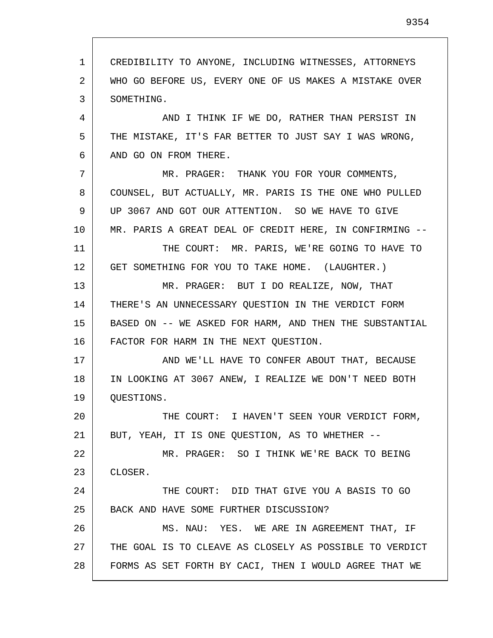1 2 3 4 5 6 7 8 9 10 11 12 13 14 15 16 17 18 19 20 21 22 23 24 25 26 27 28 CREDIBILITY TO ANYONE, INCLUDING WITNESSES, ATTORNEYS WHO GO BEFORE US, EVERY ONE OF US MAKES A MISTAKE OVER SOMETHING. AND I THINK IF WE DO, RATHER THAN PERSIST IN THE MISTAKE, IT'S FAR BETTER TO JUST SAY I WAS WRONG, AND GO ON FROM THERE. MR. PRAGER: THANK YOU FOR YOUR COMMENTS, COUNSEL, BUT ACTUALLY, MR. PARIS IS THE ONE WHO PULLED UP 3067 AND GOT OUR ATTENTION. SO WE HAVE TO GIVE MR. PARIS A GREAT DEAL OF CREDIT HERE, IN CONFIRMING -- THE COURT: MR. PARIS, WE'RE GOING TO HAVE TO GET SOMETHING FOR YOU TO TAKE HOME. (LAUGHTER.) MR. PRAGER: BUT I DO REALIZE, NOW, THAT THERE'S AN UNNECESSARY QUESTION IN THE VERDICT FORM BASED ON -- WE ASKED FOR HARM, AND THEN THE SUBSTANTIAL FACTOR FOR HARM IN THE NEXT QUESTION. AND WE'LL HAVE TO CONFER ABOUT THAT, BECAUSE IN LOOKING AT 3067 ANEW, I REALIZE WE DON'T NEED BOTH QUESTIONS. THE COURT: I HAVEN'T SEEN YOUR VERDICT FORM, BUT, YEAH, IT IS ONE QUESTION, AS TO WHETHER -- MR. PRAGER: SO I THINK WE'RE BACK TO BEING CLOSER. THE COURT: DID THAT GIVE YOU A BASIS TO GO BACK AND HAVE SOME FURTHER DISCUSSION? MS. NAU: YES. WE ARE IN AGREEMENT THAT, IF THE GOAL IS TO CLEAVE AS CLOSELY AS POSSIBLE TO VERDICT FORMS AS SET FORTH BY CACI, THEN I WOULD AGREE THAT WE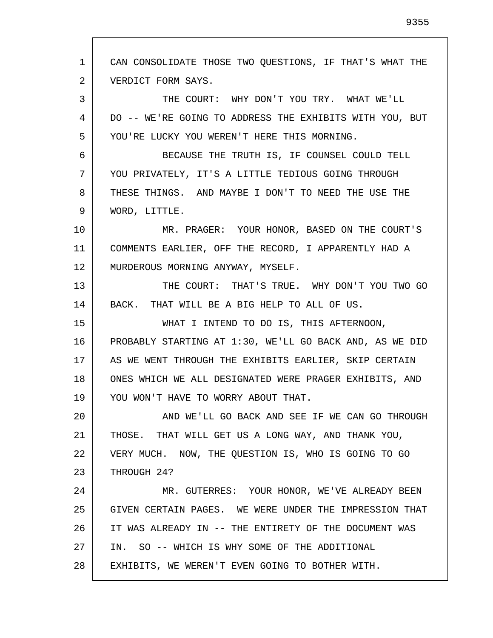1 2 3 4 5 6 7 8 9 10 11 12 13 14 15 16 17 18 19 20 21 22 23 24 25 26 27 28 CAN CONSOLIDATE THOSE TWO QUESTIONS, IF THAT'S WHAT THE VERDICT FORM SAYS. THE COURT: WHY DON'T YOU TRY. WHAT WE'LL DO -- WE'RE GOING TO ADDRESS THE EXHIBITS WITH YOU, BUT YOU'RE LUCKY YOU WEREN'T HERE THIS MORNING. BECAUSE THE TRUTH IS, IF COUNSEL COULD TELL YOU PRIVATELY, IT'S A LITTLE TEDIOUS GOING THROUGH THESE THINGS. AND MAYBE I DON'T TO NEED THE USE THE WORD, LITTLE. MR. PRAGER: YOUR HONOR, BASED ON THE COURT'S COMMENTS EARLIER, OFF THE RECORD, I APPARENTLY HAD A MURDEROUS MORNING ANYWAY, MYSELF. THE COURT: THAT'S TRUE. WHY DON'T YOU TWO GO BACK. THAT WILL BE A BIG HELP TO ALL OF US. WHAT I INTEND TO DO IS, THIS AFTERNOON, PROBABLY STARTING AT 1:30, WE'LL GO BACK AND, AS WE DID AS WE WENT THROUGH THE EXHIBITS EARLIER, SKIP CERTAIN ONES WHICH WE ALL DESIGNATED WERE PRAGER EXHIBITS, AND YOU WON'T HAVE TO WORRY ABOUT THAT. AND WE'LL GO BACK AND SEE IF WE CAN GO THROUGH THOSE. THAT WILL GET US A LONG WAY, AND THANK YOU, VERY MUCH. NOW, THE QUESTION IS, WHO IS GOING TO GO THROUGH 24? MR. GUTERRES: YOUR HONOR, WE'VE ALREADY BEEN GIVEN CERTAIN PAGES. WE WERE UNDER THE IMPRESSION THAT IT WAS ALREADY IN -- THE ENTIRETY OF THE DOCUMENT WAS IN. SO -- WHICH IS WHY SOME OF THE ADDITIONAL EXHIBITS, WE WEREN'T EVEN GOING TO BOTHER WITH.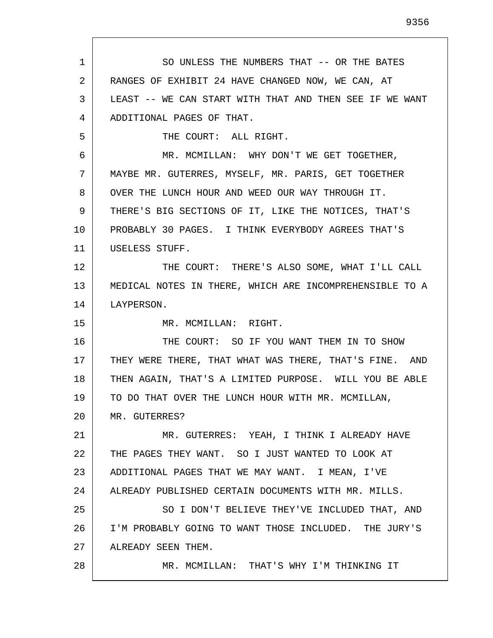1 2 3 4 5 6 7 8 9 10 11 12 13 14 15 16 17 18 19 20 21 22 23 24 25 26 27 28 SO UNLESS THE NUMBERS THAT -- OR THE BATES RANGES OF EXHIBIT 24 HAVE CHANGED NOW, WE CAN, AT LEAST -- WE CAN START WITH THAT AND THEN SEE IF WE WANT ADDITIONAL PAGES OF THAT. THE COURT: ALL RIGHT. MR. MCMILLAN: WHY DON'T WE GET TOGETHER, MAYBE MR. GUTERRES, MYSELF, MR. PARIS, GET TOGETHER OVER THE LUNCH HOUR AND WEED OUR WAY THROUGH IT. THERE'S BIG SECTIONS OF IT, LIKE THE NOTICES, THAT'S PROBABLY 30 PAGES. I THINK EVERYBODY AGREES THAT'S USELESS STUFF. THE COURT: THERE'S ALSO SOME, WHAT I'LL CALL MEDICAL NOTES IN THERE, WHICH ARE INCOMPREHENSIBLE TO A LAYPERSON. MR. MCMILLAN: RIGHT. THE COURT: SO IF YOU WANT THEM IN TO SHOW THEY WERE THERE, THAT WHAT WAS THERE, THAT'S FINE. AND THEN AGAIN, THAT'S A LIMITED PURPOSE. WILL YOU BE ABLE TO DO THAT OVER THE LUNCH HOUR WITH MR. MCMILLAN, MR. GUTERRES? MR. GUTERRES: YEAH, I THINK I ALREADY HAVE THE PAGES THEY WANT. SO I JUST WANTED TO LOOK AT ADDITIONAL PAGES THAT WE MAY WANT. I MEAN, I'VE ALREADY PUBLISHED CERTAIN DOCUMENTS WITH MR. MILLS. SO I DON'T BELIEVE THEY'VE INCLUDED THAT, AND I'M PROBABLY GOING TO WANT THOSE INCLUDED. THE JURY'S ALREADY SEEN THEM. MR. MCMILLAN: THAT'S WHY I'M THINKING IT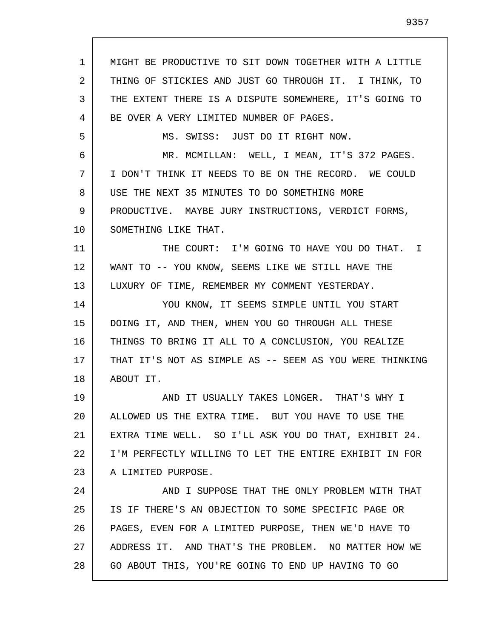MIGHT BE PRODUCTIVE TO SIT DOWN TOGETHER WITH A LITTLE THING OF STICKIES AND JUST GO THROUGH IT. I THINK, TO THE EXTENT THERE IS A DISPUTE SOMEWHERE, IT'S GOING TO BE OVER A VERY LIMITED NUMBER OF PAGES. MS. SWISS: JUST DO IT RIGHT NOW. MR. MCMILLAN: WELL, I MEAN, IT'S 372 PAGES. I DON'T THINK IT NEEDS TO BE ON THE RECORD. WE COULD USE THE NEXT 35 MINUTES TO DO SOMETHING MORE PRODUCTIVE. MAYBE JURY INSTRUCTIONS, VERDICT FORMS, SOMETHING LIKE THAT. THE COURT: I'M GOING TO HAVE YOU DO THAT. I WANT TO -- YOU KNOW, SEEMS LIKE WE STILL HAVE THE LUXURY OF TIME, REMEMBER MY COMMENT YESTERDAY. YOU KNOW, IT SEEMS SIMPLE UNTIL YOU START DOING IT, AND THEN, WHEN YOU GO THROUGH ALL THESE THINGS TO BRING IT ALL TO A CONCLUSION, YOU REALIZE THAT IT'S NOT AS SIMPLE AS -- SEEM AS YOU WERE THINKING ABOUT IT. AND IT USUALLY TAKES LONGER. THAT'S WHY I ALLOWED US THE EXTRA TIME. BUT YOU HAVE TO USE THE EXTRA TIME WELL. SO I'LL ASK YOU DO THAT, EXHIBIT 24. I'M PERFECTLY WILLING TO LET THE ENTIRE EXHIBIT IN FOR A LIMITED PURPOSE. AND I SUPPOSE THAT THE ONLY PROBLEM WITH THAT IS IF THERE'S AN OBJECTION TO SOME SPECIFIC PAGE OR PAGES, EVEN FOR A LIMITED PURPOSE, THEN WE'D HAVE TO

1

2

3

4

5

6

7

8

9

10

11

12

13

14

15

16

17

18

19

20

21

22

23

24

25

26

27 28 ADDRESS IT. AND THAT'S THE PROBLEM. NO MATTER HOW WE GO ABOUT THIS, YOU'RE GOING TO END UP HAVING TO GO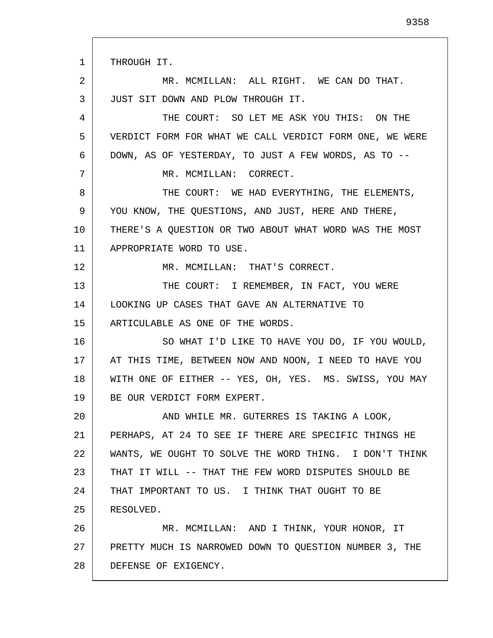1 2 3 4 5 6 7 8 9 10 11 12 13 14 15 16 17 18 19 20 21 22 23 24 25 26 27 28 THROUGH IT. MR. MCMILLAN: ALL RIGHT. WE CAN DO THAT. JUST SIT DOWN AND PLOW THROUGH IT. THE COURT: SO LET ME ASK YOU THIS: ON THE VERDICT FORM FOR WHAT WE CALL VERDICT FORM ONE, WE WERE DOWN, AS OF YESTERDAY, TO JUST A FEW WORDS, AS TO -- MR. MCMILLAN: CORRECT. THE COURT: WE HAD EVERYTHING, THE ELEMENTS, YOU KNOW, THE QUESTIONS, AND JUST, HERE AND THERE, THERE'S A QUESTION OR TWO ABOUT WHAT WORD WAS THE MOST APPROPRIATE WORD TO USE. MR. MCMILLAN: THAT'S CORRECT. THE COURT: I REMEMBER, IN FACT, YOU WERE LOOKING UP CASES THAT GAVE AN ALTERNATIVE TO ARTICULABLE AS ONE OF THE WORDS. SO WHAT I'D LIKE TO HAVE YOU DO, IF YOU WOULD, AT THIS TIME, BETWEEN NOW AND NOON, I NEED TO HAVE YOU WITH ONE OF EITHER -- YES, OH, YES. MS. SWISS, YOU MAY BE OUR VERDICT FORM EXPERT. AND WHILE MR. GUTERRES IS TAKING A LOOK, PERHAPS, AT 24 TO SEE IF THERE ARE SPECIFIC THINGS HE WANTS, WE OUGHT TO SOLVE THE WORD THING. I DON'T THINK THAT IT WILL -- THAT THE FEW WORD DISPUTES SHOULD BE THAT IMPORTANT TO US. I THINK THAT OUGHT TO BE RESOLVED. MR. MCMILLAN: AND I THINK, YOUR HONOR, IT PRETTY MUCH IS NARROWED DOWN TO QUESTION NUMBER 3, THE DEFENSE OF EXIGENCY.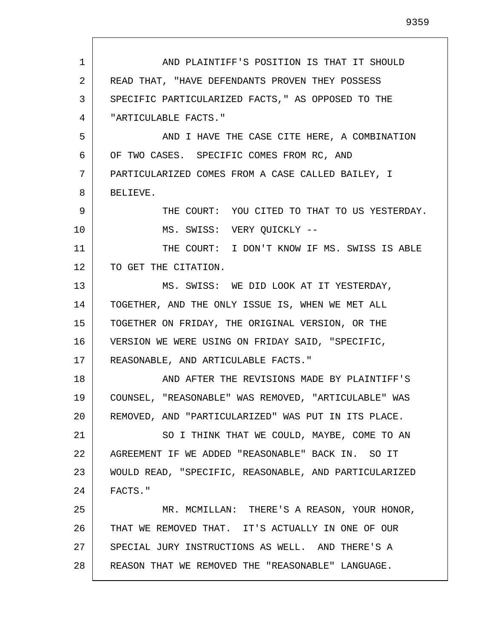| 1  | AND PLAINTIFF'S POSITION IS THAT IT SHOULD            |
|----|-------------------------------------------------------|
| 2  | READ THAT, "HAVE DEFENDANTS PROVEN THEY POSSESS       |
| 3  | SPECIFIC PARTICULARIZED FACTS, " AS OPPOSED TO THE    |
| 4  | "ARTICULABLE FACTS."                                  |
| 5  | AND I HAVE THE CASE CITE HERE, A COMBINATION          |
| 6  | OF TWO CASES. SPECIFIC COMES FROM RC, AND             |
| 7  | PARTICULARIZED COMES FROM A CASE CALLED BAILEY, I     |
| 8  | BELIEVE.                                              |
| 9  | THE COURT: YOU CITED TO THAT TO US YESTERDAY.         |
| 10 | MS. SWISS: VERY QUICKLY --                            |
| 11 | THE COURT: I DON'T KNOW IF MS. SWISS IS ABLE          |
| 12 | TO GET THE CITATION.                                  |
| 13 | MS. SWISS: WE DID LOOK AT IT YESTERDAY,               |
| 14 | TOGETHER, AND THE ONLY ISSUE IS, WHEN WE MET ALL      |
| 15 | TOGETHER ON FRIDAY, THE ORIGINAL VERSION, OR THE      |
| 16 | VERSION WE WERE USING ON FRIDAY SAID, "SPECIFIC,      |
| 17 | REASONABLE, AND ARTICULABLE FACTS."                   |
| 18 | AND AFTER THE REVISIONS MADE BY PLAINTIFF'S           |
| 19 | COUNSEL, "REASONABLE" WAS REMOVED, "ARTICULABLE" WAS  |
| 20 | REMOVED, AND "PARTICULARIZED" WAS PUT IN ITS PLACE.   |
| 21 | SO I THINK THAT WE COULD, MAYBE, COME TO AN           |
| 22 | AGREEMENT IF WE ADDED "REASONABLE" BACK IN. SO IT     |
| 23 | WOULD READ, "SPECIFIC, REASONABLE, AND PARTICULARIZED |
| 24 | FACTS."                                               |
| 25 | MR. MCMILLAN: THERE'S A REASON, YOUR HONOR,           |
| 26 | THAT WE REMOVED THAT. IT'S ACTUALLY IN ONE OF OUR     |
| 27 | SPECIAL JURY INSTRUCTIONS AS WELL. AND THERE'S A      |
| 28 | REASON THAT WE REMOVED THE "REASONABLE" LANGUAGE.     |
|    |                                                       |

Г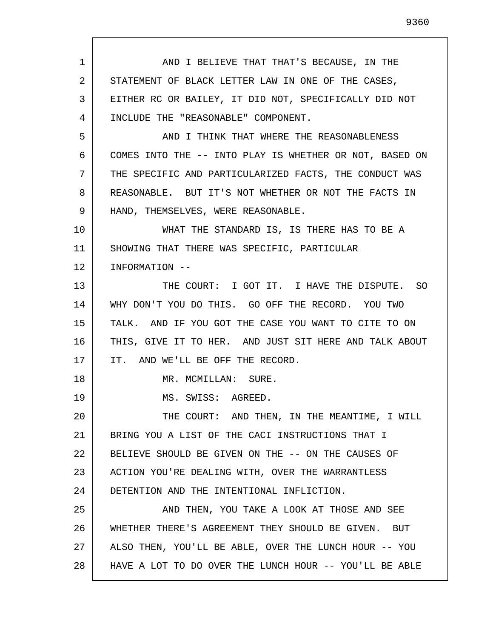| 1  | AND I BELIEVE THAT THAT'S BECAUSE, IN THE               |
|----|---------------------------------------------------------|
| 2  | STATEMENT OF BLACK LETTER LAW IN ONE OF THE CASES,      |
| 3  | EITHER RC OR BAILEY, IT DID NOT, SPECIFICALLY DID NOT   |
| 4  | INCLUDE THE "REASONABLE" COMPONENT.                     |
| 5  | AND I THINK THAT WHERE THE REASONABLENESS               |
| 6  | COMES INTO THE -- INTO PLAY IS WHETHER OR NOT, BASED ON |
| 7  | THE SPECIFIC AND PARTICULARIZED FACTS, THE CONDUCT WAS  |
| 8  | REASONABLE. BUT IT'S NOT WHETHER OR NOT THE FACTS IN    |
| 9  | HAND, THEMSELVES, WERE REASONABLE.                      |
| 10 | WHAT THE STANDARD IS, IS THERE HAS TO BE A              |
| 11 | SHOWING THAT THERE WAS SPECIFIC, PARTICULAR             |
| 12 | INFORMATION --                                          |
| 13 | THE COURT: I GOT IT. I HAVE THE DISPUTE. SO             |
| 14 | WHY DON'T YOU DO THIS. GO OFF THE RECORD. YOU TWO       |
| 15 | TALK. AND IF YOU GOT THE CASE YOU WANT TO CITE TO ON    |
| 16 | THIS, GIVE IT TO HER. AND JUST SIT HERE AND TALK ABOUT  |
| 17 | IT. AND WE'LL BE OFF THE RECORD.                        |
| 18 | MR. MCMILLAN: SURE.                                     |
| 19 | MS. SWISS: AGREED.                                      |
| 20 | THE COURT: AND THEN, IN THE MEANTIME, I WILL            |
| 21 | BRING YOU A LIST OF THE CACI INSTRUCTIONS THAT I        |
| 22 | BELIEVE SHOULD BE GIVEN ON THE -- ON THE CAUSES OF      |
| 23 | ACTION YOU'RE DEALING WITH, OVER THE WARRANTLESS        |
| 24 | DETENTION AND THE INTENTIONAL INFLICTION.               |
| 25 | AND THEN, YOU TAKE A LOOK AT THOSE AND SEE              |
| 26 | WHETHER THERE'S AGREEMENT THEY SHOULD BE GIVEN. BUT     |
| 27 | ALSO THEN, YOU'LL BE ABLE, OVER THE LUNCH HOUR -- YOU   |
| 28 | HAVE A LOT TO DO OVER THE LUNCH HOUR -- YOU'LL BE ABLE  |

 $\Gamma$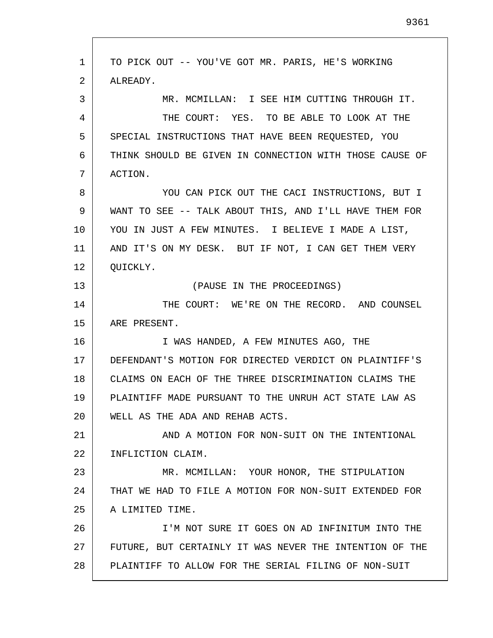| $\mathbf 1$ | TO PICK OUT -- YOU'VE GOT MR. PARIS, HE'S WORKING       |
|-------------|---------------------------------------------------------|
| 2           | ALREADY.                                                |
| 3           | MR. MCMILLAN: I SEE HIM CUTTING THROUGH IT.             |
| 4           | THE COURT: YES. TO BE ABLE TO LOOK AT THE               |
| 5           | SPECIAL INSTRUCTIONS THAT HAVE BEEN REQUESTED, YOU      |
| 6           | THINK SHOULD BE GIVEN IN CONNECTION WITH THOSE CAUSE OF |
| 7           | ACTION.                                                 |
| 8           | YOU CAN PICK OUT THE CACI INSTRUCTIONS, BUT I           |
| 9           | WANT TO SEE -- TALK ABOUT THIS, AND I'LL HAVE THEM FOR  |
| 10          | YOU IN JUST A FEW MINUTES. I BELIEVE I MADE A LIST,     |
| 11          | AND IT'S ON MY DESK. BUT IF NOT, I CAN GET THEM VERY    |
| 12          | QUICKLY.                                                |
| 13          | (PAUSE IN THE PROCEEDINGS)                              |
| 14          | THE COURT: WE'RE ON THE RECORD. AND COUNSEL             |
| 15          | ARE PRESENT.                                            |
| 16          | I WAS HANDED, A FEW MINUTES AGO, THE                    |
| 17          | DEFENDANT'S MOTION FOR DIRECTED VERDICT ON PLAINTIFF'S  |
| 18          | CLAIMS ON EACH OF THE THREE DISCRIMINATION CLAIMS THE   |
| 19          | PLAINTIFF MADE PURSUANT TO THE UNRUH ACT STATE LAW AS   |
| 20          | WELL AS THE ADA AND REHAB ACTS.                         |
| 21          | AND A MOTION FOR NON-SUIT ON THE INTENTIONAL            |
| 22          | INFLICTION CLAIM.                                       |
| 23          | MR. MCMILLAN: YOUR HONOR, THE STIPULATION               |
| 24          | THAT WE HAD TO FILE A MOTION FOR NON-SUIT EXTENDED FOR  |
| 25          | A LIMITED TIME.                                         |
| 26          | I'M NOT SURE IT GOES ON AD INFINITUM INTO THE           |
| 27          | FUTURE, BUT CERTAINLY IT WAS NEVER THE INTENTION OF THE |
| 28          | PLAINTIFF TO ALLOW FOR THE SERIAL FILING OF NON-SUIT    |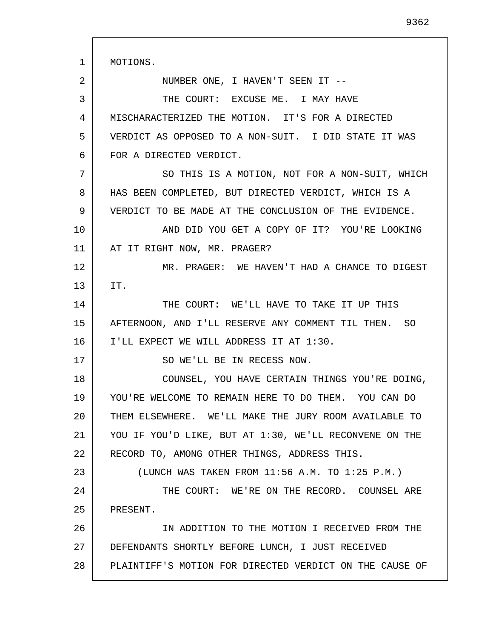1 2 3 4 5 6 7 8 9 10 11 12 13 14 15 16 17 18 19 20 21 22 23 24 25 26 27 28 MOTIONS. NUMBER ONE, I HAVEN'T SEEN IT -- THE COURT: EXCUSE ME. I MAY HAVE MISCHARACTERIZED THE MOTION. IT'S FOR A DIRECTED VERDICT AS OPPOSED TO A NON-SUIT. I DID STATE IT WAS FOR A DIRECTED VERDICT. SO THIS IS A MOTION, NOT FOR A NON-SUIT, WHICH HAS BEEN COMPLETED, BUT DIRECTED VERDICT, WHICH IS A VERDICT TO BE MADE AT THE CONCLUSION OF THE EVIDENCE. AND DID YOU GET A COPY OF IT? YOU'RE LOOKING AT IT RIGHT NOW, MR. PRAGER? MR. PRAGER: WE HAVEN'T HAD A CHANCE TO DIGEST IT. THE COURT: WE'LL HAVE TO TAKE IT UP THIS AFTERNOON, AND I'LL RESERVE ANY COMMENT TIL THEN. SO I'LL EXPECT WE WILL ADDRESS IT AT 1:30. SO WE'LL BE IN RECESS NOW. COUNSEL, YOU HAVE CERTAIN THINGS YOU'RE DOING, YOU'RE WELCOME TO REMAIN HERE TO DO THEM. YOU CAN DO THEM ELSEWHERE. WE'LL MAKE THE JURY ROOM AVAILABLE TO YOU IF YOU'D LIKE, BUT AT 1:30, WE'LL RECONVENE ON THE RECORD TO, AMONG OTHER THINGS, ADDRESS THIS. (LUNCH WAS TAKEN FROM 11:56 A.M. TO 1:25 P.M.) THE COURT: WE'RE ON THE RECORD. COUNSEL ARE PRESENT. IN ADDITION TO THE MOTION I RECEIVED FROM THE DEFENDANTS SHORTLY BEFORE LUNCH, I JUST RECEIVED PLAINTIFF'S MOTION FOR DIRECTED VERDICT ON THE CAUSE OF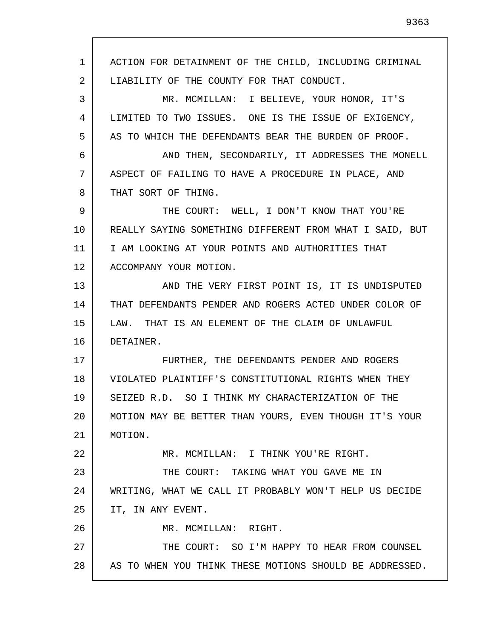1 2 3 4 5 6 7 8 9 10 11 12 13 14 15 16 17 18 19 20 21 22 23 24 25 26 27 28 ACTION FOR DETAINMENT OF THE CHILD, INCLUDING CRIMINAL LIABILITY OF THE COUNTY FOR THAT CONDUCT. MR. MCMILLAN: I BELIEVE, YOUR HONOR, IT'S LIMITED TO TWO ISSUES. ONE IS THE ISSUE OF EXIGENCY, AS TO WHICH THE DEFENDANTS BEAR THE BURDEN OF PROOF. AND THEN, SECONDARILY, IT ADDRESSES THE MONELL ASPECT OF FAILING TO HAVE A PROCEDURE IN PLACE, AND THAT SORT OF THING. THE COURT: WELL, I DON'T KNOW THAT YOU'RE REALLY SAYING SOMETHING DIFFERENT FROM WHAT I SAID, BUT I AM LOOKING AT YOUR POINTS AND AUTHORITIES THAT ACCOMPANY YOUR MOTION. AND THE VERY FIRST POINT IS, IT IS UNDISPUTED THAT DEFENDANTS PENDER AND ROGERS ACTED UNDER COLOR OF LAW. THAT IS AN ELEMENT OF THE CLAIM OF UNLAWFUL DETAINER. FURTHER, THE DEFENDANTS PENDER AND ROGERS VIOLATED PLAINTIFF'S CONSTITUTIONAL RIGHTS WHEN THEY SEIZED R.D. SO I THINK MY CHARACTERIZATION OF THE MOTION MAY BE BETTER THAN YOURS, EVEN THOUGH IT'S YOUR MOTION. MR. MCMILLAN: I THINK YOU'RE RIGHT. THE COURT: TAKING WHAT YOU GAVE ME IN WRITING, WHAT WE CALL IT PROBABLY WON'T HELP US DECIDE IT, IN ANY EVENT. MR. MCMILLAN: RIGHT. THE COURT: SO I'M HAPPY TO HEAR FROM COUNSEL AS TO WHEN YOU THINK THESE MOTIONS SHOULD BE ADDRESSED.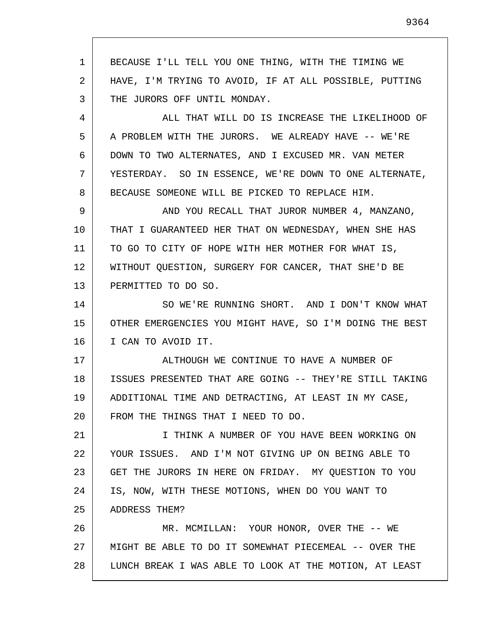1 2 3 4 5 6 7 8 9 10 11 12 13 14 15 16 17 18 19 20 21 22 23 24 25 26 27 28 BECAUSE I'LL TELL YOU ONE THING, WITH THE TIMING WE HAVE, I'M TRYING TO AVOID, IF AT ALL POSSIBLE, PUTTING THE JURORS OFF UNTIL MONDAY. ALL THAT WILL DO IS INCREASE THE LIKELIHOOD OF A PROBLEM WITH THE JURORS. WE ALREADY HAVE -- WE'RE DOWN TO TWO ALTERNATES, AND I EXCUSED MR. VAN METER YESTERDAY. SO IN ESSENCE, WE'RE DOWN TO ONE ALTERNATE, BECAUSE SOMEONE WILL BE PICKED TO REPLACE HIM. AND YOU RECALL THAT JUROR NUMBER 4, MANZANO, THAT I GUARANTEED HER THAT ON WEDNESDAY, WHEN SHE HAS TO GO TO CITY OF HOPE WITH HER MOTHER FOR WHAT IS, WITHOUT QUESTION, SURGERY FOR CANCER, THAT SHE'D BE PERMITTED TO DO SO. SO WE'RE RUNNING SHORT. AND I DON'T KNOW WHAT OTHER EMERGENCIES YOU MIGHT HAVE, SO I'M DOING THE BEST I CAN TO AVOID IT. ALTHOUGH WE CONTINUE TO HAVE A NUMBER OF ISSUES PRESENTED THAT ARE GOING -- THEY'RE STILL TAKING ADDITIONAL TIME AND DETRACTING, AT LEAST IN MY CASE, FROM THE THINGS THAT I NEED TO DO. I THINK A NUMBER OF YOU HAVE BEEN WORKING ON YOUR ISSUES. AND I'M NOT GIVING UP ON BEING ABLE TO GET THE JURORS IN HERE ON FRIDAY. MY QUESTION TO YOU IS, NOW, WITH THESE MOTIONS, WHEN DO YOU WANT TO ADDRESS THEM? MR. MCMILLAN: YOUR HONOR, OVER THE -- WE MIGHT BE ABLE TO DO IT SOMEWHAT PIECEMEAL -- OVER THE LUNCH BREAK I WAS ABLE TO LOOK AT THE MOTION, AT LEAST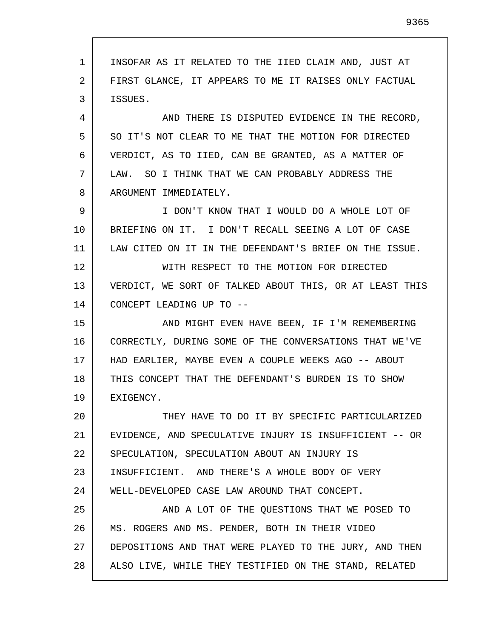1 2 3 4 5 6 7 8 9 10 11 12 13 14 15 16 17 18 19 20 21 22 23 24 25 26 27 28 INSOFAR AS IT RELATED TO THE IIED CLAIM AND, JUST AT FIRST GLANCE, IT APPEARS TO ME IT RAISES ONLY FACTUAL ISSUES. AND THERE IS DISPUTED EVIDENCE IN THE RECORD, SO IT'S NOT CLEAR TO ME THAT THE MOTION FOR DIRECTED VERDICT, AS TO IIED, CAN BE GRANTED, AS A MATTER OF LAW. SO I THINK THAT WE CAN PROBABLY ADDRESS THE ARGUMENT IMMEDIATELY. I DON'T KNOW THAT I WOULD DO A WHOLE LOT OF BRIEFING ON IT. I DON'T RECALL SEEING A LOT OF CASE LAW CITED ON IT IN THE DEFENDANT'S BRIEF ON THE ISSUE. WITH RESPECT TO THE MOTION FOR DIRECTED VERDICT, WE SORT OF TALKED ABOUT THIS, OR AT LEAST THIS CONCEPT LEADING UP TO -- AND MIGHT EVEN HAVE BEEN, IF I'M REMEMBERING CORRECTLY, DURING SOME OF THE CONVERSATIONS THAT WE'VE HAD EARLIER, MAYBE EVEN A COUPLE WEEKS AGO -- ABOUT THIS CONCEPT THAT THE DEFENDANT'S BURDEN IS TO SHOW EXIGENCY. THEY HAVE TO DO IT BY SPECIFIC PARTICULARIZED EVIDENCE, AND SPECULATIVE INJURY IS INSUFFICIENT -- OR SPECULATION, SPECULATION ABOUT AN INJURY IS INSUFFICIENT. AND THERE'S A WHOLE BODY OF VERY WELL-DEVELOPED CASE LAW AROUND THAT CONCEPT. AND A LOT OF THE QUESTIONS THAT WE POSED TO MS. ROGERS AND MS. PENDER, BOTH IN THEIR VIDEO DEPOSITIONS AND THAT WERE PLAYED TO THE JURY, AND THEN ALSO LIVE, WHILE THEY TESTIFIED ON THE STAND, RELATED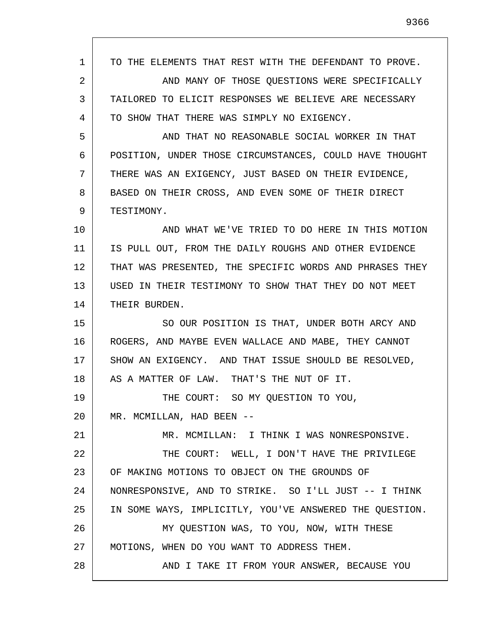| $\mathbf{1}$ | TO THE ELEMENTS THAT REST WITH THE DEFENDANT TO PROVE.  |
|--------------|---------------------------------------------------------|
| 2            | AND MANY OF THOSE QUESTIONS WERE SPECIFICALLY           |
| 3            | TAILORED TO ELICIT RESPONSES WE BELIEVE ARE NECESSARY   |
| 4            | TO SHOW THAT THERE WAS SIMPLY NO EXIGENCY.              |
| 5            | AND THAT NO REASONABLE SOCIAL WORKER IN THAT            |
| 6            | POSITION, UNDER THOSE CIRCUMSTANCES, COULD HAVE THOUGHT |
| 7            | THERE WAS AN EXIGENCY, JUST BASED ON THEIR EVIDENCE,    |
| 8            | BASED ON THEIR CROSS, AND EVEN SOME OF THEIR DIRECT     |
| 9            | TESTIMONY.                                              |
| 10           | AND WHAT WE'VE TRIED TO DO HERE IN THIS MOTION          |
| 11           | IS PULL OUT, FROM THE DAILY ROUGHS AND OTHER EVIDENCE   |
| 12           | THAT WAS PRESENTED, THE SPECIFIC WORDS AND PHRASES THEY |
| 13           | USED IN THEIR TESTIMONY TO SHOW THAT THEY DO NOT MEET   |
| 14           | THEIR BURDEN.                                           |
| 15           | SO OUR POSITION IS THAT, UNDER BOTH ARCY AND            |
| 16           | ROGERS, AND MAYBE EVEN WALLACE AND MABE, THEY CANNOT    |
| 17           | SHOW AN EXIGENCY. AND THAT ISSUE SHOULD BE RESOLVED,    |
| 18           | AS A MATTER OF LAW. THAT'S THE NUT OF IT.               |
| 19           | THE COURT: SO MY QUESTION TO YOU,                       |
| 20           | MR. MCMILLAN, HAD BEEN --                               |
| 21           | MR. MCMILLAN: I THINK I WAS NONRESPONSIVE.              |
| 22           | THE COURT: WELL, I DON'T HAVE THE PRIVILEGE             |
| 23           | OF MAKING MOTIONS TO OBJECT ON THE GROUNDS OF           |
| 24           | NONRESPONSIVE, AND TO STRIKE. SO I'LL JUST -- I THINK   |
| 25           | IN SOME WAYS, IMPLICITLY, YOU'VE ANSWERED THE QUESTION. |
| 26           | MY OUESTION WAS, TO YOU, NOW, WITH THESE                |
| 27           | MOTIONS, WHEN DO YOU WANT TO ADDRESS THEM.              |
| 28           | AND I TAKE IT FROM YOUR ANSWER, BECAUSE YOU             |

 $\Gamma$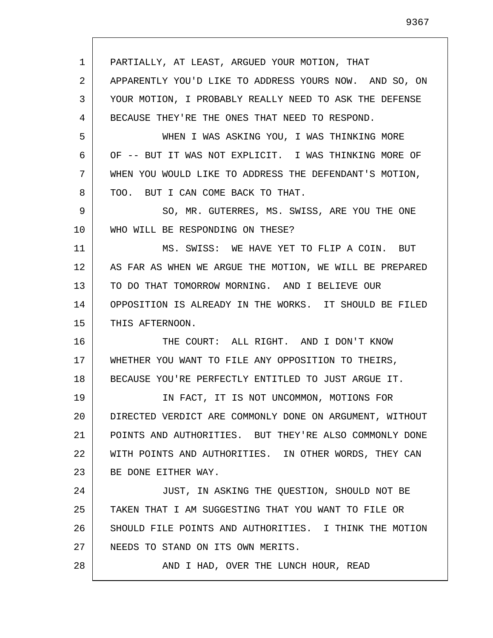1 2 3 4 5 6 7 8 9 10 11 12 13 14 15 16 17 18 19 20 21 22 23 24 25 26 27 28 PARTIALLY, AT LEAST, ARGUED YOUR MOTION, THAT APPARENTLY YOU'D LIKE TO ADDRESS YOURS NOW. AND SO, ON YOUR MOTION, I PROBABLY REALLY NEED TO ASK THE DEFENSE BECAUSE THEY'RE THE ONES THAT NEED TO RESPOND. WHEN I WAS ASKING YOU, I WAS THINKING MORE OF -- BUT IT WAS NOT EXPLICIT. I WAS THINKING MORE OF WHEN YOU WOULD LIKE TO ADDRESS THE DEFENDANT'S MOTION, TOO. BUT I CAN COME BACK TO THAT. SO, MR. GUTERRES, MS. SWISS, ARE YOU THE ONE WHO WILL BE RESPONDING ON THESE? MS. SWISS: WE HAVE YET TO FLIP A COIN. BUT AS FAR AS WHEN WE ARGUE THE MOTION, WE WILL BE PREPARED TO DO THAT TOMORROW MORNING. AND I BELIEVE OUR OPPOSITION IS ALREADY IN THE WORKS. IT SHOULD BE FILED THIS AFTERNOON. THE COURT: ALL RIGHT. AND I DON'T KNOW WHETHER YOU WANT TO FILE ANY OPPOSITION TO THEIRS, BECAUSE YOU'RE PERFECTLY ENTITLED TO JUST ARGUE IT. IN FACT, IT IS NOT UNCOMMON, MOTIONS FOR DIRECTED VERDICT ARE COMMONLY DONE ON ARGUMENT, WITHOUT POINTS AND AUTHORITIES. BUT THEY'RE ALSO COMMONLY DONE WITH POINTS AND AUTHORITIES. IN OTHER WORDS, THEY CAN BE DONE EITHER WAY. JUST, IN ASKING THE QUESTION, SHOULD NOT BE TAKEN THAT I AM SUGGESTING THAT YOU WANT TO FILE OR SHOULD FILE POINTS AND AUTHORITIES. I THINK THE MOTION NEEDS TO STAND ON ITS OWN MERITS. AND I HAD, OVER THE LUNCH HOUR, READ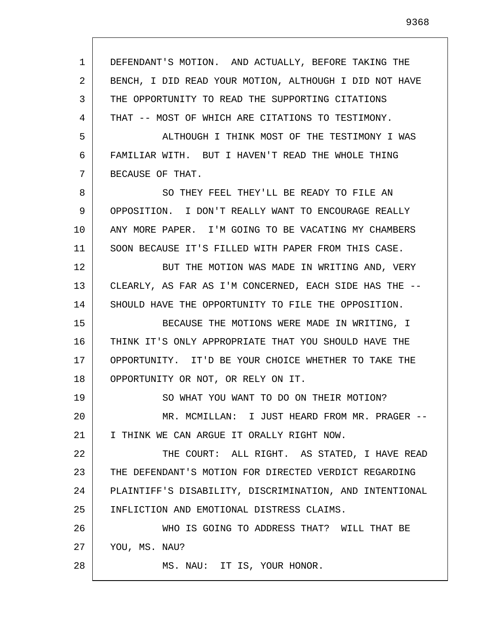1 2 3 4 5 6 7 8 9 10 11 12 13 14 15 16 17 18 19 20 21 22 23 24 25 26 27 28 DEFENDANT'S MOTION. AND ACTUALLY, BEFORE TAKING THE BENCH, I DID READ YOUR MOTION, ALTHOUGH I DID NOT HAVE THE OPPORTUNITY TO READ THE SUPPORTING CITATIONS THAT -- MOST OF WHICH ARE CITATIONS TO TESTIMONY. ALTHOUGH I THINK MOST OF THE TESTIMONY I WAS FAMILIAR WITH. BUT I HAVEN'T READ THE WHOLE THING BECAUSE OF THAT. SO THEY FEEL THEY'LL BE READY TO FILE AN OPPOSITION. I DON'T REALLY WANT TO ENCOURAGE REALLY ANY MORE PAPER. I'M GOING TO BE VACATING MY CHAMBERS SOON BECAUSE IT'S FILLED WITH PAPER FROM THIS CASE. BUT THE MOTION WAS MADE IN WRITING AND, VERY CLEARLY, AS FAR AS I'M CONCERNED, EACH SIDE HAS THE -- SHOULD HAVE THE OPPORTUNITY TO FILE THE OPPOSITION. BECAUSE THE MOTIONS WERE MADE IN WRITING, I THINK IT'S ONLY APPROPRIATE THAT YOU SHOULD HAVE THE OPPORTUNITY. IT'D BE YOUR CHOICE WHETHER TO TAKE THE OPPORTUNITY OR NOT, OR RELY ON IT. SO WHAT YOU WANT TO DO ON THEIR MOTION? MR. MCMILLAN: I JUST HEARD FROM MR. PRAGER --I THINK WE CAN ARGUE IT ORALLY RIGHT NOW. THE COURT: ALL RIGHT. AS STATED, I HAVE READ THE DEFENDANT'S MOTION FOR DIRECTED VERDICT REGARDING PLAINTIFF'S DISABILITY, DISCRIMINATION, AND INTENTIONAL INFLICTION AND EMOTIONAL DISTRESS CLAIMS. WHO IS GOING TO ADDRESS THAT? WILL THAT BE YOU, MS. NAU? MS. NAU: IT IS, YOUR HONOR.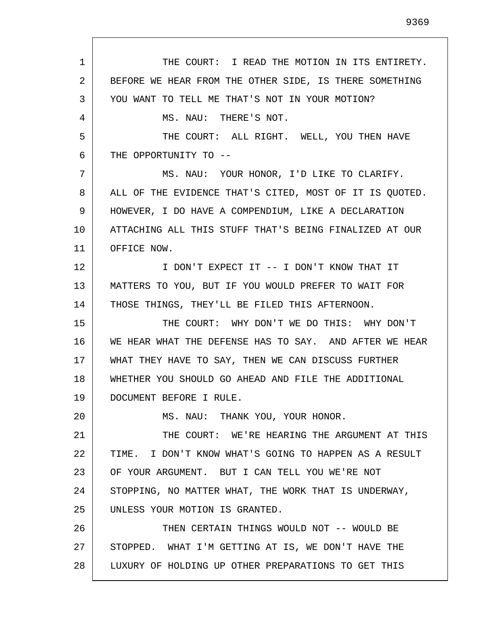1 2 3 4 5 6 7 8 9 10 11 12 13 14 15 16 17 18 19 20 21 22 23 24 25 26 27 28 THE COURT: I READ THE MOTION IN ITS ENTIRETY. BEFORE WE HEAR FROM THE OTHER SIDE, IS THERE SOMETHING YOU WANT TO TELL ME THAT'S NOT IN YOUR MOTION? MS. NAU: THERE'S NOT. THE COURT: ALL RIGHT. WELL, YOU THEN HAVE THE OPPORTUNITY TO -- MS. NAU: YOUR HONOR, I'D LIKE TO CLARIFY. ALL OF THE EVIDENCE THAT'S CITED, MOST OF IT IS QUOTED. HOWEVER, I DO HAVE A COMPENDIUM, LIKE A DECLARATION ATTACHING ALL THIS STUFF THAT'S BEING FINALIZED AT OUR OFFICE NOW. I DON'T EXPECT IT -- I DON'T KNOW THAT IT MATTERS TO YOU, BUT IF YOU WOULD PREFER TO WAIT FOR THOSE THINGS, THEY'LL BE FILED THIS AFTERNOON. THE COURT: WHY DON'T WE DO THIS: WHY DON'T WE HEAR WHAT THE DEFENSE HAS TO SAY. AND AFTER WE HEAR WHAT THEY HAVE TO SAY, THEN WE CAN DISCUSS FURTHER WHETHER YOU SHOULD GO AHEAD AND FILE THE ADDITIONAL DOCUMENT BEFORE I RULE. MS. NAU: THANK YOU, YOUR HONOR. THE COURT: WE'RE HEARING THE ARGUMENT AT THIS TIME. I DON'T KNOW WHAT'S GOING TO HAPPEN AS A RESULT OF YOUR ARGUMENT. BUT I CAN TELL YOU WE'RE NOT STOPPING, NO MATTER WHAT, THE WORK THAT IS UNDERWAY, UNLESS YOUR MOTION IS GRANTED. THEN CERTAIN THINGS WOULD NOT -- WOULD BE STOPPED. WHAT I'M GETTING AT IS, WE DON'T HAVE THE LUXURY OF HOLDING UP OTHER PREPARATIONS TO GET THIS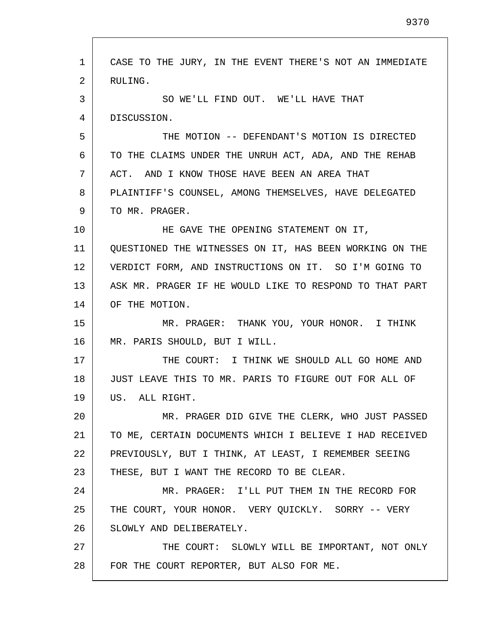| 1  | CASE TO THE JURY, IN THE EVENT THERE'S NOT AN IMMEDIATE |
|----|---------------------------------------------------------|
| 2  | RULING.                                                 |
| 3  | SO WE'LL FIND OUT. WE'LL HAVE THAT                      |
| 4  | DISCUSSION.                                             |
| 5  | THE MOTION -- DEFENDANT'S MOTION IS DIRECTED            |
| 6  | TO THE CLAIMS UNDER THE UNRUH ACT, ADA, AND THE REHAB   |
| 7  | ACT. AND I KNOW THOSE HAVE BEEN AN AREA THAT            |
| 8  | PLAINTIFF'S COUNSEL, AMONG THEMSELVES, HAVE DELEGATED   |
| 9  | TO MR. PRAGER.                                          |
| 10 | HE GAVE THE OPENING STATEMENT ON IT,                    |
| 11 | QUESTIONED THE WITNESSES ON IT, HAS BEEN WORKING ON THE |
| 12 | VERDICT FORM, AND INSTRUCTIONS ON IT. SO I'M GOING TO   |
| 13 | ASK MR. PRAGER IF HE WOULD LIKE TO RESPOND TO THAT PART |
| 14 | OF THE MOTION.                                          |
| 15 | MR. PRAGER: THANK YOU, YOUR HONOR. I THINK              |
| 16 | MR. PARIS SHOULD, BUT I WILL.                           |
| 17 | THE COURT: I THINK WE SHOULD ALL GO HOME AND            |
| 18 | JUST LEAVE THIS TO MR. PARIS TO FIGURE OUT FOR ALL OF   |
| 19 | US. ALL RIGHT.                                          |
| 20 | MR. PRAGER DID GIVE THE CLERK, WHO JUST PASSED          |
| 21 | TO ME, CERTAIN DOCUMENTS WHICH I BELIEVE I HAD RECEIVED |
| 22 | PREVIOUSLY, BUT I THINK, AT LEAST, I REMEMBER SEEING    |
| 23 | THESE, BUT I WANT THE RECORD TO BE CLEAR.               |
| 24 | MR. PRAGER: I'LL PUT THEM IN THE RECORD FOR             |
| 25 | THE COURT, YOUR HONOR. VERY QUICKLY. SORRY -- VERY      |
| 26 | SLOWLY AND DELIBERATELY.                                |
| 27 | THE COURT: SLOWLY WILL BE IMPORTANT, NOT ONLY           |
| 28 | FOR THE COURT REPORTER, BUT ALSO FOR ME.                |

Г

I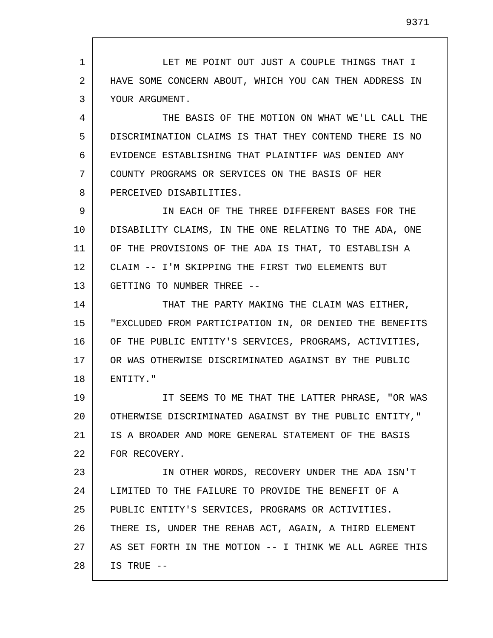1 2 3 LET ME POINT OUT JUST A COUPLE THINGS THAT I HAVE SOME CONCERN ABOUT, WHICH YOU CAN THEN ADDRESS IN YOUR ARGUMENT.

4 5 6 7 8 THE BASIS OF THE MOTION ON WHAT WE'LL CALL THE DISCRIMINATION CLAIMS IS THAT THEY CONTEND THERE IS NO EVIDENCE ESTABLISHING THAT PLAINTIFF WAS DENIED ANY COUNTY PROGRAMS OR SERVICES ON THE BASIS OF HER PERCEIVED DISABILITIES.

9 10 11 12 13 IN EACH OF THE THREE DIFFERENT BASES FOR THE DISABILITY CLAIMS, IN THE ONE RELATING TO THE ADA, ONE OF THE PROVISIONS OF THE ADA IS THAT, TO ESTABLISH A CLAIM -- I'M SKIPPING THE FIRST TWO ELEMENTS BUT GETTING TO NUMBER THREE --

14 15 16 17 18 THAT THE PARTY MAKING THE CLAIM WAS EITHER, "EXCLUDED FROM PARTICIPATION IN, OR DENIED THE BENEFITS OF THE PUBLIC ENTITY'S SERVICES, PROGRAMS, ACTIVITIES, OR WAS OTHERWISE DISCRIMINATED AGAINST BY THE PUBLIC ENTITY."

19 20 21 22 IT SEEMS TO ME THAT THE LATTER PHRASE, "OR WAS OTHERWISE DISCRIMINATED AGAINST BY THE PUBLIC ENTITY," IS A BROADER AND MORE GENERAL STATEMENT OF THE BASIS FOR RECOVERY.

23 24 25 26 27 28 IN OTHER WORDS, RECOVERY UNDER THE ADA ISN'T LIMITED TO THE FAILURE TO PROVIDE THE BENEFIT OF A PUBLIC ENTITY'S SERVICES, PROGRAMS OR ACTIVITIES. THERE IS, UNDER THE REHAB ACT, AGAIN, A THIRD ELEMENT AS SET FORTH IN THE MOTION -- I THINK WE ALL AGREE THIS IS TRUE --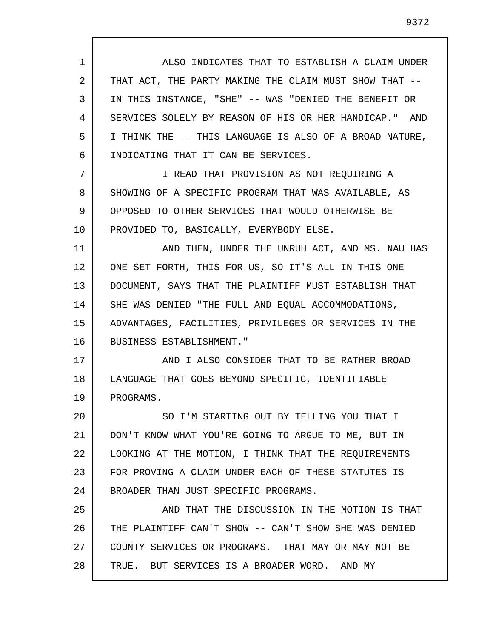1 2 3 4 5 6 7 8 9 10 11 12 13 14 15 16 17 18 19 20 21 22 23 24 25 26 27 28 ALSO INDICATES THAT TO ESTABLISH A CLAIM UNDER THAT ACT, THE PARTY MAKING THE CLAIM MUST SHOW THAT -- IN THIS INSTANCE, "SHE" -- WAS "DENIED THE BENEFIT OR SERVICES SOLELY BY REASON OF HIS OR HER HANDICAP." AND I THINK THE -- THIS LANGUAGE IS ALSO OF A BROAD NATURE, INDICATING THAT IT CAN BE SERVICES. I READ THAT PROVISION AS NOT REQUIRING A SHOWING OF A SPECIFIC PROGRAM THAT WAS AVAILABLE, AS OPPOSED TO OTHER SERVICES THAT WOULD OTHERWISE BE PROVIDED TO, BASICALLY, EVERYBODY ELSE. AND THEN, UNDER THE UNRUH ACT, AND MS. NAU HAS ONE SET FORTH, THIS FOR US, SO IT'S ALL IN THIS ONE DOCUMENT, SAYS THAT THE PLAINTIFF MUST ESTABLISH THAT SHE WAS DENIED "THE FULL AND EQUAL ACCOMMODATIONS, ADVANTAGES, FACILITIES, PRIVILEGES OR SERVICES IN THE BUSINESS ESTABLISHMENT." AND I ALSO CONSIDER THAT TO BE RATHER BROAD LANGUAGE THAT GOES BEYOND SPECIFIC, IDENTIFIABLE PROGRAMS. SO I'M STARTING OUT BY TELLING YOU THAT I DON'T KNOW WHAT YOU'RE GOING TO ARGUE TO ME, BUT IN LOOKING AT THE MOTION, I THINK THAT THE REQUIREMENTS FOR PROVING A CLAIM UNDER EACH OF THESE STATUTES IS BROADER THAN JUST SPECIFIC PROGRAMS. AND THAT THE DISCUSSION IN THE MOTION IS THAT THE PLAINTIFF CAN'T SHOW -- CAN'T SHOW SHE WAS DENIED COUNTY SERVICES OR PROGRAMS. THAT MAY OR MAY NOT BE TRUE. BUT SERVICES IS A BROADER WORD. AND MY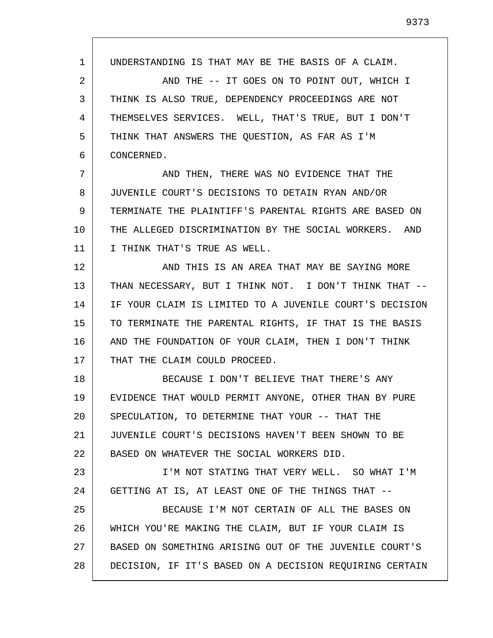1 2 3 4 5 6 7 8 9 10 11 12 13 14 15 16 17 18 19 20 21 22 23 24 25 26 27 28 UNDERSTANDING IS THAT MAY BE THE BASIS OF A CLAIM. AND THE -- IT GOES ON TO POINT OUT, WHICH I THINK IS ALSO TRUE, DEPENDENCY PROCEEDINGS ARE NOT THEMSELVES SERVICES. WELL, THAT'S TRUE, BUT I DON'T THINK THAT ANSWERS THE QUESTION, AS FAR AS I'M CONCERNED. AND THEN, THERE WAS NO EVIDENCE THAT THE JUVENILE COURT'S DECISIONS TO DETAIN RYAN AND/OR TERMINATE THE PLAINTIFF'S PARENTAL RIGHTS ARE BASED ON THE ALLEGED DISCRIMINATION BY THE SOCIAL WORKERS. AND I THINK THAT'S TRUE AS WELL. AND THIS IS AN AREA THAT MAY BE SAYING MORE THAN NECESSARY, BUT I THINK NOT. I DON'T THINK THAT -- IF YOUR CLAIM IS LIMITED TO A JUVENILE COURT'S DECISION TO TERMINATE THE PARENTAL RIGHTS, IF THAT IS THE BASIS AND THE FOUNDATION OF YOUR CLAIM, THEN I DON'T THINK THAT THE CLAIM COULD PROCEED. BECAUSE I DON'T BELIEVE THAT THERE'S ANY EVIDENCE THAT WOULD PERMIT ANYONE, OTHER THAN BY PURE SPECULATION, TO DETERMINE THAT YOUR -- THAT THE JUVENILE COURT'S DECISIONS HAVEN'T BEEN SHOWN TO BE BASED ON WHATEVER THE SOCIAL WORKERS DID. I'M NOT STATING THAT VERY WELL. SO WHAT I'M GETTING AT IS, AT LEAST ONE OF THE THINGS THAT -- BECAUSE I'M NOT CERTAIN OF ALL THE BASES ON WHICH YOU'RE MAKING THE CLAIM, BUT IF YOUR CLAIM IS BASED ON SOMETHING ARISING OUT OF THE JUVENILE COURT'S DECISION, IF IT'S BASED ON A DECISION REQUIRING CERTAIN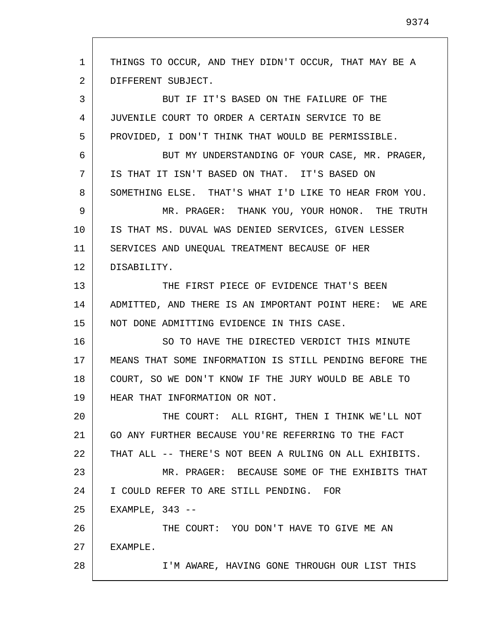1 2 3 4 5 6 7 8 9 10 11 12 13 14 15 16 17 18 19 20 21 22 23 24 25 26 27 28 THINGS TO OCCUR, AND THEY DIDN'T OCCUR, THAT MAY BE A DIFFERENT SUBJECT. BUT IF IT'S BASED ON THE FAILURE OF THE JUVENILE COURT TO ORDER A CERTAIN SERVICE TO BE PROVIDED, I DON'T THINK THAT WOULD BE PERMISSIBLE. BUT MY UNDERSTANDING OF YOUR CASE, MR. PRAGER, IS THAT IT ISN'T BASED ON THAT. IT'S BASED ON SOMETHING ELSE. THAT'S WHAT I'D LIKE TO HEAR FROM YOU. MR. PRAGER: THANK YOU, YOUR HONOR. THE TRUTH IS THAT MS. DUVAL WAS DENIED SERVICES, GIVEN LESSER SERVICES AND UNEQUAL TREATMENT BECAUSE OF HER DISABILITY. THE FIRST PIECE OF EVIDENCE THAT'S BEEN ADMITTED, AND THERE IS AN IMPORTANT POINT HERE: WE ARE NOT DONE ADMITTING EVIDENCE IN THIS CASE. SO TO HAVE THE DIRECTED VERDICT THIS MINUTE MEANS THAT SOME INFORMATION IS STILL PENDING BEFORE THE COURT, SO WE DON'T KNOW IF THE JURY WOULD BE ABLE TO HEAR THAT INFORMATION OR NOT. THE COURT: ALL RIGHT, THEN I THINK WE'LL NOT GO ANY FURTHER BECAUSE YOU'RE REFERRING TO THE FACT THAT ALL -- THERE'S NOT BEEN A RULING ON ALL EXHIBITS. MR. PRAGER: BECAUSE SOME OF THE EXHIBITS THAT I COULD REFER TO ARE STILL PENDING. FOR EXAMPLE,  $343$  --THE COURT: YOU DON'T HAVE TO GIVE ME AN EXAMPLE. I'M AWARE, HAVING GONE THROUGH OUR LIST THIS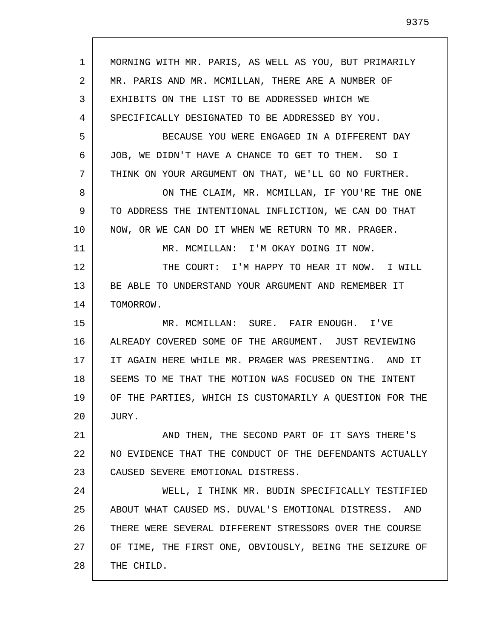| $\mathbf{1}$ | MORNING WITH MR. PARIS, AS WELL AS YOU, BUT PRIMARILY   |
|--------------|---------------------------------------------------------|
| 2            | MR. PARIS AND MR. MCMILLAN, THERE ARE A NUMBER OF       |
| 3            | EXHIBITS ON THE LIST TO BE ADDRESSED WHICH WE           |
| 4            | SPECIFICALLY DESIGNATED TO BE ADDRESSED BY YOU.         |
| 5            | BECAUSE YOU WERE ENGAGED IN A DIFFERENT DAY             |
| 6            | JOB, WE DIDN'T HAVE A CHANCE TO GET TO THEM. SO I       |
| 7            | THINK ON YOUR ARGUMENT ON THAT, WE'LL GO NO FURTHER.    |
| 8            | ON THE CLAIM, MR. MCMILLAN, IF YOU'RE THE ONE           |
| 9            | TO ADDRESS THE INTENTIONAL INFLICTION, WE CAN DO THAT   |
| 10           | NOW, OR WE CAN DO IT WHEN WE RETURN TO MR. PRAGER.      |
| 11           | MR. MCMILLAN: I'M OKAY DOING IT NOW.                    |
| 12           | THE COURT: I'M HAPPY TO HEAR IT NOW. I WILL             |
| 13           | BE ABLE TO UNDERSTAND YOUR ARGUMENT AND REMEMBER IT     |
| 14           | TOMORROW.                                               |
| 15           | MR. MCMILLAN: SURE. FAIR ENOUGH. I'VE                   |
| 16           | ALREADY COVERED SOME OF THE ARGUMENT. JUST REVIEWING    |
| 17           | IT AGAIN HERE WHILE MR. PRAGER WAS PRESENTING. AND IT   |
| 18           | SEEMS TO ME THAT THE MOTION WAS FOCUSED ON THE INTENT   |
| 19           | OF THE PARTIES, WHICH IS CUSTOMARILY A QUESTION FOR THE |
| 20           | JURY.                                                   |
| 21           | AND THEN, THE SECOND PART OF IT SAYS THERE'S            |
| 22           | NO EVIDENCE THAT THE CONDUCT OF THE DEFENDANTS ACTUALLY |
| 23           | CAUSED SEVERE EMOTIONAL DISTRESS.                       |
| 24           | WELL, I THINK MR. BUDIN SPECIFICALLY TESTIFIED          |
| 25           | ABOUT WHAT CAUSED MS. DUVAL'S EMOTIONAL DISTRESS. AND   |
| 26           | THERE WERE SEVERAL DIFFERENT STRESSORS OVER THE COURSE  |
| 27           | OF TIME, THE FIRST ONE, OBVIOUSLY, BEING THE SEIZURE OF |
| 28           | THE CHILD.                                              |
|              |                                                         |

 $\mathsf{I}$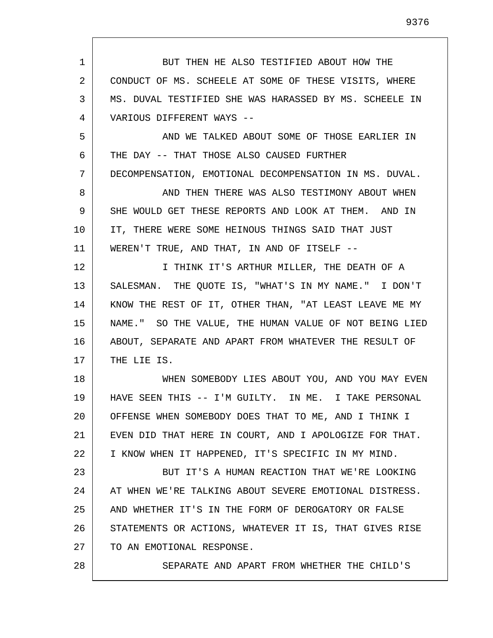1 2 3 4 5 6 7 8 9 10 11 12 13 14 15 16 17 18 19 20 21 22 23 24 25 26 27 28 BUT THEN HE ALSO TESTIFIED ABOUT HOW THE CONDUCT OF MS. SCHEELE AT SOME OF THESE VISITS, WHERE MS. DUVAL TESTIFIED SHE WAS HARASSED BY MS. SCHEELE IN VARIOUS DIFFERENT WAYS -- AND WE TALKED ABOUT SOME OF THOSE EARLIER IN THE DAY -- THAT THOSE ALSO CAUSED FURTHER DECOMPENSATION, EMOTIONAL DECOMPENSATION IN MS. DUVAL. AND THEN THERE WAS ALSO TESTIMONY ABOUT WHEN SHE WOULD GET THESE REPORTS AND LOOK AT THEM. AND IN IT, THERE WERE SOME HEINOUS THINGS SAID THAT JUST WEREN'T TRUE, AND THAT, IN AND OF ITSELF -- I THINK IT'S ARTHUR MILLER, THE DEATH OF A SALESMAN. THE QUOTE IS, "WHAT'S IN MY NAME." I DON'T KNOW THE REST OF IT, OTHER THAN, "AT LEAST LEAVE ME MY NAME." SO THE VALUE, THE HUMAN VALUE OF NOT BEING LIED ABOUT, SEPARATE AND APART FROM WHATEVER THE RESULT OF THE LIE IS. WHEN SOMEBODY LIES ABOUT YOU, AND YOU MAY EVEN HAVE SEEN THIS -- I'M GUILTY. IN ME. I TAKE PERSONAL OFFENSE WHEN SOMEBODY DOES THAT TO ME, AND I THINK I EVEN DID THAT HERE IN COURT, AND I APOLOGIZE FOR THAT. I KNOW WHEN IT HAPPENED, IT'S SPECIFIC IN MY MIND. BUT IT'S A HUMAN REACTION THAT WE'RE LOOKING AT WHEN WE'RE TALKING ABOUT SEVERE EMOTIONAL DISTRESS. AND WHETHER IT'S IN THE FORM OF DEROGATORY OR FALSE STATEMENTS OR ACTIONS, WHATEVER IT IS, THAT GIVES RISE TO AN EMOTIONAL RESPONSE. SEPARATE AND APART FROM WHETHER THE CHILD'S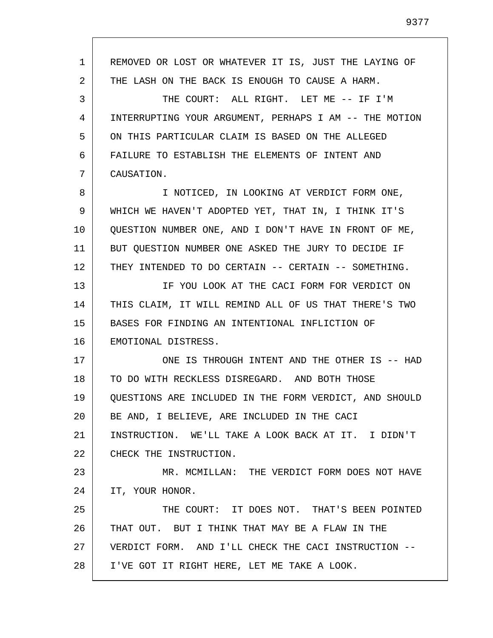1 2 3 4 5 6 7 8 9 10 11 12 13 14 15 16 17 18 19 20 21 22 23 24 25 26 27 28 REMOVED OR LOST OR WHATEVER IT IS, JUST THE LAYING OF THE LASH ON THE BACK IS ENOUGH TO CAUSE A HARM. THE COURT: ALL RIGHT. LET ME -- IF I'M INTERRUPTING YOUR ARGUMENT, PERHAPS I AM -- THE MOTION ON THIS PARTICULAR CLAIM IS BASED ON THE ALLEGED FAILURE TO ESTABLISH THE ELEMENTS OF INTENT AND CAUSATION. I NOTICED, IN LOOKING AT VERDICT FORM ONE, WHICH WE HAVEN'T ADOPTED YET, THAT IN, I THINK IT'S QUESTION NUMBER ONE, AND I DON'T HAVE IN FRONT OF ME, BUT QUESTION NUMBER ONE ASKED THE JURY TO DECIDE IF THEY INTENDED TO DO CERTAIN -- CERTAIN -- SOMETHING. IF YOU LOOK AT THE CACI FORM FOR VERDICT ON THIS CLAIM, IT WILL REMIND ALL OF US THAT THERE'S TWO BASES FOR FINDING AN INTENTIONAL INFLICTION OF EMOTIONAL DISTRESS. ONE IS THROUGH INTENT AND THE OTHER IS -- HAD TO DO WITH RECKLESS DISREGARD. AND BOTH THOSE QUESTIONS ARE INCLUDED IN THE FORM VERDICT, AND SHOULD BE AND, I BELIEVE, ARE INCLUDED IN THE CACI INSTRUCTION. WE'LL TAKE A LOOK BACK AT IT. I DIDN'T CHECK THE INSTRUCTION. MR. MCMILLAN: THE VERDICT FORM DOES NOT HAVE IT, YOUR HONOR. THE COURT: IT DOES NOT. THAT'S BEEN POINTED THAT OUT. BUT I THINK THAT MAY BE A FLAW IN THE VERDICT FORM. AND I'LL CHECK THE CACI INSTRUCTION -- I'VE GOT IT RIGHT HERE, LET ME TAKE A LOOK.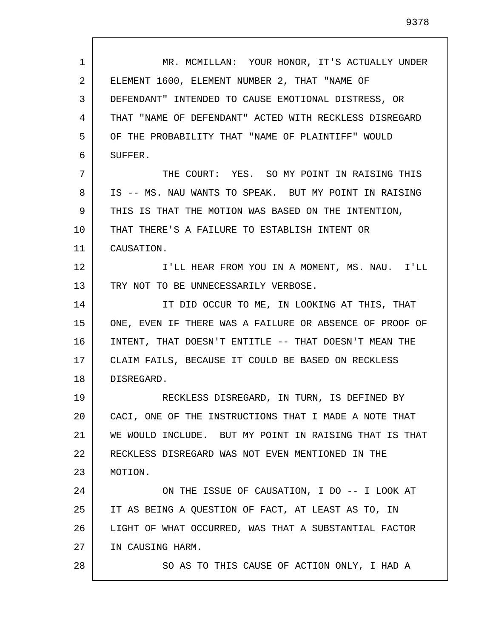| $\mathbf{1}$ | MR. MCMILLAN: YOUR HONOR, IT'S ACTUALLY UNDER           |
|--------------|---------------------------------------------------------|
| 2            | ELEMENT 1600, ELEMENT NUMBER 2, THAT "NAME OF           |
| 3            | DEFENDANT" INTENDED TO CAUSE EMOTIONAL DISTRESS, OR     |
| 4            | THAT "NAME OF DEFENDANT" ACTED WITH RECKLESS DISREGARD  |
| 5            | OF THE PROBABILITY THAT "NAME OF PLAINTIFF" WOULD       |
| 6            | SUFFER.                                                 |
| 7            | THE COURT: YES. SO MY POINT IN RAISING THIS             |
| 8            | IS -- MS. NAU WANTS TO SPEAK. BUT MY POINT IN RAISING   |
| 9            | THIS IS THAT THE MOTION WAS BASED ON THE INTENTION,     |
| 10           | THAT THERE'S A FAILURE TO ESTABLISH INTENT OR           |
| 11           | CAUSATION.                                              |
| 12           | I'LL HEAR FROM YOU IN A MOMENT, MS. NAU. I'LL           |
| 13           | TRY NOT TO BE UNNECESSARILY VERBOSE.                    |
| 14           | IT DID OCCUR TO ME, IN LOOKING AT THIS, THAT            |
| 15           | ONE, EVEN IF THERE WAS A FAILURE OR ABSENCE OF PROOF OF |
| 16           | INTENT, THAT DOESN'T ENTITLE -- THAT DOESN'T MEAN THE   |
| 17           | CLAIM FAILS, BECAUSE IT COULD BE BASED ON RECKLESS      |
| 18           | DISREGARD.                                              |
| 19           | RECKLESS DISREGARD, IN TURN, IS DEFINED BY              |
| 20           | CACI, ONE OF THE INSTRUCTIONS THAT I MADE A NOTE THAT   |
| 21           | WE WOULD INCLUDE. BUT MY POINT IN RAISING THAT IS THAT  |
| 22           | RECKLESS DISREGARD WAS NOT EVEN MENTIONED IN THE        |
| 23           | MOTION.                                                 |
| 24           | ON THE ISSUE OF CAUSATION, I DO -- I LOOK AT            |
| 25           | IT AS BEING A QUESTION OF FACT, AT LEAST AS TO, IN      |
| 26           | LIGHT OF WHAT OCCURRED, WAS THAT A SUBSTANTIAL FACTOR   |
| 27           | IN CAUSING HARM.                                        |
| 28           | SO AS TO THIS CAUSE OF ACTION ONLY, I HAD A             |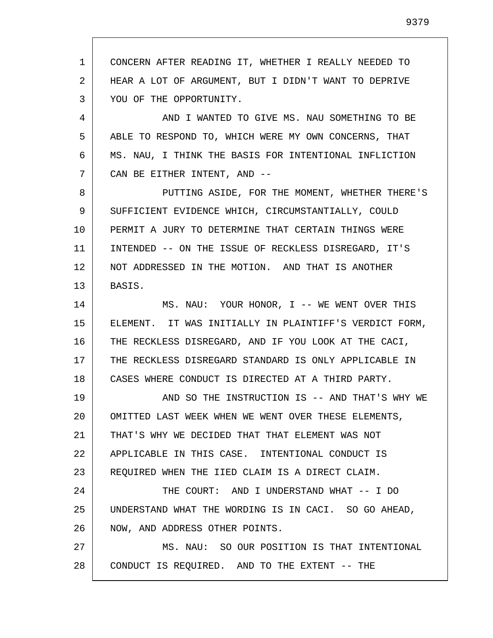1 2 3 4 5 6 7 8 9 10 11 12 13 14 15 16 17 18 19 20 21 22 23 24 25 26 27 28 CONCERN AFTER READING IT, WHETHER I REALLY NEEDED TO HEAR A LOT OF ARGUMENT, BUT I DIDN'T WANT TO DEPRIVE YOU OF THE OPPORTUNITY. AND I WANTED TO GIVE MS. NAU SOMETHING TO BE ABLE TO RESPOND TO, WHICH WERE MY OWN CONCERNS, THAT MS. NAU, I THINK THE BASIS FOR INTENTIONAL INFLICTION CAN BE EITHER INTENT, AND -- PUTTING ASIDE, FOR THE MOMENT, WHETHER THERE'S SUFFICIENT EVIDENCE WHICH, CIRCUMSTANTIALLY, COULD PERMIT A JURY TO DETERMINE THAT CERTAIN THINGS WERE INTENDED -- ON THE ISSUE OF RECKLESS DISREGARD, IT'S NOT ADDRESSED IN THE MOTION. AND THAT IS ANOTHER BASIS. MS. NAU: YOUR HONOR, I -- WE WENT OVER THIS ELEMENT. IT WAS INITIALLY IN PLAINTIFF'S VERDICT FORM, THE RECKLESS DISREGARD, AND IF YOU LOOK AT THE CACI, THE RECKLESS DISREGARD STANDARD IS ONLY APPLICABLE IN CASES WHERE CONDUCT IS DIRECTED AT A THIRD PARTY. AND SO THE INSTRUCTION IS -- AND THAT'S WHY WE OMITTED LAST WEEK WHEN WE WENT OVER THESE ELEMENTS, THAT'S WHY WE DECIDED THAT THAT ELEMENT WAS NOT APPLICABLE IN THIS CASE. INTENTIONAL CONDUCT IS REQUIRED WHEN THE IIED CLAIM IS A DIRECT CLAIM. THE COURT: AND I UNDERSTAND WHAT -- I DO UNDERSTAND WHAT THE WORDING IS IN CACI. SO GO AHEAD, NOW, AND ADDRESS OTHER POINTS. MS. NAU: SO OUR POSITION IS THAT INTENTIONAL CONDUCT IS REQUIRED. AND TO THE EXTENT -- THE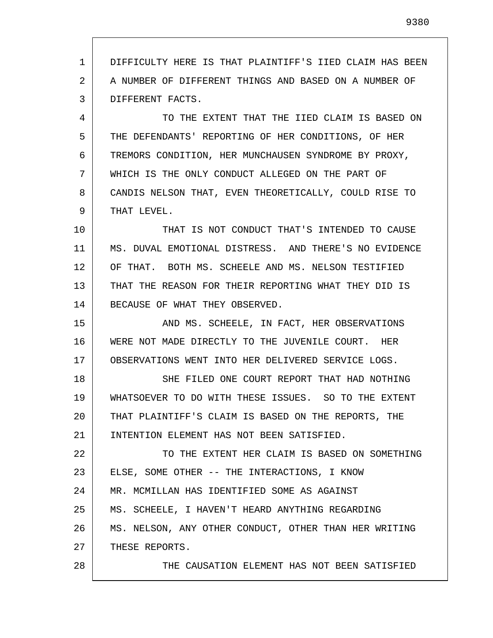1 2 3 DIFFICULTY HERE IS THAT PLAINTIFF'S IIED CLAIM HAS BEEN A NUMBER OF DIFFERENT THINGS AND BASED ON A NUMBER OF DIFFERENT FACTS.

4 5 6 7 8 9 TO THE EXTENT THAT THE IIED CLAIM IS BASED ON THE DEFENDANTS' REPORTING OF HER CONDITIONS, OF HER TREMORS CONDITION, HER MUNCHAUSEN SYNDROME BY PROXY, WHICH IS THE ONLY CONDUCT ALLEGED ON THE PART OF CANDIS NELSON THAT, EVEN THEORETICALLY, COULD RISE TO THAT LEVEL.

10 11 12 13 14 THAT IS NOT CONDUCT THAT'S INTENDED TO CAUSE MS. DUVAL EMOTIONAL DISTRESS. AND THERE'S NO EVIDENCE OF THAT. BOTH MS. SCHEELE AND MS. NELSON TESTIFIED THAT THE REASON FOR THEIR REPORTING WHAT THEY DID IS BECAUSE OF WHAT THEY OBSERVED.

15 16 17 AND MS. SCHEELE, IN FACT, HER OBSERVATIONS WERE NOT MADE DIRECTLY TO THE JUVENILE COURT. HER OBSERVATIONS WENT INTO HER DELIVERED SERVICE LOGS.

18 19 20 21 SHE FILED ONE COURT REPORT THAT HAD NOTHING WHATSOEVER TO DO WITH THESE ISSUES. SO TO THE EXTENT THAT PLAINTIFF'S CLAIM IS BASED ON THE REPORTS, THE INTENTION ELEMENT HAS NOT BEEN SATISFIED.

22 23 24 25 26 27 28 TO THE EXTENT HER CLAIM IS BASED ON SOMETHING ELSE, SOME OTHER -- THE INTERACTIONS, I KNOW MR. MCMILLAN HAS IDENTIFIED SOME AS AGAINST MS. SCHEELE, I HAVEN'T HEARD ANYTHING REGARDING MS. NELSON, ANY OTHER CONDUCT, OTHER THAN HER WRITING THESE REPORTS. THE CAUSATION ELEMENT HAS NOT BEEN SATISFIED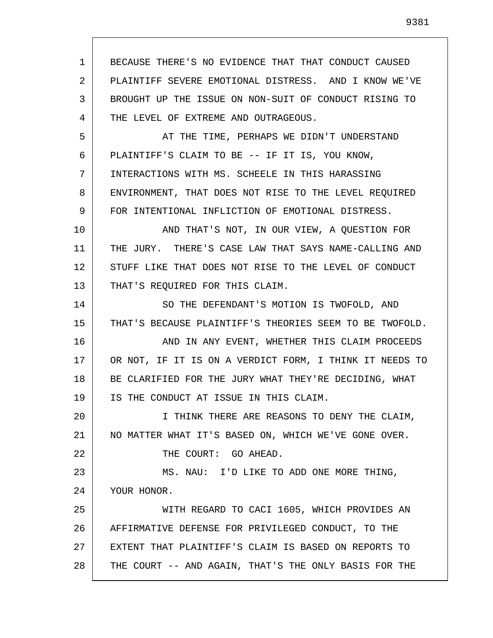1 2 3 4 5 6 7 8 9 10 11 12 13 14 15 16 17 18 19 20 21 22 23 24 25 26 27 28 BECAUSE THERE'S NO EVIDENCE THAT THAT CONDUCT CAUSED PLAINTIFF SEVERE EMOTIONAL DISTRESS. AND I KNOW WE'VE BROUGHT UP THE ISSUE ON NON-SUIT OF CONDUCT RISING TO THE LEVEL OF EXTREME AND OUTRAGEOUS. AT THE TIME, PERHAPS WE DIDN'T UNDERSTAND PLAINTIFF'S CLAIM TO BE -- IF IT IS, YOU KNOW, INTERACTIONS WITH MS. SCHEELE IN THIS HARASSING ENVIRONMENT, THAT DOES NOT RISE TO THE LEVEL REQUIRED FOR INTENTIONAL INFLICTION OF EMOTIONAL DISTRESS. AND THAT'S NOT, IN OUR VIEW, A QUESTION FOR THE JURY. THERE'S CASE LAW THAT SAYS NAME-CALLING AND STUFF LIKE THAT DOES NOT RISE TO THE LEVEL OF CONDUCT THAT'S REQUIRED FOR THIS CLAIM. SO THE DEFENDANT'S MOTION IS TWOFOLD, AND THAT'S BECAUSE PLAINTIFF'S THEORIES SEEM TO BE TWOFOLD. AND IN ANY EVENT, WHETHER THIS CLAIM PROCEEDS OR NOT, IF IT IS ON A VERDICT FORM, I THINK IT NEEDS TO BE CLARIFIED FOR THE JURY WHAT THEY'RE DECIDING, WHAT IS THE CONDUCT AT ISSUE IN THIS CLAIM. I THINK THERE ARE REASONS TO DENY THE CLAIM, NO MATTER WHAT IT'S BASED ON, WHICH WE'VE GONE OVER. THE COURT: GO AHEAD. MS. NAU: I'D LIKE TO ADD ONE MORE THING, YOUR HONOR. WITH REGARD TO CACI 1605, WHICH PROVIDES AN AFFIRMATIVE DEFENSE FOR PRIVILEGED CONDUCT, TO THE EXTENT THAT PLAINTIFF'S CLAIM IS BASED ON REPORTS TO THE COURT -- AND AGAIN, THAT'S THE ONLY BASIS FOR THE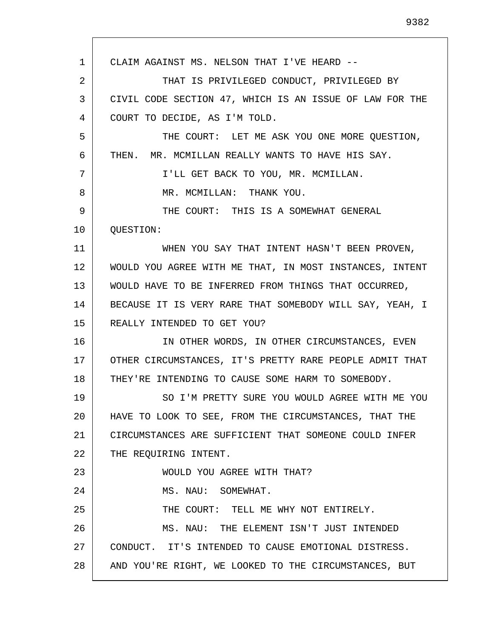1 2 3 4 5 6 7 8 9 10 11 12 13 14 15 16 17 18 19 20 21 22 23 24 25 26 27 28 CLAIM AGAINST MS. NELSON THAT I'VE HEARD -- THAT IS PRIVILEGED CONDUCT, PRIVILEGED BY CIVIL CODE SECTION 47, WHICH IS AN ISSUE OF LAW FOR THE COURT TO DECIDE, AS I'M TOLD. THE COURT: LET ME ASK YOU ONE MORE QUESTION, THEN. MR. MCMILLAN REALLY WANTS TO HAVE HIS SAY. I'LL GET BACK TO YOU, MR. MCMILLAN. MR. MCMILLAN: THANK YOU. THE COURT: THIS IS A SOMEWHAT GENERAL QUESTION: WHEN YOU SAY THAT INTENT HASN'T BEEN PROVEN, WOULD YOU AGREE WITH ME THAT, IN MOST INSTANCES, INTENT WOULD HAVE TO BE INFERRED FROM THINGS THAT OCCURRED, BECAUSE IT IS VERY RARE THAT SOMEBODY WILL SAY, YEAH, I REALLY INTENDED TO GET YOU? IN OTHER WORDS, IN OTHER CIRCUMSTANCES, EVEN OTHER CIRCUMSTANCES, IT'S PRETTY RARE PEOPLE ADMIT THAT THEY'RE INTENDING TO CAUSE SOME HARM TO SOMEBODY. SO I'M PRETTY SURE YOU WOULD AGREE WITH ME YOU HAVE TO LOOK TO SEE, FROM THE CIRCUMSTANCES, THAT THE CIRCUMSTANCES ARE SUFFICIENT THAT SOMEONE COULD INFER THE REQUIRING INTENT. WOULD YOU AGREE WITH THAT? MS. NAU: SOMEWHAT. THE COURT: TELL ME WHY NOT ENTIRELY. MS. NAU: THE ELEMENT ISN'T JUST INTENDED CONDUCT. IT'S INTENDED TO CAUSE EMOTIONAL DISTRESS. AND YOU'RE RIGHT, WE LOOKED TO THE CIRCUMSTANCES, BUT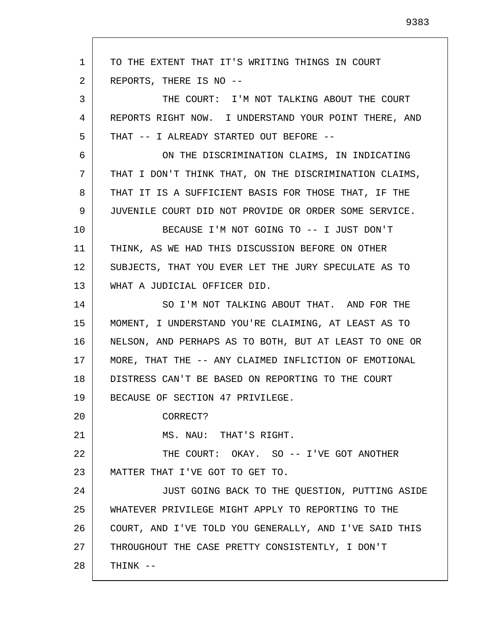1 2 3 4 5 6 7 8 9 10 11 12 13 14 15 16 17 18 19 20 21 22 23 24 25 26 27 28 TO THE EXTENT THAT IT'S WRITING THINGS IN COURT REPORTS, THERE IS NO -- THE COURT: I'M NOT TALKING ABOUT THE COURT REPORTS RIGHT NOW. I UNDERSTAND YOUR POINT THERE, AND THAT -- I ALREADY STARTED OUT BEFORE -- ON THE DISCRIMINATION CLAIMS, IN INDICATING THAT I DON'T THINK THAT, ON THE DISCRIMINATION CLAIMS, THAT IT IS A SUFFICIENT BASIS FOR THOSE THAT, IF THE JUVENILE COURT DID NOT PROVIDE OR ORDER SOME SERVICE. BECAUSE I'M NOT GOING TO -- I JUST DON'T THINK, AS WE HAD THIS DISCUSSION BEFORE ON OTHER SUBJECTS, THAT YOU EVER LET THE JURY SPECULATE AS TO WHAT A JUDICIAL OFFICER DID. SO I'M NOT TALKING ABOUT THAT. AND FOR THE MOMENT, I UNDERSTAND YOU'RE CLAIMING, AT LEAST AS TO NELSON, AND PERHAPS AS TO BOTH, BUT AT LEAST TO ONE OR MORE, THAT THE -- ANY CLAIMED INFLICTION OF EMOTIONAL DISTRESS CAN'T BE BASED ON REPORTING TO THE COURT BECAUSE OF SECTION 47 PRIVILEGE. CORRECT? MS. NAU: THAT'S RIGHT. THE COURT: OKAY. SO -- I'VE GOT ANOTHER MATTER THAT I'VE GOT TO GET TO. JUST GOING BACK TO THE QUESTION, PUTTING ASIDE WHATEVER PRIVILEGE MIGHT APPLY TO REPORTING TO THE COURT, AND I'VE TOLD YOU GENERALLY, AND I'VE SAID THIS THROUGHOUT THE CASE PRETTY CONSISTENTLY, I DON'T THINK --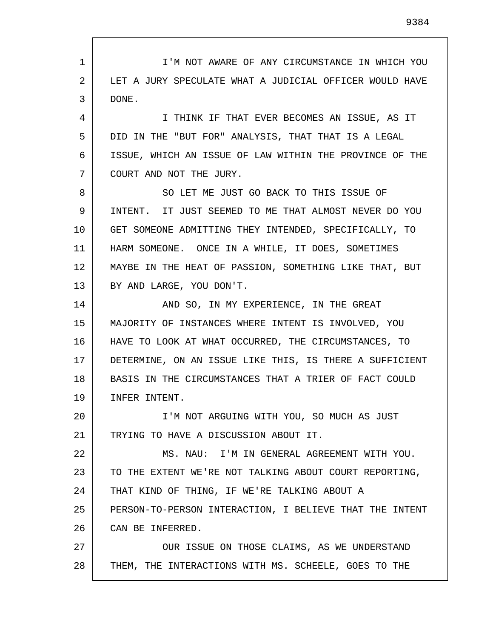1 2 3 4 5 6 7 8 9 10 11 12 13 14 15 16 17 18 19 20 21 22 23 24 25 26 27 28 I'M NOT AWARE OF ANY CIRCUMSTANCE IN WHICH YOU LET A JURY SPECULATE WHAT A JUDICIAL OFFICER WOULD HAVE DONE. I THINK IF THAT EVER BECOMES AN ISSUE, AS IT DID IN THE "BUT FOR" ANALYSIS, THAT THAT IS A LEGAL ISSUE, WHICH AN ISSUE OF LAW WITHIN THE PROVINCE OF THE COURT AND NOT THE JURY. SO LET ME JUST GO BACK TO THIS ISSUE OF INTENT. IT JUST SEEMED TO ME THAT ALMOST NEVER DO YOU GET SOMEONE ADMITTING THEY INTENDED, SPECIFICALLY, TO HARM SOMEONE. ONCE IN A WHILE, IT DOES, SOMETIMES MAYBE IN THE HEAT OF PASSION, SOMETHING LIKE THAT, BUT BY AND LARGE, YOU DON'T. AND SO, IN MY EXPERIENCE, IN THE GREAT MAJORITY OF INSTANCES WHERE INTENT IS INVOLVED, YOU HAVE TO LOOK AT WHAT OCCURRED, THE CIRCUMSTANCES, TO DETERMINE, ON AN ISSUE LIKE THIS, IS THERE A SUFFICIENT BASIS IN THE CIRCUMSTANCES THAT A TRIER OF FACT COULD INFER INTENT. I'M NOT ARGUING WITH YOU, SO MUCH AS JUST TRYING TO HAVE A DISCUSSION ABOUT IT. MS. NAU: I'M IN GENERAL AGREEMENT WITH YOU. TO THE EXTENT WE'RE NOT TALKING ABOUT COURT REPORTING, THAT KIND OF THING, IF WE'RE TALKING ABOUT A PERSON-TO-PERSON INTERACTION, I BELIEVE THAT THE INTENT CAN BE INFERRED. OUR ISSUE ON THOSE CLAIMS, AS WE UNDERSTAND THEM, THE INTERACTIONS WITH MS. SCHEELE, GOES TO THE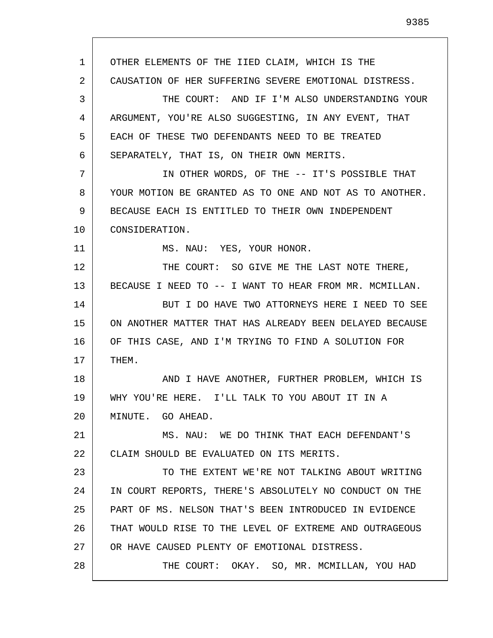1 2 3 4 5 6 7 8 9 10 11 12 13 14 15 16 17 18 19 20 21 22 23 24 25 26 27 28 OTHER ELEMENTS OF THE IIED CLAIM, WHICH IS THE CAUSATION OF HER SUFFERING SEVERE EMOTIONAL DISTRESS. THE COURT: AND IF I'M ALSO UNDERSTANDING YOUR ARGUMENT, YOU'RE ALSO SUGGESTING, IN ANY EVENT, THAT EACH OF THESE TWO DEFENDANTS NEED TO BE TREATED SEPARATELY, THAT IS, ON THEIR OWN MERITS. IN OTHER WORDS, OF THE -- IT'S POSSIBLE THAT YOUR MOTION BE GRANTED AS TO ONE AND NOT AS TO ANOTHER. BECAUSE EACH IS ENTITLED TO THEIR OWN INDEPENDENT CONSIDERATION. MS. NAU: YES, YOUR HONOR. THE COURT: SO GIVE ME THE LAST NOTE THERE, BECAUSE I NEED TO -- I WANT TO HEAR FROM MR. MCMILLAN. BUT I DO HAVE TWO ATTORNEYS HERE I NEED TO SEE ON ANOTHER MATTER THAT HAS ALREADY BEEN DELAYED BECAUSE OF THIS CASE, AND I'M TRYING TO FIND A SOLUTION FOR THEM. AND I HAVE ANOTHER, FURTHER PROBLEM, WHICH IS WHY YOU'RE HERE. I'LL TALK TO YOU ABOUT IT IN A MINUTE. GO AHEAD. MS. NAU: WE DO THINK THAT EACH DEFENDANT'S CLAIM SHOULD BE EVALUATED ON ITS MERITS. TO THE EXTENT WE'RE NOT TALKING ABOUT WRITING IN COURT REPORTS, THERE'S ABSOLUTELY NO CONDUCT ON THE PART OF MS. NELSON THAT'S BEEN INTRODUCED IN EVIDENCE THAT WOULD RISE TO THE LEVEL OF EXTREME AND OUTRAGEOUS OR HAVE CAUSED PLENTY OF EMOTIONAL DISTRESS. THE COURT: OKAY. SO, MR. MCMILLAN, YOU HAD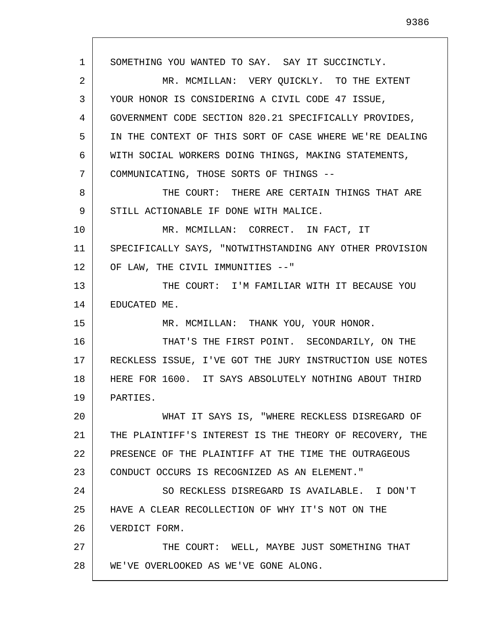1 2 3 4 5 6 7 8 9 10 11 12 13 14 15 16 17 18 19 20 21 22 23 24 25 26 27 28 SOMETHING YOU WANTED TO SAY. SAY IT SUCCINCTLY. MR. MCMILLAN: VERY QUICKLY. TO THE EXTENT YOUR HONOR IS CONSIDERING A CIVIL CODE 47 ISSUE, GOVERNMENT CODE SECTION 820.21 SPECIFICALLY PROVIDES, IN THE CONTEXT OF THIS SORT OF CASE WHERE WE'RE DEALING WITH SOCIAL WORKERS DOING THINGS, MAKING STATEMENTS, COMMUNICATING, THOSE SORTS OF THINGS -- THE COURT: THERE ARE CERTAIN THINGS THAT ARE STILL ACTIONABLE IF DONE WITH MALICE. MR. MCMILLAN: CORRECT. IN FACT, IT SPECIFICALLY SAYS, "NOTWITHSTANDING ANY OTHER PROVISION OF LAW, THE CIVIL IMMUNITIES --" THE COURT: I'M FAMILIAR WITH IT BECAUSE YOU EDUCATED ME. MR. MCMILLAN: THANK YOU, YOUR HONOR. THAT'S THE FIRST POINT. SECONDARILY, ON THE RECKLESS ISSUE, I'VE GOT THE JURY INSTRUCTION USE NOTES HERE FOR 1600. IT SAYS ABSOLUTELY NOTHING ABOUT THIRD PARTIES. WHAT IT SAYS IS, "WHERE RECKLESS DISREGARD OF THE PLAINTIFF'S INTEREST IS THE THEORY OF RECOVERY, THE PRESENCE OF THE PLAINTIFF AT THE TIME THE OUTRAGEOUS CONDUCT OCCURS IS RECOGNIZED AS AN ELEMENT." SO RECKLESS DISREGARD IS AVAILABLE. I DON'T HAVE A CLEAR RECOLLECTION OF WHY IT'S NOT ON THE VERDICT FORM. THE COURT: WELL, MAYBE JUST SOMETHING THAT WE'VE OVERLOOKED AS WE'VE GONE ALONG.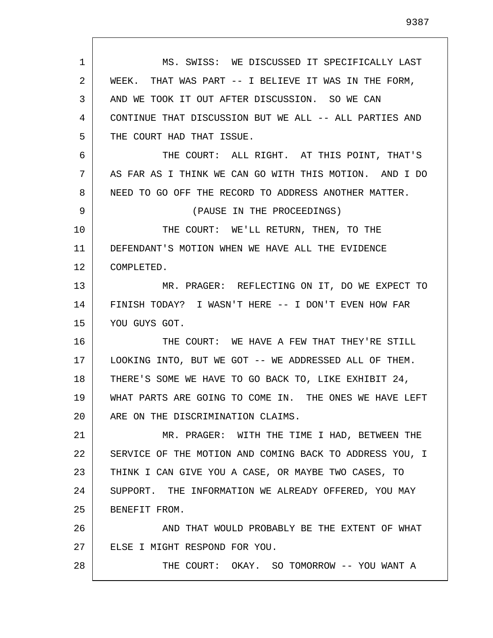| 1  | MS. SWISS: WE DISCUSSED IT SPECIFICALLY LAST            |
|----|---------------------------------------------------------|
| 2  | WEEK. THAT WAS PART -- I BELIEVE IT WAS IN THE FORM,    |
| 3  | AND WE TOOK IT OUT AFTER DISCUSSION. SO WE CAN          |
| 4  | CONTINUE THAT DISCUSSION BUT WE ALL -- ALL PARTIES AND  |
| 5  | THE COURT HAD THAT ISSUE.                               |
| 6  | THE COURT: ALL RIGHT. AT THIS POINT, THAT'S             |
| 7  | AS FAR AS I THINK WE CAN GO WITH THIS MOTION. AND I DO  |
| 8  | NEED TO GO OFF THE RECORD TO ADDRESS ANOTHER MATTER.    |
| 9  | (PAUSE IN THE PROCEEDINGS)                              |
| 10 | THE COURT: WE'LL RETURN, THEN, TO THE                   |
| 11 | DEFENDANT'S MOTION WHEN WE HAVE ALL THE EVIDENCE        |
| 12 | COMPLETED.                                              |
| 13 | MR. PRAGER: REFLECTING ON IT, DO WE EXPECT TO           |
| 14 | FINISH TODAY? I WASN'T HERE -- I DON'T EVEN HOW FAR     |
| 15 | YOU GUYS GOT.                                           |
| 16 | THE COURT: WE HAVE A FEW THAT THEY'RE STILL             |
| 17 | LOOKING INTO, BUT WE GOT -- WE ADDRESSED ALL OF THEM.   |
| 18 | THERE'S SOME WE HAVE TO GO BACK TO, LIKE EXHIBIT 24,    |
| 19 | WHAT PARTS ARE GOING TO COME IN. THE ONES WE HAVE LEFT  |
| 20 | ARE ON THE DISCRIMINATION CLAIMS.                       |
| 21 | MR. PRAGER: WITH THE TIME I HAD, BETWEEN THE            |
| 22 | SERVICE OF THE MOTION AND COMING BACK TO ADDRESS YOU, I |
| 23 | THINK I CAN GIVE YOU A CASE, OR MAYBE TWO CASES, TO     |
| 24 | SUPPORT. THE INFORMATION WE ALREADY OFFERED, YOU MAY    |
| 25 | BENEFIT FROM.                                           |
| 26 | AND THAT WOULD PROBABLY BE THE EXTENT OF WHAT           |
| 27 | ELSE I MIGHT RESPOND FOR YOU.                           |
| 28 | THE COURT: OKAY. SO TOMORROW -- YOU WANT A              |

L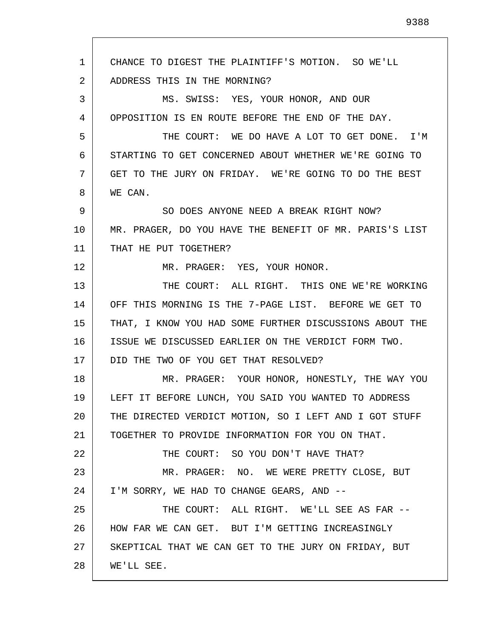1 2 3 4 5 6 7 8 9 10 11 12 13 14 15 16 17 18 19 20 21 22 23 24 25 26 27 28 CHANCE TO DIGEST THE PLAINTIFF'S MOTION. SO WE'LL ADDRESS THIS IN THE MORNING? MS. SWISS: YES, YOUR HONOR, AND OUR OPPOSITION IS EN ROUTE BEFORE THE END OF THE DAY. THE COURT: WE DO HAVE A LOT TO GET DONE. I'M STARTING TO GET CONCERNED ABOUT WHETHER WE'RE GOING TO GET TO THE JURY ON FRIDAY. WE'RE GOING TO DO THE BEST WE CAN. SO DOES ANYONE NEED A BREAK RIGHT NOW? MR. PRAGER, DO YOU HAVE THE BENEFIT OF MR. PARIS'S LIST THAT HE PUT TOGETHER? MR. PRAGER: YES, YOUR HONOR. THE COURT: ALL RIGHT. THIS ONE WE'RE WORKING OFF THIS MORNING IS THE 7-PAGE LIST. BEFORE WE GET TO THAT, I KNOW YOU HAD SOME FURTHER DISCUSSIONS ABOUT THE ISSUE WE DISCUSSED EARLIER ON THE VERDICT FORM TWO. DID THE TWO OF YOU GET THAT RESOLVED? MR. PRAGER: YOUR HONOR, HONESTLY, THE WAY YOU LEFT IT BEFORE LUNCH, YOU SAID YOU WANTED TO ADDRESS THE DIRECTED VERDICT MOTION, SO I LEFT AND I GOT STUFF TOGETHER TO PROVIDE INFORMATION FOR YOU ON THAT. THE COURT: SO YOU DON'T HAVE THAT? MR. PRAGER: NO. WE WERE PRETTY CLOSE, BUT I'M SORRY, WE HAD TO CHANGE GEARS, AND -- THE COURT: ALL RIGHT. WE'LL SEE AS FAR --HOW FAR WE CAN GET. BUT I'M GETTING INCREASINGLY SKEPTICAL THAT WE CAN GET TO THE JURY ON FRIDAY, BUT WE'LL SEE.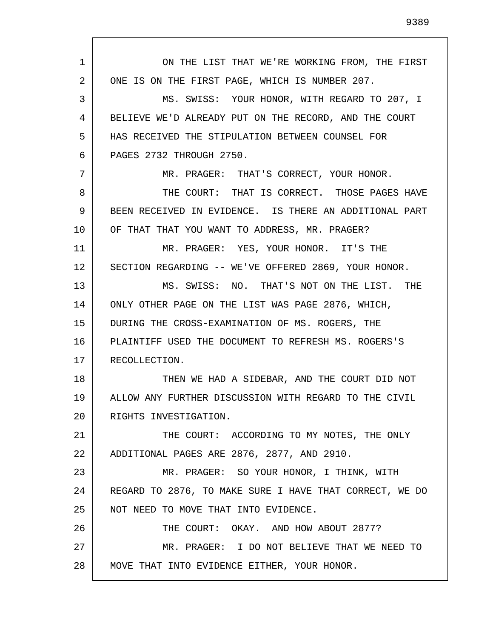1 2 3 4 5 6 7 8 9 10 11 12 13 14 15 16 17 18 19 20 21 22 23 24 25 26 27 28 ON THE LIST THAT WE'RE WORKING FROM, THE FIRST ONE IS ON THE FIRST PAGE, WHICH IS NUMBER 207. MS. SWISS: YOUR HONOR, WITH REGARD TO 207, I BELIEVE WE'D ALREADY PUT ON THE RECORD, AND THE COURT HAS RECEIVED THE STIPULATION BETWEEN COUNSEL FOR PAGES 2732 THROUGH 2750. MR. PRAGER: THAT'S CORRECT, YOUR HONOR. THE COURT: THAT IS CORRECT. THOSE PAGES HAVE BEEN RECEIVED IN EVIDENCE. IS THERE AN ADDITIONAL PART OF THAT THAT YOU WANT TO ADDRESS, MR. PRAGER? MR. PRAGER: YES, YOUR HONOR. IT'S THE SECTION REGARDING -- WE'VE OFFERED 2869, YOUR HONOR. MS. SWISS: NO. THAT'S NOT ON THE LIST. THE ONLY OTHER PAGE ON THE LIST WAS PAGE 2876, WHICH, DURING THE CROSS-EXAMINATION OF MS. ROGERS, THE PLAINTIFF USED THE DOCUMENT TO REFRESH MS. ROGERS'S RECOLLECTION. THEN WE HAD A SIDEBAR, AND THE COURT DID NOT ALLOW ANY FURTHER DISCUSSION WITH REGARD TO THE CIVIL RIGHTS INVESTIGATION. THE COURT: ACCORDING TO MY NOTES, THE ONLY ADDITIONAL PAGES ARE 2876, 2877, AND 2910. MR. PRAGER: SO YOUR HONOR, I THINK, WITH REGARD TO 2876, TO MAKE SURE I HAVE THAT CORRECT, WE DO NOT NEED TO MOVE THAT INTO EVIDENCE. THE COURT: OKAY. AND HOW ABOUT 2877? MR. PRAGER: I DO NOT BELIEVE THAT WE NEED TO MOVE THAT INTO EVIDENCE EITHER, YOUR HONOR.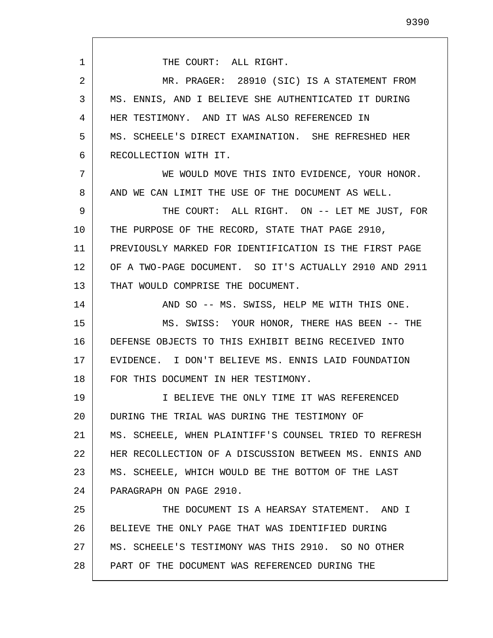1 2 3 4 5 6 7 8 9 10 11 12 13 14 15 16 17 18 19 20 21 22 23 24 25 26 27 28 THE COURT: ALL RIGHT. MR. PRAGER: 28910 (SIC) IS A STATEMENT FROM MS. ENNIS, AND I BELIEVE SHE AUTHENTICATED IT DURING HER TESTIMONY. AND IT WAS ALSO REFERENCED IN MS. SCHEELE'S DIRECT EXAMINATION. SHE REFRESHED HER RECOLLECTION WITH IT. WE WOULD MOVE THIS INTO EVIDENCE, YOUR HONOR. AND WE CAN LIMIT THE USE OF THE DOCUMENT AS WELL. THE COURT: ALL RIGHT. ON -- LET ME JUST, FOR THE PURPOSE OF THE RECORD, STATE THAT PAGE 2910, PREVIOUSLY MARKED FOR IDENTIFICATION IS THE FIRST PAGE OF A TWO-PAGE DOCUMENT. SO IT'S ACTUALLY 2910 AND 2911 THAT WOULD COMPRISE THE DOCUMENT. AND SO -- MS. SWISS, HELP ME WITH THIS ONE. MS. SWISS: YOUR HONOR, THERE HAS BEEN -- THE DEFENSE OBJECTS TO THIS EXHIBIT BEING RECEIVED INTO EVIDENCE. I DON'T BELIEVE MS. ENNIS LAID FOUNDATION FOR THIS DOCUMENT IN HER TESTIMONY. I BELIEVE THE ONLY TIME IT WAS REFERENCED DURING THE TRIAL WAS DURING THE TESTIMONY OF MS. SCHEELE, WHEN PLAINTIFF'S COUNSEL TRIED TO REFRESH HER RECOLLECTION OF A DISCUSSION BETWEEN MS. ENNIS AND MS. SCHEELE, WHICH WOULD BE THE BOTTOM OF THE LAST PARAGRAPH ON PAGE 2910. THE DOCUMENT IS A HEARSAY STATEMENT. AND I BELIEVE THE ONLY PAGE THAT WAS IDENTIFIED DURING MS. SCHEELE'S TESTIMONY WAS THIS 2910. SO NO OTHER PART OF THE DOCUMENT WAS REFERENCED DURING THE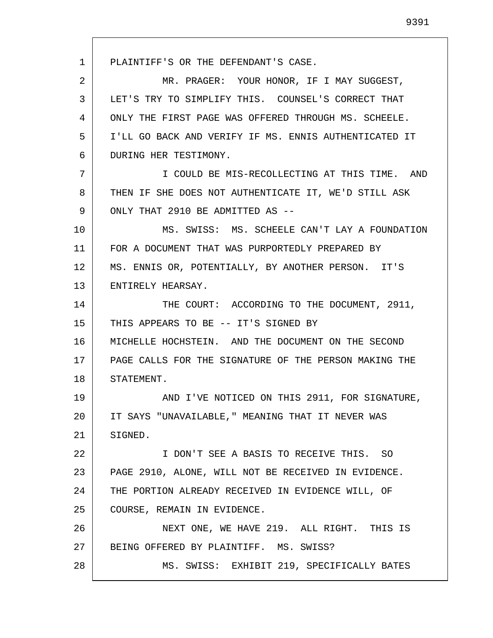1 2 3 4 5 6 7 8 9 10 11 12 13 14 15 16 17 18 19 20 21 22 23 24 25 26 27 28 PLAINTIFF'S OR THE DEFENDANT'S CASE. MR. PRAGER: YOUR HONOR, IF I MAY SUGGEST, LET'S TRY TO SIMPLIFY THIS. COUNSEL'S CORRECT THAT ONLY THE FIRST PAGE WAS OFFERED THROUGH MS. SCHEELE. I'LL GO BACK AND VERIFY IF MS. ENNIS AUTHENTICATED IT DURING HER TESTIMONY. I COULD BE MIS-RECOLLECTING AT THIS TIME. AND THEN IF SHE DOES NOT AUTHENTICATE IT, WE'D STILL ASK ONLY THAT 2910 BE ADMITTED AS -- MS. SWISS: MS. SCHEELE CAN'T LAY A FOUNDATION FOR A DOCUMENT THAT WAS PURPORTEDLY PREPARED BY MS. ENNIS OR, POTENTIALLY, BY ANOTHER PERSON. IT'S ENTIRELY HEARSAY. THE COURT: ACCORDING TO THE DOCUMENT, 2911, THIS APPEARS TO BE -- IT'S SIGNED BY MICHELLE HOCHSTEIN. AND THE DOCUMENT ON THE SECOND PAGE CALLS FOR THE SIGNATURE OF THE PERSON MAKING THE STATEMENT. AND I'VE NOTICED ON THIS 2911, FOR SIGNATURE, IT SAYS "UNAVAILABLE," MEANING THAT IT NEVER WAS SIGNED. I DON'T SEE A BASIS TO RECEIVE THIS. SO PAGE 2910, ALONE, WILL NOT BE RECEIVED IN EVIDENCE. THE PORTION ALREADY RECEIVED IN EVIDENCE WILL, OF COURSE, REMAIN IN EVIDENCE. NEXT ONE, WE HAVE 219. ALL RIGHT. THIS IS BEING OFFERED BY PLAINTIFF. MS. SWISS? MS. SWISS: EXHIBIT 219, SPECIFICALLY BATES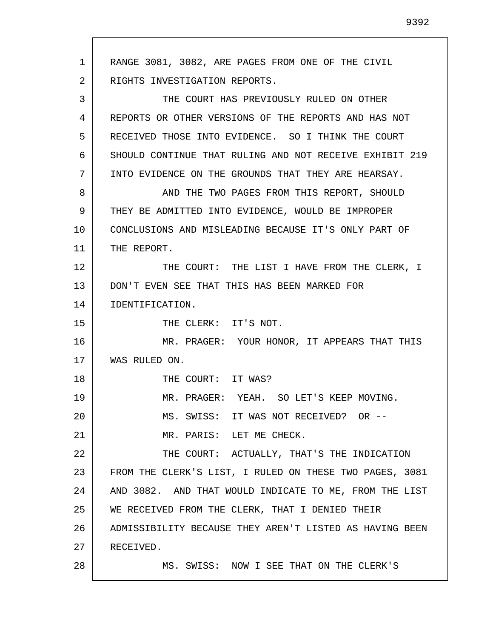1 2 3 4 5 6 7 8 9 10 11 12 13 14 15 16 17 18 19 20 21 22 23 24 25 26 27 28 RANGE 3081, 3082, ARE PAGES FROM ONE OF THE CIVIL RIGHTS INVESTIGATION REPORTS. THE COURT HAS PREVIOUSLY RULED ON OTHER REPORTS OR OTHER VERSIONS OF THE REPORTS AND HAS NOT RECEIVED THOSE INTO EVIDENCE. SO I THINK THE COURT SHOULD CONTINUE THAT RULING AND NOT RECEIVE EXHIBIT 219 INTO EVIDENCE ON THE GROUNDS THAT THEY ARE HEARSAY. AND THE TWO PAGES FROM THIS REPORT, SHOULD THEY BE ADMITTED INTO EVIDENCE, WOULD BE IMPROPER CONCLUSIONS AND MISLEADING BECAUSE IT'S ONLY PART OF THE REPORT. THE COURT: THE LIST I HAVE FROM THE CLERK, I DON'T EVEN SEE THAT THIS HAS BEEN MARKED FOR IDENTIFICATION. THE CLERK: IT'S NOT. MR. PRAGER: YOUR HONOR, IT APPEARS THAT THIS WAS RULED ON. THE COURT: IT WAS? MR. PRAGER: YEAH. SO LET'S KEEP MOVING. MS. SWISS: IT WAS NOT RECEIVED? OR -- MR. PARIS: LET ME CHECK. THE COURT: ACTUALLY, THAT'S THE INDICATION FROM THE CLERK'S LIST, I RULED ON THESE TWO PAGES, 3081 AND 3082. AND THAT WOULD INDICATE TO ME, FROM THE LIST WE RECEIVED FROM THE CLERK, THAT I DENIED THEIR ADMISSIBILITY BECAUSE THEY AREN'T LISTED AS HAVING BEEN RECEIVED. MS. SWISS: NOW I SEE THAT ON THE CLERK'S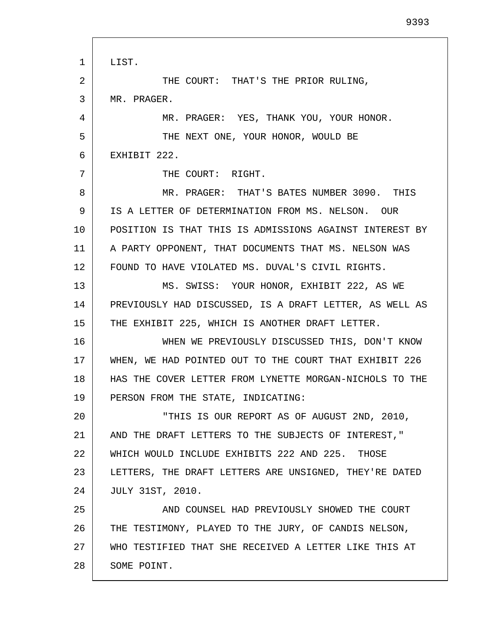1 2 3 4 5 6 7 8 9 10 11 12 13 14 15 16 17 18 19 20 21 22 23 24 25 26 27 28 LIST. THE COURT: THAT'S THE PRIOR RULING, MR. PRAGER. MR. PRAGER: YES, THANK YOU, YOUR HONOR. THE NEXT ONE, YOUR HONOR, WOULD BE EXHIBIT 222. THE COURT: RIGHT. MR. PRAGER: THAT'S BATES NUMBER 3090. THIS IS A LETTER OF DETERMINATION FROM MS. NELSON. OUR POSITION IS THAT THIS IS ADMISSIONS AGAINST INTEREST BY A PARTY OPPONENT, THAT DOCUMENTS THAT MS. NELSON WAS FOUND TO HAVE VIOLATED MS. DUVAL'S CIVIL RIGHTS. MS. SWISS: YOUR HONOR, EXHIBIT 222, AS WE PREVIOUSLY HAD DISCUSSED, IS A DRAFT LETTER, AS WELL AS THE EXHIBIT 225, WHICH IS ANOTHER DRAFT LETTER. WHEN WE PREVIOUSLY DISCUSSED THIS, DON'T KNOW WHEN, WE HAD POINTED OUT TO THE COURT THAT EXHIBIT 226 HAS THE COVER LETTER FROM LYNETTE MORGAN-NICHOLS TO THE PERSON FROM THE STATE, INDICATING: "THIS IS OUR REPORT AS OF AUGUST 2ND, 2010, AND THE DRAFT LETTERS TO THE SUBJECTS OF INTEREST," WHICH WOULD INCLUDE EXHIBITS 222 AND 225. THOSE LETTERS, THE DRAFT LETTERS ARE UNSIGNED, THEY'RE DATED JULY 31ST, 2010. AND COUNSEL HAD PREVIOUSLY SHOWED THE COURT THE TESTIMONY, PLAYED TO THE JURY, OF CANDIS NELSON, WHO TESTIFIED THAT SHE RECEIVED A LETTER LIKE THIS AT SOME POINT.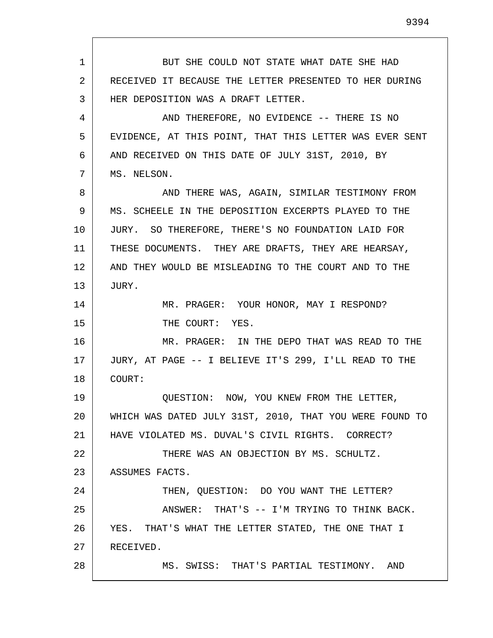1 2 3 4 5 6 7 8 9 10 11 12 13 14 15 16 17 18 19 20 21 22 23 24 25 26 27 28 BUT SHE COULD NOT STATE WHAT DATE SHE HAD RECEIVED IT BECAUSE THE LETTER PRESENTED TO HER DURING HER DEPOSITION WAS A DRAFT LETTER. AND THEREFORE, NO EVIDENCE -- THERE IS NO EVIDENCE, AT THIS POINT, THAT THIS LETTER WAS EVER SENT AND RECEIVED ON THIS DATE OF JULY 31ST, 2010, BY MS. NELSON. AND THERE WAS, AGAIN, SIMILAR TESTIMONY FROM MS. SCHEELE IN THE DEPOSITION EXCERPTS PLAYED TO THE JURY. SO THEREFORE, THERE'S NO FOUNDATION LAID FOR THESE DOCUMENTS. THEY ARE DRAFTS, THEY ARE HEARSAY, AND THEY WOULD BE MISLEADING TO THE COURT AND TO THE JURY. MR. PRAGER: YOUR HONOR, MAY I RESPOND? THE COURT: YES. MR. PRAGER: IN THE DEPO THAT WAS READ TO THE JURY, AT PAGE -- I BELIEVE IT'S 299, I'LL READ TO THE COURT: QUESTION: NOW, YOU KNEW FROM THE LETTER, WHICH WAS DATED JULY 31ST, 2010, THAT YOU WERE FOUND TO HAVE VIOLATED MS. DUVAL'S CIVIL RIGHTS. CORRECT? THERE WAS AN OBJECTION BY MS. SCHULTZ. ASSUMES FACTS. THEN, QUESTION: DO YOU WANT THE LETTER? ANSWER: THAT'S -- I'M TRYING TO THINK BACK. YES. THAT'S WHAT THE LETTER STATED, THE ONE THAT I RECEIVED. MS. SWISS: THAT'S PARTIAL TESTIMONY. AND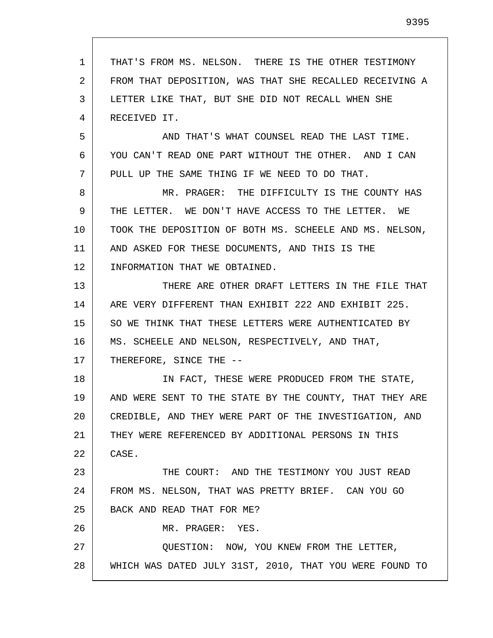| $\mathbf 1$ | THAT'S FROM MS. NELSON. THERE IS THE OTHER TESTIMONY    |
|-------------|---------------------------------------------------------|
| 2           | FROM THAT DEPOSITION, WAS THAT SHE RECALLED RECEIVING A |
| 3           | LETTER LIKE THAT, BUT SHE DID NOT RECALL WHEN SHE       |
| 4           | RECEIVED IT.                                            |
| 5           | AND THAT'S WHAT COUNSEL READ THE LAST TIME.             |
| 6           | YOU CAN'T READ ONE PART WITHOUT THE OTHER. AND I CAN    |
| 7           | PULL UP THE SAME THING IF WE NEED TO DO THAT.           |
| 8           | MR. PRAGER: THE DIFFICULTY IS THE COUNTY HAS            |
| 9           | THE LETTER. WE DON'T HAVE ACCESS TO THE LETTER. WE      |
| 10          | TOOK THE DEPOSITION OF BOTH MS. SCHEELE AND MS. NELSON, |
| 11          | AND ASKED FOR THESE DOCUMENTS, AND THIS IS THE          |
| 12          | INFORMATION THAT WE OBTAINED.                           |
| 13          | THERE ARE OTHER DRAFT LETTERS IN THE FILE THAT          |
| 14          | ARE VERY DIFFERENT THAN EXHIBIT 222 AND EXHIBIT 225.    |
| 15          | SO WE THINK THAT THESE LETTERS WERE AUTHENTICATED BY    |
| 16          | MS. SCHEELE AND NELSON, RESPECTIVELY, AND THAT,         |
| 17          | THEREFORE, SINCE THE --                                 |
| 18          | IN FACT, THESE WERE PRODUCED FROM THE STATE,            |
| 19          | AND WERE SENT TO THE STATE BY THE COUNTY, THAT THEY ARE |
| 20          | CREDIBLE, AND THEY WERE PART OF THE INVESTIGATION, AND  |
| 21          | THEY WERE REFERENCED BY ADDITIONAL PERSONS IN THIS      |
| 22          | CASE.                                                   |
| 23          | THE COURT: AND THE TESTIMONY YOU JUST READ              |
| 24          | FROM MS. NELSON, THAT WAS PRETTY BRIEF. CAN YOU GO      |
| 25          | BACK AND READ THAT FOR ME?                              |
| 26          | MR. PRAGER: YES.                                        |
| 27          | QUESTION: NOW, YOU KNEW FROM THE LETTER,                |
| 28          | WHICH WAS DATED JULY 31ST, 2010, THAT YOU WERE FOUND TO |
|             |                                                         |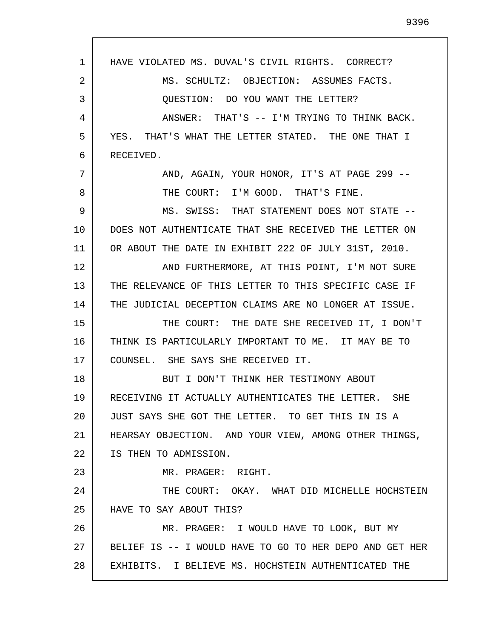1 2 3 4 5 6 7 8 9 10 11 12 13 14 15 16 17 18 19 20 21 22 23 24 25 26 27 28 HAVE VIOLATED MS. DUVAL'S CIVIL RIGHTS. CORRECT? MS. SCHULTZ: OBJECTION: ASSUMES FACTS. QUESTION: DO YOU WANT THE LETTER? ANSWER: THAT'S -- I'M TRYING TO THINK BACK. YES. THAT'S WHAT THE LETTER STATED. THE ONE THAT I RECEIVED. AND, AGAIN, YOUR HONOR, IT'S AT PAGE 299 -- THE COURT: I'M GOOD. THAT'S FINE. MS. SWISS: THAT STATEMENT DOES NOT STATE -- DOES NOT AUTHENTICATE THAT SHE RECEIVED THE LETTER ON OR ABOUT THE DATE IN EXHIBIT 222 OF JULY 31ST, 2010. AND FURTHERMORE, AT THIS POINT, I'M NOT SURE THE RELEVANCE OF THIS LETTER TO THIS SPECIFIC CASE IF THE JUDICIAL DECEPTION CLAIMS ARE NO LONGER AT ISSUE. THE COURT: THE DATE SHE RECEIVED IT, I DON'T THINK IS PARTICULARLY IMPORTANT TO ME. IT MAY BE TO COUNSEL. SHE SAYS SHE RECEIVED IT. BUT I DON'T THINK HER TESTIMONY ABOUT RECEIVING IT ACTUALLY AUTHENTICATES THE LETTER. SHE JUST SAYS SHE GOT THE LETTER. TO GET THIS IN IS A HEARSAY OBJECTION. AND YOUR VIEW, AMONG OTHER THINGS, IS THEN TO ADMISSION. MR. PRAGER: RIGHT. THE COURT: OKAY. WHAT DID MICHELLE HOCHSTEIN HAVE TO SAY ABOUT THIS? MR. PRAGER: I WOULD HAVE TO LOOK, BUT MY BELIEF IS -- I WOULD HAVE TO GO TO HER DEPO AND GET HER EXHIBITS. I BELIEVE MS. HOCHSTEIN AUTHENTICATED THE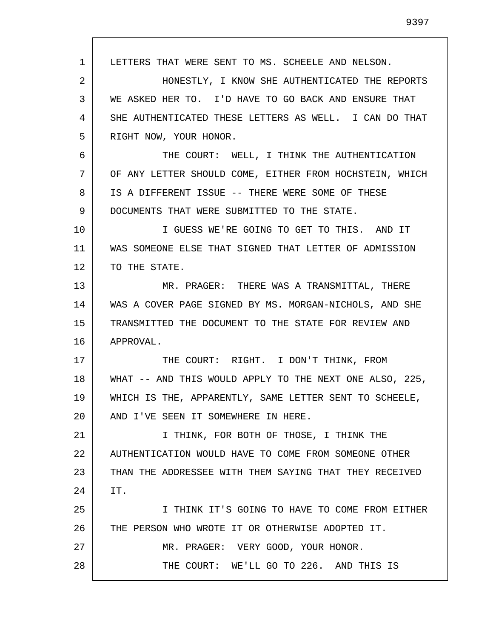1 2 3 4 5 6 7 8 9 10 11 12 13 14 15 16 17 18 19 20 21 22 23 24 25 26 27 28 LETTERS THAT WERE SENT TO MS. SCHEELE AND NELSON. HONESTLY, I KNOW SHE AUTHENTICATED THE REPORTS WE ASKED HER TO. I'D HAVE TO GO BACK AND ENSURE THAT SHE AUTHENTICATED THESE LETTERS AS WELL. I CAN DO THAT RIGHT NOW, YOUR HONOR. THE COURT: WELL, I THINK THE AUTHENTICATION OF ANY LETTER SHOULD COME, EITHER FROM HOCHSTEIN, WHICH IS A DIFFERENT ISSUE -- THERE WERE SOME OF THESE DOCUMENTS THAT WERE SUBMITTED TO THE STATE. I GUESS WE'RE GOING TO GET TO THIS. AND IT WAS SOMEONE ELSE THAT SIGNED THAT LETTER OF ADMISSION TO THE STATE. MR. PRAGER: THERE WAS A TRANSMITTAL, THERE WAS A COVER PAGE SIGNED BY MS. MORGAN-NICHOLS, AND SHE TRANSMITTED THE DOCUMENT TO THE STATE FOR REVIEW AND APPROVAL. THE COURT: RIGHT. I DON'T THINK, FROM WHAT -- AND THIS WOULD APPLY TO THE NEXT ONE ALSO, 225, WHICH IS THE, APPARENTLY, SAME LETTER SENT TO SCHEELE, AND I'VE SEEN IT SOMEWHERE IN HERE. I THINK, FOR BOTH OF THOSE, I THINK THE AUTHENTICATION WOULD HAVE TO COME FROM SOMEONE OTHER THAN THE ADDRESSEE WITH THEM SAYING THAT THEY RECEIVED IT. I THINK IT'S GOING TO HAVE TO COME FROM EITHER THE PERSON WHO WROTE IT OR OTHERWISE ADOPTED IT. MR. PRAGER: VERY GOOD, YOUR HONOR. THE COURT: WE'LL GO TO 226. AND THIS IS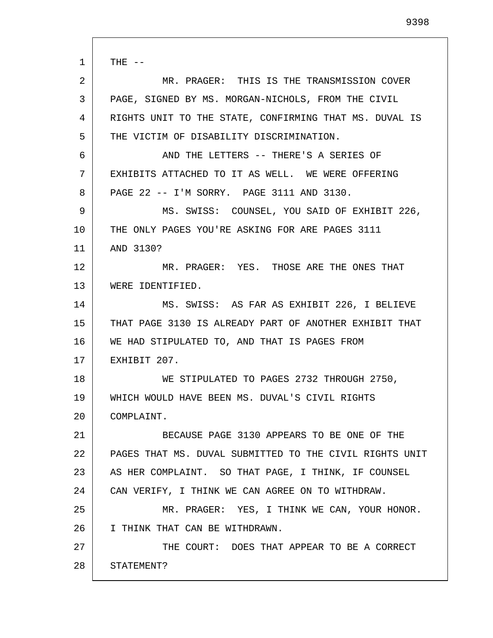1 2 3 4 5 6 7 8 9 10 11 12 13 14 15 16 17 18 19 20 21 22 23 24 25 26 27 28 THE  $--$ MR. PRAGER: THIS IS THE TRANSMISSION COVER PAGE, SIGNED BY MS. MORGAN-NICHOLS, FROM THE CIVIL RIGHTS UNIT TO THE STATE, CONFIRMING THAT MS. DUVAL IS THE VICTIM OF DISABILITY DISCRIMINATION. AND THE LETTERS -- THERE'S A SERIES OF EXHIBITS ATTACHED TO IT AS WELL. WE WERE OFFERING PAGE 22 -- I'M SORRY. PAGE 3111 AND 3130. MS. SWISS: COUNSEL, YOU SAID OF EXHIBIT 226, THE ONLY PAGES YOU'RE ASKING FOR ARE PAGES 3111 AND 3130? MR. PRAGER: YES. THOSE ARE THE ONES THAT WERE IDENTIFIED. MS. SWISS: AS FAR AS EXHIBIT 226, I BELIEVE THAT PAGE 3130 IS ALREADY PART OF ANOTHER EXHIBIT THAT WE HAD STIPULATED TO, AND THAT IS PAGES FROM EXHIBIT 207. WE STIPULATED TO PAGES 2732 THROUGH 2750, WHICH WOULD HAVE BEEN MS. DUVAL'S CIVIL RIGHTS COMPLAINT. BECAUSE PAGE 3130 APPEARS TO BE ONE OF THE PAGES THAT MS. DUVAL SUBMITTED TO THE CIVIL RIGHTS UNIT AS HER COMPLAINT. SO THAT PAGE, I THINK, IF COUNSEL CAN VERIFY, I THINK WE CAN AGREE ON TO WITHDRAW. MR. PRAGER: YES, I THINK WE CAN, YOUR HONOR. I THINK THAT CAN BE WITHDRAWN. THE COURT: DOES THAT APPEAR TO BE A CORRECT STATEMENT?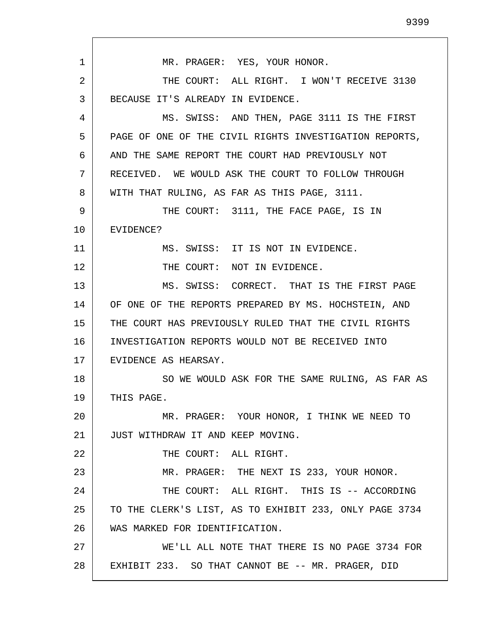1 2 3 4 5 6 7 8 9 10 11 12 13 14 15 16 17 18 19 20 21 22 23 24 25 26 27 28 MR. PRAGER: YES, YOUR HONOR. THE COURT: ALL RIGHT. I WON'T RECEIVE 3130 BECAUSE IT'S ALREADY IN EVIDENCE. MS. SWISS: AND THEN, PAGE 3111 IS THE FIRST PAGE OF ONE OF THE CIVIL RIGHTS INVESTIGATION REPORTS, AND THE SAME REPORT THE COURT HAD PREVIOUSLY NOT RECEIVED. WE WOULD ASK THE COURT TO FOLLOW THROUGH WITH THAT RULING, AS FAR AS THIS PAGE, 3111. THE COURT: 3111, THE FACE PAGE, IS IN EVIDENCE? MS. SWISS: IT IS NOT IN EVIDENCE. THE COURT: NOT IN EVIDENCE. MS. SWISS: CORRECT. THAT IS THE FIRST PAGE OF ONE OF THE REPORTS PREPARED BY MS. HOCHSTEIN, AND THE COURT HAS PREVIOUSLY RULED THAT THE CIVIL RIGHTS INVESTIGATION REPORTS WOULD NOT BE RECEIVED INTO EVIDENCE AS HEARSAY. SO WE WOULD ASK FOR THE SAME RULING, AS FAR AS THIS PAGE. MR. PRAGER: YOUR HONOR, I THINK WE NEED TO JUST WITHDRAW IT AND KEEP MOVING. THE COURT: ALL RIGHT. MR. PRAGER: THE NEXT IS 233, YOUR HONOR. THE COURT: ALL RIGHT. THIS IS -- ACCORDING TO THE CLERK'S LIST, AS TO EXHIBIT 233, ONLY PAGE 3734 WAS MARKED FOR IDENTIFICATION. WE'LL ALL NOTE THAT THERE IS NO PAGE 3734 FOR EXHIBIT 233. SO THAT CANNOT BE -- MR. PRAGER, DID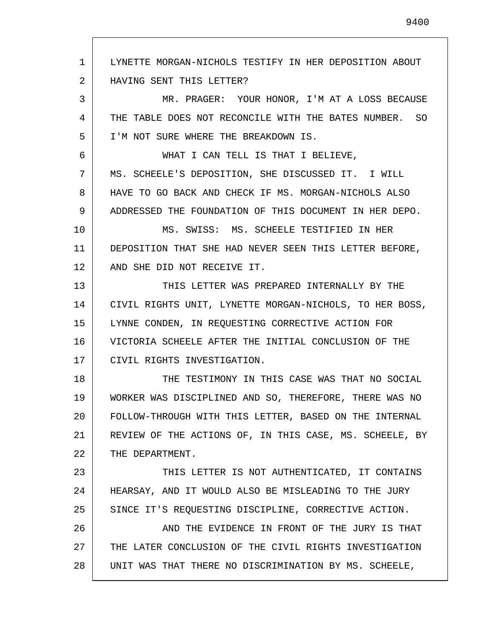1 2 3 4 5 6 7 8 9 10 11 12 13 14 15 16 17 18 19 20 21 22 23 24 25 26 27 28 LYNETTE MORGAN-NICHOLS TESTIFY IN HER DEPOSITION ABOUT HAVING SENT THIS LETTER? MR. PRAGER: YOUR HONOR, I'M AT A LOSS BECAUSE THE TABLE DOES NOT RECONCILE WITH THE BATES NUMBER. SO I'M NOT SURE WHERE THE BREAKDOWN IS. WHAT I CAN TELL IS THAT I BELIEVE, MS. SCHEELE'S DEPOSITION, SHE DISCUSSED IT. I WILL HAVE TO GO BACK AND CHECK IF MS. MORGAN-NICHOLS ALSO ADDRESSED THE FOUNDATION OF THIS DOCUMENT IN HER DEPO. MS. SWISS: MS. SCHEELE TESTIFIED IN HER DEPOSITION THAT SHE HAD NEVER SEEN THIS LETTER BEFORE, AND SHE DID NOT RECEIVE IT. THIS LETTER WAS PREPARED INTERNALLY BY THE CIVIL RIGHTS UNIT, LYNETTE MORGAN-NICHOLS, TO HER BOSS, LYNNE CONDEN, IN REQUESTING CORRECTIVE ACTION FOR VICTORIA SCHEELE AFTER THE INITIAL CONCLUSION OF THE CIVIL RIGHTS INVESTIGATION. THE TESTIMONY IN THIS CASE WAS THAT NO SOCIAL WORKER WAS DISCIPLINED AND SO, THEREFORE, THERE WAS NO FOLLOW-THROUGH WITH THIS LETTER, BASED ON THE INTERNAL REVIEW OF THE ACTIONS OF, IN THIS CASE, MS. SCHEELE, BY THE DEPARTMENT. THIS LETTER IS NOT AUTHENTICATED, IT CONTAINS HEARSAY, AND IT WOULD ALSO BE MISLEADING TO THE JURY SINCE IT'S REQUESTING DISCIPLINE, CORRECTIVE ACTION. AND THE EVIDENCE IN FRONT OF THE JURY IS THAT THE LATER CONCLUSION OF THE CIVIL RIGHTS INVESTIGATION UNIT WAS THAT THERE NO DISCRIMINATION BY MS. SCHEELE,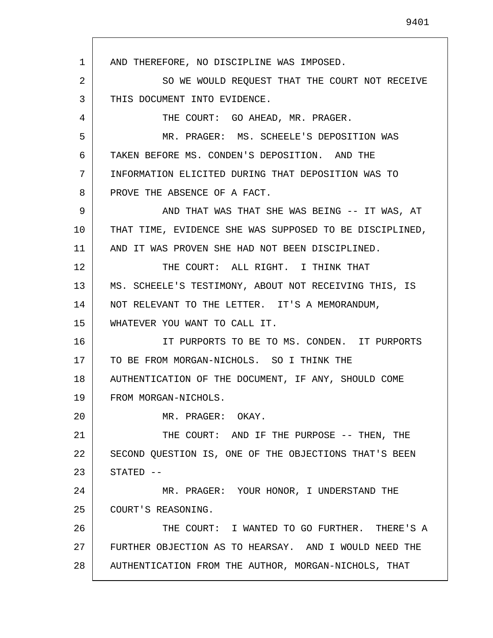1 2 3 4 5 6 7 8 9 10 11 12 13 14 15 16 17 18 19 20 21 22 23 24 25 26 27 28 AND THEREFORE, NO DISCIPLINE WAS IMPOSED. SO WE WOULD REQUEST THAT THE COURT NOT RECEIVE THIS DOCUMENT INTO EVIDENCE. THE COURT: GO AHEAD, MR. PRAGER. MR. PRAGER: MS. SCHEELE'S DEPOSITION WAS TAKEN BEFORE MS. CONDEN'S DEPOSITION. AND THE INFORMATION ELICITED DURING THAT DEPOSITION WAS TO PROVE THE ABSENCE OF A FACT. AND THAT WAS THAT SHE WAS BEING -- IT WAS, AT THAT TIME, EVIDENCE SHE WAS SUPPOSED TO BE DISCIPLINED, AND IT WAS PROVEN SHE HAD NOT BEEN DISCIPLINED. THE COURT: ALL RIGHT. I THINK THAT MS. SCHEELE'S TESTIMONY, ABOUT NOT RECEIVING THIS, IS NOT RELEVANT TO THE LETTER. IT'S A MEMORANDUM, WHATEVER YOU WANT TO CALL IT. IT PURPORTS TO BE TO MS. CONDEN. IT PURPORTS TO BE FROM MORGAN-NICHOLS. SO I THINK THE AUTHENTICATION OF THE DOCUMENT, IF ANY, SHOULD COME FROM MORGAN-NICHOLS. MR. PRAGER: OKAY. THE COURT: AND IF THE PURPOSE -- THEN, THE SECOND QUESTION IS, ONE OF THE OBJECTIONS THAT'S BEEN  $STATED$   $--$ MR. PRAGER: YOUR HONOR, I UNDERSTAND THE COURT'S REASONING. THE COURT: I WANTED TO GO FURTHER. THERE'S A FURTHER OBJECTION AS TO HEARSAY. AND I WOULD NEED THE AUTHENTICATION FROM THE AUTHOR, MORGAN-NICHOLS, THAT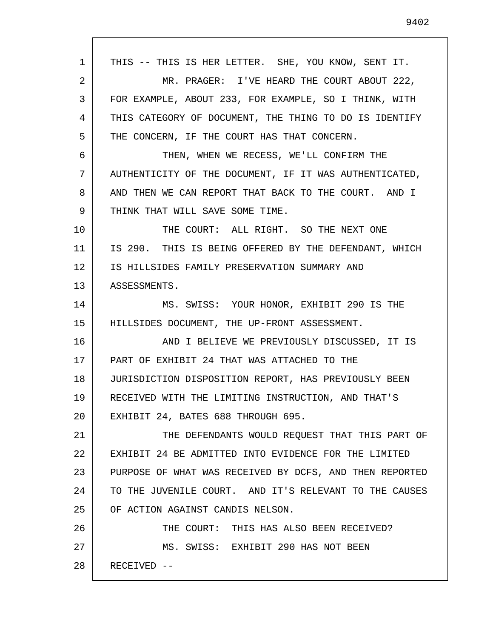1 2 3 4 5 6 7 8 9 10 11 12 13 14 15 16 17 18 19 20 21 22 23 24 25 26 27 28 THIS -- THIS IS HER LETTER. SHE, YOU KNOW, SENT IT. MR. PRAGER: I'VE HEARD THE COURT ABOUT 222, FOR EXAMPLE, ABOUT 233, FOR EXAMPLE, SO I THINK, WITH THIS CATEGORY OF DOCUMENT, THE THING TO DO IS IDENTIFY THE CONCERN, IF THE COURT HAS THAT CONCERN. THEN, WHEN WE RECESS, WE'LL CONFIRM THE AUTHENTICITY OF THE DOCUMENT, IF IT WAS AUTHENTICATED, AND THEN WE CAN REPORT THAT BACK TO THE COURT. AND I THINK THAT WILL SAVE SOME TIME. THE COURT: ALL RIGHT. SO THE NEXT ONE IS 290. THIS IS BEING OFFERED BY THE DEFENDANT, WHICH IS HILLSIDES FAMILY PRESERVATION SUMMARY AND ASSESSMENTS. MS. SWISS: YOUR HONOR, EXHIBIT 290 IS THE HILLSIDES DOCUMENT, THE UP-FRONT ASSESSMENT. AND I BELIEVE WE PREVIOUSLY DISCUSSED, IT IS PART OF EXHIBIT 24 THAT WAS ATTACHED TO THE JURISDICTION DISPOSITION REPORT, HAS PREVIOUSLY BEEN RECEIVED WITH THE LIMITING INSTRUCTION, AND THAT'S EXHIBIT 24, BATES 688 THROUGH 695. THE DEFENDANTS WOULD REQUEST THAT THIS PART OF EXHIBIT 24 BE ADMITTED INTO EVIDENCE FOR THE LIMITED PURPOSE OF WHAT WAS RECEIVED BY DCFS, AND THEN REPORTED TO THE JUVENILE COURT. AND IT'S RELEVANT TO THE CAUSES OF ACTION AGAINST CANDIS NELSON. THE COURT: THIS HAS ALSO BEEN RECEIVED? MS. SWISS: EXHIBIT 290 HAS NOT BEEN RECEIVED --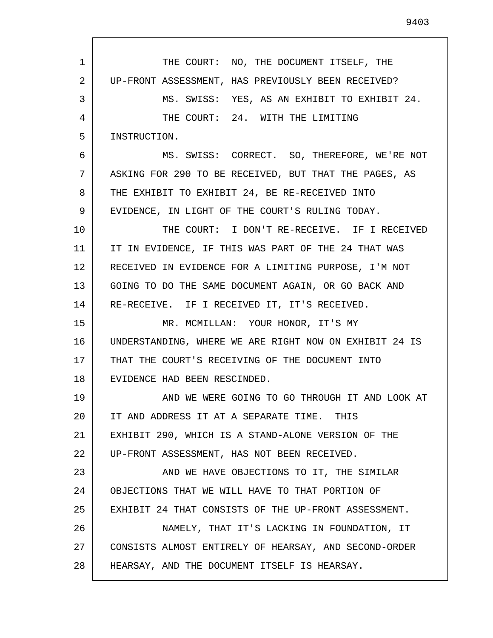1 2 3 4 5 6 7 8 9 10 11 12 13 14 15 16 17 18 19 20 21 22 23 24 25 26 27 28 THE COURT: NO, THE DOCUMENT ITSELF, THE UP-FRONT ASSESSMENT, HAS PREVIOUSLY BEEN RECEIVED? MS. SWISS: YES, AS AN EXHIBIT TO EXHIBIT 24. THE COURT: 24. WITH THE LIMITING INSTRUCTION. MS. SWISS: CORRECT. SO, THEREFORE, WE'RE NOT ASKING FOR 290 TO BE RECEIVED, BUT THAT THE PAGES, AS THE EXHIBIT TO EXHIBIT 24, BE RE-RECEIVED INTO EVIDENCE, IN LIGHT OF THE COURT'S RULING TODAY. THE COURT: I DON'T RE-RECEIVE. IF I RECEIVED IT IN EVIDENCE, IF THIS WAS PART OF THE 24 THAT WAS RECEIVED IN EVIDENCE FOR A LIMITING PURPOSE, I'M NOT GOING TO DO THE SAME DOCUMENT AGAIN, OR GO BACK AND RE-RECEIVE. IF I RECEIVED IT, IT'S RECEIVED. MR. MCMILLAN: YOUR HONOR, IT'S MY UNDERSTANDING, WHERE WE ARE RIGHT NOW ON EXHIBIT 24 IS THAT THE COURT'S RECEIVING OF THE DOCUMENT INTO EVIDENCE HAD BEEN RESCINDED. AND WE WERE GOING TO GO THROUGH IT AND LOOK AT IT AND ADDRESS IT AT A SEPARATE TIME. THIS EXHIBIT 290, WHICH IS A STAND-ALONE VERSION OF THE UP-FRONT ASSESSMENT, HAS NOT BEEN RECEIVED. AND WE HAVE OBJECTIONS TO IT, THE SIMILAR OBJECTIONS THAT WE WILL HAVE TO THAT PORTION OF EXHIBIT 24 THAT CONSISTS OF THE UP-FRONT ASSESSMENT. NAMELY, THAT IT'S LACKING IN FOUNDATION, IT CONSISTS ALMOST ENTIRELY OF HEARSAY, AND SECOND-ORDER HEARSAY, AND THE DOCUMENT ITSELF IS HEARSAY.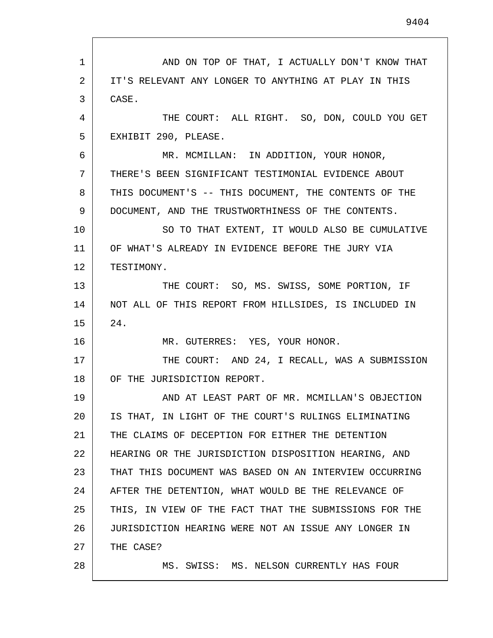1 2 3 4 5 6 7 8 9 10 11 12 13 14 15 16 17 18 19 20 21 22 23 24 25 26 27 28 AND ON TOP OF THAT, I ACTUALLY DON'T KNOW THAT IT'S RELEVANT ANY LONGER TO ANYTHING AT PLAY IN THIS CASE. THE COURT: ALL RIGHT. SO, DON, COULD YOU GET EXHIBIT 290, PLEASE. MR. MCMILLAN: IN ADDITION, YOUR HONOR, THERE'S BEEN SIGNIFICANT TESTIMONIAL EVIDENCE ABOUT THIS DOCUMENT'S -- THIS DOCUMENT, THE CONTENTS OF THE DOCUMENT, AND THE TRUSTWORTHINESS OF THE CONTENTS. SO TO THAT EXTENT, IT WOULD ALSO BE CUMULATIVE OF WHAT'S ALREADY IN EVIDENCE BEFORE THE JURY VIA TESTIMONY. THE COURT: SO, MS. SWISS, SOME PORTION, IF NOT ALL OF THIS REPORT FROM HILLSIDES, IS INCLUDED IN 24. MR. GUTERRES: YES, YOUR HONOR. THE COURT: AND 24, I RECALL, WAS A SUBMISSION OF THE JURISDICTION REPORT. AND AT LEAST PART OF MR. MCMILLAN'S OBJECTION IS THAT, IN LIGHT OF THE COURT'S RULINGS ELIMINATING THE CLAIMS OF DECEPTION FOR EITHER THE DETENTION HEARING OR THE JURISDICTION DISPOSITION HEARING, AND THAT THIS DOCUMENT WAS BASED ON AN INTERVIEW OCCURRING AFTER THE DETENTION, WHAT WOULD BE THE RELEVANCE OF THIS, IN VIEW OF THE FACT THAT THE SUBMISSIONS FOR THE JURISDICTION HEARING WERE NOT AN ISSUE ANY LONGER IN THE CASE? MS. SWISS: MS. NELSON CURRENTLY HAS FOUR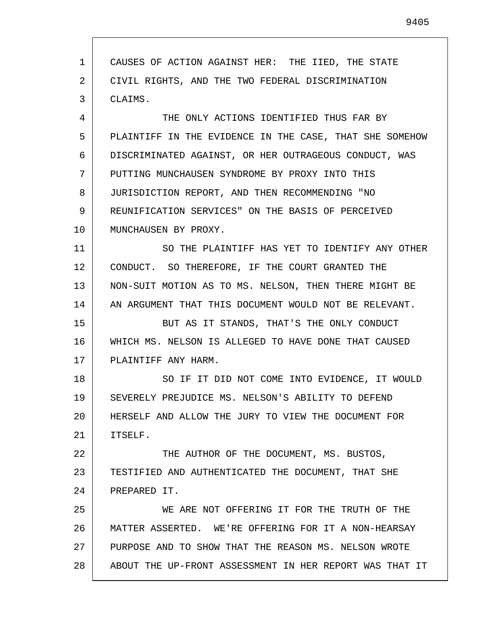1 2 3 4 5 6 7 8 9 10 11 12 13 14 15 16 17 18 19 20 21 22 23 24 25 26 27 28 CAUSES OF ACTION AGAINST HER: THE IIED, THE STATE CIVIL RIGHTS, AND THE TWO FEDERAL DISCRIMINATION CLAIMS. THE ONLY ACTIONS IDENTIFIED THUS FAR BY PLAINTIFF IN THE EVIDENCE IN THE CASE, THAT SHE SOMEHOW DISCRIMINATED AGAINST, OR HER OUTRAGEOUS CONDUCT, WAS PUTTING MUNCHAUSEN SYNDROME BY PROXY INTO THIS JURISDICTION REPORT, AND THEN RECOMMENDING "NO REUNIFICATION SERVICES" ON THE BASIS OF PERCEIVED MUNCHAUSEN BY PROXY. SO THE PLAINTIFF HAS YET TO IDENTIFY ANY OTHER CONDUCT. SO THEREFORE, IF THE COURT GRANTED THE NON-SUIT MOTION AS TO MS. NELSON, THEN THERE MIGHT BE AN ARGUMENT THAT THIS DOCUMENT WOULD NOT BE RELEVANT. BUT AS IT STANDS, THAT'S THE ONLY CONDUCT WHICH MS. NELSON IS ALLEGED TO HAVE DONE THAT CAUSED PLAINTIFF ANY HARM. SO IF IT DID NOT COME INTO EVIDENCE, IT WOULD SEVERELY PREJUDICE MS. NELSON'S ABILITY TO DEFEND HERSELF AND ALLOW THE JURY TO VIEW THE DOCUMENT FOR ITSELF. THE AUTHOR OF THE DOCUMENT, MS. BUSTOS, TESTIFIED AND AUTHENTICATED THE DOCUMENT, THAT SHE PREPARED IT. WE ARE NOT OFFERING IT FOR THE TRUTH OF THE MATTER ASSERTED. WE'RE OFFERING FOR IT A NON-HEARSAY PURPOSE AND TO SHOW THAT THE REASON MS. NELSON WROTE ABOUT THE UP-FRONT ASSESSMENT IN HER REPORT WAS THAT IT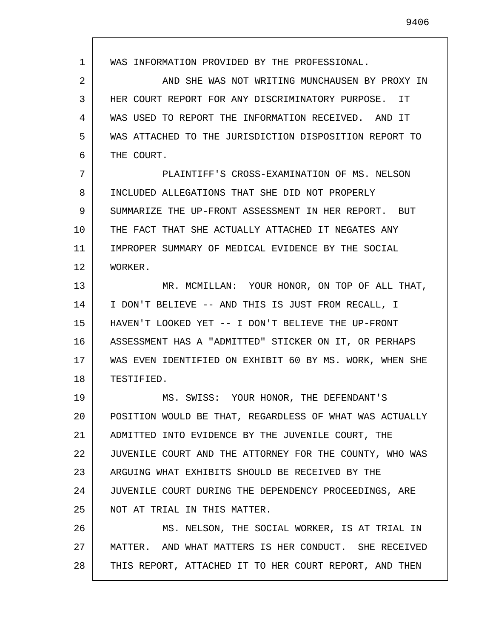1 2 3 4 5 6 7 8 9 10 11 12 13 14 15 16 17 18 19 20 21 22 23 24 25 26 27 28 WAS INFORMATION PROVIDED BY THE PROFESSIONAL. AND SHE WAS NOT WRITING MUNCHAUSEN BY PROXY IN HER COURT REPORT FOR ANY DISCRIMINATORY PURPOSE. IT WAS USED TO REPORT THE INFORMATION RECEIVED. AND IT WAS ATTACHED TO THE JURISDICTION DISPOSITION REPORT TO THE COURT. PLAINTIFF'S CROSS-EXAMINATION OF MS. NELSON INCLUDED ALLEGATIONS THAT SHE DID NOT PROPERLY SUMMARIZE THE UP-FRONT ASSESSMENT IN HER REPORT. BUT THE FACT THAT SHE ACTUALLY ATTACHED IT NEGATES ANY IMPROPER SUMMARY OF MEDICAL EVIDENCE BY THE SOCIAL WORKER. MR. MCMILLAN: YOUR HONOR, ON TOP OF ALL THAT, I DON'T BELIEVE -- AND THIS IS JUST FROM RECALL, I HAVEN'T LOOKED YET -- I DON'T BELIEVE THE UP-FRONT ASSESSMENT HAS A "ADMITTED" STICKER ON IT, OR PERHAPS WAS EVEN IDENTIFIED ON EXHIBIT 60 BY MS. WORK, WHEN SHE TESTIFIED. MS. SWISS: YOUR HONOR, THE DEFENDANT'S POSITION WOULD BE THAT, REGARDLESS OF WHAT WAS ACTUALLY ADMITTED INTO EVIDENCE BY THE JUVENILE COURT, THE JUVENILE COURT AND THE ATTORNEY FOR THE COUNTY, WHO WAS ARGUING WHAT EXHIBITS SHOULD BE RECEIVED BY THE JUVENILE COURT DURING THE DEPENDENCY PROCEEDINGS, ARE NOT AT TRIAL IN THIS MATTER. MS. NELSON, THE SOCIAL WORKER, IS AT TRIAL IN MATTER. AND WHAT MATTERS IS HER CONDUCT. SHE RECEIVED THIS REPORT, ATTACHED IT TO HER COURT REPORT, AND THEN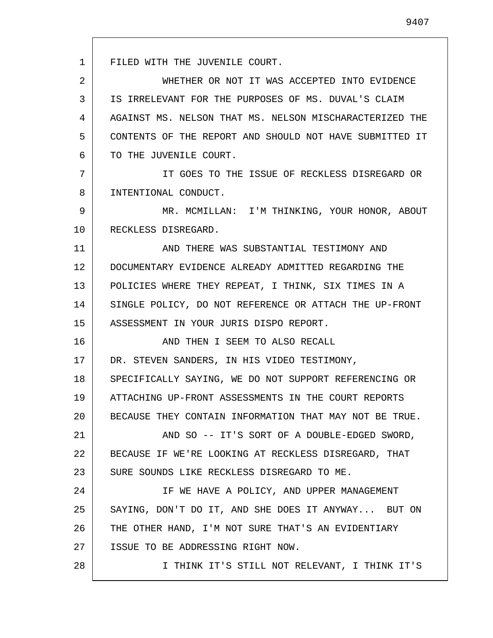1 2 3 4 5 6 7 8 9 10 11 12 13 14 15 16 17 18 19 20 21 22 23 24 25 26 27 28 FILED WITH THE JUVENILE COURT. WHETHER OR NOT IT WAS ACCEPTED INTO EVIDENCE IS IRRELEVANT FOR THE PURPOSES OF MS. DUVAL'S CLAIM AGAINST MS. NELSON THAT MS. NELSON MISCHARACTERIZED THE CONTENTS OF THE REPORT AND SHOULD NOT HAVE SUBMITTED IT TO THE JUVENILE COURT. IT GOES TO THE ISSUE OF RECKLESS DISREGARD OR INTENTIONAL CONDUCT. MR. MCMILLAN: I'M THINKING, YOUR HONOR, ABOUT RECKLESS DISREGARD. AND THERE WAS SUBSTANTIAL TESTIMONY AND DOCUMENTARY EVIDENCE ALREADY ADMITTED REGARDING THE POLICIES WHERE THEY REPEAT, I THINK, SIX TIMES IN A SINGLE POLICY, DO NOT REFERENCE OR ATTACH THE UP-FRONT ASSESSMENT IN YOUR JURIS DISPO REPORT. AND THEN I SEEM TO ALSO RECALL DR. STEVEN SANDERS, IN HIS VIDEO TESTIMONY, SPECIFICALLY SAYING, WE DO NOT SUPPORT REFERENCING OR ATTACHING UP-FRONT ASSESSMENTS IN THE COURT REPORTS BECAUSE THEY CONTAIN INFORMATION THAT MAY NOT BE TRUE. AND SO -- IT'S SORT OF A DOUBLE-EDGED SWORD, BECAUSE IF WE'RE LOOKING AT RECKLESS DISREGARD, THAT SURE SOUNDS LIKE RECKLESS DISREGARD TO ME. IF WE HAVE A POLICY, AND UPPER MANAGEMENT SAYING, DON'T DO IT, AND SHE DOES IT ANYWAY... BUT ON THE OTHER HAND, I'M NOT SURE THAT'S AN EVIDENTIARY ISSUE TO BE ADDRESSING RIGHT NOW. I THINK IT'S STILL NOT RELEVANT, I THINK IT'S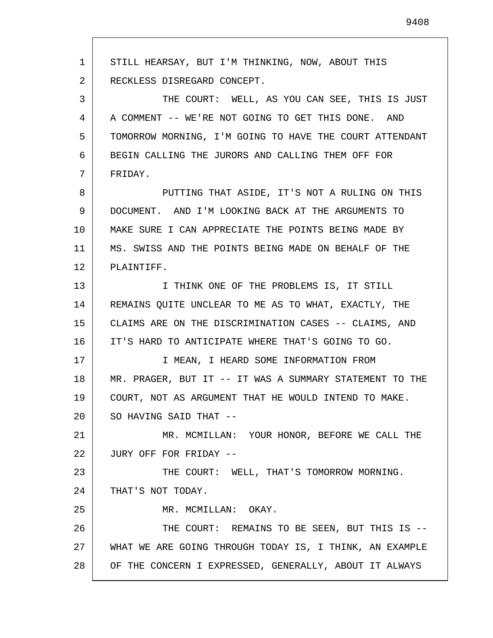1 2 3 4 5 6 7 8 9 10 11 12 13 14 15 16 17 18 19 20 21 22 23 24 25 26 27 28 STILL HEARSAY, BUT I'M THINKING, NOW, ABOUT THIS RECKLESS DISREGARD CONCEPT. THE COURT: WELL, AS YOU CAN SEE, THIS IS JUST A COMMENT -- WE'RE NOT GOING TO GET THIS DONE. AND TOMORROW MORNING, I'M GOING TO HAVE THE COURT ATTENDANT BEGIN CALLING THE JURORS AND CALLING THEM OFF FOR FRIDAY. PUTTING THAT ASIDE, IT'S NOT A RULING ON THIS DOCUMENT. AND I'M LOOKING BACK AT THE ARGUMENTS TO MAKE SURE I CAN APPRECIATE THE POINTS BEING MADE BY MS. SWISS AND THE POINTS BEING MADE ON BEHALF OF THE PLAINTIFF. I THINK ONE OF THE PROBLEMS IS, IT STILL REMAINS QUITE UNCLEAR TO ME AS TO WHAT, EXACTLY, THE CLAIMS ARE ON THE DISCRIMINATION CASES -- CLAIMS, AND IT'S HARD TO ANTICIPATE WHERE THAT'S GOING TO GO. I MEAN, I HEARD SOME INFORMATION FROM MR. PRAGER, BUT IT -- IT WAS A SUMMARY STATEMENT TO THE COURT, NOT AS ARGUMENT THAT HE WOULD INTEND TO MAKE. SO HAVING SAID THAT -- MR. MCMILLAN: YOUR HONOR, BEFORE WE CALL THE JURY OFF FOR FRIDAY -- THE COURT: WELL, THAT'S TOMORROW MORNING. THAT'S NOT TODAY. MR. MCMILLAN: OKAY. THE COURT: REMAINS TO BE SEEN, BUT THIS IS -- WHAT WE ARE GOING THROUGH TODAY IS, I THINK, AN EXAMPLE OF THE CONCERN I EXPRESSED, GENERALLY, ABOUT IT ALWAYS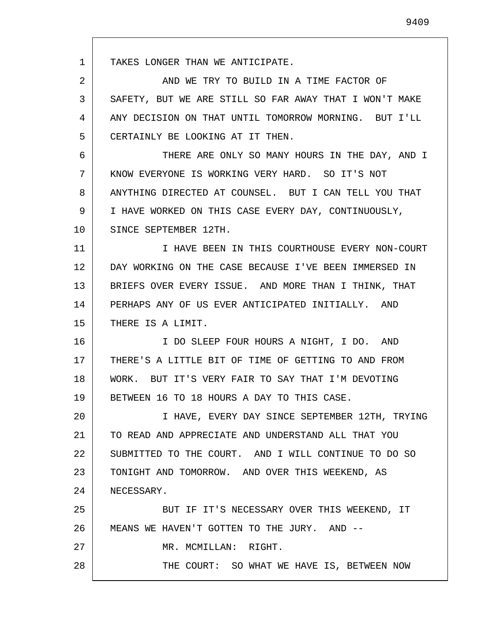1 2 3 4 5 6 7 8 9 10 11 12 13 14 15 16 17 18 19 20 21 22 23 24 25 26 27 28 TAKES LONGER THAN WE ANTICIPATE. AND WE TRY TO BUILD IN A TIME FACTOR OF SAFETY, BUT WE ARE STILL SO FAR AWAY THAT I WON'T MAKE ANY DECISION ON THAT UNTIL TOMORROW MORNING. BUT I'LL CERTAINLY BE LOOKING AT IT THEN. THERE ARE ONLY SO MANY HOURS IN THE DAY, AND I KNOW EVERYONE IS WORKING VERY HARD. SO IT'S NOT ANYTHING DIRECTED AT COUNSEL. BUT I CAN TELL YOU THAT I HAVE WORKED ON THIS CASE EVERY DAY, CONTINUOUSLY, SINCE SEPTEMBER 12TH. I HAVE BEEN IN THIS COURTHOUSE EVERY NON-COURT DAY WORKING ON THE CASE BECAUSE I'VE BEEN IMMERSED IN BRIEFS OVER EVERY ISSUE. AND MORE THAN I THINK, THAT PERHAPS ANY OF US EVER ANTICIPATED INITIALLY. AND THERE IS A LIMIT. I DO SLEEP FOUR HOURS A NIGHT, I DO. AND THERE'S A LITTLE BIT OF TIME OF GETTING TO AND FROM WORK. BUT IT'S VERY FAIR TO SAY THAT I'M DEVOTING BETWEEN 16 TO 18 HOURS A DAY TO THIS CASE. I HAVE, EVERY DAY SINCE SEPTEMBER 12TH, TRYING TO READ AND APPRECIATE AND UNDERSTAND ALL THAT YOU SUBMITTED TO THE COURT. AND I WILL CONTINUE TO DO SO TONIGHT AND TOMORROW. AND OVER THIS WEEKEND, AS NECESSARY. BUT IF IT'S NECESSARY OVER THIS WEEKEND, IT MEANS WE HAVEN'T GOTTEN TO THE JURY. AND -- MR. MCMILLAN: RIGHT. THE COURT: SO WHAT WE HAVE IS, BETWEEN NOW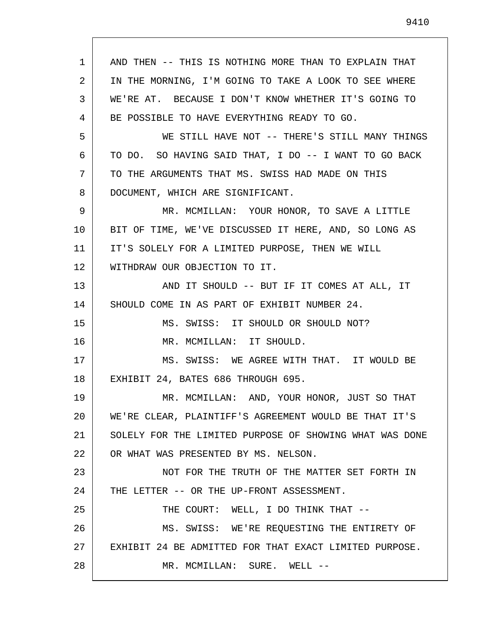| 1  | AND THEN -- THIS IS NOTHING MORE THAN TO EXPLAIN THAT   |
|----|---------------------------------------------------------|
| 2  | IN THE MORNING, I'M GOING TO TAKE A LOOK TO SEE WHERE   |
| 3  | WE'RE AT. BECAUSE I DON'T KNOW WHETHER IT'S GOING TO    |
| 4  | BE POSSIBLE TO HAVE EVERYTHING READY TO GO.             |
| 5  | WE STILL HAVE NOT -- THERE'S STILL MANY THINGS          |
| 6  | TO DO. SO HAVING SAID THAT, I DO -- I WANT TO GO BACK   |
| 7  | TO THE ARGUMENTS THAT MS. SWISS HAD MADE ON THIS        |
| 8  | DOCUMENT, WHICH ARE SIGNIFICANT.                        |
| 9  | MR. MCMILLAN: YOUR HONOR, TO SAVE A LITTLE              |
| 10 | BIT OF TIME, WE'VE DISCUSSED IT HERE, AND, SO LONG AS   |
| 11 | IT'S SOLELY FOR A LIMITED PURPOSE, THEN WE WILL         |
| 12 | WITHDRAW OUR OBJECTION TO IT.                           |
| 13 | AND IT SHOULD -- BUT IF IT COMES AT ALL, IT             |
| 14 | SHOULD COME IN AS PART OF EXHIBIT NUMBER 24.            |
| 15 | MS. SWISS: IT SHOULD OR SHOULD NOT?                     |
| 16 | MR. MCMILLAN: IT SHOULD.                                |
| 17 | MS. SWISS: WE AGREE WITH THAT. IT WOULD BE              |
| 18 | EXHIBIT 24, BATES 686 THROUGH 695.                      |
| 19 | MR. MCMILLAN: AND, YOUR HONOR, JUST SO THAT             |
| 20 | WE'RE CLEAR, PLAINTIFF'S AGREEMENT WOULD BE THAT IT'S   |
| 21 | SOLELY FOR THE LIMITED PURPOSE OF SHOWING WHAT WAS DONE |
| 22 | OR WHAT WAS PRESENTED BY MS. NELSON.                    |
| 23 | NOT FOR THE TRUTH OF THE MATTER SET FORTH IN            |
| 24 | THE LETTER -- OR THE UP-FRONT ASSESSMENT.               |
| 25 | THE COURT: WELL, I DO THINK THAT --                     |
| 26 | MS. SWISS: WE'RE REQUESTING THE ENTIRETY OF             |
| 27 | EXHIBIT 24 BE ADMITTED FOR THAT EXACT LIMITED PURPOSE.  |
| 28 | MR. MCMILLAN: SURE. WELL --                             |
|    |                                                         |

 $\mathsf{l}$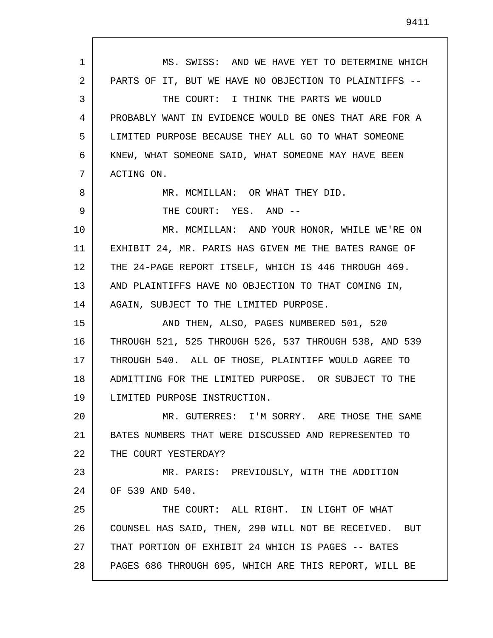1 2 3 4 5 6 7 8 9 10 11 12 13 14 15 16 17 18 19 20 21 22 23 24 25 26 27 28 MS. SWISS: AND WE HAVE YET TO DETERMINE WHICH PARTS OF IT, BUT WE HAVE NO OBJECTION TO PLAINTIFFS -- THE COURT: I THINK THE PARTS WE WOULD PROBABLY WANT IN EVIDENCE WOULD BE ONES THAT ARE FOR A LIMITED PURPOSE BECAUSE THEY ALL GO TO WHAT SOMEONE KNEW, WHAT SOMEONE SAID, WHAT SOMEONE MAY HAVE BEEN ACTING ON. MR. MCMILLAN: OR WHAT THEY DID. THE COURT: YES. AND --MR. MCMILLAN: AND YOUR HONOR, WHILE WE'RE ON EXHIBIT 24, MR. PARIS HAS GIVEN ME THE BATES RANGE OF THE 24-PAGE REPORT ITSELF, WHICH IS 446 THROUGH 469. AND PLAINTIFFS HAVE NO OBJECTION TO THAT COMING IN, AGAIN, SUBJECT TO THE LIMITED PURPOSE. AND THEN, ALSO, PAGES NUMBERED 501, 520 THROUGH 521, 525 THROUGH 526, 537 THROUGH 538, AND 539 THROUGH 540. ALL OF THOSE, PLAINTIFF WOULD AGREE TO ADMITTING FOR THE LIMITED PURPOSE. OR SUBJECT TO THE LIMITED PURPOSE INSTRUCTION. MR. GUTERRES: I'M SORRY. ARE THOSE THE SAME BATES NUMBERS THAT WERE DISCUSSED AND REPRESENTED TO THE COURT YESTERDAY? MR. PARIS: PREVIOUSLY, WITH THE ADDITION OF 539 AND 540. THE COURT: ALL RIGHT. IN LIGHT OF WHAT COUNSEL HAS SAID, THEN, 290 WILL NOT BE RECEIVED. BUT THAT PORTION OF EXHIBIT 24 WHICH IS PAGES -- BATES PAGES 686 THROUGH 695, WHICH ARE THIS REPORT, WILL BE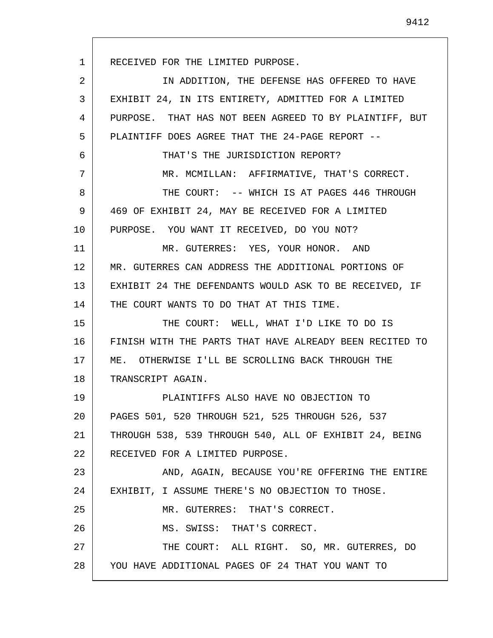1 2 3 4 5 6 7 8 9 10 11 12 13 14 15 16 17 18 19 20 21 22 23 24 25 26 27 28 RECEIVED FOR THE LIMITED PURPOSE. IN ADDITION, THE DEFENSE HAS OFFERED TO HAVE EXHIBIT 24, IN ITS ENTIRETY, ADMITTED FOR A LIMITED PURPOSE. THAT HAS NOT BEEN AGREED TO BY PLAINTIFF, BUT PLAINTIFF DOES AGREE THAT THE 24-PAGE REPORT -- THAT'S THE JURISDICTION REPORT? MR. MCMILLAN: AFFIRMATIVE, THAT'S CORRECT. THE COURT: -- WHICH IS AT PAGES 446 THROUGH 469 OF EXHIBIT 24, MAY BE RECEIVED FOR A LIMITED PURPOSE. YOU WANT IT RECEIVED, DO YOU NOT? MR. GUTERRES: YES, YOUR HONOR. AND MR. GUTERRES CAN ADDRESS THE ADDITIONAL PORTIONS OF EXHIBIT 24 THE DEFENDANTS WOULD ASK TO BE RECEIVED, IF THE COURT WANTS TO DO THAT AT THIS TIME. THE COURT: WELL, WHAT I'D LIKE TO DO IS FINISH WITH THE PARTS THAT HAVE ALREADY BEEN RECITED TO ME. OTHERWISE I'LL BE SCROLLING BACK THROUGH THE TRANSCRIPT AGAIN. PLAINTIFFS ALSO HAVE NO OBJECTION TO PAGES 501, 520 THROUGH 521, 525 THROUGH 526, 537 THROUGH 538, 539 THROUGH 540, ALL OF EXHIBIT 24, BEING RECEIVED FOR A LIMITED PURPOSE. AND, AGAIN, BECAUSE YOU'RE OFFERING THE ENTIRE EXHIBIT, I ASSUME THERE'S NO OBJECTION TO THOSE. MR. GUTERRES: THAT'S CORRECT. MS. SWISS: THAT'S CORRECT. THE COURT: ALL RIGHT. SO, MR. GUTERRES, DO YOU HAVE ADDITIONAL PAGES OF 24 THAT YOU WANT TO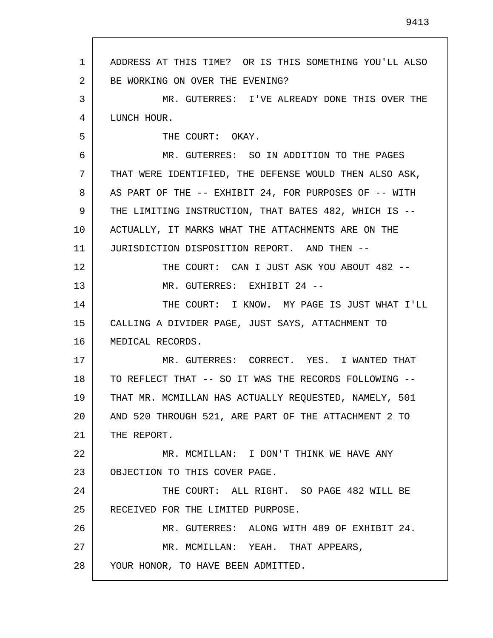1 2 3 4 5 6 7 8 9 10 11 12 13 14 15 16 17 18 19 20 21 22 23 24 25 26 27 28 ADDRESS AT THIS TIME? OR IS THIS SOMETHING YOU'LL ALSO BE WORKING ON OVER THE EVENING? MR. GUTERRES: I'VE ALREADY DONE THIS OVER THE LUNCH HOUR. THE COURT: OKAY. MR. GUTERRES: SO IN ADDITION TO THE PAGES THAT WERE IDENTIFIED, THE DEFENSE WOULD THEN ALSO ASK, AS PART OF THE -- EXHIBIT 24, FOR PURPOSES OF -- WITH THE LIMITING INSTRUCTION, THAT BATES 482, WHICH IS -- ACTUALLY, IT MARKS WHAT THE ATTACHMENTS ARE ON THE JURISDICTION DISPOSITION REPORT. AND THEN -- THE COURT: CAN I JUST ASK YOU ABOUT 482 -- MR. GUTERRES: EXHIBIT 24 -- THE COURT: I KNOW. MY PAGE IS JUST WHAT I'LL CALLING A DIVIDER PAGE, JUST SAYS, ATTACHMENT TO MEDICAL RECORDS. MR. GUTERRES: CORRECT. YES. I WANTED THAT TO REFLECT THAT -- SO IT WAS THE RECORDS FOLLOWING -- THAT MR. MCMILLAN HAS ACTUALLY REQUESTED, NAMELY, 501 AND 520 THROUGH 521, ARE PART OF THE ATTACHMENT 2 TO THE REPORT. MR. MCMILLAN: I DON'T THINK WE HAVE ANY OBJECTION TO THIS COVER PAGE. THE COURT: ALL RIGHT. SO PAGE 482 WILL BE RECEIVED FOR THE LIMITED PURPOSE. MR. GUTERRES: ALONG WITH 489 OF EXHIBIT 24. MR. MCMILLAN: YEAH. THAT APPEARS, YOUR HONOR, TO HAVE BEEN ADMITTED.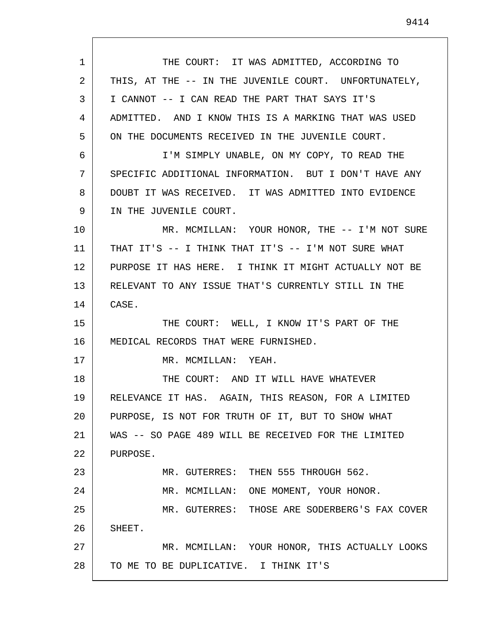1 2 3 4 5 6 7 8 9 10 11 12 13 14 15 16 17 18 19 20 21 22 23 24 25 26 27 28 THE COURT: IT WAS ADMITTED, ACCORDING TO THIS, AT THE -- IN THE JUVENILE COURT. UNFORTUNATELY, I CANNOT -- I CAN READ THE PART THAT SAYS IT'S ADMITTED. AND I KNOW THIS IS A MARKING THAT WAS USED ON THE DOCUMENTS RECEIVED IN THE JUVENILE COURT. I'M SIMPLY UNABLE, ON MY COPY, TO READ THE SPECIFIC ADDITIONAL INFORMATION. BUT I DON'T HAVE ANY DOUBT IT WAS RECEIVED. IT WAS ADMITTED INTO EVIDENCE IN THE JUVENILE COURT. MR. MCMILLAN: YOUR HONOR, THE -- I'M NOT SURE THAT IT'S -- I THINK THAT IT'S -- I'M NOT SURE WHAT PURPOSE IT HAS HERE. I THINK IT MIGHT ACTUALLY NOT BE RELEVANT TO ANY ISSUE THAT'S CURRENTLY STILL IN THE CASE. THE COURT: WELL, I KNOW IT'S PART OF THE MEDICAL RECORDS THAT WERE FURNISHED. MR. MCMILLAN: YEAH. THE COURT: AND IT WILL HAVE WHATEVER RELEVANCE IT HAS. AGAIN, THIS REASON, FOR A LIMITED PURPOSE, IS NOT FOR TRUTH OF IT, BUT TO SHOW WHAT WAS -- SO PAGE 489 WILL BE RECEIVED FOR THE LIMITED PURPOSE. MR. GUTERRES: THEN 555 THROUGH 562. MR. MCMILLAN: ONE MOMENT, YOUR HONOR. MR. GUTERRES: THOSE ARE SODERBERG'S FAX COVER SHEET. MR. MCMILLAN: YOUR HONOR, THIS ACTUALLY LOOKS TO ME TO BE DUPLICATIVE. I THINK IT'S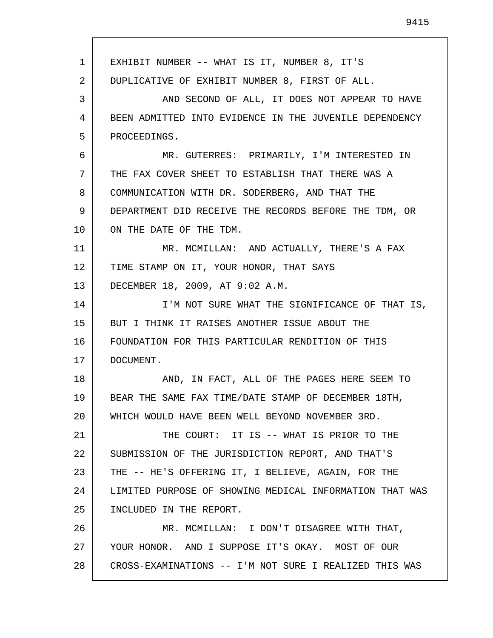1 2 3 4 5 6 7 8 9 10 11 12 13 14 15 16 17 18 19 20 21 22 23 24 25 26 27 28 EXHIBIT NUMBER -- WHAT IS IT, NUMBER 8, IT'S DUPLICATIVE OF EXHIBIT NUMBER 8, FIRST OF ALL. AND SECOND OF ALL, IT DOES NOT APPEAR TO HAVE BEEN ADMITTED INTO EVIDENCE IN THE JUVENILE DEPENDENCY PROCEEDINGS. MR. GUTERRES: PRIMARILY, I'M INTERESTED IN THE FAX COVER SHEET TO ESTABLISH THAT THERE WAS A COMMUNICATION WITH DR. SODERBERG, AND THAT THE DEPARTMENT DID RECEIVE THE RECORDS BEFORE THE TDM, OR ON THE DATE OF THE TDM. MR. MCMILLAN: AND ACTUALLY, THERE'S A FAX TIME STAMP ON IT, YOUR HONOR, THAT SAYS DECEMBER 18, 2009, AT 9:02 A.M. I'M NOT SURE WHAT THE SIGNIFICANCE OF THAT IS, BUT I THINK IT RAISES ANOTHER ISSUE ABOUT THE FOUNDATION FOR THIS PARTICULAR RENDITION OF THIS DOCUMENT. AND, IN FACT, ALL OF THE PAGES HERE SEEM TO BEAR THE SAME FAX TIME/DATE STAMP OF DECEMBER 18TH, WHICH WOULD HAVE BEEN WELL BEYOND NOVEMBER 3RD. THE COURT: IT IS -- WHAT IS PRIOR TO THE SUBMISSION OF THE JURISDICTION REPORT, AND THAT'S THE -- HE'S OFFERING IT, I BELIEVE, AGAIN, FOR THE LIMITED PURPOSE OF SHOWING MEDICAL INFORMATION THAT WAS INCLUDED IN THE REPORT. MR. MCMILLAN: I DON'T DISAGREE WITH THAT, YOUR HONOR. AND I SUPPOSE IT'S OKAY. MOST OF OUR CROSS-EXAMINATIONS -- I'M NOT SURE I REALIZED THIS WAS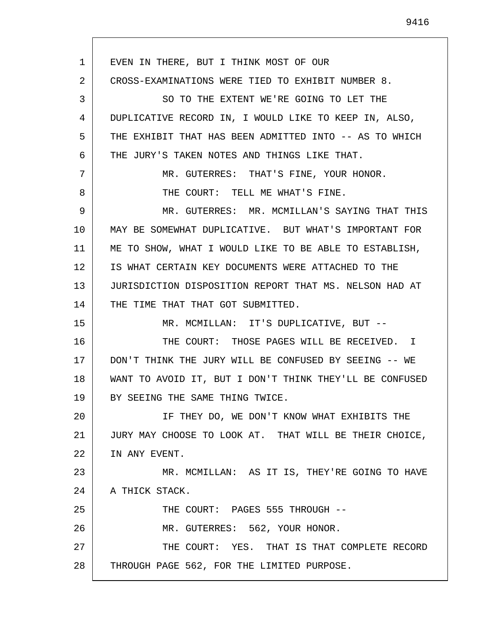1 2 3 4 5 6 7 8 9 10 11 12 13 14 15 16 17 18 19 20 21 22 23 24 25 26 27 28 EVEN IN THERE, BUT I THINK MOST OF OUR CROSS-EXAMINATIONS WERE TIED TO EXHIBIT NUMBER 8. SO TO THE EXTENT WE'RE GOING TO LET THE DUPLICATIVE RECORD IN, I WOULD LIKE TO KEEP IN, ALSO, THE EXHIBIT THAT HAS BEEN ADMITTED INTO -- AS TO WHICH THE JURY'S TAKEN NOTES AND THINGS LIKE THAT. MR. GUTERRES: THAT'S FINE, YOUR HONOR. THE COURT: TELL ME WHAT'S FINE. MR. GUTERRES: MR. MCMILLAN'S SAYING THAT THIS MAY BE SOMEWHAT DUPLICATIVE. BUT WHAT'S IMPORTANT FOR ME TO SHOW, WHAT I WOULD LIKE TO BE ABLE TO ESTABLISH, IS WHAT CERTAIN KEY DOCUMENTS WERE ATTACHED TO THE JURISDICTION DISPOSITION REPORT THAT MS. NELSON HAD AT THE TIME THAT THAT GOT SUBMITTED. MR. MCMILLAN: IT'S DUPLICATIVE, BUT -- THE COURT: THOSE PAGES WILL BE RECEIVED. I DON'T THINK THE JURY WILL BE CONFUSED BY SEEING -- WE WANT TO AVOID IT, BUT I DON'T THINK THEY'LL BE CONFUSED BY SEEING THE SAME THING TWICE. IF THEY DO, WE DON'T KNOW WHAT EXHIBITS THE JURY MAY CHOOSE TO LOOK AT. THAT WILL BE THEIR CHOICE, IN ANY EVENT. MR. MCMILLAN: AS IT IS, THEY'RE GOING TO HAVE A THICK STACK. THE COURT: PAGES 555 THROUGH -- MR. GUTERRES: 562, YOUR HONOR. THE COURT: YES. THAT IS THAT COMPLETE RECORD THROUGH PAGE 562, FOR THE LIMITED PURPOSE.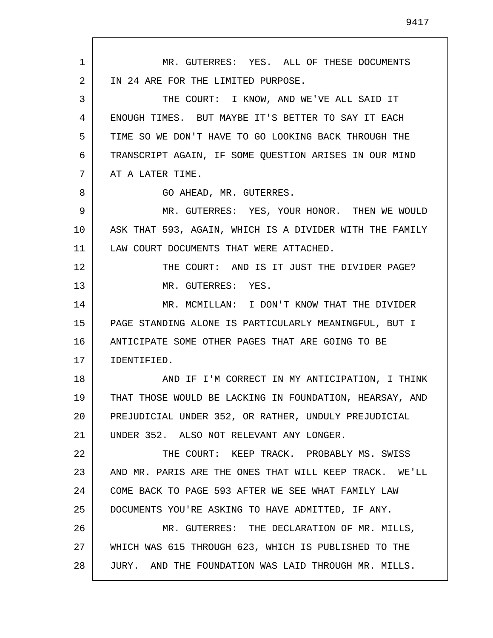1 2 3 4 5 6 7 8 9 10 11 12 13 14 15 16 17 18 19 20 21 22 23 24 25 26 27 28 MR. GUTERRES: YES. ALL OF THESE DOCUMENTS IN 24 ARE FOR THE LIMITED PURPOSE. THE COURT: I KNOW, AND WE'VE ALL SAID IT ENOUGH TIMES. BUT MAYBE IT'S BETTER TO SAY IT EACH TIME SO WE DON'T HAVE TO GO LOOKING BACK THROUGH THE TRANSCRIPT AGAIN, IF SOME QUESTION ARISES IN OUR MIND AT A LATER TIME. GO AHEAD, MR. GUTERRES. MR. GUTERRES: YES, YOUR HONOR. THEN WE WOULD ASK THAT 593, AGAIN, WHICH IS A DIVIDER WITH THE FAMILY LAW COURT DOCUMENTS THAT WERE ATTACHED. THE COURT: AND IS IT JUST THE DIVIDER PAGE? MR. GUTERRES: YES. MR. MCMILLAN: I DON'T KNOW THAT THE DIVIDER PAGE STANDING ALONE IS PARTICULARLY MEANINGFUL, BUT I ANTICIPATE SOME OTHER PAGES THAT ARE GOING TO BE IDENTIFIED. AND IF I'M CORRECT IN MY ANTICIPATION, I THINK THAT THOSE WOULD BE LACKING IN FOUNDATION, HEARSAY, AND PREJUDICIAL UNDER 352, OR RATHER, UNDULY PREJUDICIAL UNDER 352. ALSO NOT RELEVANT ANY LONGER. THE COURT: KEEP TRACK. PROBABLY MS. SWISS AND MR. PARIS ARE THE ONES THAT WILL KEEP TRACK. WE'LL COME BACK TO PAGE 593 AFTER WE SEE WHAT FAMILY LAW DOCUMENTS YOU'RE ASKING TO HAVE ADMITTED, IF ANY. MR. GUTERRES: THE DECLARATION OF MR. MILLS, WHICH WAS 615 THROUGH 623, WHICH IS PUBLISHED TO THE JURY. AND THE FOUNDATION WAS LAID THROUGH MR. MILLS.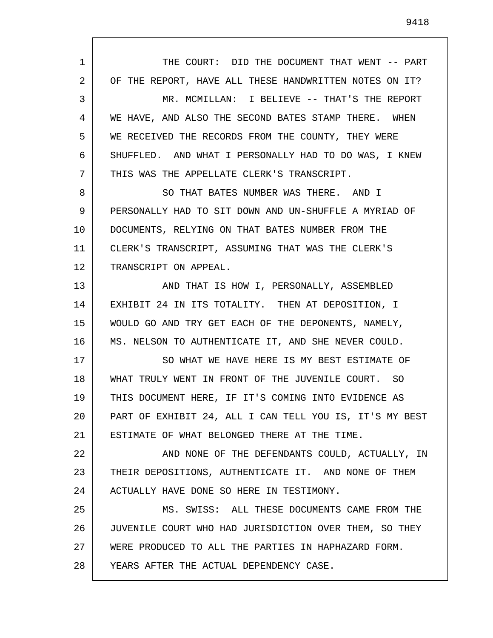1 2 3 4 5 6 7 8 9 10 11 12 13 14 15 16 17 18 19 20 21 22 23 24 25 26 27 28 THE COURT: DID THE DOCUMENT THAT WENT -- PART OF THE REPORT, HAVE ALL THESE HANDWRITTEN NOTES ON IT? MR. MCMILLAN: I BELIEVE -- THAT'S THE REPORT WE HAVE, AND ALSO THE SECOND BATES STAMP THERE. WHEN WE RECEIVED THE RECORDS FROM THE COUNTY, THEY WERE SHUFFLED. AND WHAT I PERSONALLY HAD TO DO WAS, I KNEW THIS WAS THE APPELLATE CLERK'S TRANSCRIPT. SO THAT BATES NUMBER WAS THERE. AND I PERSONALLY HAD TO SIT DOWN AND UN-SHUFFLE A MYRIAD OF DOCUMENTS, RELYING ON THAT BATES NUMBER FROM THE CLERK'S TRANSCRIPT, ASSUMING THAT WAS THE CLERK'S TRANSCRIPT ON APPEAL. AND THAT IS HOW I, PERSONALLY, ASSEMBLED EXHIBIT 24 IN ITS TOTALITY. THEN AT DEPOSITION, I WOULD GO AND TRY GET EACH OF THE DEPONENTS, NAMELY, MS. NELSON TO AUTHENTICATE IT, AND SHE NEVER COULD. SO WHAT WE HAVE HERE IS MY BEST ESTIMATE OF WHAT TRULY WENT IN FRONT OF THE JUVENILE COURT. SO THIS DOCUMENT HERE, IF IT'S COMING INTO EVIDENCE AS PART OF EXHIBIT 24, ALL I CAN TELL YOU IS, IT'S MY BEST ESTIMATE OF WHAT BELONGED THERE AT THE TIME. AND NONE OF THE DEFENDANTS COULD, ACTUALLY, IN THEIR DEPOSITIONS, AUTHENTICATE IT. AND NONE OF THEM ACTUALLY HAVE DONE SO HERE IN TESTIMONY. MS. SWISS: ALL THESE DOCUMENTS CAME FROM THE JUVENILE COURT WHO HAD JURISDICTION OVER THEM, SO THEY WERE PRODUCED TO ALL THE PARTIES IN HAPHAZARD FORM. YEARS AFTER THE ACTUAL DEPENDENCY CASE.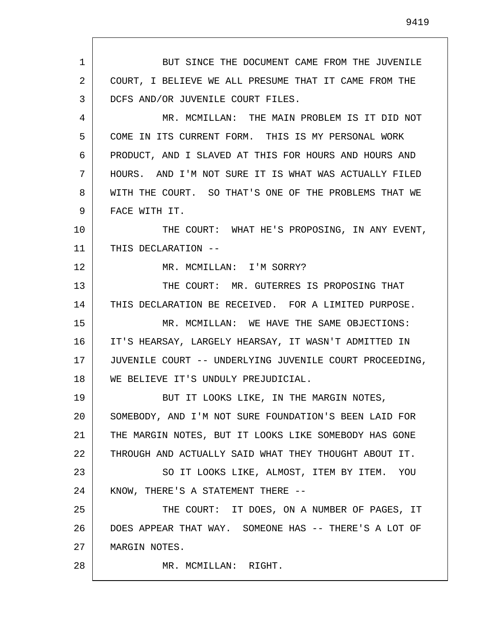1 2 3 4 5 6 7 8 9 10 11 12 13 14 15 16 17 18 19 20 21 22 23 24 25 26 27 28 BUT SINCE THE DOCUMENT CAME FROM THE JUVENILE COURT, I BELIEVE WE ALL PRESUME THAT IT CAME FROM THE DCFS AND/OR JUVENILE COURT FILES. MR. MCMILLAN: THE MAIN PROBLEM IS IT DID NOT COME IN ITS CURRENT FORM. THIS IS MY PERSONAL WORK PRODUCT, AND I SLAVED AT THIS FOR HOURS AND HOURS AND HOURS. AND I'M NOT SURE IT IS WHAT WAS ACTUALLY FILED WITH THE COURT. SO THAT'S ONE OF THE PROBLEMS THAT WE FACE WITH IT. THE COURT: WHAT HE'S PROPOSING, IN ANY EVENT, THIS DECLARATION -- MR. MCMILLAN: I'M SORRY? THE COURT: MR. GUTERRES IS PROPOSING THAT THIS DECLARATION BE RECEIVED. FOR A LIMITED PURPOSE. MR. MCMILLAN: WE HAVE THE SAME OBJECTIONS: IT'S HEARSAY, LARGELY HEARSAY, IT WASN'T ADMITTED IN JUVENILE COURT -- UNDERLYING JUVENILE COURT PROCEEDING, WE BELIEVE IT'S UNDULY PREJUDICIAL. BUT IT LOOKS LIKE, IN THE MARGIN NOTES, SOMEBODY, AND I'M NOT SURE FOUNDATION'S BEEN LAID FOR THE MARGIN NOTES, BUT IT LOOKS LIKE SOMEBODY HAS GONE THROUGH AND ACTUALLY SAID WHAT THEY THOUGHT ABOUT IT. SO IT LOOKS LIKE, ALMOST, ITEM BY ITEM. YOU KNOW, THERE'S A STATEMENT THERE -- THE COURT: IT DOES, ON A NUMBER OF PAGES, IT DOES APPEAR THAT WAY. SOMEONE HAS -- THERE'S A LOT OF MARGIN NOTES. MR. MCMILLAN: RIGHT.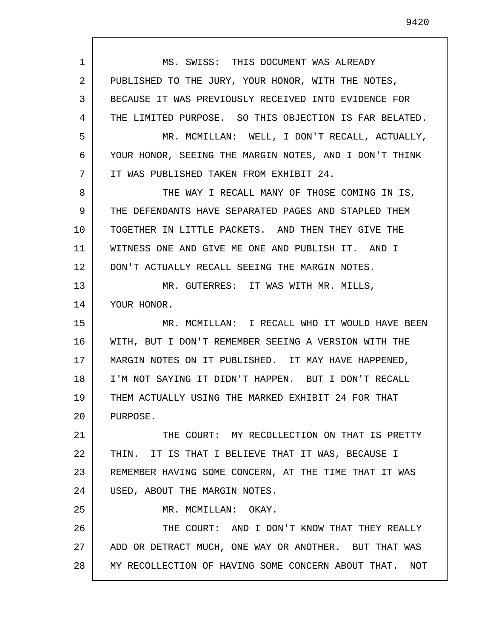1 2 3 4 5 6 7 8 9 10 11 12 13 14 15 16 17 18 19 20 21 22 23 24 25 26 27 28 MS. SWISS: THIS DOCUMENT WAS ALREADY PUBLISHED TO THE JURY, YOUR HONOR, WITH THE NOTES, BECAUSE IT WAS PREVIOUSLY RECEIVED INTO EVIDENCE FOR THE LIMITED PURPOSE. SO THIS OBJECTION IS FAR BELATED. MR. MCMILLAN: WELL, I DON'T RECALL, ACTUALLY, YOUR HONOR, SEEING THE MARGIN NOTES, AND I DON'T THINK IT WAS PUBLISHED TAKEN FROM EXHIBIT 24. THE WAY I RECALL MANY OF THOSE COMING IN IS, THE DEFENDANTS HAVE SEPARATED PAGES AND STAPLED THEM TOGETHER IN LITTLE PACKETS. AND THEN THEY GIVE THE WITNESS ONE AND GIVE ME ONE AND PUBLISH IT. AND I DON'T ACTUALLY RECALL SEEING THE MARGIN NOTES. MR. GUTERRES: IT WAS WITH MR. MILLS, YOUR HONOR. MR. MCMILLAN: I RECALL WHO IT WOULD HAVE BEEN WITH, BUT I DON'T REMEMBER SEEING A VERSION WITH THE MARGIN NOTES ON IT PUBLISHED. IT MAY HAVE HAPPENED, I'M NOT SAYING IT DIDN'T HAPPEN. BUT I DON'T RECALL THEM ACTUALLY USING THE MARKED EXHIBIT 24 FOR THAT PURPOSE. THE COURT: MY RECOLLECTION ON THAT IS PRETTY THIN. IT IS THAT I BELIEVE THAT IT WAS, BECAUSE I REMEMBER HAVING SOME CONCERN, AT THE TIME THAT IT WAS USED, ABOUT THE MARGIN NOTES. MR. MCMILLAN: OKAY. THE COURT: AND I DON'T KNOW THAT THEY REALLY ADD OR DETRACT MUCH, ONE WAY OR ANOTHER. BUT THAT WAS MY RECOLLECTION OF HAVING SOME CONCERN ABOUT THAT. NOT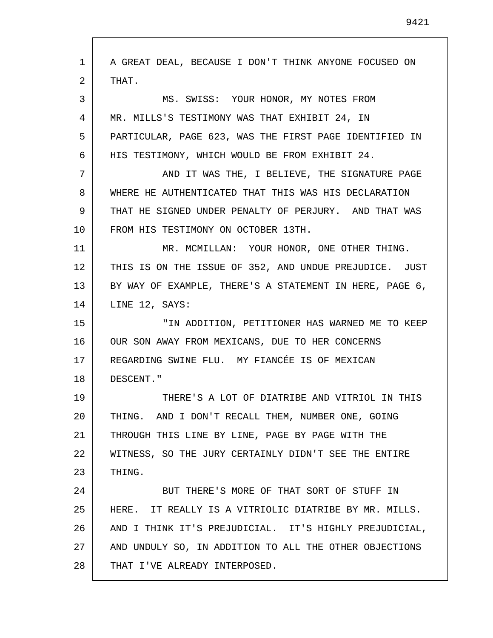1 2 3 4 5 6 7 8 9 10 11 12 13 14 15 16 17 18 19 20 21 22 23 24 25 26 27 28 A GREAT DEAL, BECAUSE I DON'T THINK ANYONE FOCUSED ON THAT. MS. SWISS: YOUR HONOR, MY NOTES FROM MR. MILLS'S TESTIMONY WAS THAT EXHIBIT 24, IN PARTICULAR, PAGE 623, WAS THE FIRST PAGE IDENTIFIED IN HIS TESTIMONY, WHICH WOULD BE FROM EXHIBIT 24. AND IT WAS THE, I BELIEVE, THE SIGNATURE PAGE WHERE HE AUTHENTICATED THAT THIS WAS HIS DECLARATION THAT HE SIGNED UNDER PENALTY OF PERJURY. AND THAT WAS FROM HIS TESTIMONY ON OCTOBER 13TH. MR. MCMILLAN: YOUR HONOR, ONE OTHER THING. THIS IS ON THE ISSUE OF 352, AND UNDUE PREJUDICE. JUST BY WAY OF EXAMPLE, THERE'S A STATEMENT IN HERE, PAGE 6, LINE 12, SAYS: "IN ADDITION, PETITIONER HAS WARNED ME TO KEEP OUR SON AWAY FROM MEXICANS, DUE TO HER CONCERNS REGARDING SWINE FLU. MY FIANCÉE IS OF MEXICAN DESCENT." THERE'S A LOT OF DIATRIBE AND VITRIOL IN THIS THING. AND I DON'T RECALL THEM, NUMBER ONE, GOING THROUGH THIS LINE BY LINE, PAGE BY PAGE WITH THE WITNESS, SO THE JURY CERTAINLY DIDN'T SEE THE ENTIRE THING. BUT THERE'S MORE OF THAT SORT OF STUFF IN HERE. IT REALLY IS A VITRIOLIC DIATRIBE BY MR. MILLS. AND I THINK IT'S PREJUDICIAL. IT'S HIGHLY PREJUDICIAL, AND UNDULY SO, IN ADDITION TO ALL THE OTHER OBJECTIONS THAT I'VE ALREADY INTERPOSED.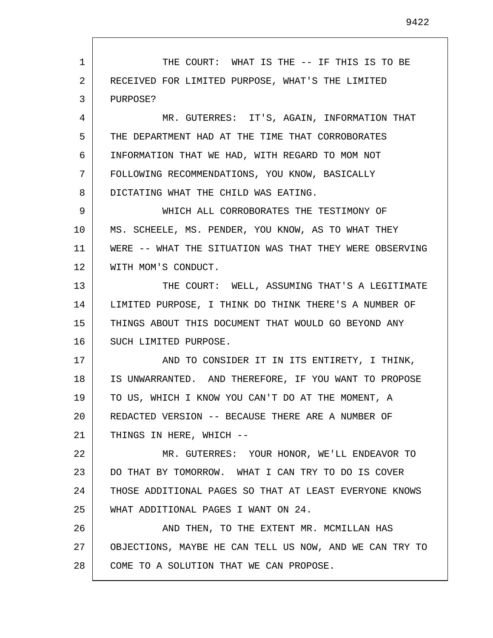1 2 3 4 5 6 7 8 9 10 11 12 13 14 15 16 17 18 19 20 21 22 23 24 25 26 27 28 THE COURT: WHAT IS THE -- IF THIS IS TO BE RECEIVED FOR LIMITED PURPOSE, WHAT'S THE LIMITED PURPOSE? MR. GUTERRES: IT'S, AGAIN, INFORMATION THAT THE DEPARTMENT HAD AT THE TIME THAT CORROBORATES INFORMATION THAT WE HAD, WITH REGARD TO MOM NOT FOLLOWING RECOMMENDATIONS, YOU KNOW, BASICALLY DICTATING WHAT THE CHILD WAS EATING. WHICH ALL CORROBORATES THE TESTIMONY OF MS. SCHEELE, MS. PENDER, YOU KNOW, AS TO WHAT THEY WERE -- WHAT THE SITUATION WAS THAT THEY WERE OBSERVING WITH MOM'S CONDUCT. THE COURT: WELL, ASSUMING THAT'S A LEGITIMATE LIMITED PURPOSE, I THINK DO THINK THERE'S A NUMBER OF THINGS ABOUT THIS DOCUMENT THAT WOULD GO BEYOND ANY SUCH LIMITED PURPOSE. AND TO CONSIDER IT IN ITS ENTIRETY, I THINK, IS UNWARRANTED. AND THEREFORE, IF YOU WANT TO PROPOSE TO US, WHICH I KNOW YOU CAN'T DO AT THE MOMENT, A REDACTED VERSION -- BECAUSE THERE ARE A NUMBER OF THINGS IN HERE, WHICH --MR. GUTERRES: YOUR HONOR, WE'LL ENDEAVOR TO DO THAT BY TOMORROW. WHAT I CAN TRY TO DO IS COVER THOSE ADDITIONAL PAGES SO THAT AT LEAST EVERYONE KNOWS WHAT ADDITIONAL PAGES I WANT ON 24. AND THEN, TO THE EXTENT MR. MCMILLAN HAS OBJECTIONS, MAYBE HE CAN TELL US NOW, AND WE CAN TRY TO COME TO A SOLUTION THAT WE CAN PROPOSE.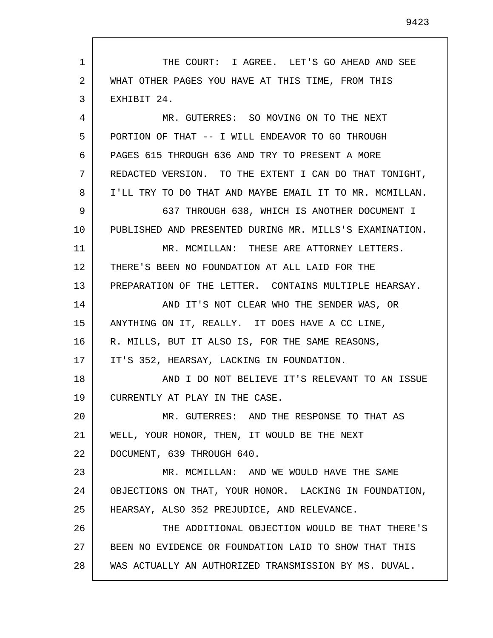1 2 3 4 5 6 7 8 9 10 11 12 13 14 15 16 17 18 19 20 21 22 23 24 25 26 27 28 THE COURT: I AGREE. LET'S GO AHEAD AND SEE WHAT OTHER PAGES YOU HAVE AT THIS TIME, FROM THIS EXHIBIT 24. MR. GUTERRES: SO MOVING ON TO THE NEXT PORTION OF THAT -- I WILL ENDEAVOR TO GO THROUGH PAGES 615 THROUGH 636 AND TRY TO PRESENT A MORE REDACTED VERSION. TO THE EXTENT I CAN DO THAT TONIGHT, I'LL TRY TO DO THAT AND MAYBE EMAIL IT TO MR. MCMILLAN. 637 THROUGH 638, WHICH IS ANOTHER DOCUMENT I PUBLISHED AND PRESENTED DURING MR. MILLS'S EXAMINATION. MR. MCMILLAN: THESE ARE ATTORNEY LETTERS. THERE'S BEEN NO FOUNDATION AT ALL LAID FOR THE PREPARATION OF THE LETTER. CONTAINS MULTIPLE HEARSAY. AND IT'S NOT CLEAR WHO THE SENDER WAS, OR ANYTHING ON IT, REALLY. IT DOES HAVE A CC LINE, R. MILLS, BUT IT ALSO IS, FOR THE SAME REASONS, IT'S 352, HEARSAY, LACKING IN FOUNDATION. AND I DO NOT BELIEVE IT'S RELEVANT TO AN ISSUE CURRENTLY AT PLAY IN THE CASE. MR. GUTERRES: AND THE RESPONSE TO THAT AS WELL, YOUR HONOR, THEN, IT WOULD BE THE NEXT DOCUMENT, 639 THROUGH 640. MR. MCMILLAN: AND WE WOULD HAVE THE SAME OBJECTIONS ON THAT, YOUR HONOR. LACKING IN FOUNDATION, HEARSAY, ALSO 352 PREJUDICE, AND RELEVANCE. THE ADDITIONAL OBJECTION WOULD BE THAT THERE'S BEEN NO EVIDENCE OR FOUNDATION LAID TO SHOW THAT THIS WAS ACTUALLY AN AUTHORIZED TRANSMISSION BY MS. DUVAL.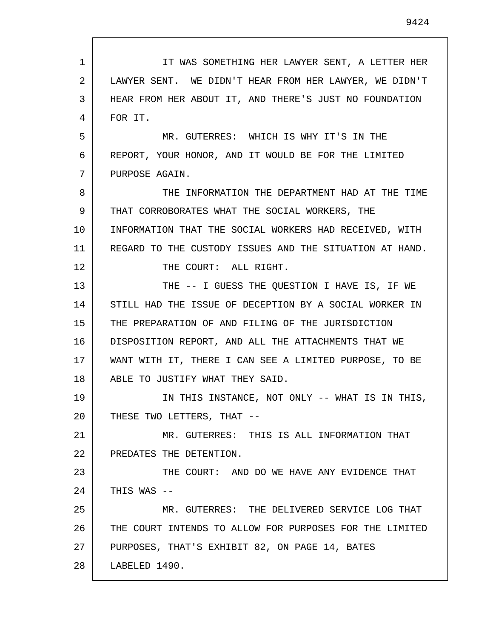1 2 3 4 5 6 7 8 9 10 11 12 13 14 15 16 17 18 19 20 21 22 23 24 25 26 27 28 IT WAS SOMETHING HER LAWYER SENT, A LETTER HER LAWYER SENT. WE DIDN'T HEAR FROM HER LAWYER, WE DIDN'T HEAR FROM HER ABOUT IT, AND THERE'S JUST NO FOUNDATION FOR IT. MR. GUTERRES: WHICH IS WHY IT'S IN THE REPORT, YOUR HONOR, AND IT WOULD BE FOR THE LIMITED PURPOSE AGAIN. THE INFORMATION THE DEPARTMENT HAD AT THE TIME THAT CORROBORATES WHAT THE SOCIAL WORKERS, THE INFORMATION THAT THE SOCIAL WORKERS HAD RECEIVED, WITH REGARD TO THE CUSTODY ISSUES AND THE SITUATION AT HAND. THE COURT: ALL RIGHT. THE -- I GUESS THE QUESTION I HAVE IS, IF WE STILL HAD THE ISSUE OF DECEPTION BY A SOCIAL WORKER IN THE PREPARATION OF AND FILING OF THE JURISDICTION DISPOSITION REPORT, AND ALL THE ATTACHMENTS THAT WE WANT WITH IT, THERE I CAN SEE A LIMITED PURPOSE, TO BE ABLE TO JUSTIFY WHAT THEY SAID. IN THIS INSTANCE, NOT ONLY -- WHAT IS IN THIS, THESE TWO LETTERS, THAT --MR. GUTERRES: THIS IS ALL INFORMATION THAT PREDATES THE DETENTION. THE COURT: AND DO WE HAVE ANY EVIDENCE THAT THIS WAS -- MR. GUTERRES: THE DELIVERED SERVICE LOG THAT THE COURT INTENDS TO ALLOW FOR PURPOSES FOR THE LIMITED PURPOSES, THAT'S EXHIBIT 82, ON PAGE 14, BATES LABELED 1490.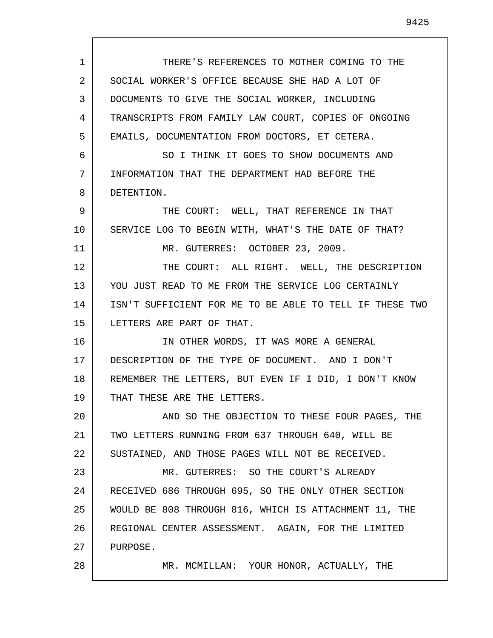| $\mathbf{1}$ | THERE'S REFERENCES TO MOTHER COMING TO THE              |
|--------------|---------------------------------------------------------|
| 2            | SOCIAL WORKER'S OFFICE BECAUSE SHE HAD A LOT OF         |
| 3            | DOCUMENTS TO GIVE THE SOCIAL WORKER, INCLUDING          |
| 4            | TRANSCRIPTS FROM FAMILY LAW COURT, COPIES OF ONGOING    |
| 5            | EMAILS, DOCUMENTATION FROM DOCTORS, ET CETERA.          |
| 6            | SO I THINK IT GOES TO SHOW DOCUMENTS AND                |
| 7            | INFORMATION THAT THE DEPARTMENT HAD BEFORE THE          |
| 8            | DETENTION.                                              |
| 9            | THE COURT: WELL, THAT REFERENCE IN THAT                 |
| 10           | SERVICE LOG TO BEGIN WITH, WHAT'S THE DATE OF THAT?     |
| 11           | MR. GUTERRES: OCTOBER 23, 2009.                         |
| 12           | THE COURT: ALL RIGHT. WELL, THE DESCRIPTION             |
| 13           | YOU JUST READ TO ME FROM THE SERVICE LOG CERTAINLY      |
| 14           | ISN'T SUFFICIENT FOR ME TO BE ABLE TO TELL IF THESE TWO |
| 15           | LETTERS ARE PART OF THAT.                               |
| 16           | IN OTHER WORDS, IT WAS MORE A GENERAL                   |
| 17           | DESCRIPTION OF THE TYPE OF DOCUMENT. AND I DON'T        |
| 18           | REMEMBER THE LETTERS, BUT EVEN IF I DID, I DON'T KNOW   |
| 19           | THAT THESE ARE THE LETTERS.                             |
| 20           | AND SO THE OBJECTION TO THESE FOUR PAGES, THE           |
| 21           | TWO LETTERS RUNNING FROM 637 THROUGH 640, WILL BE       |
| 22           | SUSTAINED, AND THOSE PAGES WILL NOT BE RECEIVED.        |
| 23           | MR. GUTERRES: SO THE COURT'S ALREADY                    |
| 24           | RECEIVED 686 THROUGH 695, SO THE ONLY OTHER SECTION     |
| 25           | WOULD BE 808 THROUGH 816, WHICH IS ATTACHMENT 11, THE   |
| 26           | REGIONAL CENTER ASSESSMENT. AGAIN, FOR THE LIMITED      |
| 27           | PURPOSE.                                                |
| 28           | MR. MCMILLAN: YOUR HONOR, ACTUALLY, THE                 |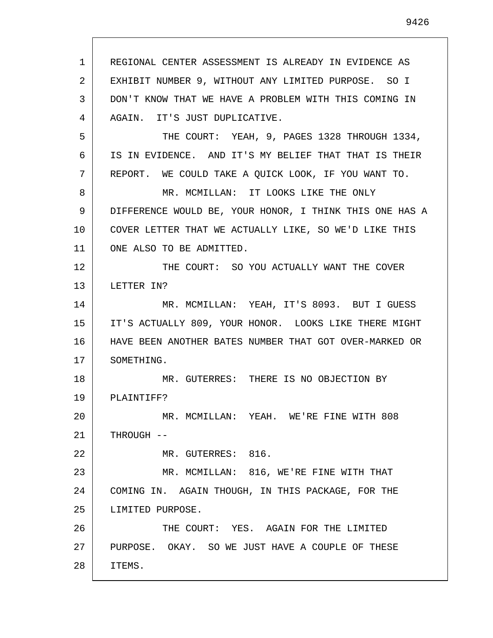1 2 3 4 5 6 7 8 9 10 11 12 13 14 15 16 17 18 19 20 21 22 23 24 25 26 27 28 REGIONAL CENTER ASSESSMENT IS ALREADY IN EVIDENCE AS EXHIBIT NUMBER 9, WITHOUT ANY LIMITED PURPOSE. SO I DON'T KNOW THAT WE HAVE A PROBLEM WITH THIS COMING IN AGAIN. IT'S JUST DUPLICATIVE. THE COURT: YEAH, 9, PAGES 1328 THROUGH 1334, IS IN EVIDENCE. AND IT'S MY BELIEF THAT THAT IS THEIR REPORT. WE COULD TAKE A QUICK LOOK, IF YOU WANT TO. MR. MCMILLAN: IT LOOKS LIKE THE ONLY DIFFERENCE WOULD BE, YOUR HONOR, I THINK THIS ONE HAS A COVER LETTER THAT WE ACTUALLY LIKE, SO WE'D LIKE THIS ONE ALSO TO BE ADMITTED. THE COURT: SO YOU ACTUALLY WANT THE COVER LETTER IN? MR. MCMILLAN: YEAH, IT'S 8093. BUT I GUESS IT'S ACTUALLY 809, YOUR HONOR. LOOKS LIKE THERE MIGHT HAVE BEEN ANOTHER BATES NUMBER THAT GOT OVER-MARKED OR SOMETHING. MR. GUTERRES: THERE IS NO OBJECTION BY PLAINTIFF? MR. MCMILLAN: YEAH. WE'RE FINE WITH 808 THROUGH -- MR. GUTERRES: 816. MR. MCMILLAN: 816, WE'RE FINE WITH THAT COMING IN. AGAIN THOUGH, IN THIS PACKAGE, FOR THE LIMITED PURPOSE. THE COURT: YES. AGAIN FOR THE LIMITED PURPOSE. OKAY. SO WE JUST HAVE A COUPLE OF THESE ITEMS.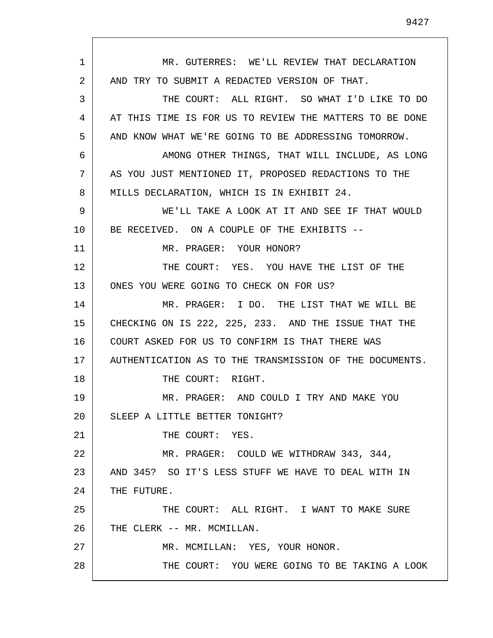1 2 3 4 5 6 7 8 9 10 11 12 13 14 15 16 17 18 19 20 21 22 23 24 25 26 27 28 MR. GUTERRES: WE'LL REVIEW THAT DECLARATION AND TRY TO SUBMIT A REDACTED VERSION OF THAT. THE COURT: ALL RIGHT. SO WHAT I'D LIKE TO DO AT THIS TIME IS FOR US TO REVIEW THE MATTERS TO BE DONE AND KNOW WHAT WE'RE GOING TO BE ADDRESSING TOMORROW. AMONG OTHER THINGS, THAT WILL INCLUDE, AS LONG AS YOU JUST MENTIONED IT, PROPOSED REDACTIONS TO THE MILLS DECLARATION, WHICH IS IN EXHIBIT 24. WE'LL TAKE A LOOK AT IT AND SEE IF THAT WOULD BE RECEIVED. ON A COUPLE OF THE EXHIBITS --MR. PRAGER: YOUR HONOR? THE COURT: YES. YOU HAVE THE LIST OF THE ONES YOU WERE GOING TO CHECK ON FOR US? MR. PRAGER: I DO. THE LIST THAT WE WILL BE CHECKING ON IS 222, 225, 233. AND THE ISSUE THAT THE COURT ASKED FOR US TO CONFIRM IS THAT THERE WAS AUTHENTICATION AS TO THE TRANSMISSION OF THE DOCUMENTS. THE COURT: RIGHT. MR. PRAGER: AND COULD I TRY AND MAKE YOU SLEEP A LITTLE BETTER TONIGHT? THE COURT: YES. MR. PRAGER: COULD WE WITHDRAW 343, 344, AND 345? SO IT'S LESS STUFF WE HAVE TO DEAL WITH IN THE FUTURE. THE COURT: ALL RIGHT. I WANT TO MAKE SURE THE CLERK -- MR. MCMILLAN. MR. MCMILLAN: YES, YOUR HONOR. THE COURT: YOU WERE GOING TO BE TAKING A LOOK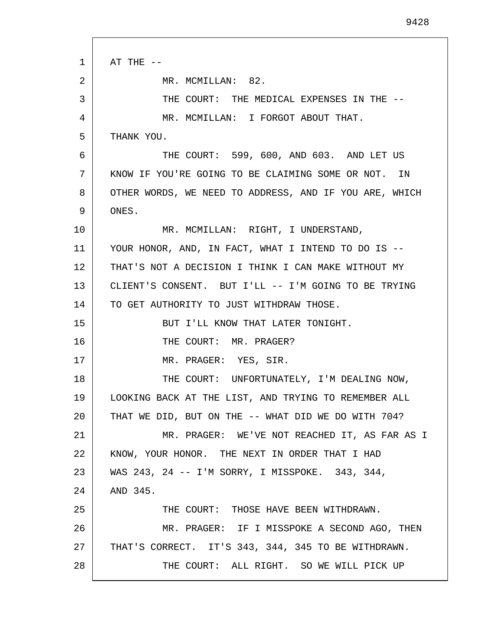```
1
2
 3
4
5
6
7
8
9
10
11
12
13
14
15
16
17
18
19
20
21
22
23
24
25
26
27
28
      AT THE --MR. MCMILLAN: 82.
               THE COURT: THE MEDICAL EXPENSES IN THE --
               MR. MCMILLAN: I FORGOT ABOUT THAT.
      THANK YOU.
               THE COURT: 599, 600, AND 603. AND LET US
      KNOW IF YOU'RE GOING TO BE CLAIMING SOME OR NOT. IN
      OTHER WORDS, WE NEED TO ADDRESS, AND IF YOU ARE, WHICH
      ONES.
               MR. MCMILLAN: RIGHT, I UNDERSTAND,
      YOUR HONOR, AND, IN FACT, WHAT I INTEND TO DO IS --
      THAT'S NOT A DECISION I THINK I CAN MAKE WITHOUT MY
      CLIENT'S CONSENT. BUT I'LL -- I'M GOING TO BE TRYING
      TO GET AUTHORITY TO JUST WITHDRAW THOSE.
               BUT I'LL KNOW THAT LATER TONIGHT.
               THE COURT: MR. PRAGER?
               MR. PRAGER: YES, SIR.
               THE COURT: UNFORTUNATELY, I'M DEALING NOW,
      LOOKING BACK AT THE LIST, AND TRYING TO REMEMBER ALL
      THAT WE DID, BUT ON THE -- WHAT DID WE DO WITH 704?
               MR. PRAGER: WE'VE NOT REACHED IT, AS FAR AS I
      KNOW, YOUR HONOR. THE NEXT IN ORDER THAT I HAD
      WAS 243, 24 -- I'M SORRY, I MISSPOKE. 343, 344,
      AND 345.
               THE COURT: THOSE HAVE BEEN WITHDRAWN.
               MR. PRAGER: IF I MISSPOKE A SECOND AGO, THEN
      THAT'S CORRECT. IT'S 343, 344, 345 TO BE WITHDRAWN.
               THE COURT: ALL RIGHT. SO WE WILL PICK UP
```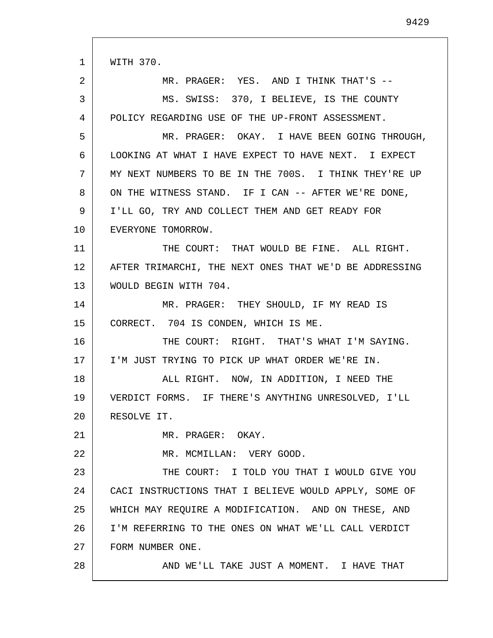| $\mathbf{1}$ | WITH 370.                                              |
|--------------|--------------------------------------------------------|
| 2            | MR. PRAGER: YES. AND I THINK THAT'S --                 |
| 3            | MS. SWISS: 370, I BELIEVE, IS THE COUNTY               |
| 4            | POLICY REGARDING USE OF THE UP-FRONT ASSESSMENT.       |
| 5            | MR. PRAGER: OKAY. I HAVE BEEN GOING THROUGH,           |
| 6            | LOOKING AT WHAT I HAVE EXPECT TO HAVE NEXT. I EXPECT   |
| 7            | MY NEXT NUMBERS TO BE IN THE 700S. I THINK THEY'RE UP  |
| 8            | ON THE WITNESS STAND. IF I CAN -- AFTER WE'RE DONE,    |
| 9            | I'LL GO, TRY AND COLLECT THEM AND GET READY FOR        |
| 10           | EVERYONE TOMORROW.                                     |
| 11           | THE COURT: THAT WOULD BE FINE. ALL RIGHT.              |
| 12           | AFTER TRIMARCHI, THE NEXT ONES THAT WE'D BE ADDRESSING |
| 13           | WOULD BEGIN WITH 704.                                  |
| 14           | MR. PRAGER: THEY SHOULD, IF MY READ IS                 |
| 15           | CORRECT. 704 IS CONDEN, WHICH IS ME.                   |
| 16           | THE COURT: RIGHT. THAT'S WHAT I'M SAYING.              |
| 17           | I'M JUST TRYING TO PICK UP WHAT ORDER WE'RE IN.        |
| 18           | ALL RIGHT. NOW, IN ADDITION, I NEED THE                |
| 19           | VERDICT FORMS. IF THERE'S ANYTHING UNRESOLVED, I'LL    |
| 20           | RESOLVE IT.                                            |
| 21           | MR. PRAGER: OKAY.                                      |
| 22           | MR. MCMILLAN: VERY GOOD.                               |
| 23           | THE COURT: I TOLD YOU THAT I WOULD GIVE YOU            |
| 24           | CACI INSTRUCTIONS THAT I BELIEVE WOULD APPLY, SOME OF  |
| 25           | WHICH MAY REQUIRE A MODIFICATION. AND ON THESE, AND    |
| 26           | I'M REFERRING TO THE ONES ON WHAT WE'LL CALL VERDICT   |
| 27           | FORM NUMBER ONE.                                       |
| 28           | AND WE'LL TAKE JUST A MOMENT. I HAVE THAT              |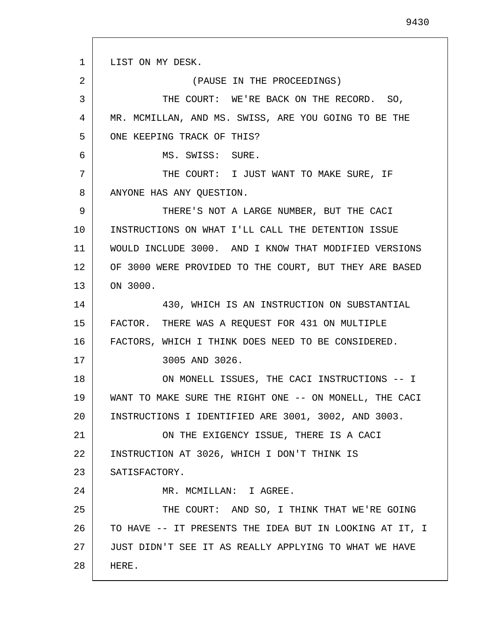1 2 3 4 5 6 7 8 9 10 11 12 13 14 15 16 17 18 19 20 21 22 23 24 25 26 27 28 LIST ON MY DESK. (PAUSE IN THE PROCEEDINGS) THE COURT: WE'RE BACK ON THE RECORD. SO, MR. MCMILLAN, AND MS. SWISS, ARE YOU GOING TO BE THE ONE KEEPING TRACK OF THIS? MS. SWISS: SURE. THE COURT: I JUST WANT TO MAKE SURE, IF ANYONE HAS ANY QUESTION. THERE'S NOT A LARGE NUMBER, BUT THE CACI INSTRUCTIONS ON WHAT I'LL CALL THE DETENTION ISSUE WOULD INCLUDE 3000. AND I KNOW THAT MODIFIED VERSIONS OF 3000 WERE PROVIDED TO THE COURT, BUT THEY ARE BASED ON 3000. 430, WHICH IS AN INSTRUCTION ON SUBSTANTIAL FACTOR. THERE WAS A REQUEST FOR 431 ON MULTIPLE FACTORS, WHICH I THINK DOES NEED TO BE CONSIDERED. 3005 AND 3026. ON MONELL ISSUES, THE CACI INSTRUCTIONS -- I WANT TO MAKE SURE THE RIGHT ONE -- ON MONELL, THE CACI INSTRUCTIONS I IDENTIFIED ARE 3001, 3002, AND 3003. ON THE EXIGENCY ISSUE, THERE IS A CACI INSTRUCTION AT 3026, WHICH I DON'T THINK IS SATISFACTORY. MR. MCMILLAN: I AGREE. THE COURT: AND SO, I THINK THAT WE'RE GOING TO HAVE -- IT PRESENTS THE IDEA BUT IN LOOKING AT IT, I JUST DIDN'T SEE IT AS REALLY APPLYING TO WHAT WE HAVE HERE.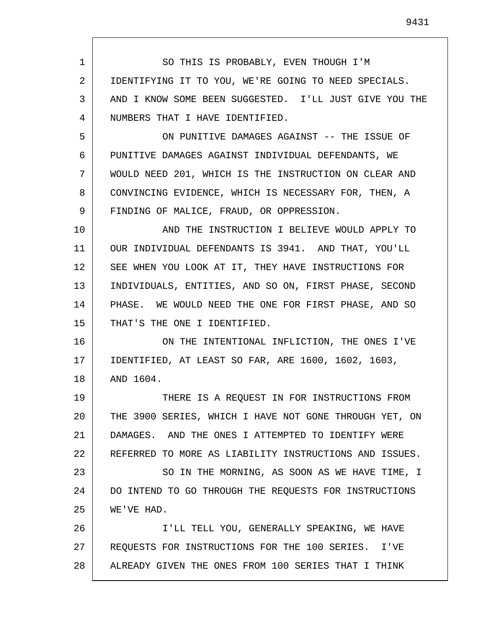1 2 3 4 5 6 7 8 9 10 11 12 13 14 15 16 17 18 19 20 21 22 23 24 25 26 27 28 SO THIS IS PROBABLY, EVEN THOUGH I'M IDENTIFYING IT TO YOU, WE'RE GOING TO NEED SPECIALS. AND I KNOW SOME BEEN SUGGESTED. I'LL JUST GIVE YOU THE NUMBERS THAT I HAVE IDENTIFIED. ON PUNITIVE DAMAGES AGAINST -- THE ISSUE OF PUNITIVE DAMAGES AGAINST INDIVIDUAL DEFENDANTS, WE WOULD NEED 201, WHICH IS THE INSTRUCTION ON CLEAR AND CONVINCING EVIDENCE, WHICH IS NECESSARY FOR, THEN, A FINDING OF MALICE, FRAUD, OR OPPRESSION. AND THE INSTRUCTION I BELIEVE WOULD APPLY TO OUR INDIVIDUAL DEFENDANTS IS 3941. AND THAT, YOU'LL SEE WHEN YOU LOOK AT IT, THEY HAVE INSTRUCTIONS FOR INDIVIDUALS, ENTITIES, AND SO ON, FIRST PHASE, SECOND PHASE. WE WOULD NEED THE ONE FOR FIRST PHASE, AND SO THAT'S THE ONE I IDENTIFIED. ON THE INTENTIONAL INFLICTION, THE ONES I'VE IDENTIFIED, AT LEAST SO FAR, ARE 1600, 1602, 1603, AND 1604. THERE IS A REQUEST IN FOR INSTRUCTIONS FROM THE 3900 SERIES, WHICH I HAVE NOT GONE THROUGH YET, ON DAMAGES. AND THE ONES I ATTEMPTED TO IDENTIFY WERE REFERRED TO MORE AS LIABILITY INSTRUCTIONS AND ISSUES. SO IN THE MORNING, AS SOON AS WE HAVE TIME, I DO INTEND TO GO THROUGH THE REQUESTS FOR INSTRUCTIONS WE'VE HAD. I'LL TELL YOU, GENERALLY SPEAKING, WE HAVE REQUESTS FOR INSTRUCTIONS FOR THE 100 SERIES. I'VE ALREADY GIVEN THE ONES FROM 100 SERIES THAT I THINK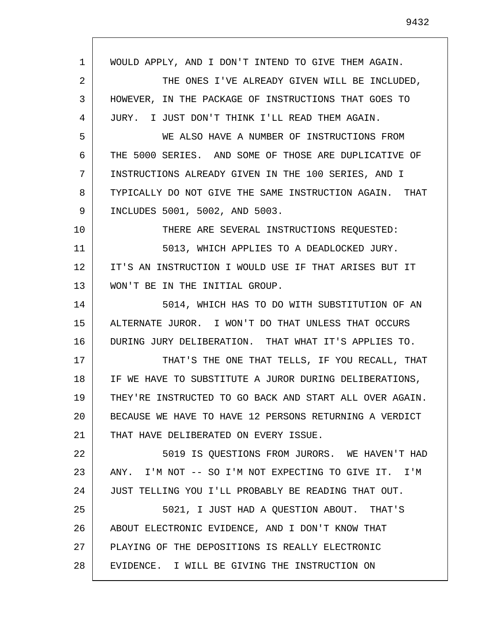| 1  | WOULD APPLY, AND I DON'T INTEND TO GIVE THEM AGAIN.     |
|----|---------------------------------------------------------|
| 2  | THE ONES I'VE ALREADY GIVEN WILL BE INCLUDED,           |
| 3  | HOWEVER, IN THE PACKAGE OF INSTRUCTIONS THAT GOES TO    |
| 4  | JURY. I JUST DON'T THINK I'LL READ THEM AGAIN.          |
| 5  | WE ALSO HAVE A NUMBER OF INSTRUCTIONS FROM              |
| 6  | THE 5000 SERIES. AND SOME OF THOSE ARE DUPLICATIVE OF   |
| 7  | INSTRUCTIONS ALREADY GIVEN IN THE 100 SERIES, AND I     |
| 8  | TYPICALLY DO NOT GIVE THE SAME INSTRUCTION AGAIN. THAT  |
| 9  | INCLUDES 5001, 5002, AND 5003.                          |
| 10 | THERE ARE SEVERAL INSTRUCTIONS REQUESTED:               |
| 11 | 5013, WHICH APPLIES TO A DEADLOCKED JURY.               |
| 12 | IT'S AN INSTRUCTION I WOULD USE IF THAT ARISES BUT IT   |
| 13 | WON'T BE IN THE INITIAL GROUP.                          |
| 14 | 5014, WHICH HAS TO DO WITH SUBSTITUTION OF AN           |
| 15 | ALTERNATE JUROR. I WON'T DO THAT UNLESS THAT OCCURS     |
| 16 | DURING JURY DELIBERATION. THAT WHAT IT'S APPLIES TO.    |
| 17 | THAT'S THE ONE THAT TELLS, IF YOU RECALL, THAT          |
| 18 | IF WE HAVE TO SUBSTITUTE A JUROR DURING DELIBERATIONS,  |
| 19 | THEY'RE INSTRUCTED TO GO BACK AND START ALL OVER AGAIN. |
| 20 | BECAUSE WE HAVE TO HAVE 12 PERSONS RETURNING A VERDICT  |
| 21 | THAT HAVE DELIBERATED ON EVERY ISSUE.                   |
| 22 | 5019 IS QUESTIONS FROM JURORS. WE HAVEN'T HAD           |
| 23 | ANY. I'M NOT -- SO I'M NOT EXPECTING TO GIVE IT. I'M    |
| 24 | JUST TELLING YOU I'LL PROBABLY BE READING THAT OUT.     |
| 25 | 5021, I JUST HAD A QUESTION ABOUT. THAT'S               |
| 26 | ABOUT ELECTRONIC EVIDENCE, AND I DON'T KNOW THAT        |
| 27 | PLAYING OF THE DEPOSITIONS IS REALLY ELECTRONIC         |
| 28 | EVIDENCE. I WILL BE GIVING THE INSTRUCTION ON           |
|    |                                                         |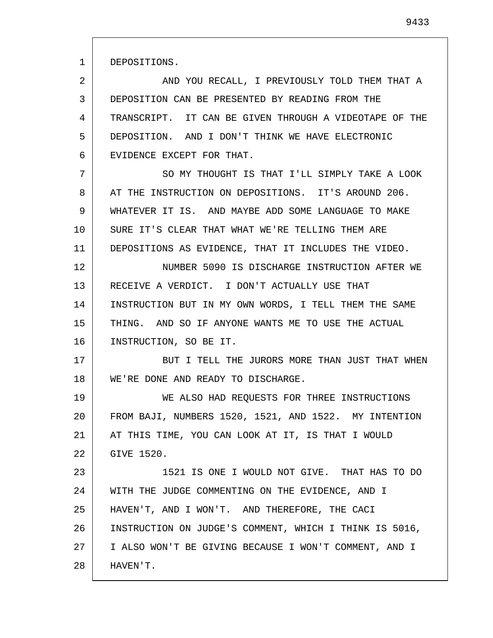1

2 3 4 5 6 AND YOU RECALL, I PREVIOUSLY TOLD THEM THAT A DEPOSITION CAN BE PRESENTED BY READING FROM THE TRANSCRIPT. IT CAN BE GIVEN THROUGH A VIDEOTAPE OF THE DEPOSITION. AND I DON'T THINK WE HAVE ELECTRONIC EVIDENCE EXCEPT FOR THAT.

7 8 9 10 11 SO MY THOUGHT IS THAT I'LL SIMPLY TAKE A LOOK AT THE INSTRUCTION ON DEPOSITIONS. IT'S AROUND 206. WHATEVER IT IS. AND MAYBE ADD SOME LANGUAGE TO MAKE SURE IT'S CLEAR THAT WHAT WE'RE TELLING THEM ARE DEPOSITIONS AS EVIDENCE, THAT IT INCLUDES THE VIDEO.

12 13 14 15 16 NUMBER 5090 IS DISCHARGE INSTRUCTION AFTER WE RECEIVE A VERDICT. I DON'T ACTUALLY USE THAT INSTRUCTION BUT IN MY OWN WORDS, I TELL THEM THE SAME THING. AND SO IF ANYONE WANTS ME TO USE THE ACTUAL INSTRUCTION, SO BE IT.

17 18 BUT I TELL THE JURORS MORE THAN JUST THAT WHEN WE'RE DONE AND READY TO DISCHARGE.

19 20 21 22 WE ALSO HAD REQUESTS FOR THREE INSTRUCTIONS FROM BAJI, NUMBERS 1520, 1521, AND 1522. MY INTENTION AT THIS TIME, YOU CAN LOOK AT IT, IS THAT I WOULD GIVE 1520.

23 24 25 26 27 28 1521 IS ONE I WOULD NOT GIVE. THAT HAS TO DO WITH THE JUDGE COMMENTING ON THE EVIDENCE, AND I HAVEN'T, AND I WON'T. AND THEREFORE, THE CACI INSTRUCTION ON JUDGE'S COMMENT, WHICH I THINK IS 5016, I ALSO WON'T BE GIVING BECAUSE I WON'T COMMENT, AND I HAVEN'T.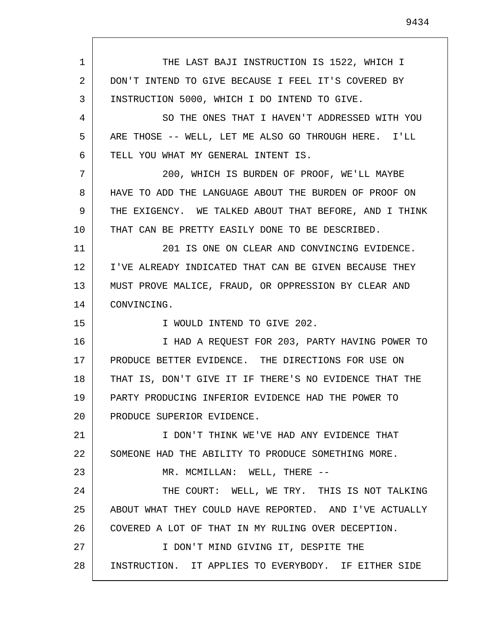1 2 3 4 5 6 7 8 9 10 11 12 13 14 15 16 17 18 19 20 21 22 23 24 25 26 27 28 THE LAST BAJI INSTRUCTION IS 1522, WHICH I DON'T INTEND TO GIVE BECAUSE I FEEL IT'S COVERED BY INSTRUCTION 5000, WHICH I DO INTEND TO GIVE. SO THE ONES THAT I HAVEN'T ADDRESSED WITH YOU ARE THOSE -- WELL, LET ME ALSO GO THROUGH HERE. I'LL TELL YOU WHAT MY GENERAL INTENT IS. 200, WHICH IS BURDEN OF PROOF, WE'LL MAYBE HAVE TO ADD THE LANGUAGE ABOUT THE BURDEN OF PROOF ON THE EXIGENCY. WE TALKED ABOUT THAT BEFORE, AND I THINK THAT CAN BE PRETTY EASILY DONE TO BE DESCRIBED. 201 IS ONE ON CLEAR AND CONVINCING EVIDENCE. I'VE ALREADY INDICATED THAT CAN BE GIVEN BECAUSE THEY MUST PROVE MALICE, FRAUD, OR OPPRESSION BY CLEAR AND CONVINCING. I WOULD INTEND TO GIVE 202. I HAD A REQUEST FOR 203, PARTY HAVING POWER TO PRODUCE BETTER EVIDENCE. THE DIRECTIONS FOR USE ON THAT IS, DON'T GIVE IT IF THERE'S NO EVIDENCE THAT THE PARTY PRODUCING INFERIOR EVIDENCE HAD THE POWER TO PRODUCE SUPERIOR EVIDENCE. I DON'T THINK WE'VE HAD ANY EVIDENCE THAT SOMEONE HAD THE ABILITY TO PRODUCE SOMETHING MORE. MR. MCMILLAN: WELL, THERE -- THE COURT: WELL, WE TRY. THIS IS NOT TALKING ABOUT WHAT THEY COULD HAVE REPORTED. AND I'VE ACTUALLY COVERED A LOT OF THAT IN MY RULING OVER DECEPTION. I DON'T MIND GIVING IT, DESPITE THE INSTRUCTION. IT APPLIES TO EVERYBODY. IF EITHER SIDE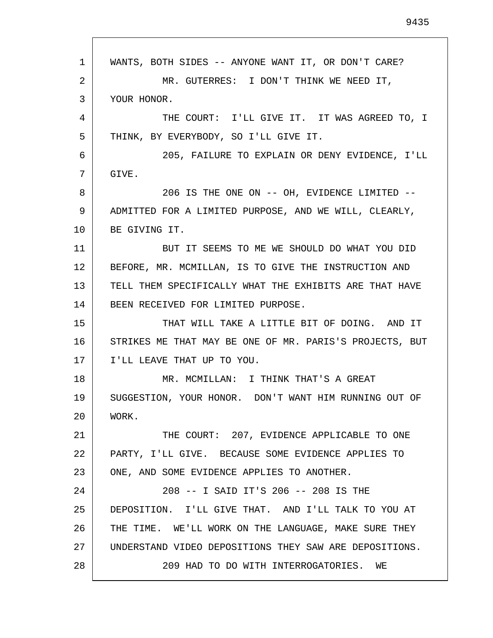| 1  | WANTS, BOTH SIDES -- ANYONE WANT IT, OR DON'T CARE?     |
|----|---------------------------------------------------------|
| 2  | MR. GUTERRES: I DON'T THINK WE NEED IT,                 |
| 3  | YOUR HONOR.                                             |
| 4  | THE COURT: I'LL GIVE IT. IT WAS AGREED TO, I            |
| 5  | THINK, BY EVERYBODY, SO I'LL GIVE IT.                   |
| 6  | 205, FAILURE TO EXPLAIN OR DENY EVIDENCE, I'LL          |
| 7  | GIVE.                                                   |
| 8  | 206 IS THE ONE ON -- OH, EVIDENCE LIMITED --            |
| 9  | ADMITTED FOR A LIMITED PURPOSE, AND WE WILL, CLEARLY,   |
| 10 | BE GIVING IT.                                           |
| 11 | BUT IT SEEMS TO ME WE SHOULD DO WHAT YOU DID            |
| 12 | BEFORE, MR. MCMILLAN, IS TO GIVE THE INSTRUCTION AND    |
| 13 | TELL THEM SPECIFICALLY WHAT THE EXHIBITS ARE THAT HAVE  |
| 14 | BEEN RECEIVED FOR LIMITED PURPOSE.                      |
| 15 | THAT WILL TAKE A LITTLE BIT OF DOING. AND IT            |
| 16 | STRIKES ME THAT MAY BE ONE OF MR. PARIS'S PROJECTS, BUT |
| 17 | I'LL LEAVE THAT UP TO YOU.                              |
| 18 | MR. MCMILLAN: I THINK THAT'S A GREAT                    |
| 19 | SUGGESTION, YOUR HONOR. DON'T WANT HIM RUNNING OUT OF   |
| 20 | WORK.                                                   |
| 21 | THE COURT: 207, EVIDENCE APPLICABLE TO ONE              |
| 22 | PARTY, I'LL GIVE. BECAUSE SOME EVIDENCE APPLIES TO      |
| 23 | ONE, AND SOME EVIDENCE APPLIES TO ANOTHER.              |
| 24 | 208 -- I SAID IT'S 206 -- 208 IS THE                    |
| 25 | DEPOSITION. I'LL GIVE THAT. AND I'LL TALK TO YOU AT     |
| 26 | THE TIME. WE'LL WORK ON THE LANGUAGE, MAKE SURE THEY    |
| 27 | UNDERSTAND VIDEO DEPOSITIONS THEY SAW ARE DEPOSITIONS.  |
| 28 | 209 HAD TO DO WITH INTERROGATORIES.<br>WE               |
|    |                                                         |

 $\mathsf{I}$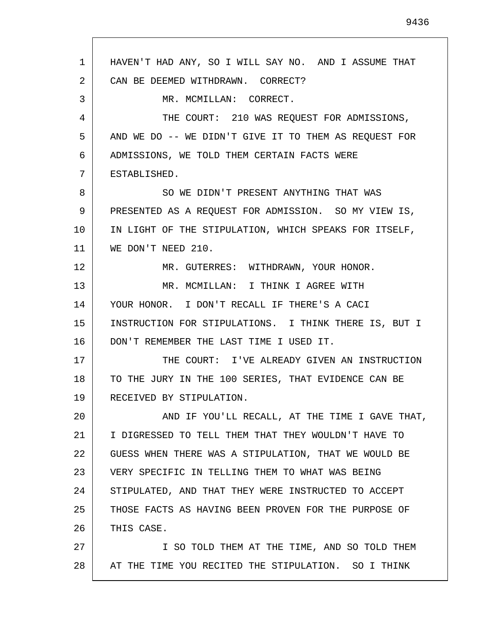1 2 3 4 5 6 7 8 9 10 11 12 13 14 15 16 17 18 19 20 21 22 23 24 25 26 27 28 HAVEN'T HAD ANY, SO I WILL SAY NO. AND I ASSUME THAT CAN BE DEEMED WITHDRAWN. CORRECT? MR. MCMILLAN: CORRECT. THE COURT: 210 WAS REQUEST FOR ADMISSIONS, AND WE DO -- WE DIDN'T GIVE IT TO THEM AS REQUEST FOR ADMISSIONS, WE TOLD THEM CERTAIN FACTS WERE ESTABLISHED. SO WE DIDN'T PRESENT ANYTHING THAT WAS PRESENTED AS A REQUEST FOR ADMISSION. SO MY VIEW IS, IN LIGHT OF THE STIPULATION, WHICH SPEAKS FOR ITSELF, WE DON'T NEED 210. MR. GUTERRES: WITHDRAWN, YOUR HONOR. MR. MCMILLAN: I THINK I AGREE WITH YOUR HONOR. I DON'T RECALL IF THERE'S A CACI INSTRUCTION FOR STIPULATIONS. I THINK THERE IS, BUT I DON'T REMEMBER THE LAST TIME I USED IT. THE COURT: I'VE ALREADY GIVEN AN INSTRUCTION TO THE JURY IN THE 100 SERIES, THAT EVIDENCE CAN BE RECEIVED BY STIPULATION. AND IF YOU'LL RECALL, AT THE TIME I GAVE THAT, I DIGRESSED TO TELL THEM THAT THEY WOULDN'T HAVE TO GUESS WHEN THERE WAS A STIPULATION, THAT WE WOULD BE VERY SPECIFIC IN TELLING THEM TO WHAT WAS BEING STIPULATED, AND THAT THEY WERE INSTRUCTED TO ACCEPT THOSE FACTS AS HAVING BEEN PROVEN FOR THE PURPOSE OF THIS CASE. I SO TOLD THEM AT THE TIME, AND SO TOLD THEM AT THE TIME YOU RECITED THE STIPULATION. SO I THINK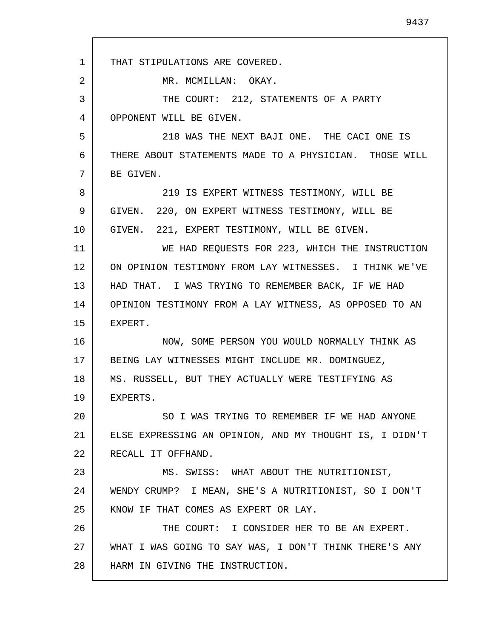1 2 3 4 5 6 7 8 9 10 11 12 13 14 15 16 17 18 19 20 21 22 23 24 25 26 27 28 THAT STIPULATIONS ARE COVERED. MR. MCMILLAN: OKAY. THE COURT: 212, STATEMENTS OF A PARTY OPPONENT WILL BE GIVEN. 218 WAS THE NEXT BAJI ONE. THE CACI ONE IS THERE ABOUT STATEMENTS MADE TO A PHYSICIAN. THOSE WILL BE GIVEN. 219 IS EXPERT WITNESS TESTIMONY, WILL BE GIVEN. 220, ON EXPERT WITNESS TESTIMONY, WILL BE GIVEN. 221, EXPERT TESTIMONY, WILL BE GIVEN. WE HAD REQUESTS FOR 223, WHICH THE INSTRUCTION ON OPINION TESTIMONY FROM LAY WITNESSES. I THINK WE'VE HAD THAT. I WAS TRYING TO REMEMBER BACK, IF WE HAD OPINION TESTIMONY FROM A LAY WITNESS, AS OPPOSED TO AN EXPERT. NOW, SOME PERSON YOU WOULD NORMALLY THINK AS BEING LAY WITNESSES MIGHT INCLUDE MR. DOMINGUEZ, MS. RUSSELL, BUT THEY ACTUALLY WERE TESTIFYING AS EXPERTS. SO I WAS TRYING TO REMEMBER IF WE HAD ANYONE ELSE EXPRESSING AN OPINION, AND MY THOUGHT IS, I DIDN'T RECALL IT OFFHAND. MS. SWISS: WHAT ABOUT THE NUTRITIONIST, WENDY CRUMP? I MEAN, SHE'S A NUTRITIONIST, SO I DON'T KNOW IF THAT COMES AS EXPERT OR LAY. THE COURT: I CONSIDER HER TO BE AN EXPERT. WHAT I WAS GOING TO SAY WAS, I DON'T THINK THERE'S ANY HARM IN GIVING THE INSTRUCTION.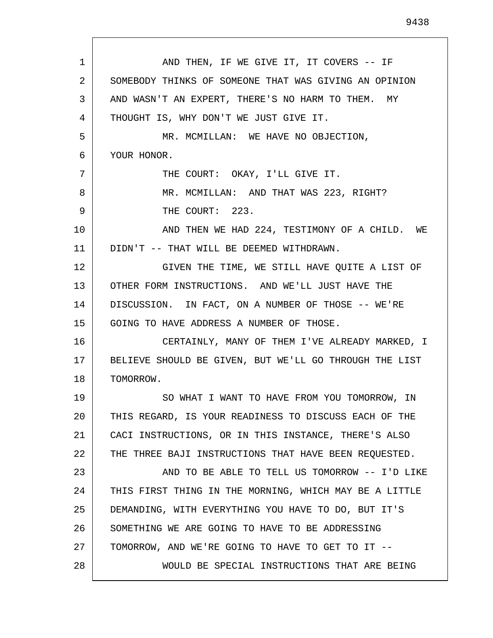9438

| 1  | AND THEN, IF WE GIVE IT, IT COVERS -- IF               |
|----|--------------------------------------------------------|
| 2  | SOMEBODY THINKS OF SOMEONE THAT WAS GIVING AN OPINION  |
| 3  | AND WASN'T AN EXPERT, THERE'S NO HARM TO THEM. MY      |
| 4  | THOUGHT IS, WHY DON'T WE JUST GIVE IT.                 |
| 5  | MR. MCMILLAN: WE HAVE NO OBJECTION,                    |
| 6  | YOUR HONOR.                                            |
| 7  | THE COURT: OKAY, I'LL GIVE IT.                         |
| 8  | MR. MCMILLAN: AND THAT WAS 223, RIGHT?                 |
| 9  | THE COURT: 223.                                        |
| 10 | AND THEN WE HAD 224, TESTIMONY OF A CHILD. WE          |
| 11 | DIDN'T -- THAT WILL BE DEEMED WITHDRAWN.               |
| 12 | GIVEN THE TIME, WE STILL HAVE QUITE A LIST OF          |
| 13 | OTHER FORM INSTRUCTIONS. AND WE'LL JUST HAVE THE       |
| 14 | DISCUSSION. IN FACT, ON A NUMBER OF THOSE -- WE'RE     |
| 15 | GOING TO HAVE ADDRESS A NUMBER OF THOSE.               |
| 16 | CERTAINLY, MANY OF THEM I'VE ALREADY MARKED, I         |
| 17 | BELIEVE SHOULD BE GIVEN, BUT WE'LL GO THROUGH THE LIST |
| 18 | TOMORROW.                                              |
| 19 | SO WHAT I WANT TO HAVE FROM YOU TOMORROW, IN           |
| 20 | THIS REGARD, IS YOUR READINESS TO DISCUSS EACH OF THE  |
| 21 | CACI INSTRUCTIONS, OR IN THIS INSTANCE, THERE'S ALSO   |
| 22 | THE THREE BAJI INSTRUCTIONS THAT HAVE BEEN REQUESTED.  |
| 23 | AND TO BE ABLE TO TELL US TOMORROW -- I'D LIKE         |
| 24 | THIS FIRST THING IN THE MORNING, WHICH MAY BE A LITTLE |
| 25 | DEMANDING, WITH EVERYTHING YOU HAVE TO DO, BUT IT'S    |
| 26 | SOMETHING WE ARE GOING TO HAVE TO BE ADDRESSING        |
| 27 | TOMORROW, AND WE'RE GOING TO HAVE TO GET TO IT --      |
| 28 | WOULD BE SPECIAL INSTRUCTIONS THAT ARE BEING           |

 $\mathsf{l}$ 

L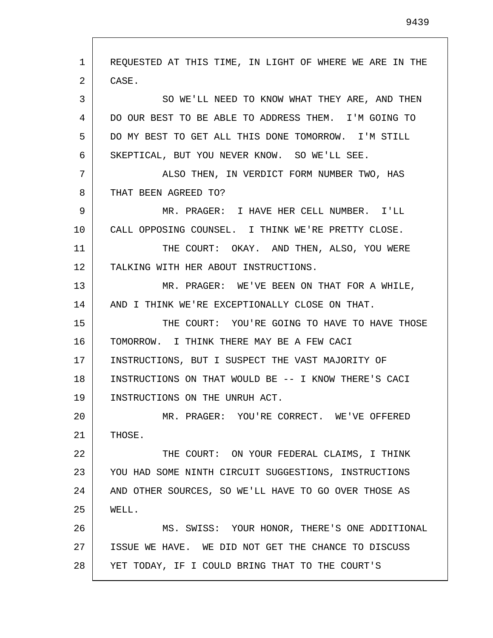1 2 3 4 5 6 7 8 9 10 11 12 13 14 15 16 17 18 19 20 21 22 23 24 25 26 27 28 REQUESTED AT THIS TIME, IN LIGHT OF WHERE WE ARE IN THE CASE. SO WE'LL NEED TO KNOW WHAT THEY ARE, AND THEN DO OUR BEST TO BE ABLE TO ADDRESS THEM. I'M GOING TO DO MY BEST TO GET ALL THIS DONE TOMORROW. I'M STILL SKEPTICAL, BUT YOU NEVER KNOW. SO WE'LL SEE. ALSO THEN, IN VERDICT FORM NUMBER TWO, HAS THAT BEEN AGREED TO? MR. PRAGER: I HAVE HER CELL NUMBER. I'LL CALL OPPOSING COUNSEL. I THINK WE'RE PRETTY CLOSE. THE COURT: OKAY. AND THEN, ALSO, YOU WERE TALKING WITH HER ABOUT INSTRUCTIONS. MR. PRAGER: WE'VE BEEN ON THAT FOR A WHILE, AND I THINK WE'RE EXCEPTIONALLY CLOSE ON THAT. THE COURT: YOU'RE GOING TO HAVE TO HAVE THOSE TOMORROW. I THINK THERE MAY BE A FEW CACI INSTRUCTIONS, BUT I SUSPECT THE VAST MAJORITY OF INSTRUCTIONS ON THAT WOULD BE -- I KNOW THERE'S CACI INSTRUCTIONS ON THE UNRUH ACT. MR. PRAGER: YOU'RE CORRECT. WE'VE OFFERED THOSE. THE COURT: ON YOUR FEDERAL CLAIMS, I THINK YOU HAD SOME NINTH CIRCUIT SUGGESTIONS, INSTRUCTIONS AND OTHER SOURCES, SO WE'LL HAVE TO GO OVER THOSE AS WELL. MS. SWISS: YOUR HONOR, THERE'S ONE ADDITIONAL ISSUE WE HAVE. WE DID NOT GET THE CHANCE TO DISCUSS YET TODAY, IF I COULD BRING THAT TO THE COURT'S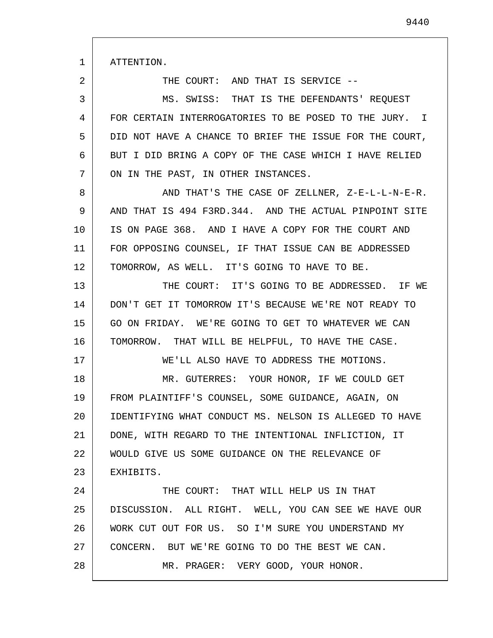ATTENTION.

1

2

17

THE COURT: AND THAT IS SERVICE --

3 4 5 6 7 MS. SWISS: THAT IS THE DEFENDANTS' REQUEST FOR CERTAIN INTERROGATORIES TO BE POSED TO THE JURY. I DID NOT HAVE A CHANCE TO BRIEF THE ISSUE FOR THE COURT, BUT I DID BRING A COPY OF THE CASE WHICH I HAVE RELIED ON IN THE PAST, IN OTHER INSTANCES.

8 9 10 11 12 AND THAT'S THE CASE OF ZELLNER, Z-E-L-L-N-E-R. AND THAT IS 494 F3RD.344. AND THE ACTUAL PINPOINT SITE IS ON PAGE 368. AND I HAVE A COPY FOR THE COURT AND FOR OPPOSING COUNSEL, IF THAT ISSUE CAN BE ADDRESSED TOMORROW, AS WELL. IT'S GOING TO HAVE TO BE.

13 14 15 16 THE COURT: IT'S GOING TO BE ADDRESSED. IF WE DON'T GET IT TOMORROW IT'S BECAUSE WE'RE NOT READY TO GO ON FRIDAY. WE'RE GOING TO GET TO WHATEVER WE CAN TOMORROW. THAT WILL BE HELPFUL, TO HAVE THE CASE.

WE'LL ALSO HAVE TO ADDRESS THE MOTIONS.

18 19 20 21 22 23 MR. GUTERRES: YOUR HONOR, IF WE COULD GET FROM PLAINTIFF'S COUNSEL, SOME GUIDANCE, AGAIN, ON IDENTIFYING WHAT CONDUCT MS. NELSON IS ALLEGED TO HAVE DONE, WITH REGARD TO THE INTENTIONAL INFLICTION, IT WOULD GIVE US SOME GUIDANCE ON THE RELEVANCE OF EXHIBITS.

24 25 26 27 28 THE COURT: THAT WILL HELP US IN THAT DISCUSSION. ALL RIGHT. WELL, YOU CAN SEE WE HAVE OUR WORK CUT OUT FOR US. SO I'M SURE YOU UNDERSTAND MY CONCERN. BUT WE'RE GOING TO DO THE BEST WE CAN. MR. PRAGER: VERY GOOD, YOUR HONOR.